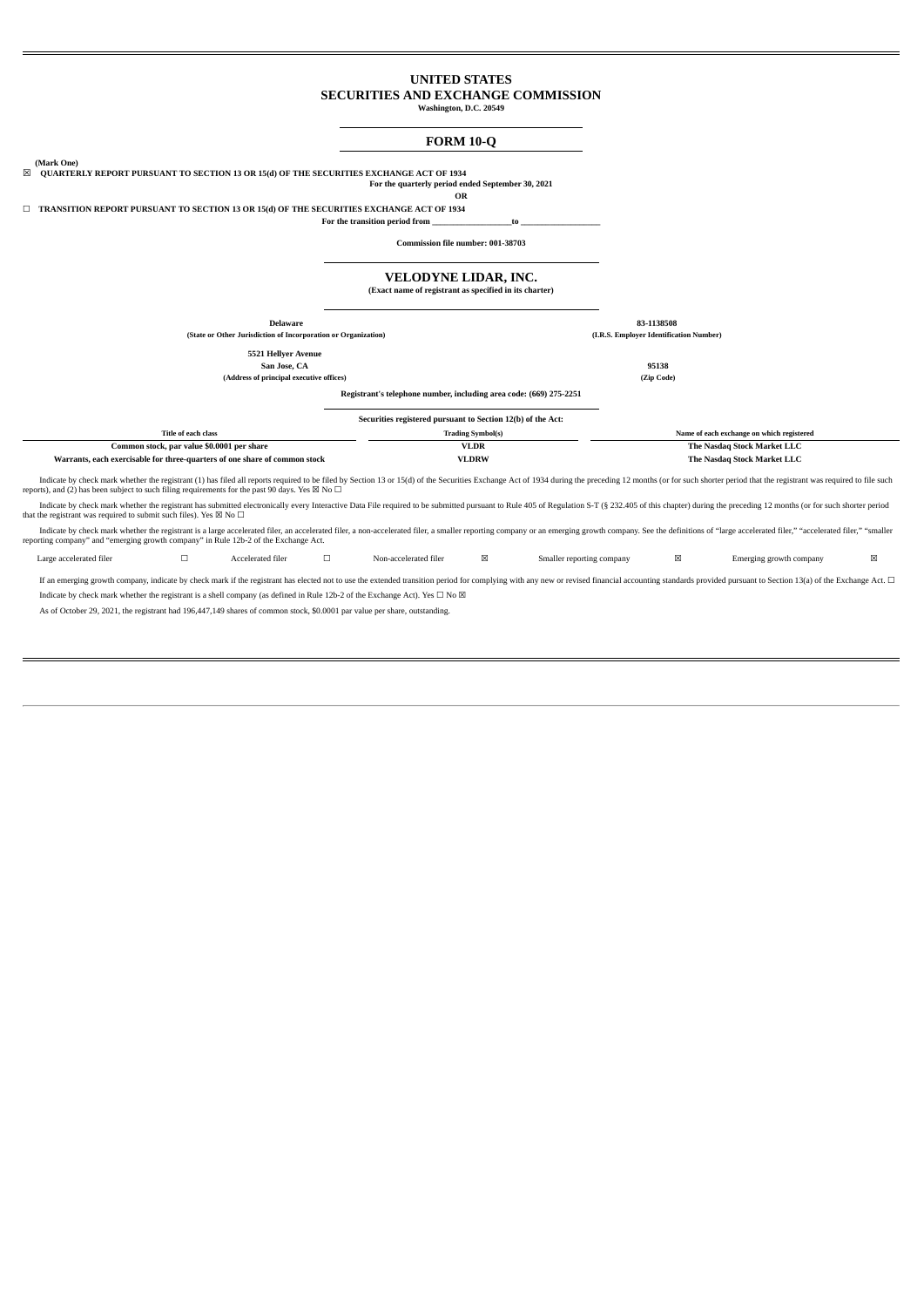# **UNITED STATES SECURITIES AND EXCHANGE COMMISSION**

**Washington, D.C. 20549**

# **FORM 10-Q**

**(Mark One)** ☒ **QUARTERLY REPORT PURSUANT TO SECTION 13 OR 15(d) OF THE SECURITIES EXCHANGE ACT OF 1934 For the quarterly period ended September 30, 2021**

**OR**

☐ **TRANSITION REPORT PURSUANT TO SECTION 13 OR 15(d) OF THE SECURITIES EXCHANGE ACT OF 1934** For the transition period from \_\_\_\_\_\_\_\_\_\_\_\_\_\_\_\_\_\_\_\_\_\_\_to \_

**Commission file number: 001-38703**

# **VELODYNE LIDAR, INC.**

**(Exact name of registrant as specified in its charter)**

| <b>Delaware</b>                                                                                                                                                                                                                                                                                                                                     |                                                                    |                          |                           | 83-1138508                              |                                           |   |  |  |  |
|-----------------------------------------------------------------------------------------------------------------------------------------------------------------------------------------------------------------------------------------------------------------------------------------------------------------------------------------------------|--------------------------------------------------------------------|--------------------------|---------------------------|-----------------------------------------|-------------------------------------------|---|--|--|--|
| (State or Other Jurisdiction of Incorporation or Organization)                                                                                                                                                                                                                                                                                      |                                                                    |                          |                           | (I.R.S. Employer Identification Number) |                                           |   |  |  |  |
| 5521 Hellyer Avenue                                                                                                                                                                                                                                                                                                                                 |                                                                    |                          |                           |                                         |                                           |   |  |  |  |
| San Jose, CA                                                                                                                                                                                                                                                                                                                                        |                                                                    |                          | 95138                     |                                         |                                           |   |  |  |  |
| (Address of principal executive offices)                                                                                                                                                                                                                                                                                                            |                                                                    |                          | (Zip Code)                |                                         |                                           |   |  |  |  |
|                                                                                                                                                                                                                                                                                                                                                     | Registrant's telephone number, including area code: (669) 275-2251 |                          |                           |                                         |                                           |   |  |  |  |
| Securities registered pursuant to Section 12(b) of the Act:                                                                                                                                                                                                                                                                                         |                                                                    |                          |                           |                                         |                                           |   |  |  |  |
| Title of each class                                                                                                                                                                                                                                                                                                                                 |                                                                    | <b>Trading Symbol(s)</b> |                           |                                         | Name of each exchange on which registered |   |  |  |  |
| Common stock, par value \$0.0001 per share                                                                                                                                                                                                                                                                                                          |                                                                    | <b>VLDR</b>              |                           | The Nasdag Stock Market LLC             |                                           |   |  |  |  |
| Warrants, each exercisable for three-quarters of one share of common stock                                                                                                                                                                                                                                                                          |                                                                    | <b>VLDRW</b>             |                           |                                         | The Nasdaq Stock Market LLC               |   |  |  |  |
| Indicate by check mark whether the registrant (1) has filed all reports required to be filed by Section 13 or 15(d) of the Securities Exchange Act of 1934 during the preceding 12 months (or for such shorter period that the<br>reports), and (2) has been subject to such filing requirements for the past 90 days. Yes $\boxtimes$ No $\square$ |                                                                    |                          |                           |                                         |                                           |   |  |  |  |
| Indicate by check mark whether the registrant has submitted electronically every Interactive Data File required to be submitted pursuant to Rule 405 of Regulation S-T (§ 232.405 of this chapter) during the preceding 12 mon<br>that the registrant was required to submit such files). Yes $\boxtimes$ No $\Box$                                 |                                                                    |                          |                           |                                         |                                           |   |  |  |  |
| Indicate by check mark whether the registrant is a large accelerated filer, an accelerated filer, an accelerated filer, an accelerated filer, and accelerated filer, an accelerated filer, and accelerated filer, and energing<br>reporting company" and "emerging growth company" in Rule 12b-2 of the Exchange Act.                               |                                                                    |                          |                           |                                         |                                           |   |  |  |  |
| $\Box$<br>$\Box$<br>Large accelerated filer<br>Accelerated filer                                                                                                                                                                                                                                                                                    | Non-accelerated filer                                              | ⊠                        | Smaller reporting company | ⊠                                       | Emerging growth company                   | ⊠ |  |  |  |
| If an emerging growth company, indicate by check mark if the registrant has elected not to use the extended transition period for complying with any new or revised financial accounting standards provided pursuant to Sectio                                                                                                                      |                                                                    |                          |                           |                                         |                                           |   |  |  |  |

Indicate by check mark whether the registrant is a shell company (as defined in Rule 12b-2 of the Exchange Act). Yes  $\Box$  No  $\boxtimes$ 

<span id="page-0-0"></span>As of October 29, 2021, the registrant had 196,447,149 shares of common stock, \$0.0001 par value per share, outstanding.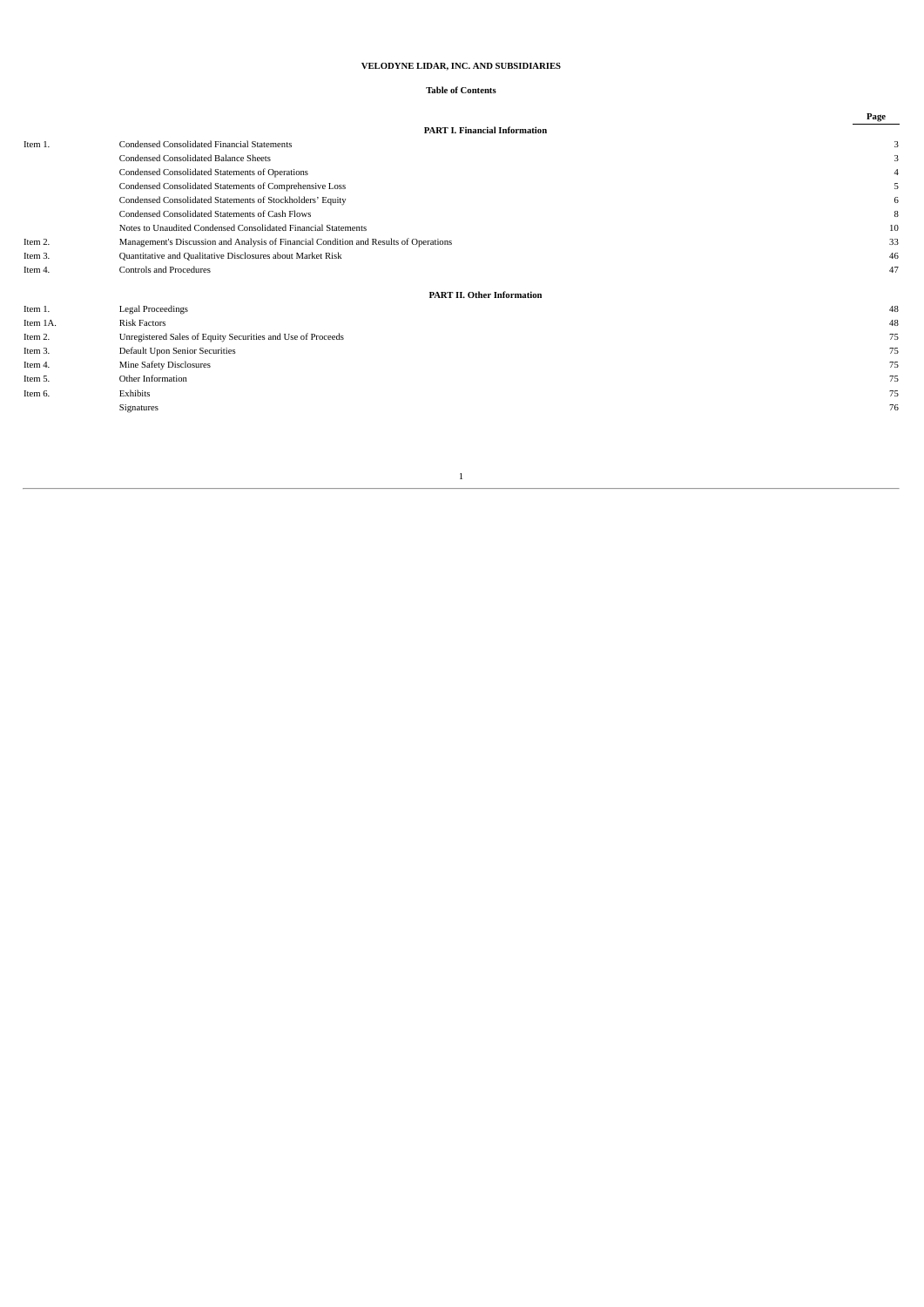# **Table of Contents**

<span id="page-1-0"></span>

|          |                                                                                       | Page |
|----------|---------------------------------------------------------------------------------------|------|
|          | <b>PART I. Financial Information</b>                                                  |      |
| Item 1.  | <b>Condensed Consolidated Financial Statements</b>                                    | 3    |
|          | <b>Condensed Consolidated Balance Sheets</b>                                          | 3    |
|          | Condensed Consolidated Statements of Operations                                       |      |
|          | Condensed Consolidated Statements of Comprehensive Loss                               |      |
|          | Condensed Consolidated Statements of Stockholders' Equity                             | 6    |
|          | Condensed Consolidated Statements of Cash Flows                                       | 8    |
|          | Notes to Unaudited Condensed Consolidated Financial Statements                        | 10   |
| Item 2.  | Management's Discussion and Analysis of Financial Condition and Results of Operations | 33   |
| Item 3.  | Quantitative and Qualitative Disclosures about Market Risk                            | 46   |
| Item 4.  | Controls and Procedures                                                               | 47   |
|          | <b>PART II. Other Information</b>                                                     |      |
| Item 1.  | <b>Legal Proceedings</b>                                                              | 48   |
| Item 1A. | <b>Risk Factors</b>                                                                   | 48   |
| Item 2.  | Unregistered Sales of Equity Securities and Use of Proceeds                           | 75   |
| Item 3.  | Default Upon Senior Securities                                                        | 75   |
| Item 4.  | Mine Safety Disclosures                                                               | 75   |
| Item 5.  | Other Information                                                                     | 75   |
| Item 6.  | Exhibits                                                                              | 75   |
|          | Signatures                                                                            | 76   |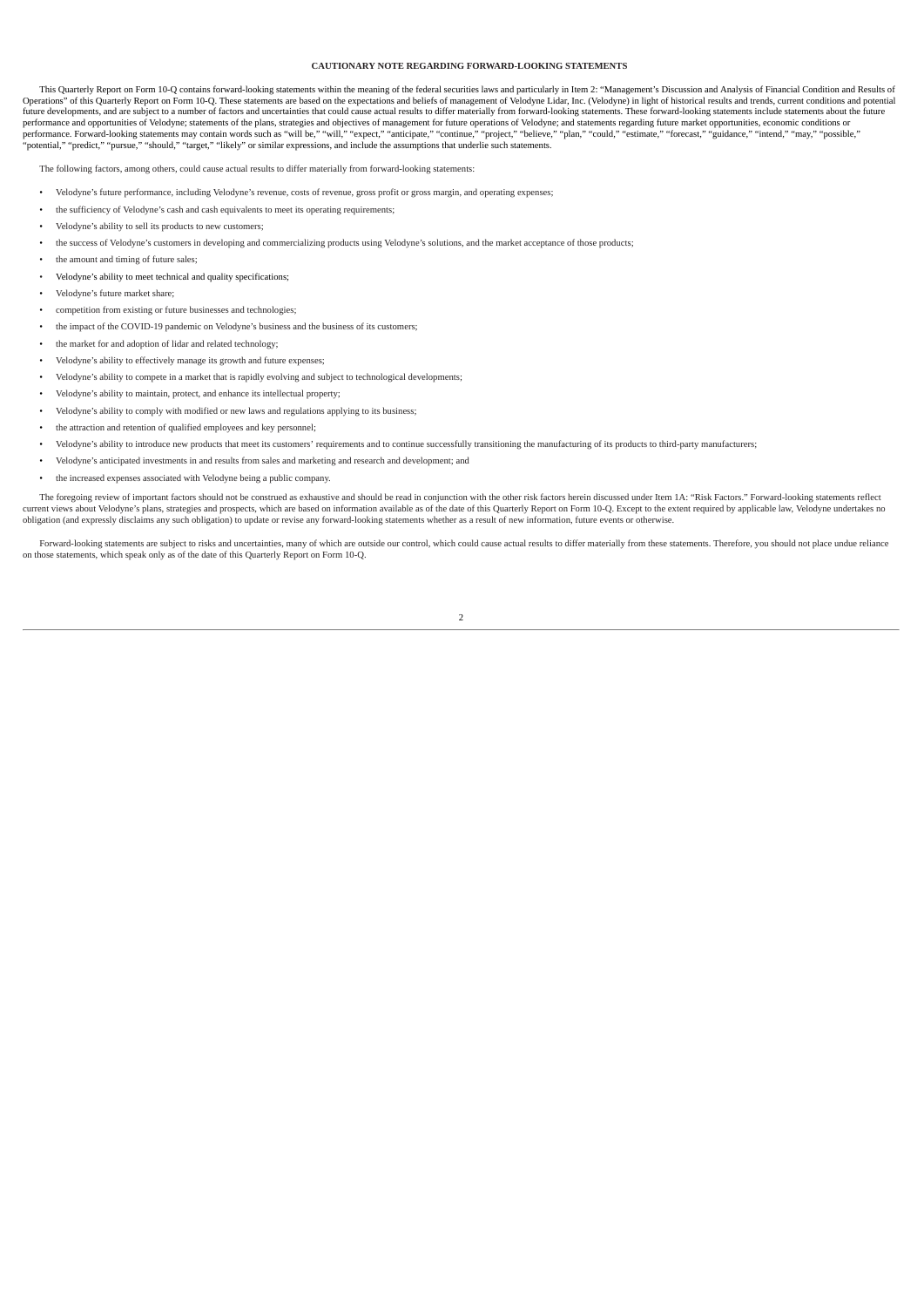# **CAUTIONARY NOTE REGARDING FORWARD-LOOKING STATEMENTS**

This Quarterly Report on Form 10-Q contains forward-looking statements within the meaning of the federal securities laws and particularly in Item 2: "Management's Discussion and Analysis of Financial Condition and Results future developments, and are subject to a number of factors and uncertainties that could cause actual results to differ materially from forward-looking statements. These forward-looking statements include statements about performance. Forward-looking statements may contain words such as "will be," "will," "expect," "anticipate," "continue," "project," "believe," "plan," "could," "estimate," "forecast," "guidance," "intend," "may," "possible," "potential," "predict," "pursue," "should," "target," "likely" or similar expressions, and include the assumptions that underlie such statements.

The following factors, among others, could cause actual results to differ materially from forward-looking statements:

- Velodyne's future performance, including Velodyne's revenue, costs of revenue, gross profit or gross margin, and operating expenses;
- the sufficiency of Velodyne's cash and cash equivalents to meet its operating requirements;
- Velodyne's ability to sell its products to new customers;
- the success of Velodyne's customers in developing and commercializing products using Velodyne's solutions, and the market acceptance of those products;
- the amount and timing of future sales;
- Velodyne's ability to meet technical and quality specifications;
- Velodyne's future market share;
- competition from existing or future businesses and technologies;
- the impact of the COVID-19 pandemic on Velodyne's business and the business of its customers;
- the market for and adoption of lidar and related technology;
- Velodyne's ability to effectively manage its growth and future expenses;
- Velodyne's ability to compete in a market that is rapidly evolving and subject to technological developments;
- Velodyne's ability to maintain, protect, and enhance its intellectual property;
- Velodyne's ability to comply with modified or new laws and regulations applying to its business;
- the attraction and retention of qualified employees and key personnel;
- Velodyne's ability to introduce new products that meet its customers' requirements and to continue successfully transitioning the manufacturing of its products to third-party manufacturers;
- Velodyne's anticipated investments in and results from sales and marketing and research and development; and
- the increased expenses associated with Velodyne being a public company

The foregoing review of important factors should not be construed as exhaustive and should be read in conjunction with the other risk factors herein discussed under Item 1A: "Risk Factors." Forward-looking statements refle current views about Velodyne's plans, strategies and prospects, which are based on information available as of the date of this Quarterly Report on Form 10-Q. Except to the extent required by applicable law, Velodyne under

Forward-looking statements are subject to risks and uncertainties, many of which are outside our control, which could cause actual results to differ materially from these statements. Therefore, you should not place undue r

 $\overline{2}$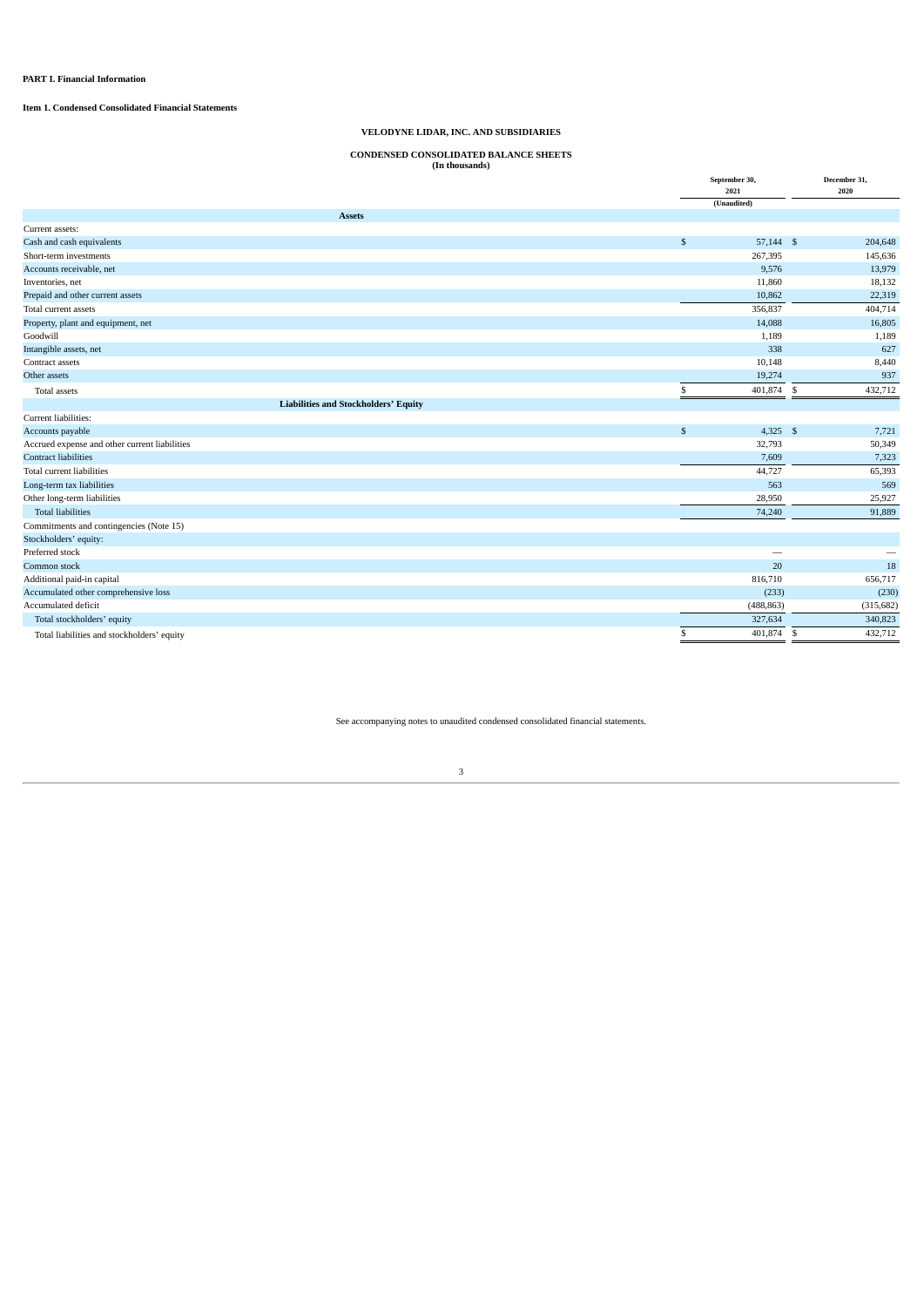<span id="page-3-1"></span><span id="page-3-0"></span>**Item 1. Condensed Consolidated Financial Statements**

# **VELODYNE LIDAR, INC. AND SUBSIDIARIES**

# **CONDENSED CONSOLIDATED BALANCE SHEETS (In thousands)**

|                                               | September 30,<br>2021 | December 31,<br>2020  |
|-----------------------------------------------|-----------------------|-----------------------|
|                                               | (Unaudited)           |                       |
| <b>Assets</b>                                 |                       |                       |
| Current assets:                               |                       |                       |
| Cash and cash equivalents                     | $\mathbb{S}$          | 57,144 \$<br>204,648  |
| Short-term investments                        | 267,395               | 145,636               |
| Accounts receivable, net                      | 9,576                 | 13,979                |
| Inventories, net                              | 11,860                | 18,132                |
| Prepaid and other current assets              | 10,862                | 22,319                |
| Total current assets                          | 356,837               | 404,714               |
| Property, plant and equipment, net            | 14,088                | 16,805                |
| Goodwill                                      | 1,189                 | 1,189                 |
| Intangible assets, net                        |                       | 338<br>627            |
| Contract assets                               | 10,148                | 8,440                 |
| Other assets                                  | 19,274                | 937                   |
| Total assets                                  | S                     | 401,874 \$<br>432,712 |
| <b>Liabilities and Stockholders' Equity</b>   |                       |                       |
| Current liabilities:                          |                       |                       |
| Accounts payable                              | $\mathbb{S}$          | $4,325$ \$<br>7,721   |
| Accrued expense and other current liabilities | 32,793                | 50,349                |
| <b>Contract liabilities</b>                   | 7,609                 | 7,323                 |
| Total current liabilities                     | 44,727                | 65,393                |
| Long-term tax liabilities                     |                       | 563<br>569            |
| Other long-term liabilities                   | 28,950                | 25,927                |
| <b>Total liabilities</b>                      | 74,240                | 91,889                |
| Commitments and contingencies (Note 15)       |                       |                       |
| Stockholders' equity:                         |                       |                       |
| Preferred stock                               |                       |                       |
| Common stock                                  |                       | 20<br>18              |
| Additional paid-in capital                    | 816,710               | 656,717               |
| Accumulated other comprehensive loss          |                       | (233)<br>(230)        |
| Accumulated deficit                           | (488, 863)            | (315, 682)            |
| Total stockholders' equity                    | 327,634               | 340,823               |
| Total liabilities and stockholders' equity    | \$                    | 401,874 \$<br>432,712 |

<span id="page-3-2"></span>See accompanying notes to unaudited condensed consolidated financial statements.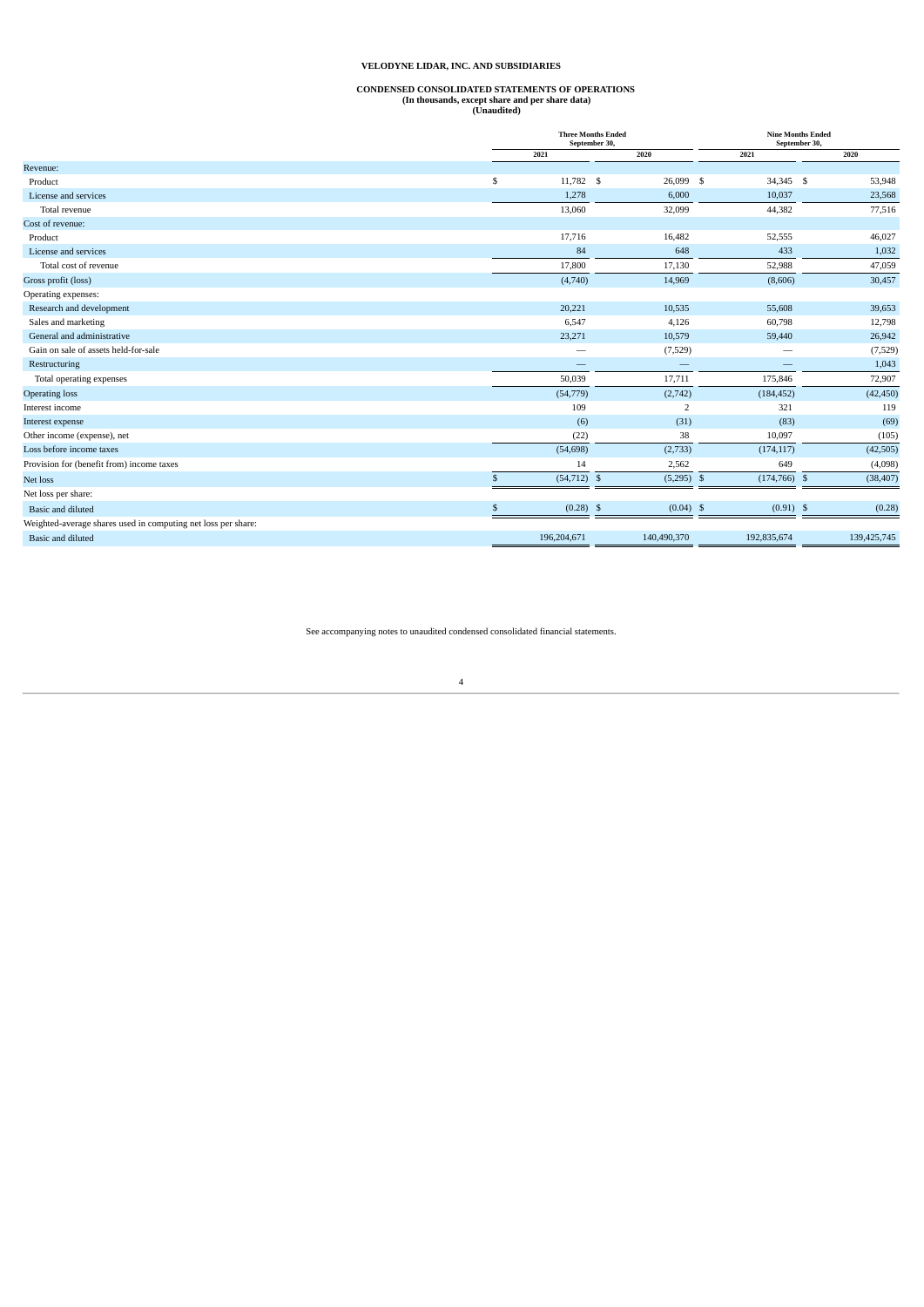# **CONDENSED CONSOLIDATED STATEMENTS OF OPERATIONS (In thousands, except share and per share data) (Unaudited)**

|                                                               | <b>Three Months Ended</b><br>September 30, |                   |      | <b>Nine Months Ended</b><br>September 30, |                 |              |             |
|---------------------------------------------------------------|--------------------------------------------|-------------------|------|-------------------------------------------|-----------------|--------------|-------------|
|                                                               |                                            | 2021              | 2020 |                                           | 2021            |              | 2020        |
| Revenue:                                                      |                                            |                   |      |                                           |                 |              |             |
| Product                                                       | \$                                         | 11,782 \$         |      | 26,099 \$                                 | 34,345 \$       |              | 53,948      |
| License and services                                          |                                            | 1,278             |      | 6,000                                     | 10,037          |              | 23,568      |
| Total revenue                                                 |                                            | 13,060            |      | 32,099                                    | 44,382          |              | 77,516      |
| Cost of revenue:                                              |                                            |                   |      |                                           |                 |              |             |
| Product                                                       |                                            | 17,716            |      | 16,482                                    | 52,555          |              | 46,027      |
| License and services                                          |                                            | 84                |      | 648                                       | 433             |              | 1,032       |
| Total cost of revenue                                         |                                            | 17,800            |      | 17,130                                    | 52,988          |              | 47,059      |
| Gross profit (loss)                                           |                                            | (4,740)           |      | 14,969                                    | (8,606)         |              | 30,457      |
| Operating expenses:                                           |                                            |                   |      |                                           |                 |              |             |
| Research and development                                      |                                            | 20,221            |      | 10,535                                    | 55,608          |              | 39,653      |
| Sales and marketing                                           |                                            | 6,547             |      | 4,126                                     | 60,798          |              | 12,798      |
| General and administrative                                    |                                            | 23,271            |      | 10,579                                    | 59,440          |              | 26,942      |
| Gain on sale of assets held-for-sale                          |                                            |                   |      | (7,529)                                   |                 |              | (7,529)     |
| Restructuring                                                 |                                            | $\qquad \qquad -$ |      | $\qquad \qquad$                           | $\qquad \qquad$ |              | 1,043       |
| Total operating expenses                                      |                                            | 50,039            |      | 17,711                                    | 175,846         |              | 72,907      |
| <b>Operating loss</b>                                         |                                            | (54, 779)         |      | (2,742)                                   | (184, 452)      |              | (42, 450)   |
| Interest income                                               |                                            | 109               |      | 2                                         | 321             |              | 119         |
| Interest expense                                              |                                            | (6)               |      | (31)                                      | (83)            |              | (69)        |
| Other income (expense), net                                   |                                            | (22)              |      | 38                                        | 10,097          |              | (105)       |
| Loss before income taxes                                      |                                            | (54, 698)         |      | (2,733)                                   | (174, 117)      |              | (42, 505)   |
| Provision for (benefit from) income taxes                     |                                            | 14                |      | 2,562                                     | 649             |              | (4,098)     |
| Net loss                                                      | \$                                         | $(54,712)$ \$     |      | $(5,295)$ \$                              | $(174, 766)$ \$ |              | (38, 407)   |
| Net loss per share:                                           |                                            |                   |      |                                           |                 |              |             |
| Basic and diluted                                             | \$                                         | $(0.28)$ \$       |      | $(0.04)$ \$                               | (0.91)          | $\mathbf{s}$ | (0.28)      |
| Weighted-average shares used in computing net loss per share: |                                            |                   |      |                                           |                 |              |             |
| Basic and diluted                                             |                                            | 196,204,671       |      | 140,490,370                               | 192,835,674     |              | 139,425,745 |

<span id="page-4-0"></span>See accompanying notes to unaudited condensed consolidated financial statements.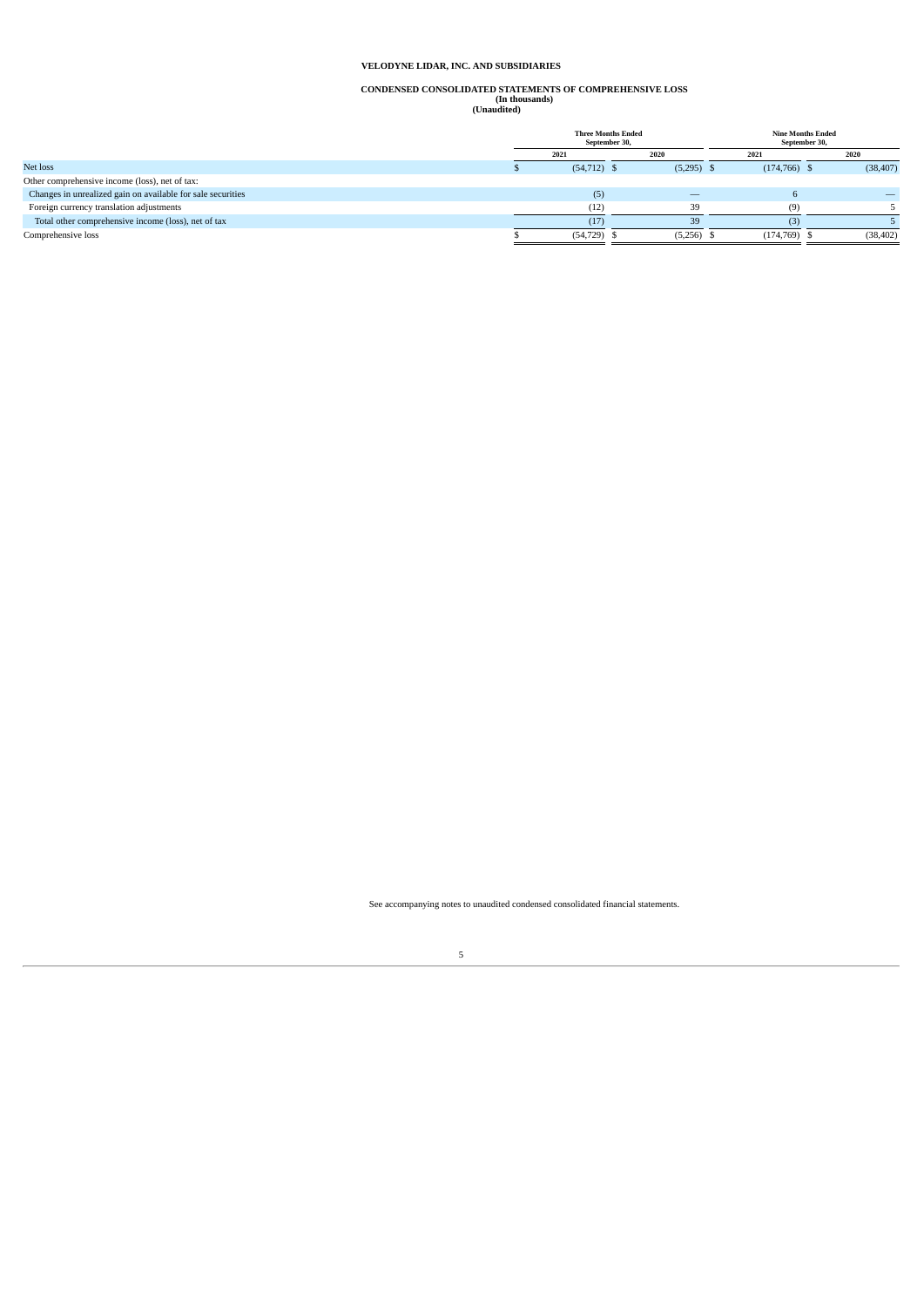# **CONDENSED CONSOLIDATED STATEMENTS OF COMPREHENSIVE LOSS (In thousands) (Unaudited)**

|                                                             |              | <b>Three Months Ended</b><br>September 30, |                          | <b>Nine Months Ended</b><br>September 30, |           |  |
|-------------------------------------------------------------|--------------|--------------------------------------------|--------------------------|-------------------------------------------|-----------|--|
|                                                             | 2021<br>2020 |                                            |                          | 2021                                      | 2020      |  |
| Net loss                                                    |              | $(54,712)$ \$                              | $(5,295)$ \$             | $(174, 766)$ \$                           | (38, 407) |  |
| Other comprehensive income (loss), net of tax:              |              |                                            |                          |                                           |           |  |
| Changes in unrealized gain on available for sale securities |              | (5)                                        | $\overline{\phantom{a}}$ |                                           |           |  |
| Foreign currency translation adjustments                    |              | (12)                                       | 39                       | (9)                                       |           |  |
| Total other comprehensive income (loss), net of tax         |              | (17)                                       | 39                       | (3)                                       |           |  |
| Comprehensive loss                                          |              | (54, 729)                                  | (5,256)                  | $(174, 769)$ \$                           | (38, 402) |  |

<span id="page-5-0"></span>See accompanying notes to unaudited condensed consolidated financial statements.

| ٦ |
|---|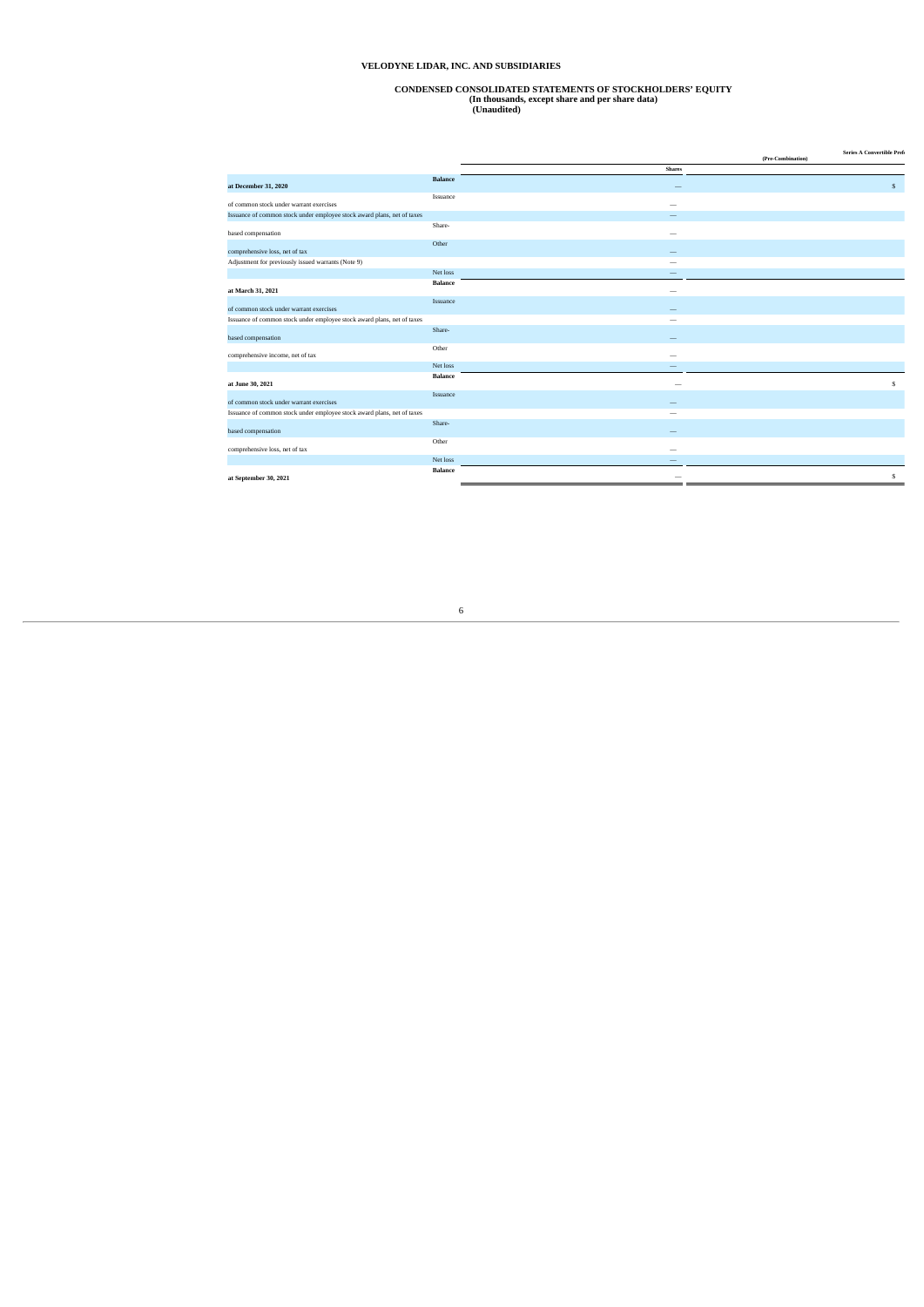# **CONDENSED CONSOLIDATED STATEMENTS OF STOCKHOLDERS' EQUITY (In thousands, except share and per share data) (Unaudited)**

|                                                                         |                |               | (Pre-Combination) | <b>Series A Convertible Prefs</b> |
|-------------------------------------------------------------------------|----------------|---------------|-------------------|-----------------------------------|
|                                                                         |                | <b>Shares</b> |                   |                                   |
| at December 31, 2020                                                    | <b>Balance</b> |               |                   | $\mathbb{S}$                      |
| of common stock under warrant exercises                                 | Issuance       |               |                   |                                   |
| Issuance of common stock under employee stock award plans, net of taxes |                |               |                   |                                   |
| based compensation                                                      | Share-         |               |                   |                                   |
| comprehensive loss, net of tax                                          | Other          |               |                   |                                   |
| Adjustment for previously issued warrants (Note 9)                      |                |               |                   |                                   |
|                                                                         | Net loss       |               |                   |                                   |
| at March 31, 2021                                                       | <b>Balance</b> |               |                   |                                   |
| of common stock under warrant exercises                                 | Issuance       |               |                   |                                   |
| Issuance of common stock under employee stock award plans, net of taxes |                | -             |                   |                                   |
| based compensation                                                      | Share-         |               |                   |                                   |
| comprehensive income, net of tax                                        | Other          | -             |                   |                                   |
|                                                                         | Net loss       |               |                   |                                   |
| at June 30, 2021                                                        | Balance        | -             |                   | s                                 |
| of common stock under warrant exercises                                 | Issuance       |               |                   |                                   |
| Issuance of common stock under employee stock award plans, net of taxes |                | -             |                   |                                   |
| based compensation                                                      | Share-         |               |                   |                                   |
| comprehensive loss, net of tax                                          | Other          | -             |                   |                                   |
|                                                                         | Net loss       |               |                   |                                   |
| at September 30, 2021                                                   | <b>Balance</b> |               |                   | s                                 |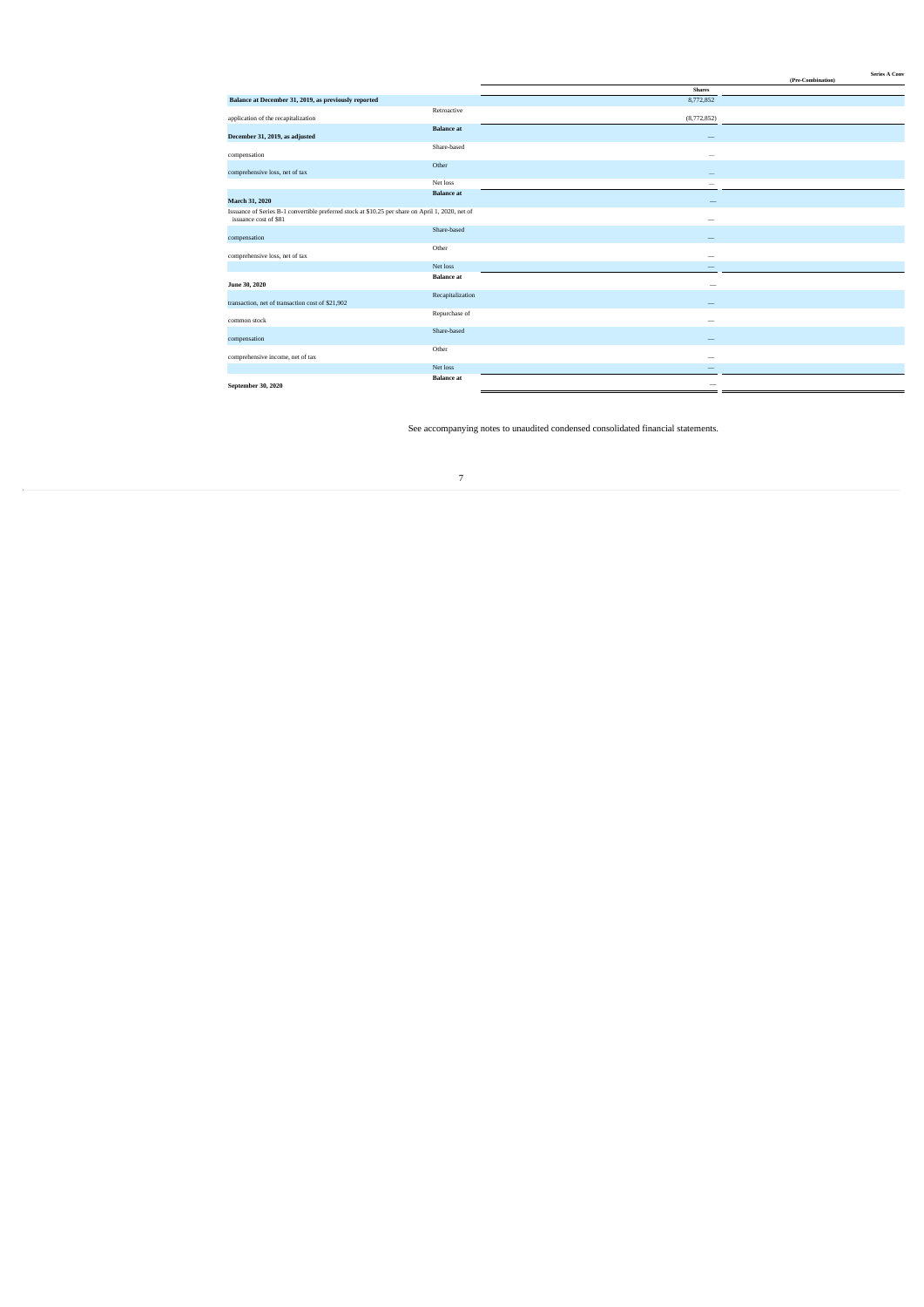|                                                                                                                           |                   |                                 | (Pre-Combination) | <b>Series A Conv</b> |
|---------------------------------------------------------------------------------------------------------------------------|-------------------|---------------------------------|-------------------|----------------------|
|                                                                                                                           |                   | <b>Shares</b>                   |                   |                      |
| Balance at December 31, 2019, as previously reported                                                                      |                   | 8,772,852                       |                   |                      |
| application of the recapitalization                                                                                       | Retroactive       | (8,772,852)                     |                   |                      |
| December 31, 2019, as adjusted                                                                                            | <b>Balance</b> at |                                 |                   |                      |
| compensation                                                                                                              | Share-based       | $\overline{\phantom{a}}$        |                   |                      |
| comprehensive loss, net of tax                                                                                            | Other             |                                 |                   |                      |
|                                                                                                                           | Net loss          | $\hspace{0.1mm}-\hspace{0.1mm}$ |                   |                      |
| <b>March 31, 2020</b>                                                                                                     | <b>Balance</b> at |                                 |                   |                      |
| Issuance of Series B-1 convertible preferred stock at \$10.25 per share on April 1, 2020, net of<br>issuance cost of \$81 |                   | $\overline{\phantom{0}}$        |                   |                      |
| compensation                                                                                                              | Share-based       |                                 |                   |                      |
| comprehensive loss, net of tax                                                                                            | Other             | $\overline{\phantom{0}}$        |                   |                      |
|                                                                                                                           | Net loss          |                                 |                   |                      |
| June 30, 2020                                                                                                             | <b>Balance</b> at | $\overline{\phantom{a}}$        |                   |                      |
| transaction, net of transaction cost of \$21,902                                                                          | Recapitalization  |                                 |                   |                      |
| common stock                                                                                                              | Repurchase of     | $\overline{\phantom{0}}$        |                   |                      |
| compensation                                                                                                              | Share-based       |                                 |                   |                      |
| comprehensive income, net of tax                                                                                          | Other             | $\overline{\phantom{0}}$        |                   |                      |
|                                                                                                                           | Net loss          | -                               |                   |                      |
| September 30, 2020                                                                                                        | <b>Balance</b> at | $\hspace{0.1mm}-\hspace{0.1mm}$ |                   |                      |

**Series A Conv**

<span id="page-7-0"></span>See accompanying notes to unaudited condensed consolidated financial statements.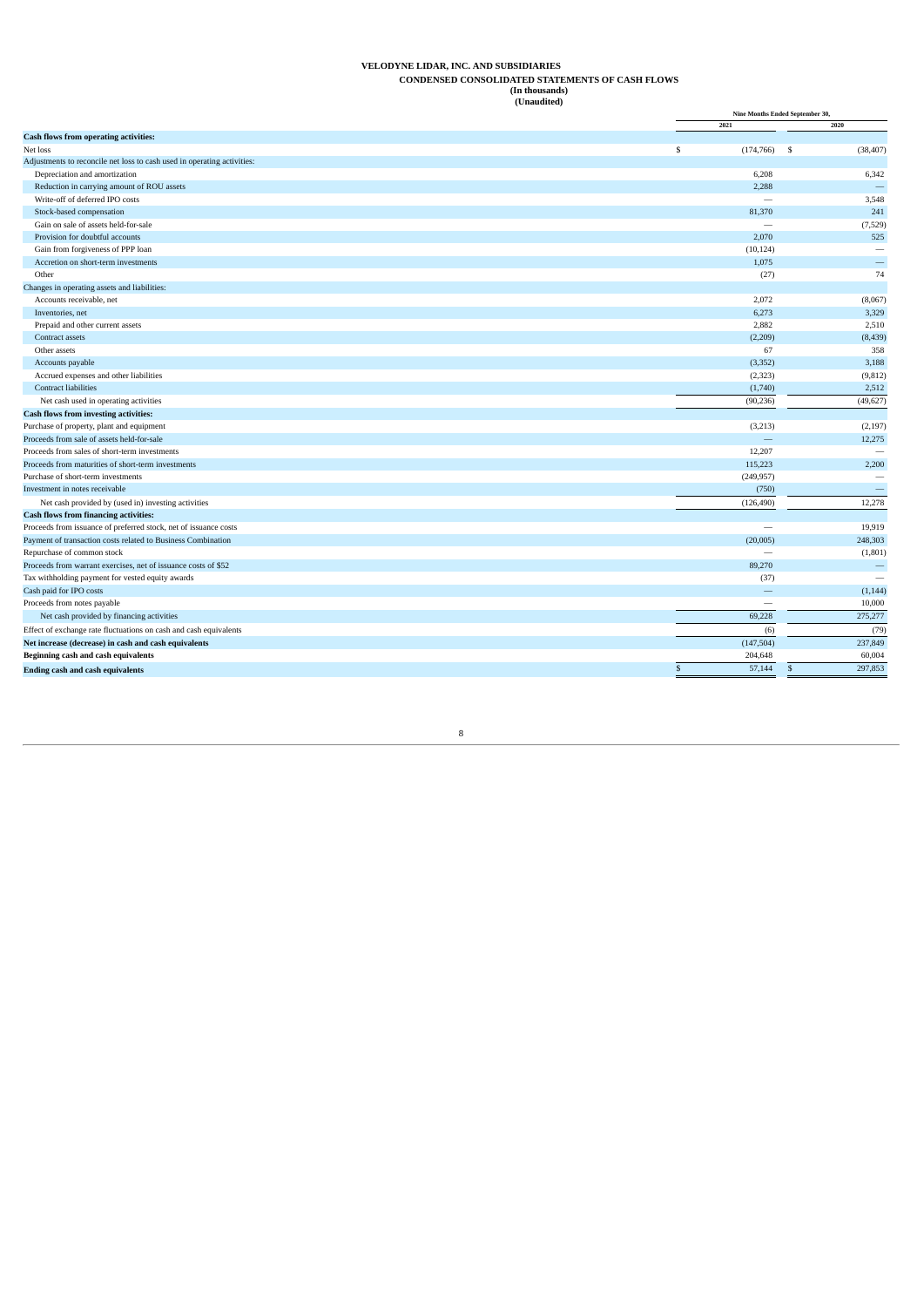# **VELODYNE LIDAR, INC. AND SUBSIDIARIES CONDENSED CONSOLIDATED STATEMENTS OF CASH FLOWS (In thousands) (Unaudited)**

|                                                                         |                          | Nine Months Ended September 30, |
|-------------------------------------------------------------------------|--------------------------|---------------------------------|
|                                                                         | 2021                     | 2020                            |
| <b>Cash flows from operating activities:</b>                            |                          |                                 |
| Net loss                                                                | \$<br>(174, 766)         | (38, 407)<br>-\$                |
| Adjustments to reconcile net loss to cash used in operating activities: |                          |                                 |
| Depreciation and amortization                                           | 6,208                    | 6,342                           |
| Reduction in carrying amount of ROU assets                              | 2.288                    |                                 |
| Write-off of deferred IPO costs                                         |                          | 3,548                           |
| Stock-based compensation                                                | 81,370                   | 241                             |
| Gain on sale of assets held-for-sale                                    | $\overline{\phantom{a}}$ | (7,529)                         |
| Provision for doubtful accounts                                         | 2,070                    | 525                             |
| Gain from forgiveness of PPP loan                                       | (10, 124)                |                                 |
| Accretion on short-term investments                                     | 1,075                    | $\qquad \qquad -$               |
| Other                                                                   | (27)                     | 74                              |
| Changes in operating assets and liabilities:                            |                          |                                 |
| Accounts receivable, net                                                | 2,072                    | (8,067)                         |
| Inventories, net                                                        | 6,273                    | 3,329                           |
| Prepaid and other current assets                                        | 2,882                    | 2,510                           |
| Contract assets                                                         | (2,209)                  | (8, 439)                        |
| Other assets                                                            | 67                       | 358                             |
| Accounts payable                                                        | (3, 352)                 | 3,188                           |
| Accrued expenses and other liabilities                                  | (2, 323)                 | (9, 812)                        |
| <b>Contract liabilities</b>                                             | (1,740)                  | 2,512                           |
| Net cash used in operating activities                                   | (90, 236)                | (49, 627)                       |
| <b>Cash flows from investing activities:</b>                            |                          |                                 |
| Purchase of property, plant and equipment                               | (3,213)                  | (2, 197)                        |
| Proceeds from sale of assets held-for-sale                              |                          | 12,275                          |
| Proceeds from sales of short-term investments                           | 12,207                   |                                 |
| Proceeds from maturities of short-term investments                      | 115,223                  | 2,200                           |
| Purchase of short-term investments                                      | (249, 957)               |                                 |
| Investment in notes receivable                                          | (750)                    |                                 |
| Net cash provided by (used in) investing activities                     | (126, 490)               | 12,278                          |
| <b>Cash flows from financing activities:</b>                            |                          |                                 |
| Proceeds from issuance of preferred stock, net of issuance costs        | $\overline{\phantom{0}}$ | 19,919                          |
| Payment of transaction costs related to Business Combination            | (20,005)                 | 248,303                         |
| Repurchase of common stock                                              |                          | (1,801)                         |
| Proceeds from warrant exercises, net of issuance costs of \$52          | 89,270                   |                                 |
| Tax withholding payment for vested equity awards                        | (37)                     |                                 |
| Cash paid for IPO costs                                                 |                          | (1, 144)                        |
| Proceeds from notes payable                                             |                          | 10,000                          |
| Net cash provided by financing activities                               | 69,228                   | 275,277                         |
| Effect of exchange rate fluctuations on cash and cash equivalents       | (6)                      | (79)                            |
| Net increase (decrease) in cash and cash equivalents                    | (147, 504)               | 237,849                         |
| Beginning cash and cash equivalents                                     | 204,648                  | 60,004                          |
| <b>Ending cash and cash equivalents</b>                                 | 57,144<br>\$             | 297,853<br>$\mathfrak{s}$       |
|                                                                         |                          |                                 |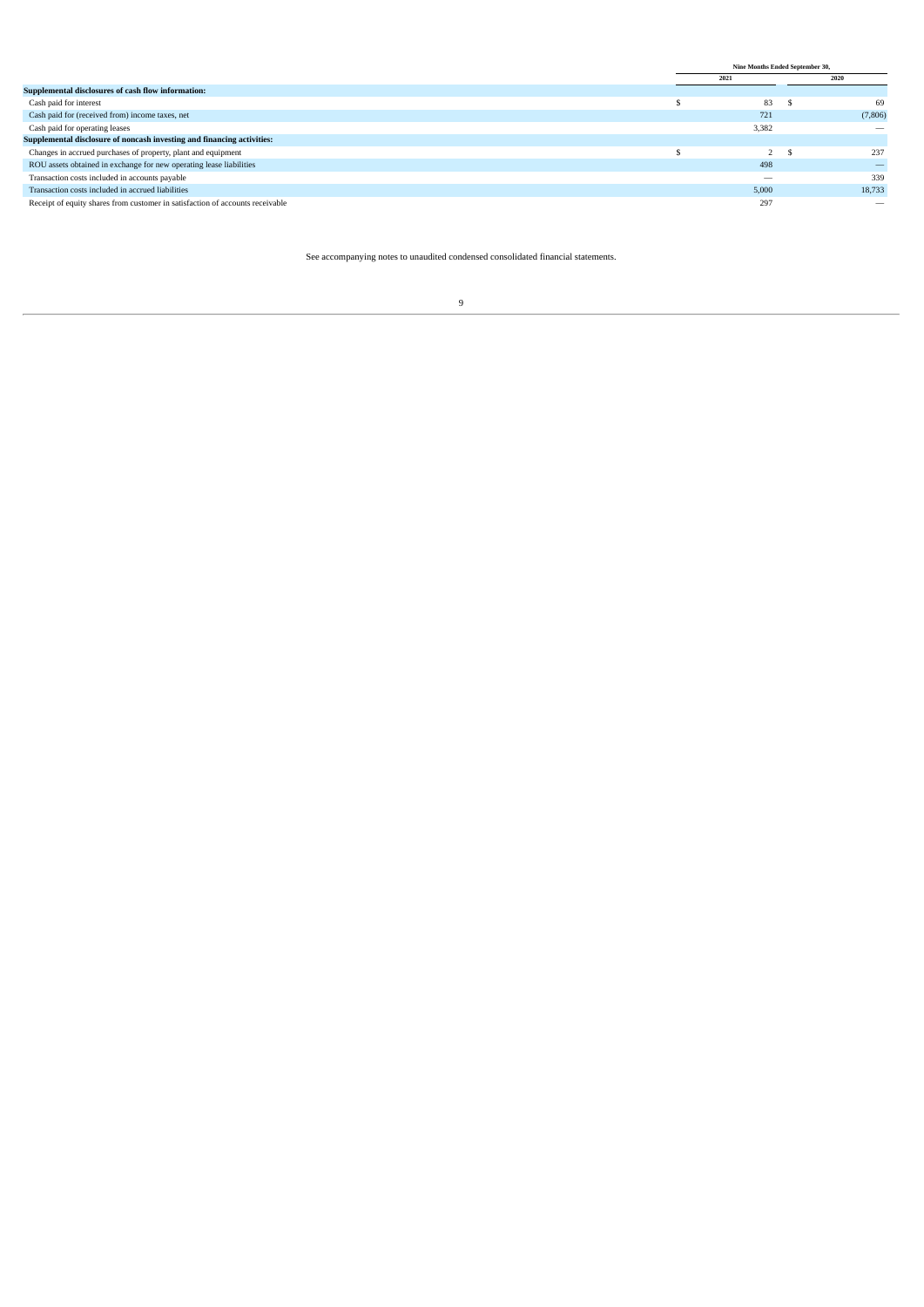<span id="page-9-0"></span>

|                                                                               |       | Nine Months Ended September 30, |         |  |
|-------------------------------------------------------------------------------|-------|---------------------------------|---------|--|
|                                                                               | 2021  |                                 | 2020    |  |
| Supplemental disclosures of cash flow information:                            |       |                                 |         |  |
| Cash paid for interest                                                        | 83    |                                 | 69      |  |
| Cash paid for (received from) income taxes, net                               | 721   |                                 | (7,806) |  |
| Cash paid for operating leases                                                | 3,382 |                                 |         |  |
| Supplemental disclosure of noncash investing and financing activities:        |       |                                 |         |  |
| Changes in accrued purchases of property, plant and equipment                 |       |                                 | 237     |  |
| ROU assets obtained in exchange for new operating lease liabilities           | 498   |                                 |         |  |
| Transaction costs included in accounts payable                                |       |                                 | 339     |  |
| Transaction costs included in accrued liabilities                             | 5,000 |                                 | 18.733  |  |
| Receipt of equity shares from customer in satisfaction of accounts receivable | 297   |                                 | –       |  |

See accompanying notes to unaudited condensed consolidated financial statements.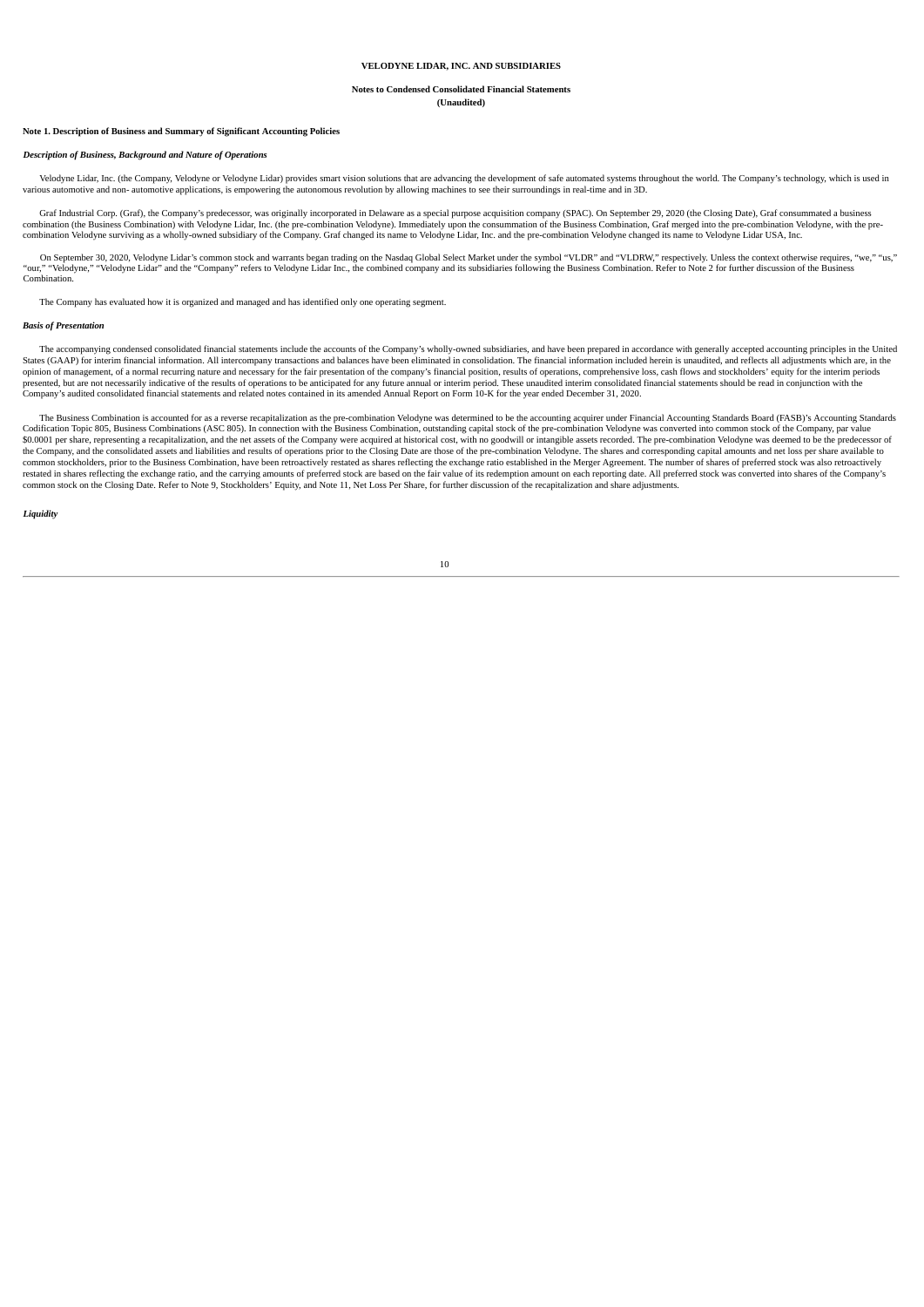#### **Notes to Condensed Consolidated Financial Statements (Unaudited)**

# **Note 1. Description of Business and Summary of Significant Accounting Policies**

#### *Description of Business, Background and Nature of Operations*

Velodyne Lidar, Inc. (the Company, Velodyne or Velodyne Lidar) provides smart vision solutions that are advancing the development of safe automated systems throughout the world. The Company's technology, which is used in various automotive and non- automotive applications, is empowering the autonomous revolution by allowing machines to see their surroundings in real-time and in 3D.

Graf Industrial Corp. (Graf), the Company's predecessor, was originally incorporated in Delaware as a special purpose acquisition company (SPAC). On September 29, 2020 (the Closing Date), Graf consummated a business combin

On September 30, 2020, Velodyne Lidar's common stock and warrants began trading on the Nasdaq Global Select Market under the symbol "VLDR" and "VLDRW," respectively. Unless the context otherwise requires, "we," "us," "our, Combination.

The Company has evaluated how it is organized and managed and has identified only one operating segment.

#### *Basis of Presentation*

The accompanying condensed consolidated financial statements include the accounts of the Company's wholly-owned subsidiaries, and have been prepared in accordance with generally accepted accounting principles in the United States (GAAP) for interim financial information. All intercompany transactions and balances have been eliminated in consolidation. The financial information included herein is unaudited, and reflects all adjustments which presented, but are not necessarily indicative of the results of operations to be anticipated for any future annual or interim period. These unaudited interim consolidated financial statements should be read in conjunction

The Business Combination is accounted for as a reverse recapitalization as the pre-combination Velodyne was determined to be the accounting acquirer under Financial Accounting Standards Board (FASB)'s Accounting Standards Codification Topic 805, Business Combinations (ASC 805). In connection with the Business Combination, outstanding capital stock of the pre-combination Velodyne was converted into common stock of the Company, par value SO.0 common stockholders, prior to the Business Combination, have been retroactively restated as shares reflecting the exchange ratio established in the Merger Agreement. The number of shares of preferred stock was also retroac restated in shares reflecting the exchange ratio, and the carrying amounts of preferred stock are based on the fair value of its redemption amount on each reporting date. All preferred stock was converted into shares of th

*Liquidity*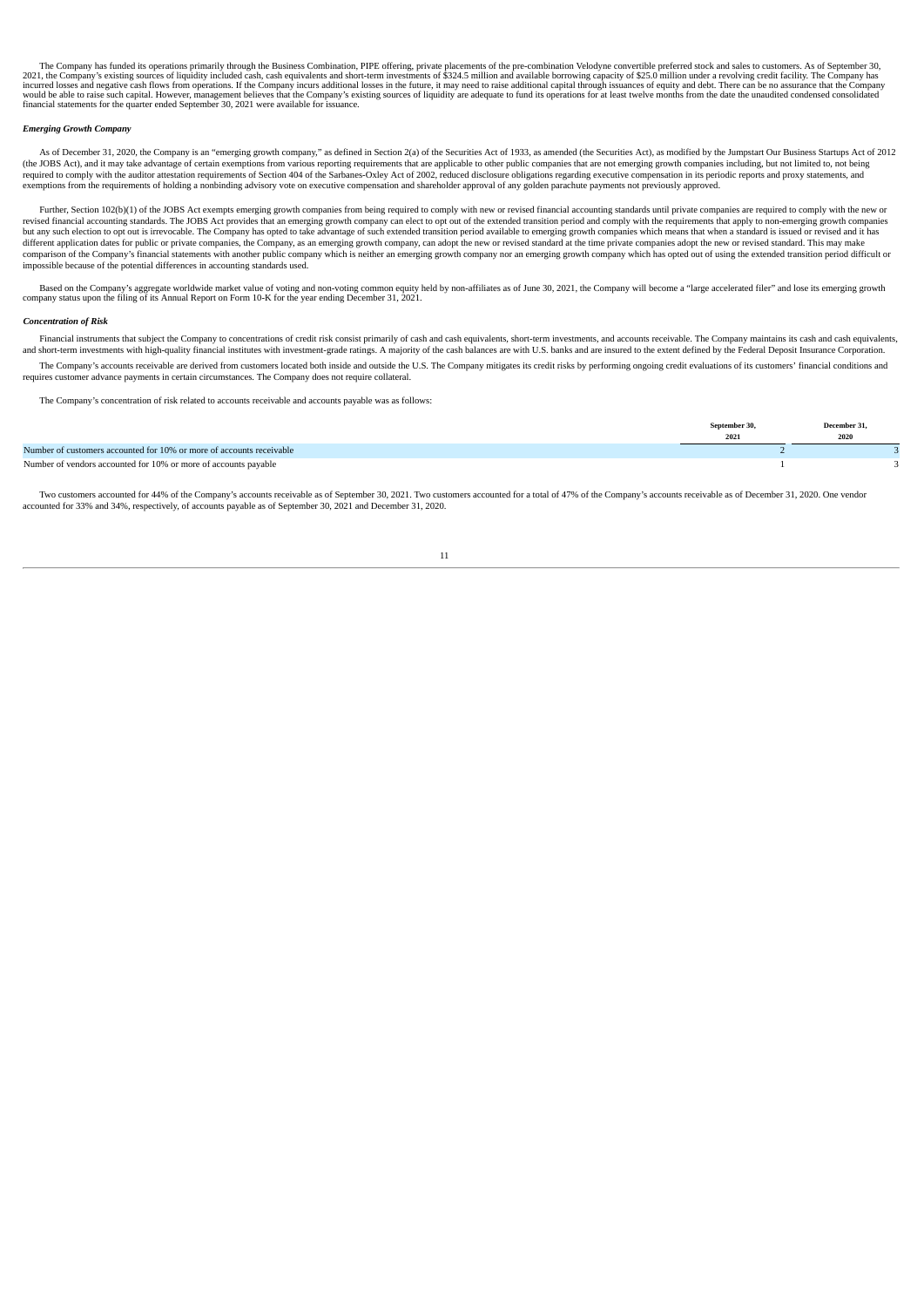The Company has funded its operations primarily through the Business Combination, PIPE offering, private placements of the pre-combination Velodyne convertible preferred stock and sales to customers. As of September 30, 2021, the Company's existing sources of liquidity included cash, cash equivalents and short-term investments of \$324.5 million and available borrowing capacity of \$25.0 million under a revolving credit facility. The Compan

#### *Emerging Growth Company*

As of December 31, 2020, the Company is an "emerging growth company," as defined in Section 2(a) of the Securities Act of 1933, as amended (the Securities Act), as modified by the Jumpstart Our Business Startups Act of 2012 (the JOBS Act), and it may take advantage of certain exemptions from various reporting requirements that are applicable to other public companies that are not emerging growth companies including, but not limited to, not be exemptions from the requirements of holding a nonbinding advisory vote on executive compensation and shareholder approval of any golden parachute payments not previously approved.

Further, Section 102(b)(1) of the JOBS Act exempts emerging growth companies from being required to comply with new or revised financial accounting standards until private companies are required to comply with the new or revised financial accounting standards. The JOBS Act provides that an emerging growth company can elect to opt out of the extended transition period and comply with the requirements that apply to non-emerging growth compan different application dates for public or private companies, the Company, as an emerging growth company, can adopt the new or revised standard at the time private companies adopt the new or revised standard. This may make<br> impossible because of the potential differences in accounting standards used.

Based on the Company's aggregate worldwide market value of voting and non-voting common equity held by non-affiliates as of June 30, 2021, the Company will become a "large accelerated filer" and lose its emerging growth co

#### *Concentration of Risk*

Financial instruments that subject the Company to concentrations of credit risk consist primarily of cash and cash equivalents, short-term investments, and accounts receivable. The Company maintains its cash and cash equiv

The Company's accounts receivable are derived from customers located both inside and outside the U.S. The Company mitigates its credit risks by performing ongoing credit evaluations of its customers' financial conditions and requires customer advance payments in certain circumstances. The Company does not require collateral.

The Company's concentration of risk related to accounts receivable and accounts payable was as follows:

|                                                                      | September 30, | December 31, |
|----------------------------------------------------------------------|---------------|--------------|
|                                                                      | 2021          | 2020         |
| Number of customers accounted for 10% or more of accounts receivable |               |              |
| Number of vendors accounted for 10% or more of accounts payable      |               |              |

Two customers accounted for 44% of the Company's accounts receivable as of September 30, 2021. Two customers accounted for a total of 47% of the Company's accounts receivable as of December 31, 2020. One vendor accounted f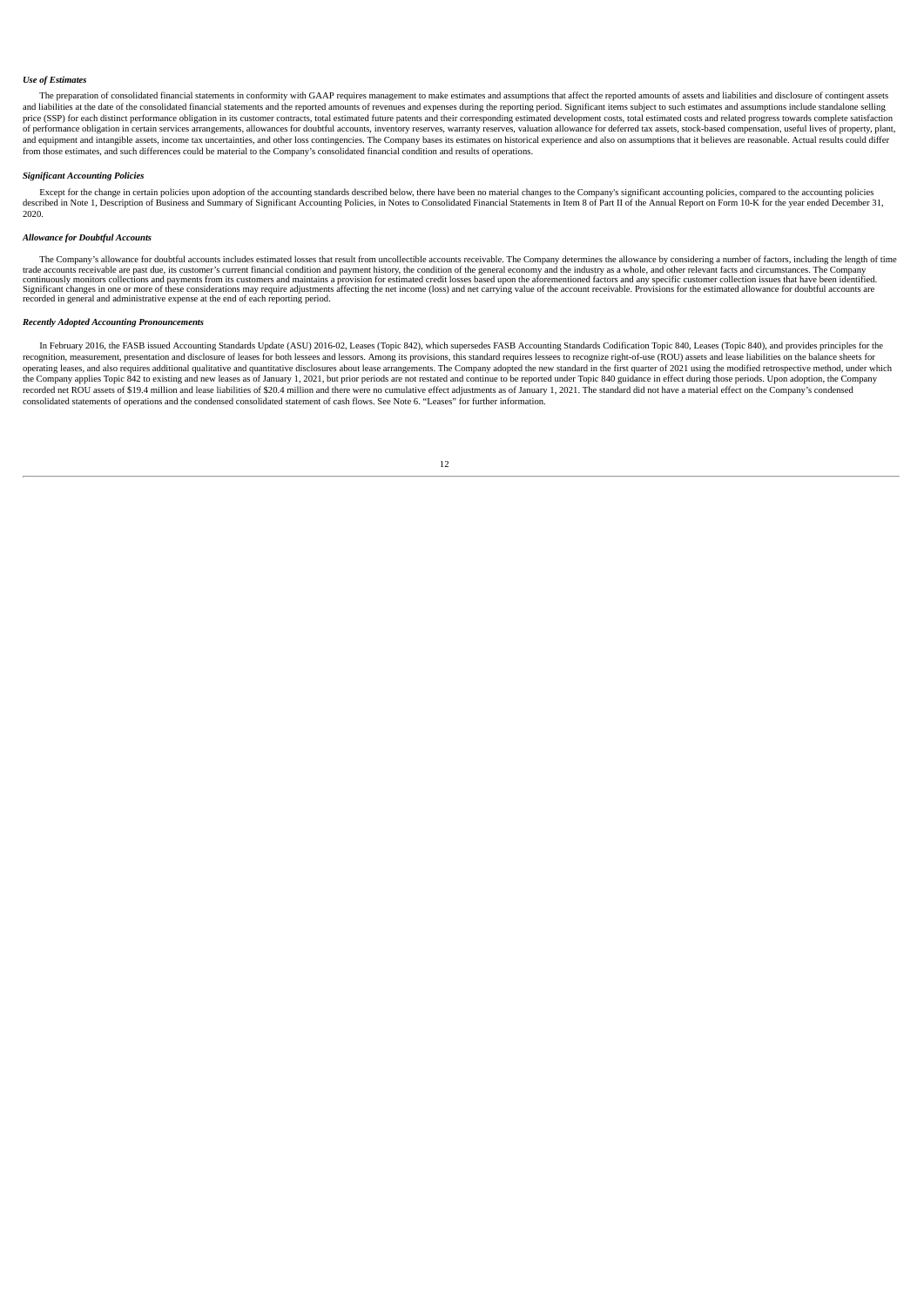# *Use of Estimates*

The preparation of consolidated financial statements in conformity with GAAP requires management to make estimates and assumptions that affect the reported amounts of assets and liabilities and disclosure of contingent ass and liabilities at the date of the consolidated financial statements and the reported amounts of revenues and expenses during the reporting period. Significant items subject to such estimates and assumptions include standa of performance obligation in certain services arrangements, allowances for doubtful accounts, inventory reserves, warranty reserves, valuation allowance for deferred tax assets, stock-based compensation, useful lives of pr from those estimates, and such differences could be material to the Company's consolidated financial condition and results of operations.

#### *Significant Accounting Policies*

Except for the change in certain policies upon adoption of the accounting standards described below, there have been no material changes to the Company's significant accounting policies, compared to the accounting policies described in Note 1, Description of Business and Summary of Significant Accounting Policies, in Notes to Consolidated Financial Statements in Item 8 of Part II of the Annual Report on Form 10-K for the year ended December 2020.

#### *Allowance for Doubtful Accounts*

The Company's allowance for doubtful accounts includes estimated losses that result from uncollectible accounts receivable. The Company determines the allowance by considering a number of factors, including the length of t recorded in general and administrative expense at the end of each reporting period.

## *Recently Adopted Accounting Pronouncements*

In February 2016, the FASB issued Accounting Standards Update (ASU) 2016-02, Leases (Topic 842), which supersedes FASB Accounting Standards Codification Topic 840, Leases (Topic 840), and provides principles for the recognition, measurement, presentation and disclosure of leases for both lessees and lessors. Among its provisions, this standard requires lessees to recognize right-of-use (ROU) assets and lease liabilities on the balance the Company applies Topic 842 to existing and new leases as of January 1, 2021, but prior periods are not restated and continue to be reported under Topic 840 guidance in effect during those periods. Upon adoption, the Com recorded net ROU assets of \$19.4 million and lease liabilities of \$20.4 million and there were no cumulative effect adjustments as of January 1, 2021. The standard did not have a material effect on the Company's condensed<br>

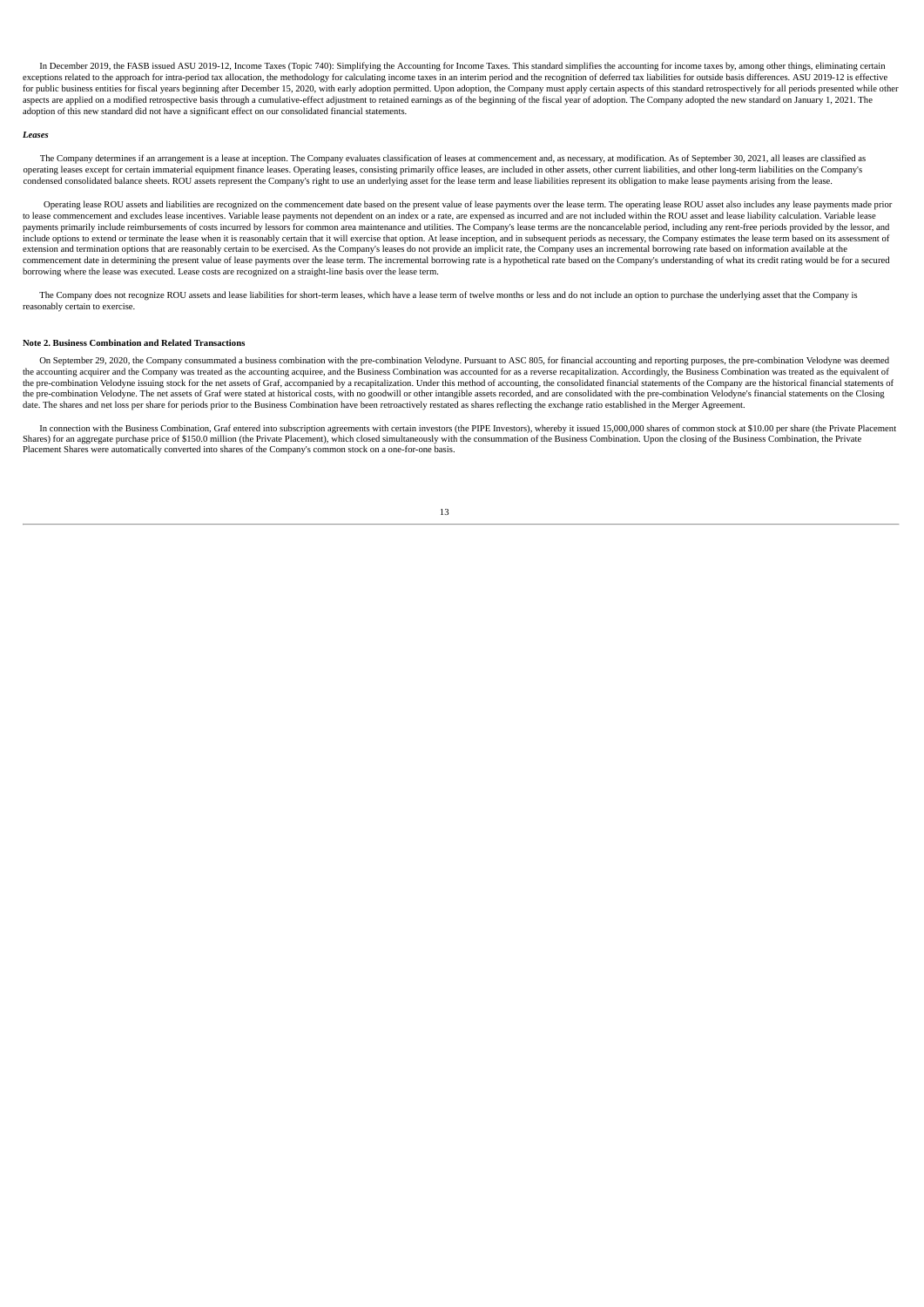In December 2019, the FASB issued ASU 2019-12, Income Taxes (Topic 740): Simplifying the Accounting for Income Taxes. This standard simplifies the accounting for income taxes by, among other things, eliminating certain exceptions related to the approach for intra-period tax allocation, the methodology for calculating income taxes in an interim period and the recognition of deferred tax liabilities for outside basis differences. ASU 2019aspects are applied on a modified retrospective basis through a cumulative-effect adjustment to retained earnings as of the beginning of the fiscal vear of adoption. The Company adopted the new standard on January 1, 2021. adoption of this new standard did not have a significant effect on our consolidated financial statements.

#### *Leases*

The Company determines if an arrangement is a lease at inception. The Company evaluates classification of leases at commencement and, as necessary, at modification. As of September 30, 2021, all leases are classified as operating leases except for certain immaterial equipment finance leases. Operating leases, consisting primarily office leases, are included in other assets, other current liabilities, and other long-term liabilities on the condensed consolidated balance sheets. ROU assets represent the Company's right to use an underlying asset for the lease term and lease liabilities represent its obligation to make lease payments arising from the lease.

Operating lease ROU assets and liabilities are recognized on the commencement date based on the present value of lease payments over the lease term. The operating lease ROU asset also includes any lease payments made prior to lease commencement and excludes lease incentives. Variable lease payments not dependent on an index or a rate, are expensed as incurred and are not included within the ROU asset and lease liability calculation. Variable payments primarily include reimbursements of costs incurred by lessors for common area maintenance and utilities. The Company's lease terms are the noncancelable period, including any rent-free periods provided by the less include options to extend or terminate the lease when it is reasonably certain that it will exercise that option. At lease inception, and in subsequent periods as necessary, the Company estimates the lease term based on it commencement date in determining the present value of lease payments over the lease term. The incremental borrowing rate is a hypothetical rate based on the Company's understanding of what its credit rating would be for a borrowing where the lease was executed. Lease costs are recognized on a straight-line basis over the lease term.

The Company does not recognize ROU assets and lease liabilities for short-term leases, which have a lease term of twelve months or less and do not include an option to purchase the underlying asset that the Company is reasonably certain to exercise.

#### **Note 2. Business Combination and Related Transactions**

On September 29, 2020, the Company consummated a business combination with the pre-combination Velodyne. Pursuant to ASC 805, for financial accounting and reporting purposes, the pre-combination Velodyne was deemed the accounting acquirer and the Company was treated as the accounting acquiree, and the Business Combination was accounted for as a reverse recapitalization. Accordingly, the Business Combination was treated as the equival the pre-combination Velodyne issuing stock for the net assets of Graf, accompanied by a recapitalization. Under this method of accounting, the consolidated financial statements of the Company are the historical financial s the pre-combination Velodyne. The net assets of Graf were stated at historical costs, with no goodwill or other intangible assets recorded, and are consolidated with the pre-combination Velodyne's financial statements on t date. The shares and net loss per share for periods prior to the Business Combination have been retroactively restated as shares reflecting the exchange ratio established in the Merger Agreement.

In connection with the Business Combination, Graf entered into subscription agreements with certain investors (the PIPE Investors), whereby it issued 15,000,000 shares of common stock at \$10.00 per share (the Private Place

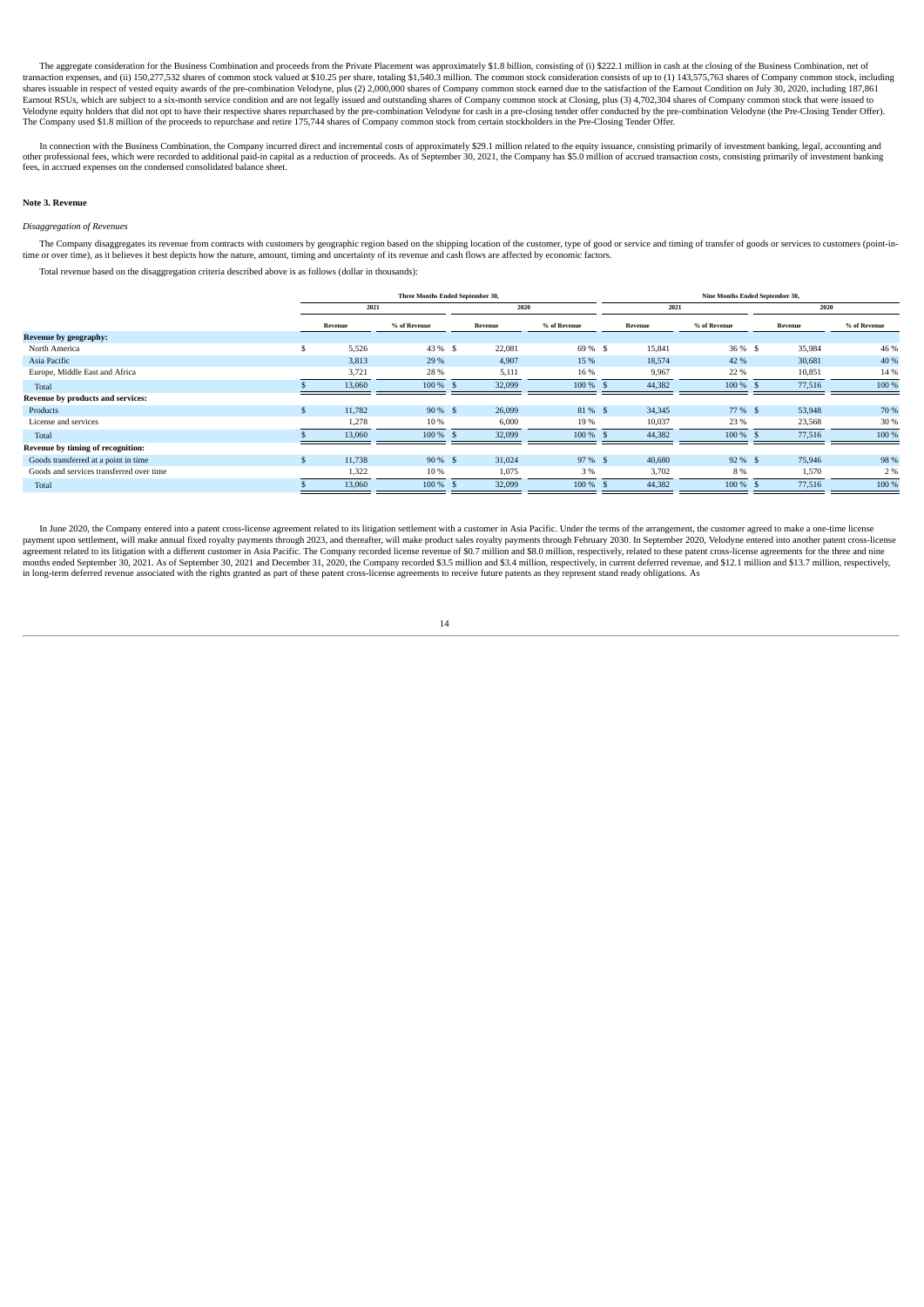The aggregate consideration for the Business Combination and proceeds from the Private Placement was approximately \$1.8 billion, consisting of (i) \$222.1 million in cash at the closing of the Business Combination, net of<br>t Earnout RSUs, which are subject to a six-month service condition and are not legally issued and outstanding shares of Company common stock at Closing, plus (3) 4,702,304 shares of Company common stock that were issued to<br>V The Company used \$1.8 million of the proceeds to repurchase and retire 175,744 shares of Company common stock from certain stockholders in the Pre-Closing Tender Offer.

In connection with the Business Combination, the Company incurred direct and incremental costs of approximately \$29.1 million related to the equity issuance, consisting primarily of investment banking, legal, accounting an

#### **Note 3. Revenue**

## *Disaggregation of Revenues*

The Company disaggregates its revenue from contracts with customers by geographic region based on the shipping location of the customer, type of good or service and timing of transfer of goods or services to customers (poi time or over time), as it believes it best depicts how the nature, amount, timing and uncertainty of its revenue and cash flows are affected by economic factors.

Total revenue based on the disaggregation criteria described above is as follows (dollar in thousands):

|                                          |          | Three Months Ended September 30, |              |  |         |              | Nine Months Ended September 30, |        |              |      |         |              |
|------------------------------------------|----------|----------------------------------|--------------|--|---------|--------------|---------------------------------|--------|--------------|------|---------|--------------|
|                                          |          | 2021                             |              |  | 2020    |              | 2021                            |        |              | 2020 |         |              |
|                                          |          | Revenue                          | % of Revenue |  | Revenue | % of Revenue | Revenue                         |        | % of Revenue |      | Revenue | % of Revenue |
| Revenue by geography:                    |          |                                  |              |  |         |              |                                 |        |              |      |         |              |
| North America                            |          | 5,526                            | 43 % \$      |  | 22,081  | 69 % \$      |                                 | 15,841 | $36\%$ \$    |      | 35,984  | 46 %         |
| Asia Pacific                             |          | 3,813                            | 29 %         |  | 4,907   | 15 %         |                                 | 18,574 | 42 %         |      | 30,681  | 40 %         |
| Europe, Middle East and Africa           |          | 3,721                            | 28 %         |  | 5,111   | 16 %         |                                 | 9,967  | 22 %         |      | 10,851  | 14 %         |
| Total                                    |          | 13,060                           | 100 % \$     |  | 32,099  | 100 % \$     |                                 | 44,382 | 100 %        |      | 77,516  | 100 %        |
| Revenue by products and services:        |          |                                  |              |  |         |              |                                 |        |              |      |         |              |
| Products                                 | <b>D</b> | 11,782                           | 90 % \$      |  | 26,099  | 81 % \$      |                                 | 34,345 | 77 % \$      |      | 53,948  | 70 %         |
| License and services                     |          | 1,278                            | 10 %         |  | 6,000   | 19 %         |                                 | 10,037 | 23 %         |      | 23,568  | 30 %         |
| Total                                    |          | 13,060                           | 100 % \$     |  | 32,099  | 100 %        |                                 | 44,382 | 100 %        |      | 77,516  | 100 %        |
| Revenue by timing of recognition:        |          |                                  |              |  |         |              |                                 |        |              |      |         |              |
| Goods transferred at a point in time     |          | 11,738                           | $90\%$ \$    |  | 31,024  | $97\%$ \$    |                                 | 40,680 | $92\%$ \$    |      | 75,946  | 98 %         |
| Goods and services transferred over time |          | 1,322                            | 10%          |  | 1,075   | 3 %          |                                 | 3,702  | 8 %          |      | 1,570   | 2 %          |
| Total                                    |          | 13,060                           | 100 %        |  | 32,099  | 100 %        |                                 | 44,382 | 100 %        |      | 77,516  | 100 %        |
|                                          |          |                                  |              |  |         |              |                                 |        |              |      |         |              |

In June 2020, the Company entered into a patent cross-license agreement related to its litigation settlement with a customer in Asia Pacific. Under the terms of the arrangement, the customer agreed to make a one-time licen payment upon settlement, will make annual fixed royalty payments through 2023, and thereafter, will make product sales royalty payments through February 2030. In September 2020, Velodyne entered into another patent cross-l agreement related to its litigation with a different customer in Asia Pacific. The Company recorded license revenue of \$0.7 million and \$8.0 million, respectively, related to these patent cross-license agreements for the t in long-term deferred revenue associated with the rights granted as part of these patent cross-license agreements to receive future patents as they represent stand ready obligations. As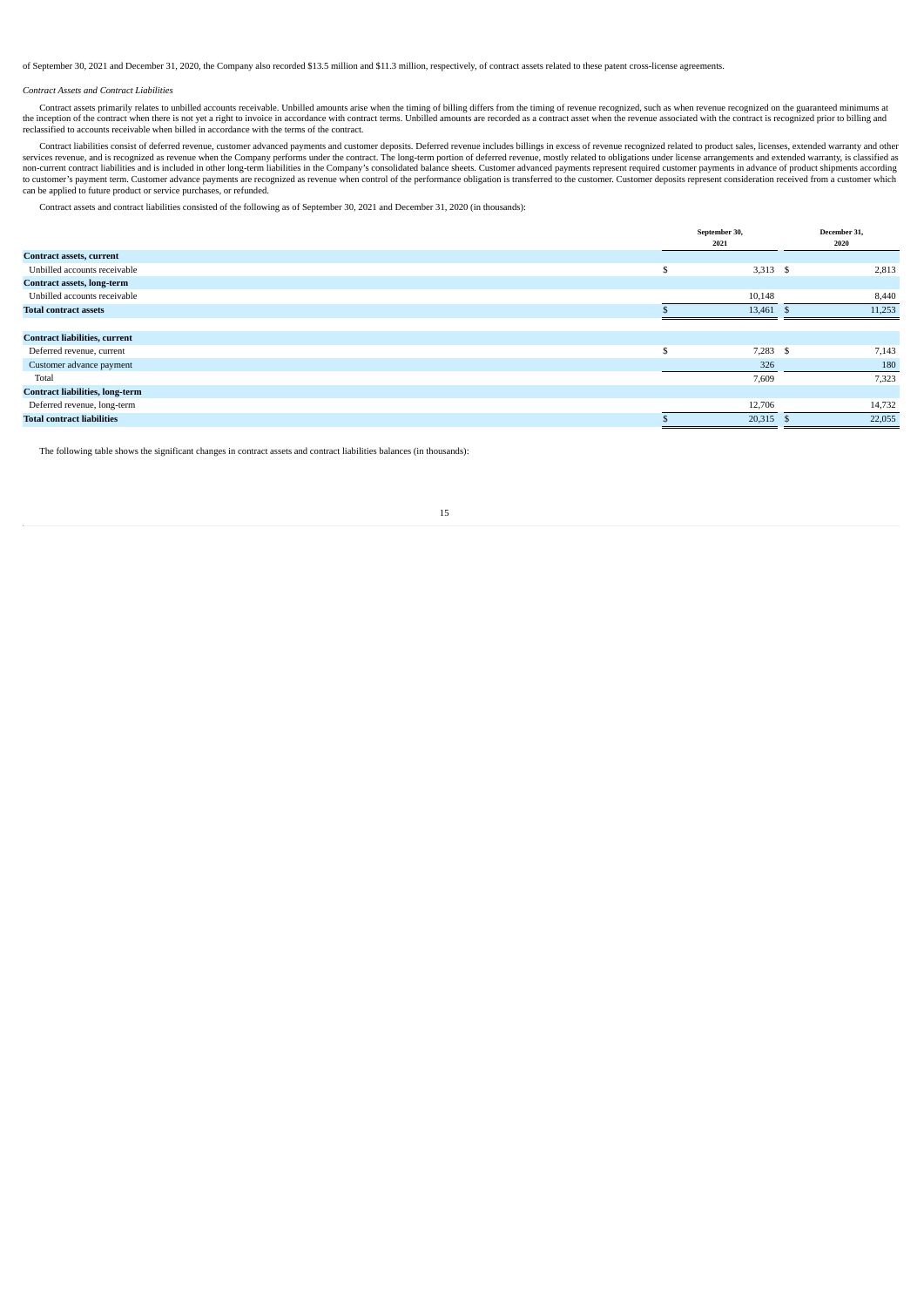of September 30, 2021 and December 31, 2020, the Company also recorded \$13.5 million and \$11.3 million, respectively, of contract assets related to these patent cross-license agreements.

## *Contract Assets and Contract Liabilities*

Contract assets primarily relates to unbilled accounts receivable. Unbilled amounts arise when the timing of billing differs from the timing of revenue recognized, such as when revenue recognized on the guaranteed minimums

Contract liabilities consist of deferred revenue, customer advanced payments and customer deposits. Deferred revenue includes billings in excess of revenue recognized related to product sales, licenses, extended warranty a can be applied to future product or service purchases, or refunded.

Contract assets and contract liabilities consisted of the following as of September 30, 2021 and December 31, 2020 (in thousands):

|                                        |     | September 30,<br>2021 |  |        |  |  |  | December 31,<br>2020 |
|----------------------------------------|-----|-----------------------|--|--------|--|--|--|----------------------|
| <b>Contract assets, current</b>        |     |                       |  |        |  |  |  |                      |
| Unbilled accounts receivable           | S   | $3,313$ \$            |  | 2,813  |  |  |  |                      |
| <b>Contract assets, long-term</b>      |     |                       |  |        |  |  |  |                      |
| Unbilled accounts receivable           |     | 10,148                |  | 8,440  |  |  |  |                      |
| <b>Total contract assets</b>           |     | 13,461                |  | 11,253 |  |  |  |                      |
|                                        |     |                       |  |        |  |  |  |                      |
| <b>Contract liabilities, current</b>   |     |                       |  |        |  |  |  |                      |
| Deferred revenue, current              | \$. | $7,283$ \$            |  | 7,143  |  |  |  |                      |
| Customer advance payment               |     | 326                   |  | 180    |  |  |  |                      |
| Total                                  |     | 7,609                 |  | 7,323  |  |  |  |                      |
| <b>Contract liabilities, long-term</b> |     |                       |  |        |  |  |  |                      |
| Deferred revenue, long-term            |     | 12,706                |  | 14,732 |  |  |  |                      |
| <b>Total contract liabilities</b>      |     | 20,315                |  | 22,055 |  |  |  |                      |

The following table shows the significant changes in contract assets and contract liabilities balances (in thousands):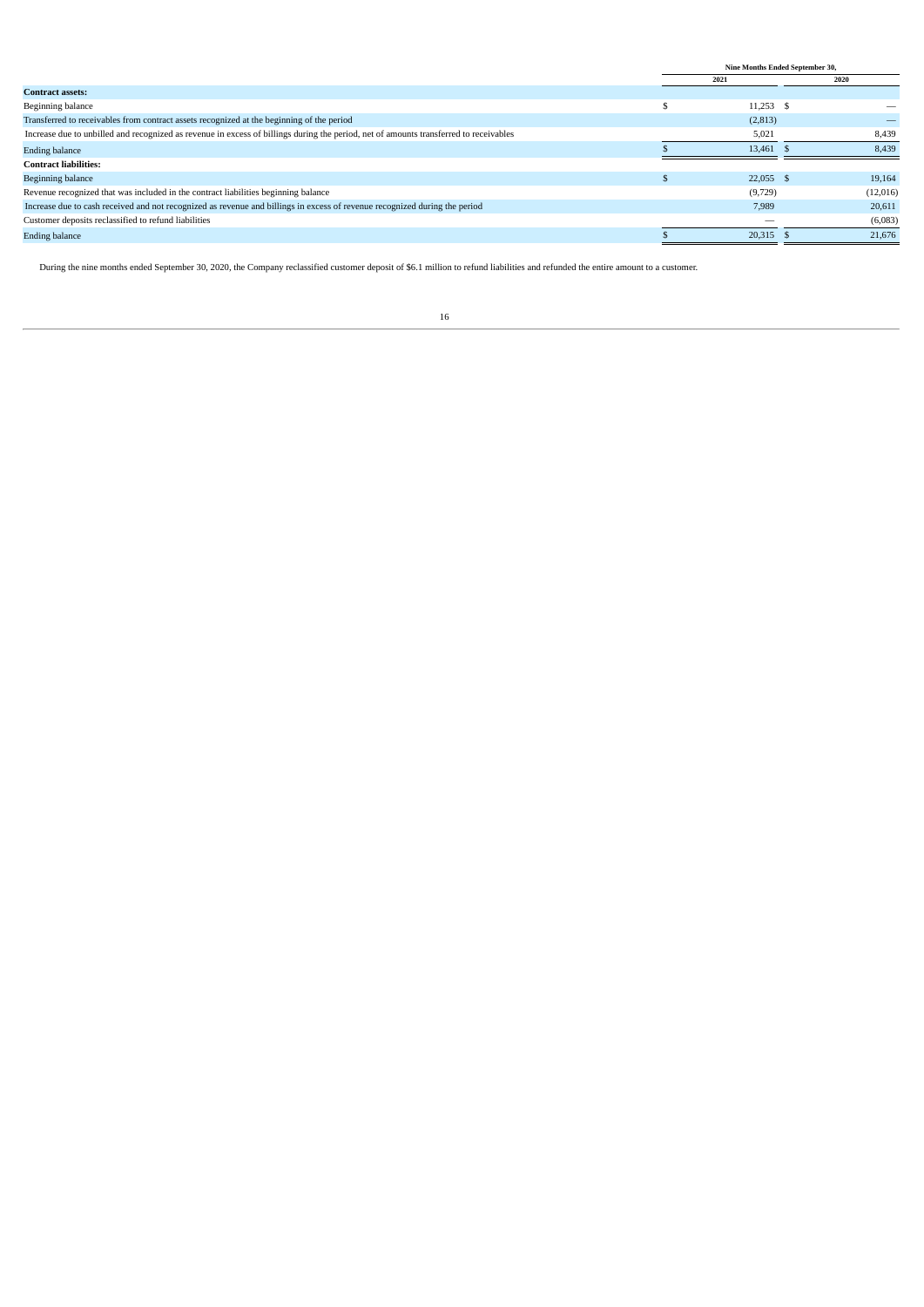|                                                                                                                                       | Nine Months Ended September 30, |             |  |          |
|---------------------------------------------------------------------------------------------------------------------------------------|---------------------------------|-------------|--|----------|
|                                                                                                                                       |                                 | 2021        |  | 2020     |
| <b>Contract assets:</b>                                                                                                               |                                 |             |  |          |
| Beginning balance                                                                                                                     |                                 | $11,253$ \$ |  |          |
| Transferred to receivables from contract assets recognized at the beginning of the period                                             |                                 | (2,813)     |  |          |
| Increase due to unbilled and recognized as revenue in excess of billings during the period, net of amounts transferred to receivables |                                 | 5,021       |  | 8,439    |
| <b>Ending balance</b>                                                                                                                 |                                 | 13.461      |  | 8,439    |
| <b>Contract liabilities:</b>                                                                                                          |                                 |             |  |          |
| <b>Beginning balance</b>                                                                                                              |                                 | $22,055$ \$ |  | 19,164   |
| Revenue recognized that was included in the contract liabilities beginning balance                                                    |                                 | (9,729)     |  | (12,016) |
| Increase due to cash received and not recognized as revenue and billings in excess of revenue recognized during the period            |                                 | 7,989       |  | 20,611   |
| Customer deposits reclassified to refund liabilities                                                                                  |                                 |             |  | (6,083)  |
| <b>Ending balance</b>                                                                                                                 |                                 | 20.315 \$   |  | 21,676   |

During the nine months ended September 30, 2020, the Company reclassified customer deposit of \$6.1 million to refund liabilities and refunded the entire amount to a customer.

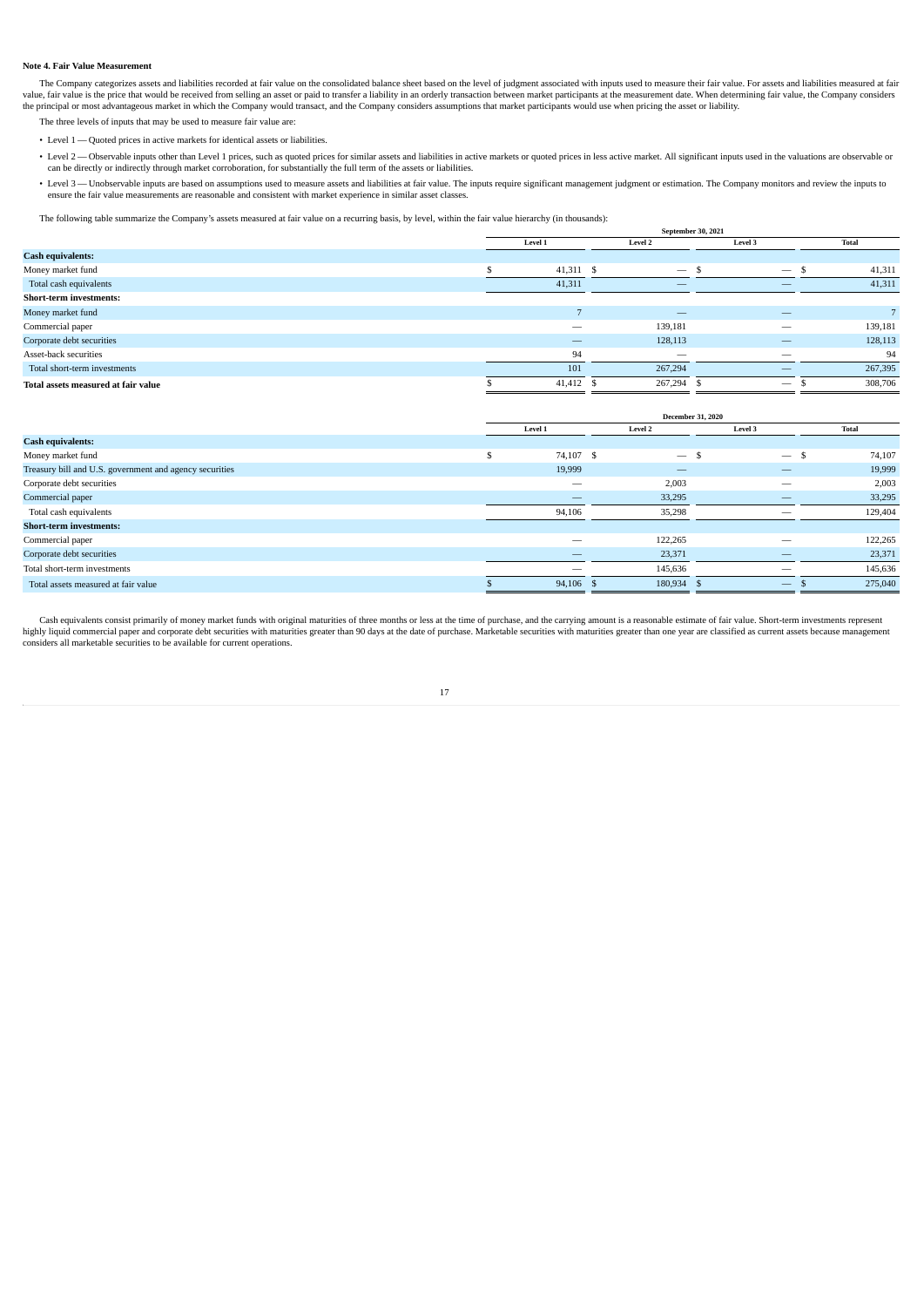# **Note 4. Fair Value Measurement**

The Company categorizes assets and liabilities recorded at fair value on the consolidated balance sheet based on the level of judgment associated with inputs used to measure their fair value. For assets and liabilities mea value, fair value is the price that would be received from selling an asset or paid to transfer a liability in an orderly transaction between market participants at the measurement date. When determining fair value, the Co

The three levels of inputs that may be used to measure fair value are:

- Level 1 Quoted prices in active markets for identical assets or liabilities.
- · Level 2 Observable inputs other than Level 1 prices, such as quoted prices for similar assets and liabilities in active markets or quoted prices in less active market. All significant inputs used in the valuations are can be directly or indirectly through market corroboration, for substantially the full term of the assets or liabilities.
- Level 3 Unobservable inputs are based on assumptions used to measure assets and liabilities at fair value. The inputs require significant management judgment or estimation. The Company monitors and review the inputs to ensure the fair value measurements are reasonable and consistent with market experience in similar asset classes.

The following table summarize the Company's assets measured at fair value on a recurring basis, by level, within the fair value hierarchy (in thousands):

| The following those summarize the Company 3 assets inclusively at this value on a recurring ousis, by rever, writing the function meratery (in thousands). |                           |                                            |                                 |    |                |  |  |
|------------------------------------------------------------------------------------------------------------------------------------------------------------|---------------------------|--------------------------------------------|---------------------------------|----|----------------|--|--|
|                                                                                                                                                            | <b>September 30, 2021</b> |                                            |                                 |    |                |  |  |
|                                                                                                                                                            | Level 1                   | <b>Level 2</b>                             | Level 3                         |    | <b>Total</b>   |  |  |
| <b>Cash equivalents:</b>                                                                                                                                   |                           |                                            |                                 |    |                |  |  |
| Money market fund                                                                                                                                          | 41,311 \$                 | $\overline{\phantom{a}}$                   | $\overline{\phantom{a}}$        | D. | 41,311         |  |  |
| Total cash equivalents                                                                                                                                     | 41,311                    | $\qquad \qquad \overline{\qquad \qquad }%$ | $\overline{\phantom{a}}$        |    | 41,311         |  |  |
| <b>Short-term investments:</b>                                                                                                                             |                           |                                            |                                 |    |                |  |  |
| Money market fund                                                                                                                                          |                           | $\qquad \qquad -$                          | $\overline{\phantom{a}}$        |    | 7 <sup>7</sup> |  |  |
| Commercial paper                                                                                                                                           | _                         | 139,181                                    | $\hspace{0.1mm}-\hspace{0.1mm}$ |    | 139,181        |  |  |
| Corporate debt securities                                                                                                                                  |                           | 128,113                                    | $\overline{\phantom{a}}$        |    | 128,113        |  |  |
| Asset-back securities                                                                                                                                      | 94                        | $\hspace{0.05cm}$                          |                                 |    | 94             |  |  |
| Total short-term investments                                                                                                                               | 101                       | 267,294                                    |                                 |    | 267,395        |  |  |
| Total assets measured at fair value                                                                                                                        | 41,412 \$                 | 267,294 \$                                 |                                 |    | 308,706        |  |  |

|                                                         | December 31, 2020 |                          |  |                          |                   |  |              |
|---------------------------------------------------------|-------------------|--------------------------|--|--------------------------|-------------------|--|--------------|
|                                                         |                   | Level 1                  |  | Level 2                  | Level 3           |  | <b>Total</b> |
| <b>Cash equivalents:</b>                                |                   |                          |  |                          |                   |  |              |
| Money market fund                                       | S.                | 74,107 \$                |  | $\overline{\phantom{0}}$ |                   |  | 74,107       |
| Treasury bill and U.S. government and agency securities |                   | 19,999                   |  | $\overline{\phantom{a}}$ |                   |  | 19,999       |
| Corporate debt securities                               |                   | $\overline{\phantom{a}}$ |  | 2,003                    | -                 |  | 2,003        |
| Commercial paper                                        |                   |                          |  | 33,295                   |                   |  | 33,295       |
| Total cash equivalents                                  |                   | 94,106                   |  | 35,298                   |                   |  | 129,404      |
| <b>Short-term investments:</b>                          |                   |                          |  |                          |                   |  |              |
| Commercial paper                                        |                   | $\qquad \qquad$          |  | 122,265                  |                   |  | 122,265      |
| Corporate debt securities                               |                   | _                        |  | 23,371                   |                   |  | 23,371       |
| Total short-term investments                            |                   |                          |  | 145,636                  |                   |  | 145,636      |
| Total assets measured at fair value                     |                   | 94,106 \$                |  | 180,934 \$               | $\qquad \qquad -$ |  | 275,040      |

Cash equivalents consist primarily of money market funds with original maturities of three months or less at the time of purchase, and the carrying amount is a reasonable estimate of fair value. Short-term investments repr considers all marketable securities to be available for current operations.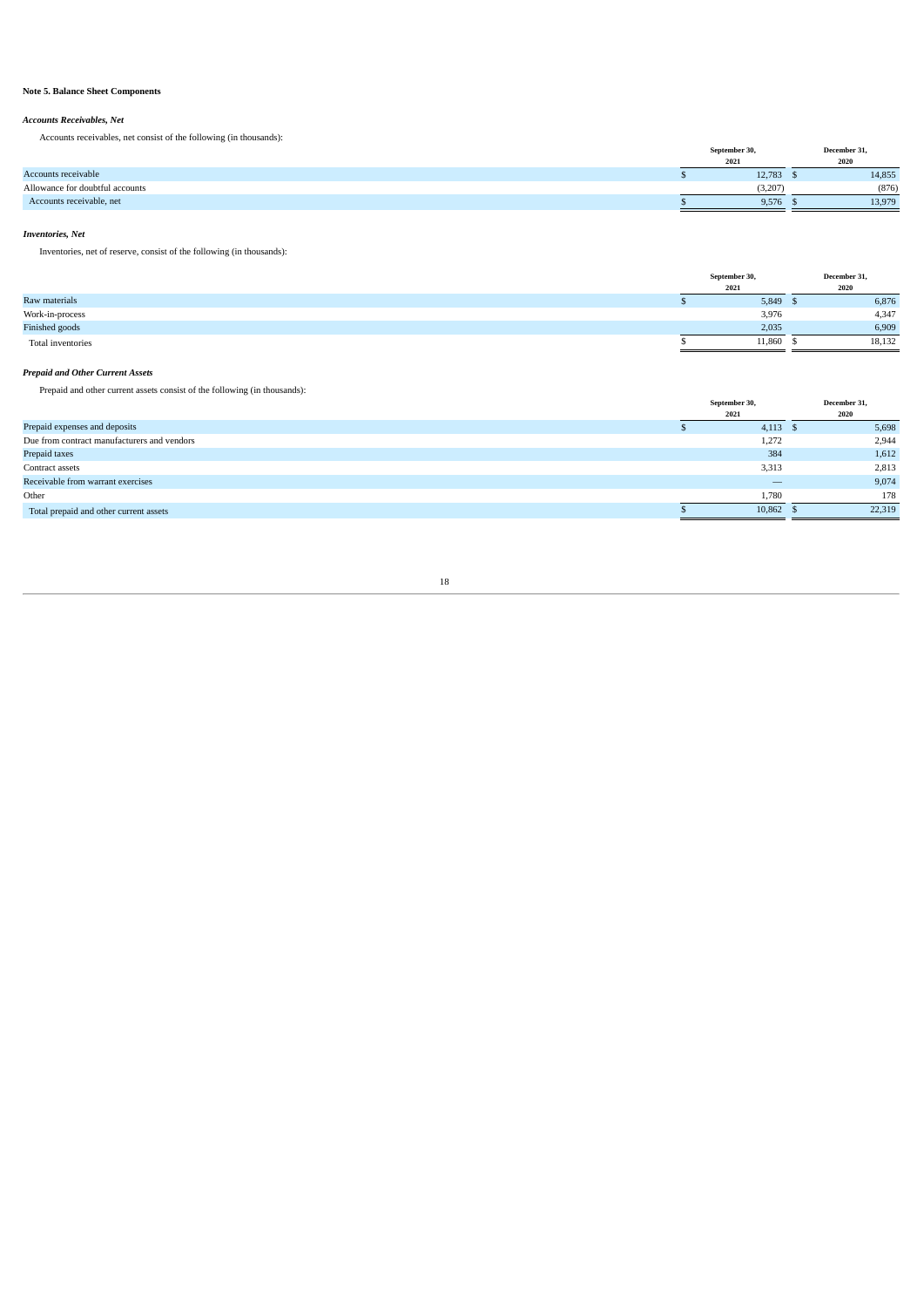# **Note 5. Balance Sheet Components**

# *Accounts Receivables, Net*

Accounts receivables, net consist of the following (in thousands):

|                                 | September 30, |         | December 31, |
|---------------------------------|---------------|---------|--------------|
|                                 | 2021          |         | 2020         |
| Accounts receivable             |               | 12,783  | 14,855       |
| Allowance for doubtful accounts |               | (3,207) | (876)        |
| Accounts receivable, net        |               | 9,576   | 13,979       |
|                                 |               |         |              |

*Inventories, Net*

Inventories, net of reserve, consist of the following (in thousands):

|                   | September 30, |           | December 31, |
|-------------------|---------------|-----------|--------------|
|                   | 2021          |           | 2020         |
| Raw materials     |               | 5,849 \$  | 6,876        |
| Work-in-process   |               | 3,976     | 4,347        |
| Finished goods    | 2,035         |           | 6,909        |
| Total inventories |               | 11,860 \$ | 18,132       |

# *Prepaid and Other Current Assets*

Prepaid and other current assets consist of the following (in thousands):

|                                             | September 30, |                          | December 31, |        |
|---------------------------------------------|---------------|--------------------------|--------------|--------|
|                                             |               | 2021                     |              | 2020   |
| Prepaid expenses and deposits               |               | $4,113$ \$               |              | 5,698  |
| Due from contract manufacturers and vendors |               | 1,272                    |              | 2,944  |
| Prepaid taxes                               |               | 384                      |              | 1,612  |
| Contract assets                             |               | 3,313                    |              | 2,813  |
| Receivable from warrant exercises           |               | $\qquad \qquad - \qquad$ |              | 9,074  |
| Other                                       |               | 1,780                    |              | 178    |
| Total prepaid and other current assets      |               | 10,862 \$                |              | 22,319 |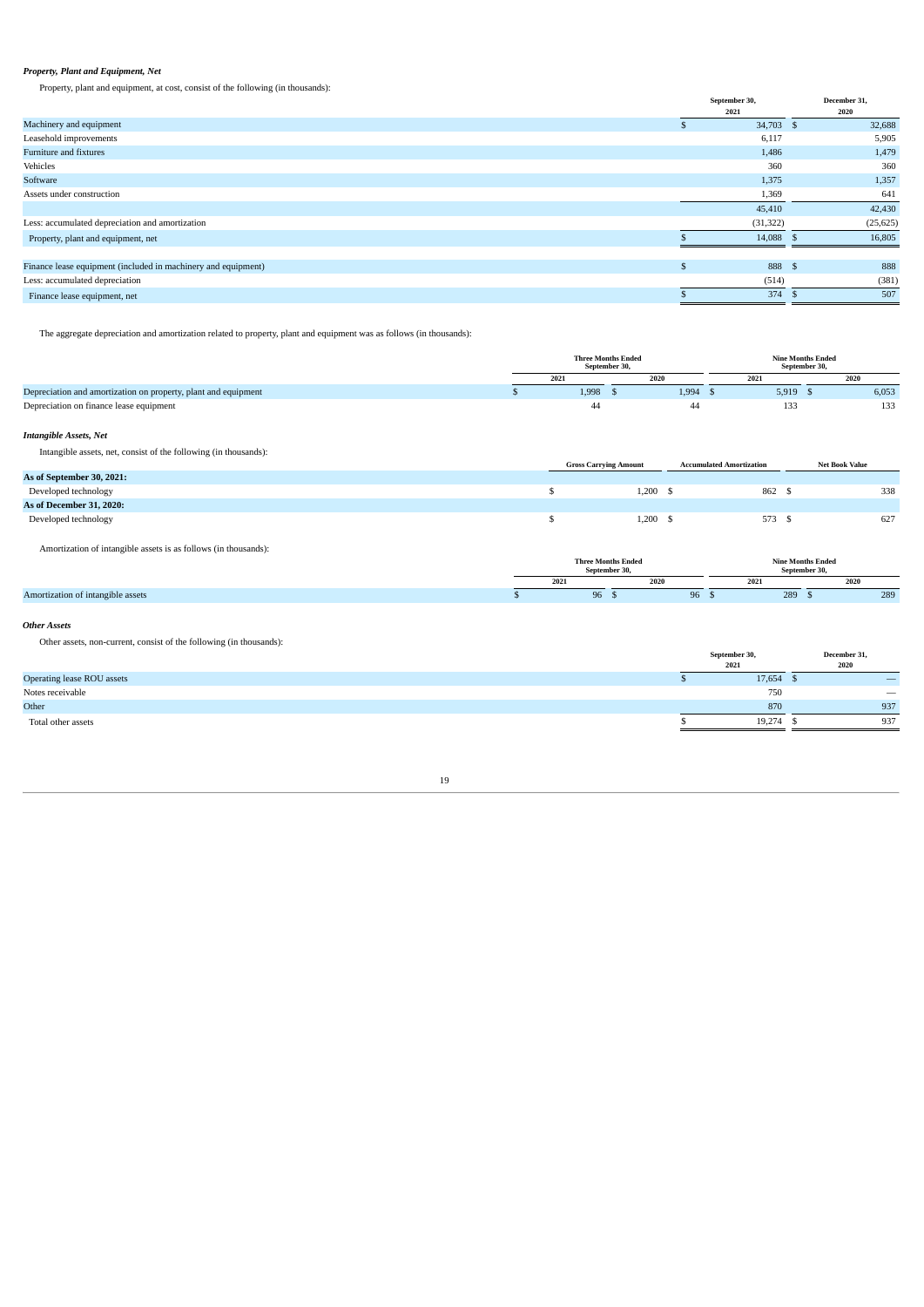# *Property, Plant and Equipment, Net*

Property, plant and equipment, at cost, consist of the following (in thousands):

|                                                               | September 30, |           | December 31, |
|---------------------------------------------------------------|---------------|-----------|--------------|
|                                                               | 2021          |           | 2020         |
| Machinery and equipment                                       |               | 34,703 \$ | 32,688       |
| Leasehold improvements                                        | 6,117         |           | 5,905        |
| <b>Furniture and fixtures</b>                                 | 1,486         |           | 1,479        |
| Vehicles                                                      | 360           |           | 360          |
| Software                                                      | 1,375         |           | 1,357        |
| Assets under construction                                     | 1,369         |           | 641          |
|                                                               | 45,410        |           | 42,430       |
| Less: accumulated depreciation and amortization               | (31, 322)     |           | (25, 625)    |
| Property, plant and equipment, net                            | 14,088        |           | 16,805       |
|                                                               |               |           |              |
| Finance lease equipment (included in machinery and equipment) | $\mathbb{S}$  | 888 \$    | 888          |
| Less: accumulated depreciation                                | (514)         |           | (381)        |
| Finance lease equipment, net                                  |               | 374 \$    | 507          |
|                                                               |               |           |              |

The aggregate depreciation and amortization related to property, plant and equipment was as follows (in thousands):

| <b>Three Months Ended</b><br>September 30, |       |    |                                     |                                     |                                                      |                       |                                                                   |  |
|--------------------------------------------|-------|----|-------------------------------------|-------------------------------------|------------------------------------------------------|-----------------------|-------------------------------------------------------------------|--|
|                                            | 2021  |    |                                     | 2021                                |                                                      | 2020                  |                                                                   |  |
| S.                                         | 1,998 | -S |                                     |                                     |                                                      |                       | 6,053                                                             |  |
|                                            | 44    |    | 44                                  |                                     | 133                                                  |                       | 133                                                               |  |
|                                            |       |    |                                     |                                     |                                                      |                       |                                                                   |  |
|                                            |       |    |                                     |                                     |                                                      |                       |                                                                   |  |
|                                            |       |    |                                     |                                     |                                                      | <b>Net Book Value</b> |                                                                   |  |
|                                            |       |    |                                     |                                     |                                                      |                       |                                                                   |  |
|                                            | \$    |    | -S                                  |                                     | - \$                                                 |                       | 338                                                               |  |
|                                            |       |    |                                     |                                     |                                                      |                       |                                                                   |  |
|                                            | \$    |    |                                     |                                     | - \$                                                 |                       | 627                                                               |  |
|                                            |       |    |                                     |                                     |                                                      |                       |                                                                   |  |
| <b>Three Months Ended</b><br>September 30, |       |    |                                     |                                     | <b>Nine Months Ended</b><br>September 30,            |                       |                                                                   |  |
|                                            | 2021  |    |                                     | 2021                                |                                                      | 2020                  |                                                                   |  |
|                                            |       |    |                                     |                                     |                                                      |                       | 289                                                               |  |
|                                            |       |    |                                     |                                     |                                                      |                       |                                                                   |  |
|                                            |       |    | <b>Gross Carrying Amount</b><br>96S | 2020<br>1,200<br>$1,200$ \$<br>2020 | $1,994$ \$<br><b>Accumulated Amortization</b><br>96S | 862<br>573            | <b>Nine Months Ended</b><br>September 30,<br>$5,919$ \$<br>289 \$ |  |

# *Other Assets*

Other assets, non-current, consist of the following (in thousands):

|                            | September 30, | December 31,                          |
|----------------------------|---------------|---------------------------------------|
|                            | 2021          | 2020                                  |
| Operating lease ROU assets | 17,654        | D.<br>$\hspace{0.1mm}-\hspace{0.1mm}$ |
| Notes receivable           | 750           | $\hspace{0.1mm}-\hspace{0.1mm}$       |
| Other                      | 870           | 937                                   |
| Total other assets         | 19,274        | 937                                   |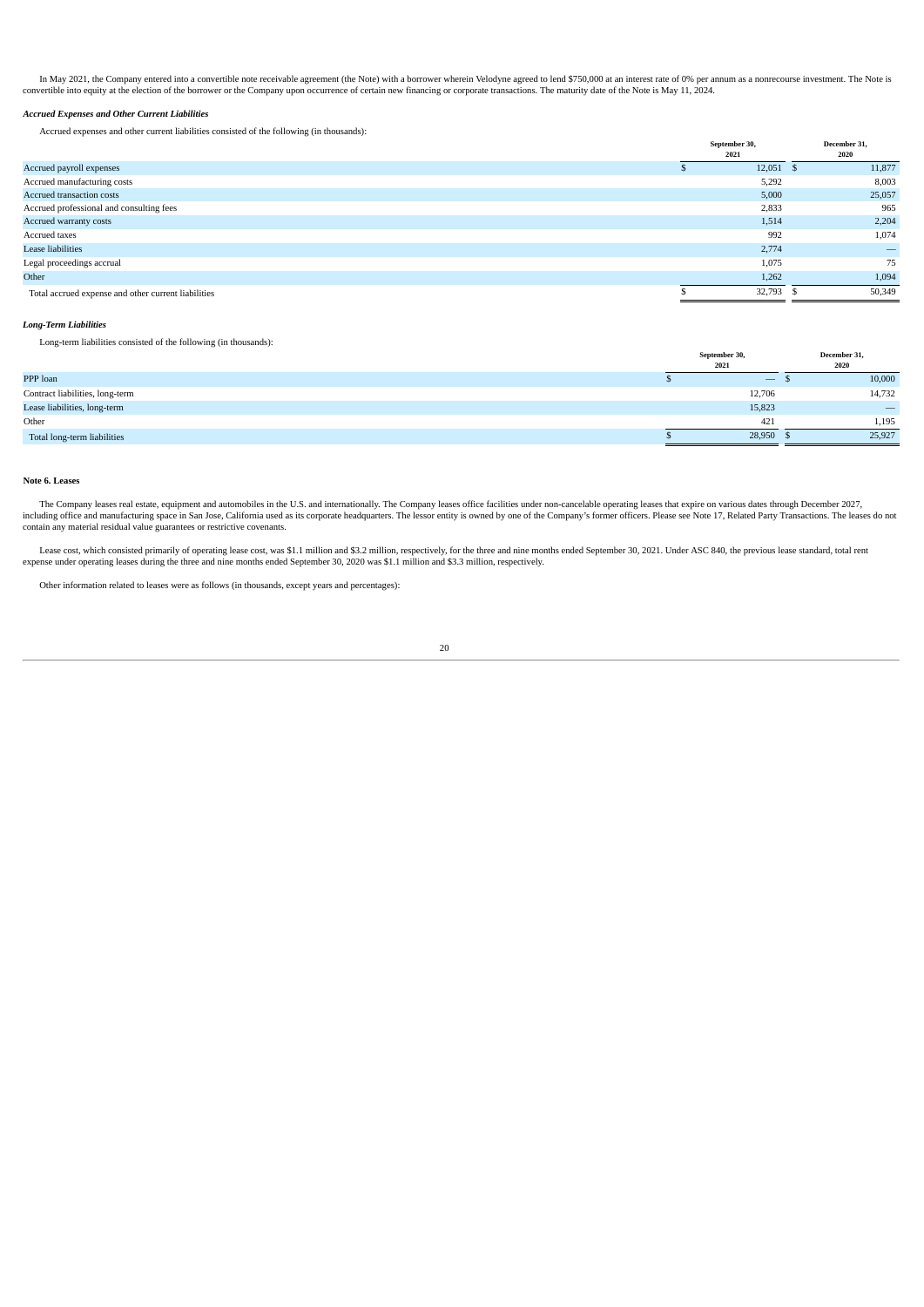In May 2021, the Company entered into a convertible note receivable agreement (the Note) with a borrower wherein Velodyne agreed to lend \$750,000 at an interest rate of 0% per annum as a nonrecourse investment. The Note is

# *Accrued Expenses and Other Current Liabilities*

Accrued expenses and other current liabilities consisted of the following (in thousands):

| recrucu expenses and other current nabinetes consisted or the ronowing (in dioustinus). |                       |                      |        |
|-----------------------------------------------------------------------------------------|-----------------------|----------------------|--------|
|                                                                                         | September 30,<br>2021 | December 31,<br>2020 |        |
| Accrued payroll expenses                                                                | $12,051$ \$           |                      | 11,877 |
| Accrued manufacturing costs                                                             | 5,292                 |                      | 8,003  |
| Accrued transaction costs                                                               | 5,000                 |                      | 25,057 |
| Accrued professional and consulting fees                                                | 2,833                 |                      | 965    |
| Accrued warranty costs                                                                  | 1,514                 |                      | 2,204  |
| Accrued taxes                                                                           | 992                   |                      | 1,074  |
| Lease liabilities                                                                       | 2,774                 |                      |        |
| Legal proceedings accrual                                                               | 1,075                 |                      | 75     |
| Other                                                                                   | 1,262                 |                      | 1,094  |
| Total accrued expense and other current liabilities                                     | 32,793 \$             |                      | 50,349 |
|                                                                                         |                       |                      |        |

# *Long-Term Liabilities*

Long-term liabilities consisted of the following (in thousands):

|                                 | September 30, |      | December 31, |
|---------------------------------|---------------|------|--------------|
| 2021                            |               | 2020 |              |
| PPP loan                        |               |      | 10,000       |
| Contract liabilities, long-term | 12,706        |      | 14,732       |
| Lease liabilities, long-term    | 15,823        |      | $-$          |
| Other                           | 421           |      | 1,195        |
| Total long-term liabilities     | 28,950        |      | 25,927       |

# **Note 6. Leases**

The Company leases real estate, equipment and automobiles in the U.S. and internationally. The Company leases office facilities under non-cancelable operating leases that expire on various dates through December 2027, incl

Lease cost, which consisted primarily of operating lease cost, was \$1.1 million and \$3.2 million, respectively, for the three and nine months ended September 30, 2021. Under ASC 840, the previous lease standard, total rent

Other information related to leases were as follows (in thousands, except years and percentages):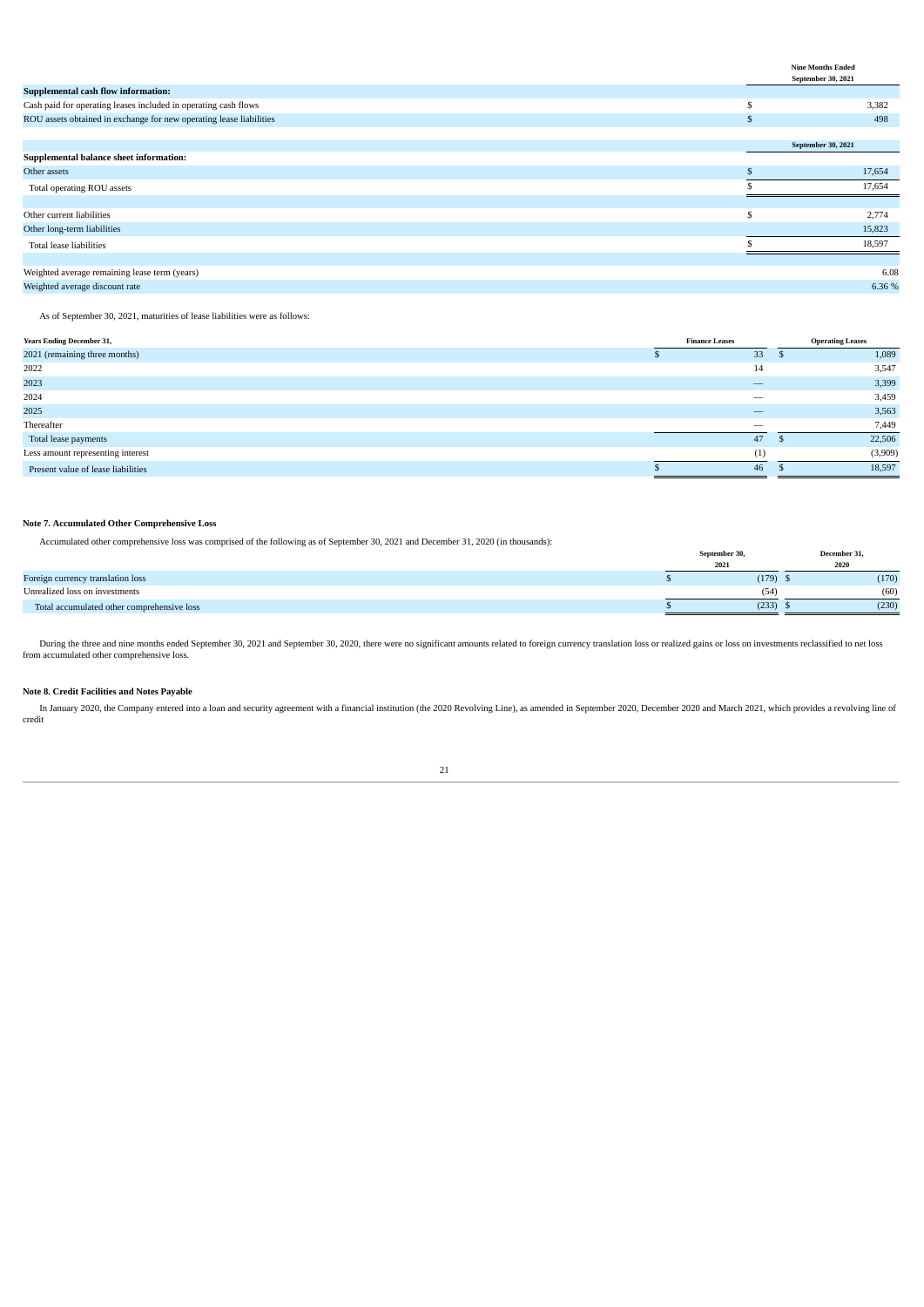|                                                                     |    | September 30, 2021 |
|---------------------------------------------------------------------|----|--------------------|
| <b>Supplemental cash flow information:</b>                          |    |                    |
| Cash paid for operating leases included in operating cash flows     |    | 3,382              |
| ROU assets obtained in exchange for new operating lease liabilities |    | 498                |
|                                                                     |    |                    |
|                                                                     |    | September 30, 2021 |
| Supplemental balance sheet information:                             |    |                    |
| Other assets                                                        |    | 17,654             |
| Total operating ROU assets                                          |    | 17,654             |
|                                                                     |    |                    |
| Other current liabilities                                           | \$ | 2,774              |
| Other long-term liabilities                                         |    | 15,823             |
| Total lease liabilities                                             |    | 18,597             |
|                                                                     |    |                    |
| Weighted average remaining lease term (years)                       |    | 6.08               |
| Weighted average discount rate                                      |    | 6.36 %             |

**Nine Months Ended**

As of September 30, 2021, maturities of lease liabilities were as follows:

| <b>Years Ending December 31,</b>   | <b>Finance Leases</b>    | <b>Operating Leases</b> |
|------------------------------------|--------------------------|-------------------------|
| 2021 (remaining three months)      | 33                       | 1,089                   |
| 2022                               | 14                       | 3,547                   |
| 2023                               | $\overline{\phantom{a}}$ | 3,399                   |
| 2024                               | $\overline{\phantom{a}}$ | 3,459                   |
| 2025                               | $\overline{\phantom{a}}$ | 3,563                   |
| Thereafter                         | $\overline{\phantom{a}}$ | 7,449                   |
| Total lease payments               | 47                       | 22,506                  |
| Less amount representing interest  | $\sqrt{1}$               | (3,909)                 |
| Present value of lease liabilities | 46                       | 18,597                  |

# <span id="page-21-0"></span>**Note 7. Accumulated Other Comprehensive Loss**

Accumulated other comprehensive loss was comprised of the following as of September 30, 2021 and December 31, 2020 (in thousands):

|                                            | September 30, |            | December 31, |       |
|--------------------------------------------|---------------|------------|--------------|-------|
|                                            | 2021          |            | 2020         |       |
| Foreign currency translation loss          |               | $(179)$ \$ |              | (170) |
| Unrealized loss on investments             |               | (54)       |              | (60)  |
| Total accumulated other comprehensive loss |               | (233)      |              | (230) |

During the three and nine months ended September 30, 2021 and September 30, 2020, there were no significant amounts related to foreign currency translation loss or realized gains or loss on investments reclassified to net from accumulated other comprehensive loss.

# <span id="page-21-1"></span>**Note 8. Credit Facilities and Notes Payable**

In January 2020, the Company entered into a loan and security agreement with a financial institution (the 2020 Revolving Line), as amended in September 2020, December 2020 and March 2021, which provides a revolving line of credit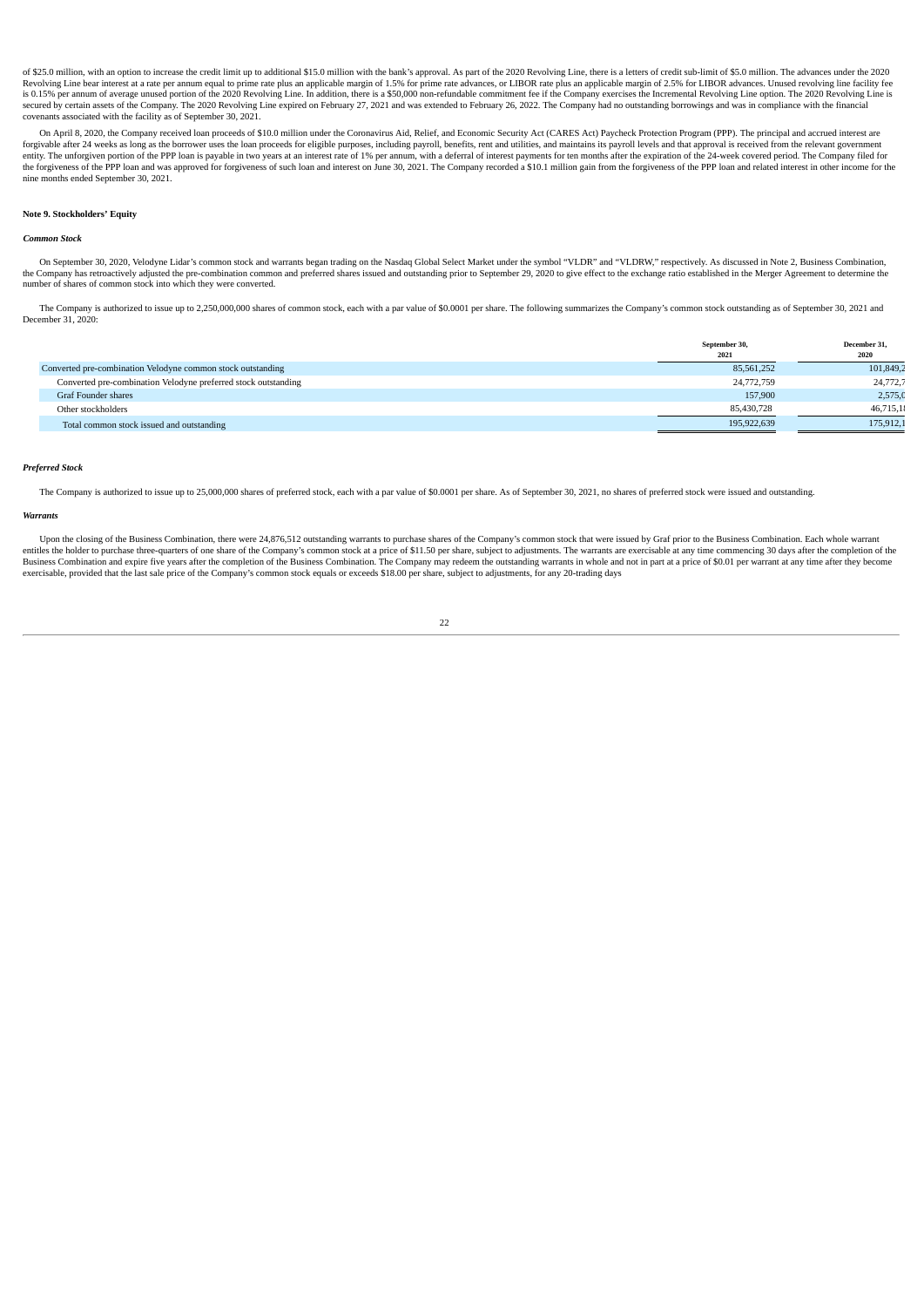of \$25.0 million, with an option to increase the credit limit up to additional \$15.0 million with the bank's approval. As part of the 2020 Revolving Line, there is a letters of credit sub-limit of \$5.0 million. The advance is 0.15% per annum of average unused portion of the 2020 Revolving Line. In addition, there is a \$50,000 non-refundable commitment fee if the Company exercises the Incremental Revolving Line option. The 2020 Revolving Line covenants associated with the facility as of September 30, 2021.

On April 8, 2020, the Company received loan proceeds of \$10.0 million under the Coronavirus Aid, Relief, and Economic Security Act (CARES Act) Paycheck Protection Program (PPP). The principal and accrued interest are<br>forgi entity. The unforgiven portion of the PPP loan is payable in two years at an interest rate of 1% per annum, with a deferral of interest payments for ten months after the expiration of the 24-week covered period. The Compan nine months ended September 30, 2021.

# <span id="page-22-0"></span>**Note 9. Stockholders' Equity**

#### *Common Stock*

On September 30, 2020, Velodyne Lidar's common stock and warrants began trading on the Nasdaq Global Select Market under the symbol "VLDR" and "VLDRW," respectively. As discussed in Note 2, Business Combination, the Company has retroactively adjusted the pre-combination common and preferred shares issued and outstanding prior to September 29, 2020 to give effect to the exchange ratio established in the Merger Agreement to determin

The Company is authorized to issue up to 2,250,000,000 shares of common stock, each with a par value of \$0,0001 per share. The following summarizes the Company's common stock outstanding as of September 30, 2021 and December 31, 2020:

|                                                                | September 30, | December 31, |
|----------------------------------------------------------------|---------------|--------------|
|                                                                | 2021          | 2020         |
| Converted pre-combination Velodyne common stock outstanding    | 85,561,252    | 101,849,2    |
| Converted pre-combination Velodyne preferred stock outstanding | 24,772,759    | 24,772,7     |
| <b>Graf Founder shares</b>                                     | 157,900       | 2,575,0      |
| Other stockholders                                             | 85,430,728    | 46,715,18    |
| Total common stock issued and outstanding                      | 195,922,639   | 175,912,1    |
|                                                                |               |              |

## *Preferred Stock*

The Company is authorized to issue up to 25,000,000 shares of preferred stock, each with a par value of \$0.0001 per share. As of September 30, 2021, no shares of preferred stock were issued and outstanding.

#### *Warrants*

Upon the closing of the Business Combination, there were 24,876,512 outstanding warrants to purchase shares of the Company's common stock that were issued by Graf prior to the Business Combination. Each whole warrant entitles the holder to purchase three-quarters of one share of the Company's common stock at a price of \$11.50 per share, subject to adjustments. The warrants are exercisable at any time commencing 30 days after the comple exercisable, provided that the last sale price of the Company's common stock equals or exceeds \$18.00 per share, subject to adjustments, for any 20-trading days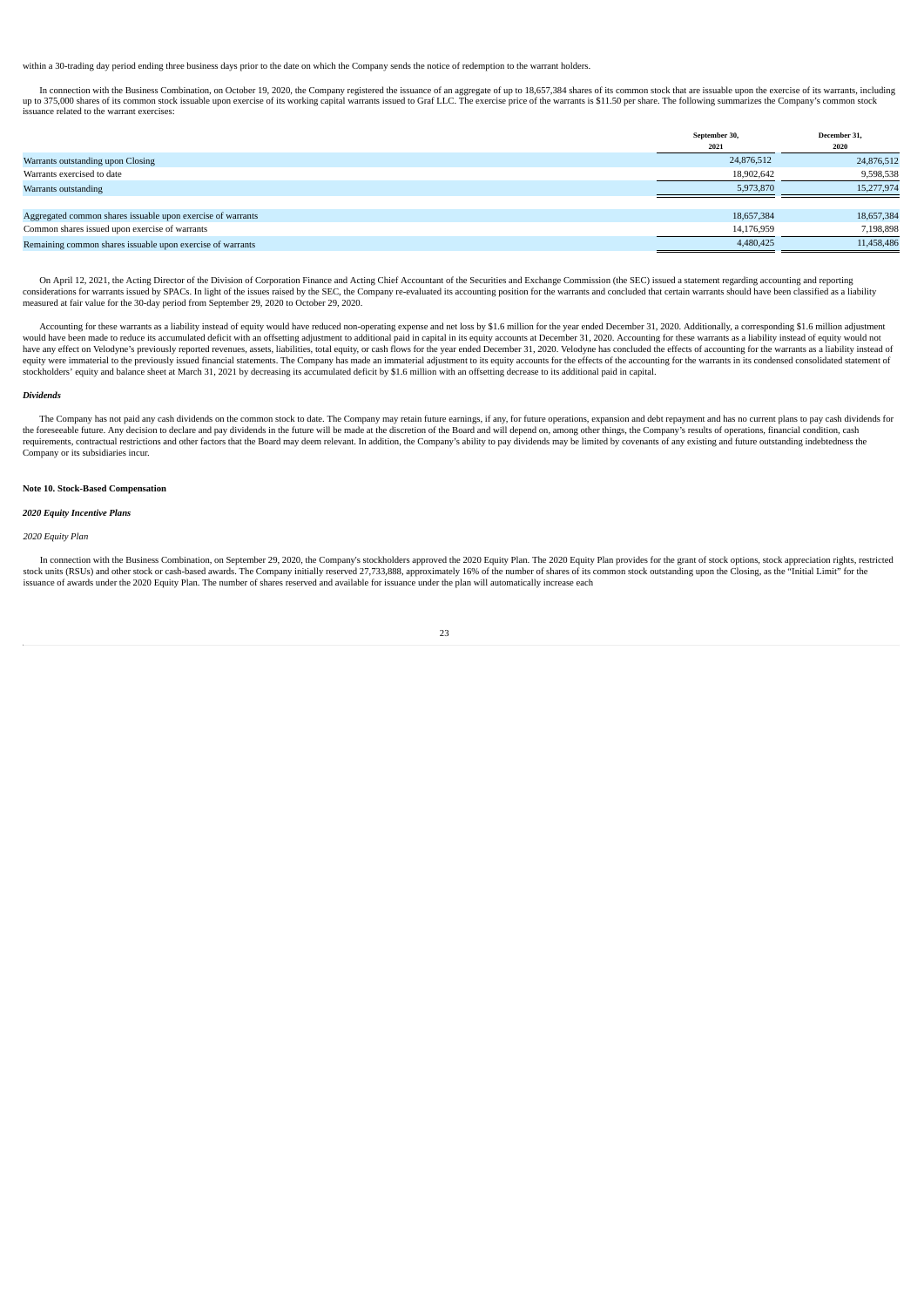within a 30-trading day period ending three business days prior to the date on which the Company sends the notice of redemption to the warrant holders.

In connection with the Business Combination, on October 19, 2020, the Company registered the issuance of an aggregate of up to 18,657,384 shares of its common stock that are issuable upon the exercise of its warrants, incl issuance related to the warrant exercises:

|                                                             | September 30, | December 31, |
|-------------------------------------------------------------|---------------|--------------|
|                                                             | 2021          | 2020         |
| Warrants outstanding upon Closing                           | 24,876,512    | 24,876,512   |
| Warrants exercised to date                                  | 18,902,642    | 9,598,538    |
| Warrants outstanding                                        | 5.973.870     | 15,277,974   |
|                                                             |               |              |
| Aggregated common shares issuable upon exercise of warrants | 18,657,384    | 18,657,384   |
| Common shares issued upon exercise of warrants              | 14,176,959    | 7,198,898    |
| Remaining common shares issuable upon exercise of warrants  | 4,480,425     | 11,458,486   |

On April 12, 2021, the Acting Director of the Division of Corporation Finance and Acting Chief Accountant of the Securities and Exchange Commission (the SEC) issued a statement regarding accounting and reporting considerations for warrants issued by SPACs. In light of the issues raised by the SEC, the Company re-evaluated its accounting position for the warrants and concluded that certain warrants should have been classified as a

Accounting for these warrants as a liability instead of equity would have reduced non-operating expense and net loss by \$1.6 million for the year ended December 31, 2020. Additionally, a corresponding \$1.6 million adjustment would have been made to reduce its accumulated deficit with an offsetting adjustment to additional paid in capital in its equity accounts at December 31, 2020. Accounting for these warrants as a liability instead of equity equity were immaterial to the previously issued financial statements. The Company has made an immaterial adjustment to its equity accounts for the effects of the accounting for the warrants in its condensed consolidated st

#### *Dividends*

The Company has not paid any cash dividends on the common stock to date. The Company may retain future earnings, if any, for future operations, expansion and debt repayment and has no current plans to pay cash dividends fo the foreseeable future. Any decision to declare and pay dividends in the future will be made at the discretion of the Board and will depend on, among other things, the Company's results of operations, financial condition, Company or its subsidiaries incur.

## **Note 10. Stock-Based Compensation**

# *2020 Equity Incentive Plans*

# *2020 Equity Plan*

In connection with the Business Combination, on September 29, 2020, the Company's stockholders approved the 2020 Equity Plan. The 2020 Equity Plan provides for the grant of stock options, stock appreciation rights, restric issuance of awards under the 2020 Equity Plan. The number of shares reserved and available for issuance under the plan will automatically increase each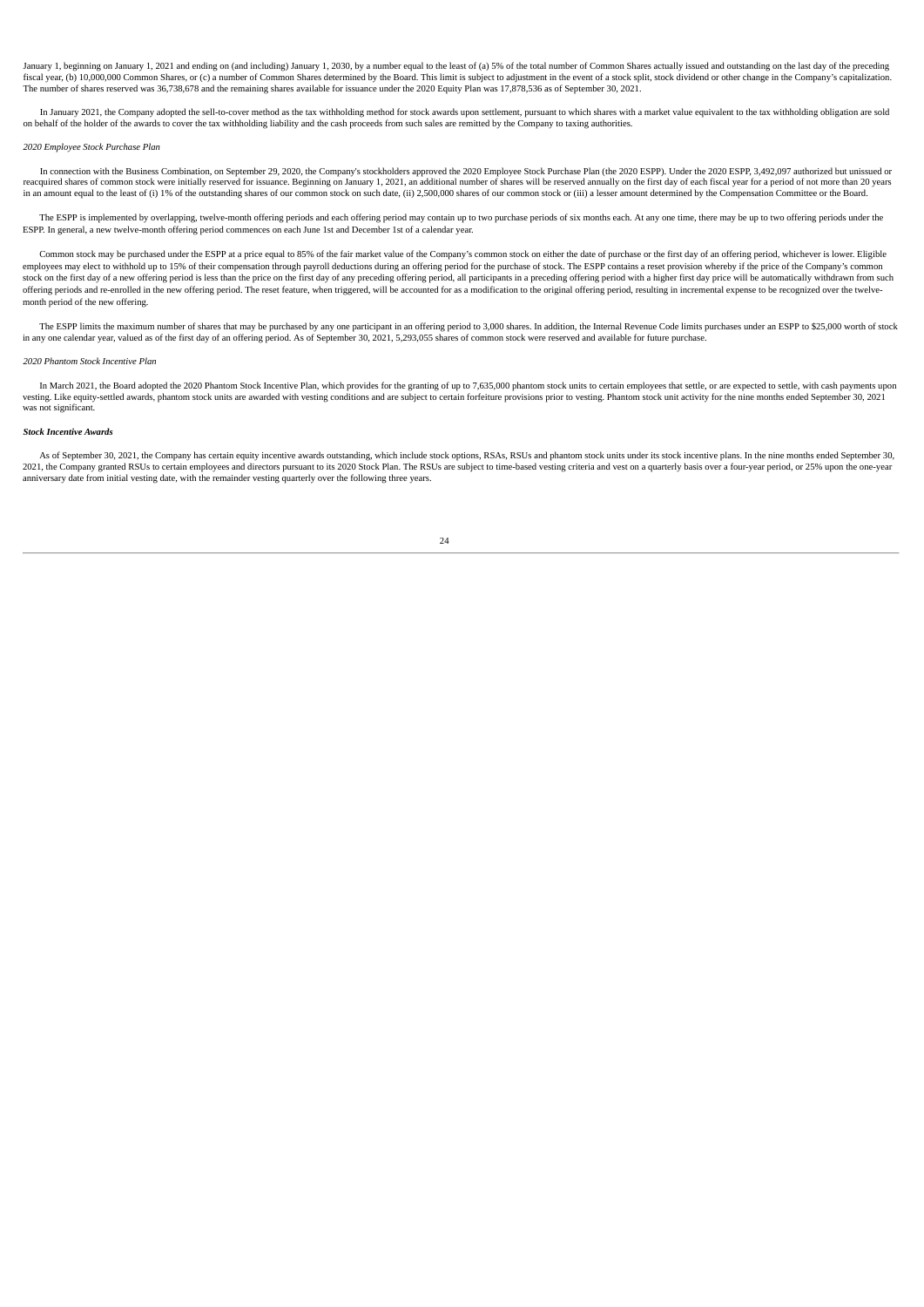January 1, beginning on January 1, 2021 and ending on (and including) January 1, 2030, by a number equal to the least of (a) 5% of the total number of Common Shares actually issued and outstanding on the last day of the pr fiscal year, (b) 10,000,000 Common Shares, or (c) a number of Common Shares determined by the Board. This limit is subject to adjustment in the event of a stock split, stock dividend or other change in the Company's capita

In January 2021, the Company adopted the sell-to-cover method as the tax withholding method for stock awards upon settlement, pursuant to which shares with a market value equivalent to the tax withholding obligation are sold on behalf of the holder of the awards to cover the tax withholding liability and the cash proceeds from such sales are remitted by the Company to taxing authorities.

## *2020 Employee Stock Purchase Plan*

In connection with the Business Combination, on September 29, 2020, the Company's stockholders approved the 2020 Employee Stock Purchase Plan (the 2020 ESPP). Under the 2020 ESPP, 3,492,097 authorized but unissued or reacq in an amount equal to the least of (i) 1% of the outstanding shares of our common stock on such date, (ii) 2,500,000 shares of our common stock or (iii) a lesser amount determined by the Compensation Committee or the Board.

The ESPP is implemented by overlapping, twelve-month offering periods and each offering period may contain up to two purchase periods of six months each. At any one time, there may be up to two offering periods under the ESPP. In general, a new twelve-month offering period commences on each June 1st and December 1st of a calendar year.

Common stock may be purchased under the ESPP at a price equal to 85% of the fair market value of the Company's common stock on either the date of purchase or the first day of an offering period, whichever is lower. Eligible employees may elect to withhold up to 15% of their compensation through payroll deductions during an offering period for the purchase of stock. The ESPP contains a reset provision whereby if the price of the Company's comm stock on the first day of a new offering period is less than the price on the first day of any preceding offering period, all participants in a preceding offering period with a higher first day price will be automatically offering periods and re-enrolled in the new offering period. The reset feature, when triggered, will be accounted for as a modification to the original offering period, resulting in incremental expense to be recognized ove month period of the new offering.

The ESPP limits the maximum number of shares that may be purchased by any one participant in an offering period to 3,000 shares. In addition, the Internal Revenue Code limits purchases under an ESPP to \$25,000 worth of sto in any one calendar year, valued as of the first day of an offering period. As of September 30, 2021, 5,293,055 shares of common stock were reserved and available for future purchase.

#### *2020 Phantom Stock Incentive Plan*

In March 2021, the Board adopted the 2020 Phantom Stock Incentive Plan, which provides for the granting of up to 7,635,000 phantom stock units to certain employees that settle, or are expected to settle, with cash payments vesting. Like equity-settled awards, phantom stock units are awarded with vesting conditions and are subject to certain forfeiture provisions prior to vesting. Phantom stock unit activity for the nine months ended Septembe was not significant.

# *Stock Incentive Awards*

As of September 30, 2021, the Company has certain equity incentive awards outstanding, which include stock options, RSAs, RSUs and phantom stock units under its stock incentive plans. In the nine months ended September 30, 2021, the Company granted RSUs to certain employees and directors pursuant to its 2020 Stock Plan. The RSUs are subject to time-based vesting criteria and vest on a quarterly basis over a four-year period, or 25% upon the anniversary date from initial vesting date, with the remainder vesting quarterly over the following three years.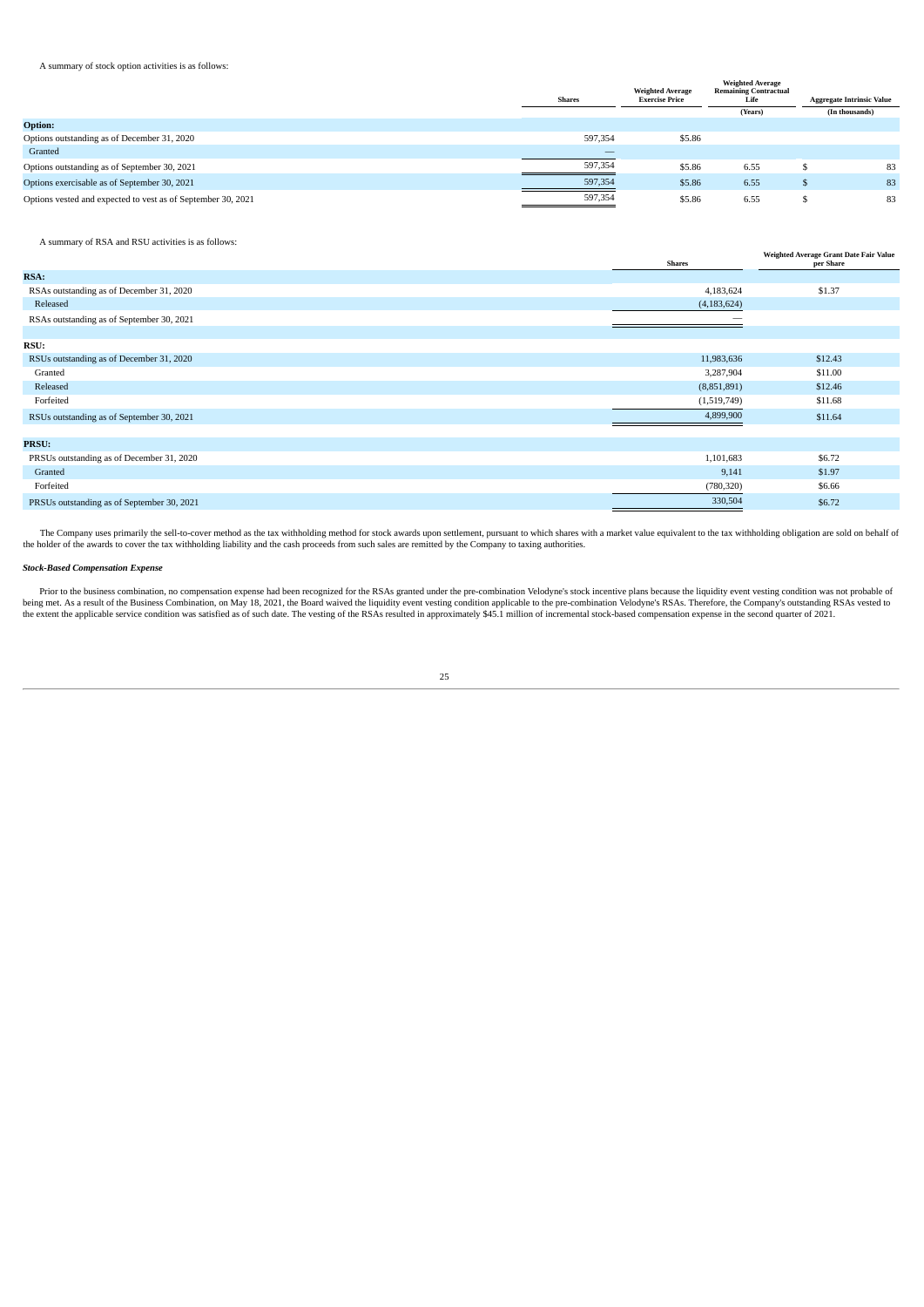# A summary of stock option activities is as follows:

| <b>Shares</b>            | <b>Weighted Average</b><br><b>Exercise Price</b> | <b>Remaining Contractual</b><br>Life | <b>Aggregate Intrinsic Value</b> |    |
|--------------------------|--------------------------------------------------|--------------------------------------|----------------------------------|----|
|                          |                                                  | (Years)                              | (In thousands)                   |    |
|                          |                                                  |                                      |                                  |    |
| 597,354                  | \$5.86                                           |                                      |                                  |    |
| $\overline{\phantom{a}}$ |                                                  |                                      |                                  |    |
| 597,354                  | \$5.86                                           | 6.55                                 |                                  | 83 |
| 597,354                  | \$5.86                                           | 6.55                                 |                                  | 83 |
| 597,354                  | \$5.86                                           | 6.55                                 |                                  | 83 |
|                          |                                                  |                                      | <b>Weighted Average</b>          |    |

## A summary of RSA and RSU activities is as follows:

| Troummy of Roll and Roo activities to as follows: |               |                                                     |
|---------------------------------------------------|---------------|-----------------------------------------------------|
|                                                   | <b>Shares</b> | Weighted Average Grant Date Fair Value<br>per Share |
| RSA:                                              |               |                                                     |
| RSAs outstanding as of December 31, 2020          | 4,183,624     | \$1.37                                              |
| Released                                          | (4, 183, 624) |                                                     |
| RSAs outstanding as of September 30, 2021         |               |                                                     |
|                                                   |               |                                                     |
| RSU:                                              |               |                                                     |
| RSUs outstanding as of December 31, 2020          | 11,983,636    | \$12.43                                             |
| Granted                                           | 3,287,904     | \$11.00                                             |
| Released                                          | (8,851,891)   | \$12.46                                             |
| Forfeited                                         | (1,519,749)   | \$11.68                                             |
| RSUs outstanding as of September 30, 2021         | 4,899,900     | \$11.64                                             |
|                                                   |               |                                                     |
| PRSU:                                             |               |                                                     |
| PRSUs outstanding as of December 31, 2020         | 1,101,683     | \$6.72                                              |
| Granted                                           | 9,141         | \$1.97                                              |
| Forfeited                                         | (780, 320)    | \$6.66                                              |
| PRSUs outstanding as of September 30, 2021        | 330,504       | \$6.72                                              |
|                                                   |               |                                                     |

The Company uses primarily the sell-to-cover method as the tax withholding method for stock awards upon settlement, pursuant to which shares with a market value equivalent to the tax withholding obligation are sold on beha

# *Stock-Based Compensation Expense*

Prior to the business combination, no compensation expense had been recognized for the RSAs granted under the pre-combination Velodyne's stock incentive plans because the liquidity event vesting condition was not probable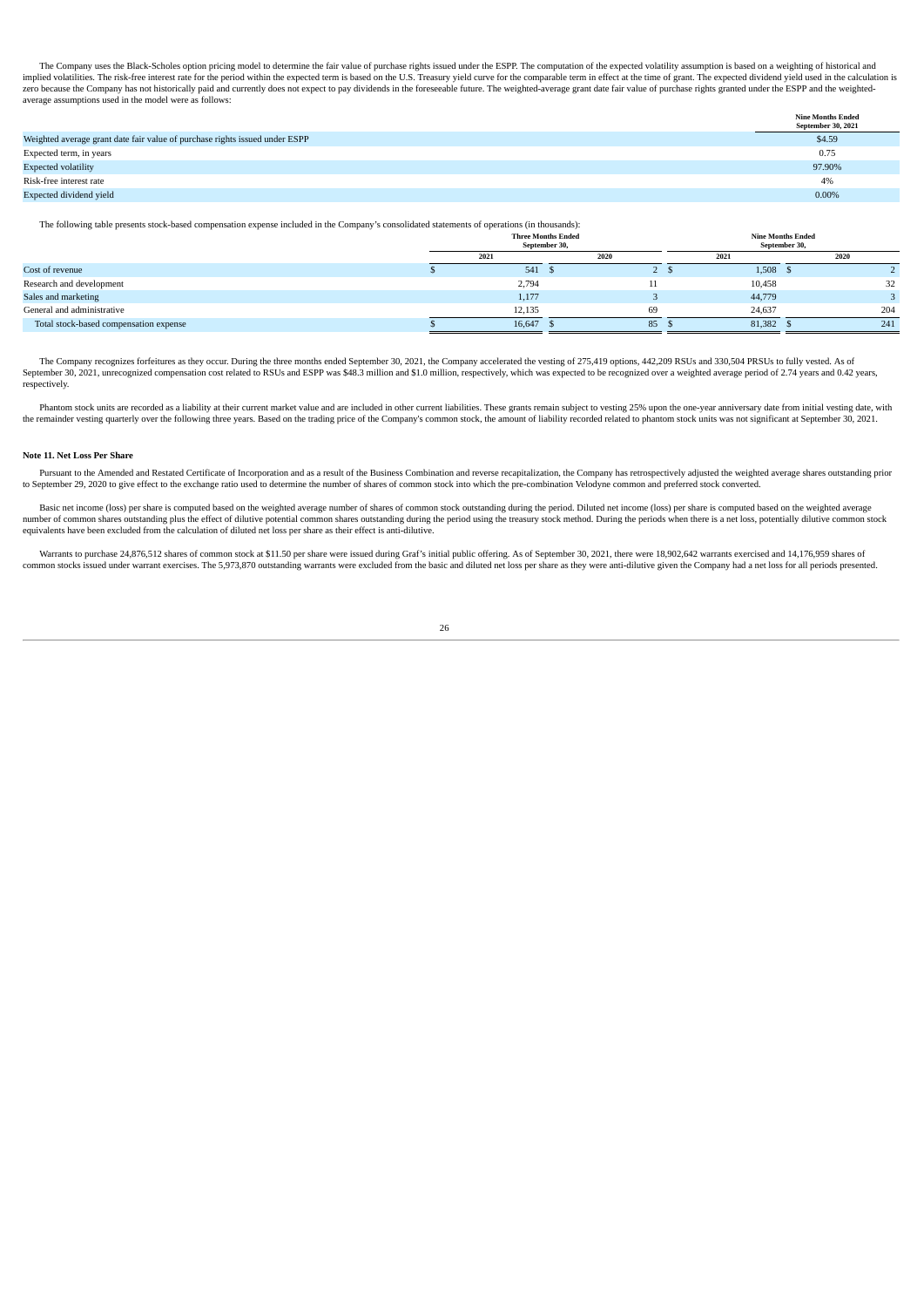The Company uses the Black-Scholes option pricing model to determine the fair value of purchase rights issued under the ESPP. The computation of the expected volatility assumption is based on a weighting of historical and implied volatilities. The risk-free interest rate for the period within the expected term is based on the U.S. Treasury yield curve for the comparable term in effect at the time of grant. The expected dividend yield used i average assumptions used in the model were as follows:

|                                                                             | Nine Months Ended<br>September 30, 2021 |
|-----------------------------------------------------------------------------|-----------------------------------------|
| Weighted average grant date fair value of purchase rights issued under ESPP | \$4.59                                  |
| Expected term, in years                                                     | 0.75                                    |
| <b>Expected volatility</b>                                                  | 97.90%                                  |
| Risk-free interest rate                                                     | 4%                                      |
| <b>Expected dividend vield</b>                                              | 0.00%                                   |

The following table presents stock-based compensation expense included in the Company's consolidated statements of operations (in thousands):

|                                        |        | <b>Three Months Ended</b><br>September 30, | <b>Nine Months Ended</b><br>September 30, |      |  |
|----------------------------------------|--------|--------------------------------------------|-------------------------------------------|------|--|
|                                        | 2021   | 2020                                       | 2021                                      | 2020 |  |
| Cost of revenue                        | 541    |                                            | $1,508$ \$                                |      |  |
| Research and development               | 2,794  | 11                                         | 10,458                                    | 32   |  |
| Sales and marketing                    | 1,177  |                                            | 44,779                                    |      |  |
| General and administrative             | 12,135 | 69                                         | 24,637                                    | 204  |  |
| Total stock-based compensation expense | 16,647 | 85                                         | 81,382                                    | 241  |  |

The Company recognizes forfeitures as they occur. During the three months ended September 30, 2021, the Company accelerated the vesting of 275,419 options, 442,209 RSUs and 330,504 PRSUs to fully vested. As of September 30, 2021, unrecognized compensation cost related to RSUs and ESPP was \$48.3 million and \$1.0 million, respectively, which was expected to be recognized over a weighted average period of 2.74 years and 0.42 years, respectively.

Phantom stock units are recorded as a liability at their current market value and are included in other current liabilities. These grants remain subject to vesting 25% upon the one-year anniversary date from initial vestin ransider vesting quarterly over the following three years. Based on the trading price of the Company's common stock, the amount of liability recorded related to phantom stock units was not significant at September 30, 2021

#### **Note 11. Net Loss Per Share**

Pursuant to the Amended and Restated Certificate of Incorporation and as a result of the Business Combination and reverse recapitalization, the Company has retrospectively adjusted the weighted average shares outstanding p to September 29, 2020 to give effect to the exchange ratio used to determine the number of shares of common stock into which the pre-combination Velodyne common and preferred stock converted.

Basic net income (loss) per share is computed based on the weighted average number of shares of common stock outstanding during the period. Diluted net income (loss) per share is computed based on the weighted average n and the common shares outstanding during the period using the teresury stock method. During the periods when there is a net loss, potentially dilutive common shares outstanding buring the period using the teresury stock equivalents have been excluded from the calculation of diluted net loss per share as their effect is anti-dilutive.

Warrants to purchase 24,876,512 shares of common stock at \$11.50 per share were issued during Graf's initial public offering. As of September 30, 2021, there were 18,902,642 warrants exercised and 14,176,959 shares of common stocks issued under warrant exercises. The 5,973,870 outstanding warrants were excluded from the basic and diluted net loss per share as they were anti-dilutive given the Company had a net loss for all periods prese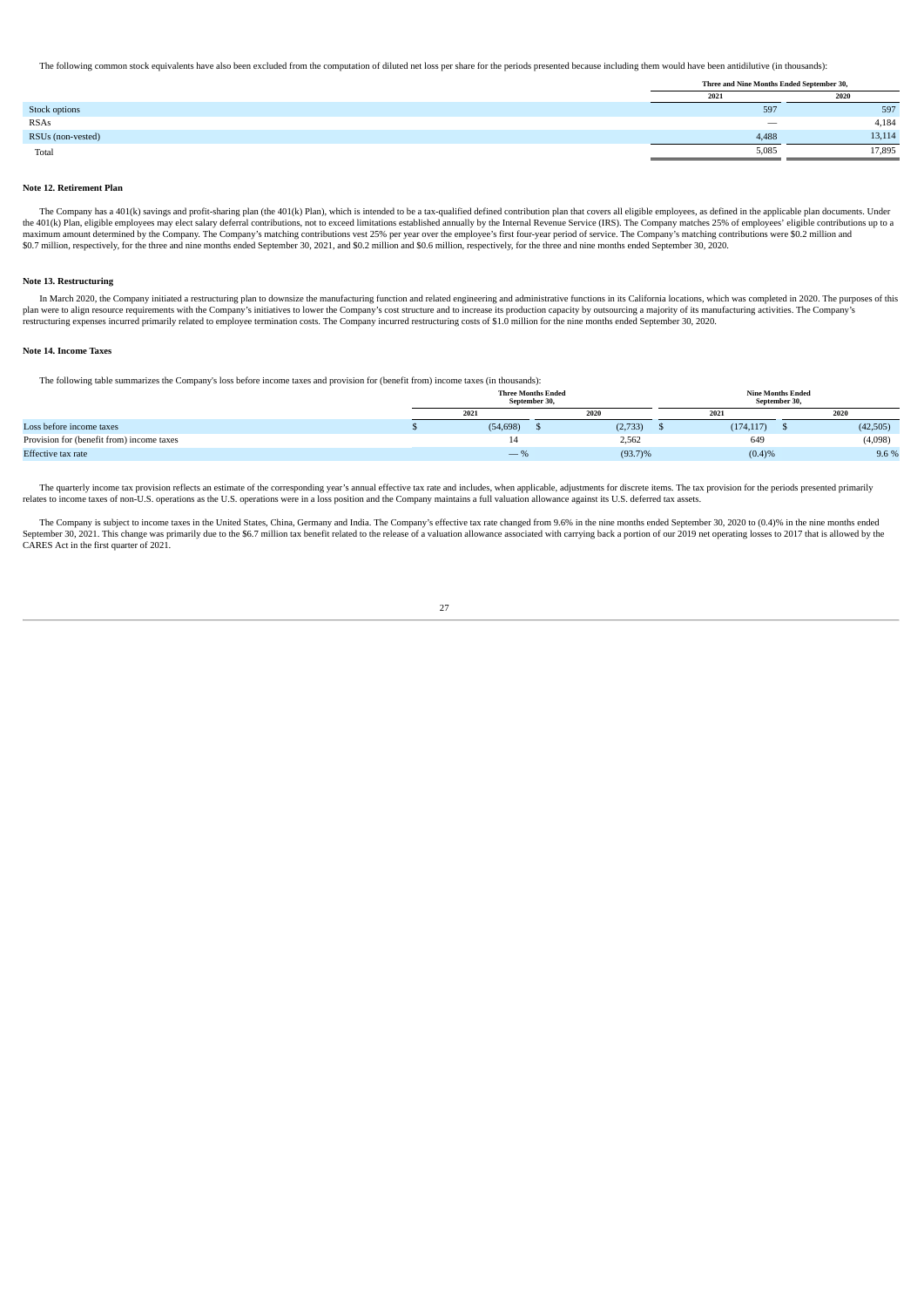The following common stock equivalents have also been excluded from the computation of diluted net loss per share for the periods presented because including them would have been antidilutive (in thousands):

|                   | Three and Nine Months Ended September 30, |        |  |
|-------------------|-------------------------------------------|--------|--|
|                   | 2021                                      | 2020   |  |
| Stock options     | 597                                       | 597    |  |
| <b>RSAs</b>       | $\overline{\phantom{a}}$                  | 4,184  |  |
| RSUs (non-vested) | 4.488                                     | 13,114 |  |
| Total             | 5,085                                     | 17,895 |  |
|                   |                                           |        |  |

# **Note 12. Retirement Plan**

The Company has a 401(k) savings and profit-sharing plan (the 401(k) Plan), which is intended to be a tax-qualified defined contribution plan that covers all eligible employees, as defined in the applicable plan documents. maximum amount determined by the Company. The Company's matching contributions vest 25% per year over the employee's first four-year period of service. The Company's matching contributions were \$0.2 million and<br>\$0.7 millio

## **Note 13. Restructuring**

In March 2020, the Company initiated a restructuring plan to downsize the manufacturing function and related engineering and administrative functions in its California locations, which was completed in 2020. The purposes o restructuring expenses incurred primarily related to employee termination costs. The Company incurred restructuring costs of \$1.0 million for the nine months ended September 30, 2020.

#### **Note 14. Income Taxes**

The following table summarizes the Company's loss before income taxes and provision for (benefit from) income taxes (in thousands):

|                                           | <b>Three Months Ended</b><br>September 30, |  |            | Nine Months Ended<br>September 30, |  |           |
|-------------------------------------------|--------------------------------------------|--|------------|------------------------------------|--|-----------|
|                                           | 2021                                       |  | 2020       | 2021                               |  | 2020      |
| Loss before income taxes                  | (54, 698)                                  |  | (2,733)    | (174, 117)                         |  | (42, 505) |
| Provision for (benefit from) income taxes |                                            |  | 2,562      | 649                                |  | (4,098)   |
| Effective tax rate                        | $-$ %                                      |  | $(93.7)\%$ | (0.4)%                             |  | 9.6 %     |

**Nine Months Ended**

The quarterly income tax provision reflects an estimate of the corresponding year's annual effective tax rate and includes, when applicable, adjustments for discrete items. The tax provision for the periods presented prima relates to income taxes of non-U.S. operations as the U.S. operations were in a loss position and the Company maintains a full valuation allowance against its U.S. deferred tax assets.

The Company is subject to income taxes in the United States, China, Germany and India. The Company's effective tax rate changed from 9.6% in the nine months ended September 30, 2020 to (0.4)% in the nine months ended<br>Septe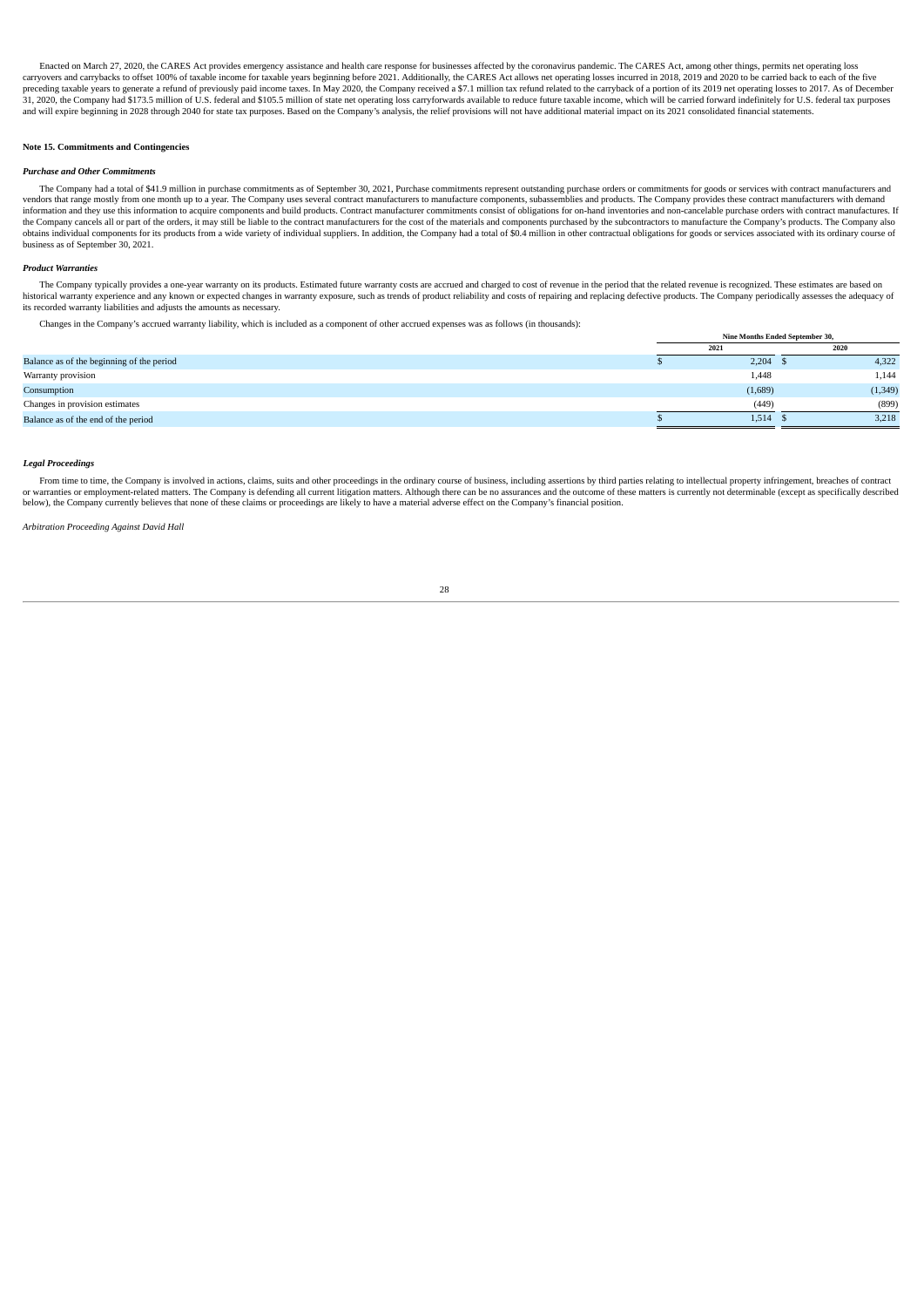Enacted on March 27, 2020, the CARES Act provides emergency assistance and health care response for businesses affected by the coronavirus pandemic. The CARES Act, among other things, permits net operating loss carryovers and carrybacks to offset 100% of taxable income for taxable years beginning before 2021. Additionally, the CARES Act allows net operating losses incurred in 2018, 2019 and 2020 to be carried back to each of the 31, 2020, the Company had \$173.5 million of U.S. federal and \$105.5 million of state net operating loss carryforwards available to reduce future taxable income, which will be carried forward indefinitely for U.S. federal t and will expire beginning in 2028 through 2040 for state tax purposes. Based on the Company's analysis, the relief provisions will not have additional material impact on its 2021 consolidated financial statements.

#### **Note 15. Commitments and Contingencies**

#### *Purchase and Other Commitments*

The Company had a total of \$41.9 million in purchase commitments as of September 30, 2021, Purchase commitments represent outstanding purchase orders or commitments for goods or services with contract manufacturers and per information and they use this information to acquire components and build products. Contract manufacturer commitments consist of obligations for on-hand inventories and non-cancelable purchase orders with contract manufact the Company cancels all or part of the orders, it may still be liable to the contract manufacturers for the cost of the materials and components purchased by the subcontractors to manufacture the Company s products. The Co obtains individual components for its products from a wide variety of individual suppliers. In addition, the Company had a total of \$0.4 million in other contractual obligations for goods or services associated with its or business as of September 30, 2021.

#### *Product Warranties*

The Company typically provides a one-year warranty on its products. Estimated future warranty costs are accrued and charged to cost of revenue in the period that the related revenue is recognized. These estimates are based its recorded warranty liabilities and adjusts the amounts as necessary.

Changes in the Company's accrued warranty liability, which is included as a component of other accrued expenses was as follows (in thousands):

|                                           | Nine Months Ended September 30, |          |  |  |
|-------------------------------------------|---------------------------------|----------|--|--|
|                                           | 2021                            | 2020     |  |  |
| Balance as of the beginning of the period | 2,204                           | 4,322    |  |  |
| Warranty provision                        | 1,448                           | 1,144    |  |  |
| Consumption                               | (1,689)                         | (1, 349) |  |  |
| Changes in provision estimates            | (449)                           | (899)    |  |  |
| Balance as of the end of the period       | $1.514$ \$                      | 3,218    |  |  |

#### *Legal Proceedings*

From time to time, the Company is involved in actions, claims, suits and other proceedings in the ordinary course of business, including assertions by third parties relating to intellectual property infringement, breaches below), the Company currently believes that none of these claims or proceedings are likely to have a material adverse effect on the Company's financial position.

*Arbitration Proceeding Against David Hall*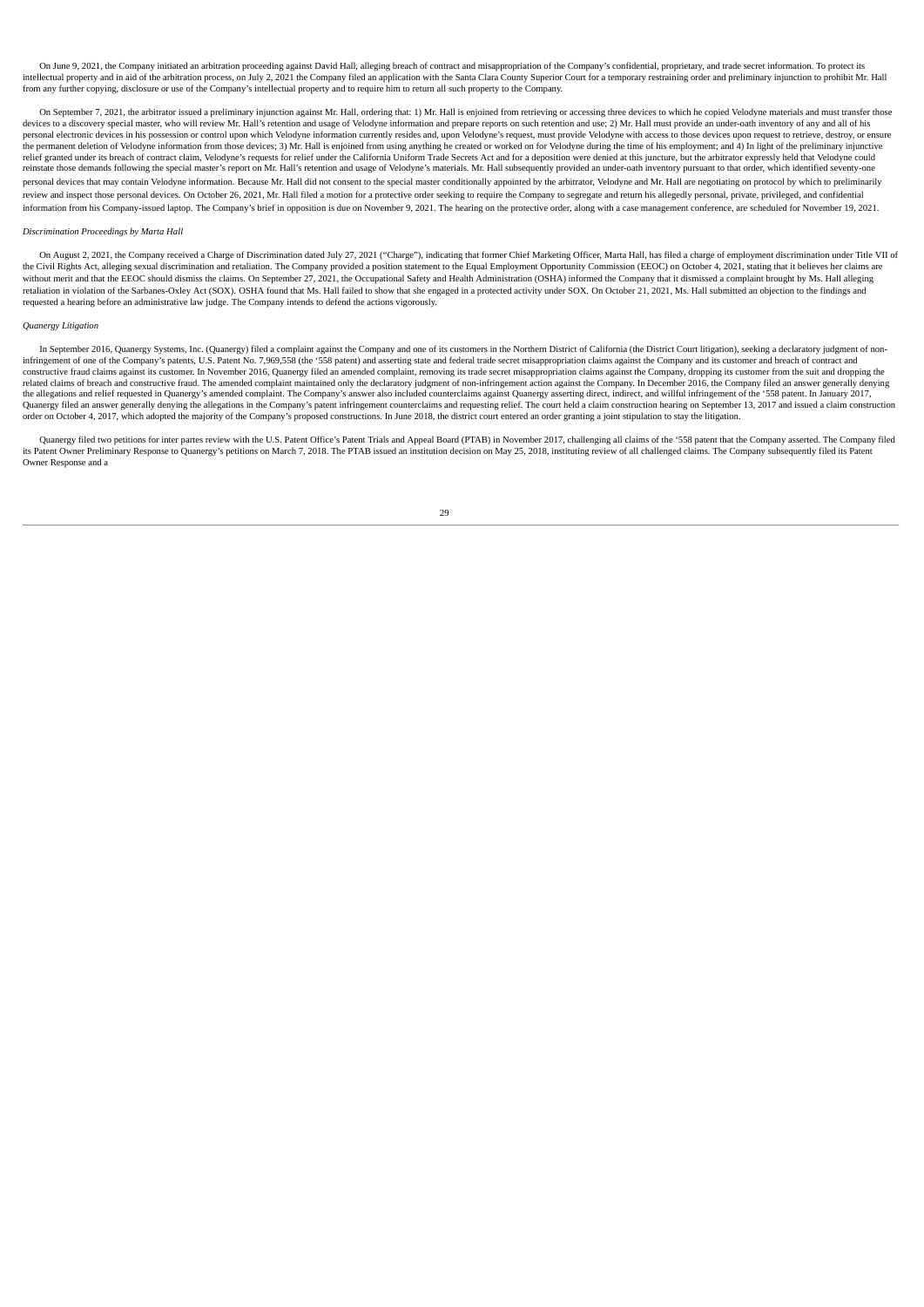On June 9, 2021, the Company initiated an arbitration proceeding against David Hall, alleging breach of contract and misappropriation of the Company's confidential, proprietary, and trade secret information. To protect its from any further copying, disclosure or use of the Company's intellectual property and to require him to return all such property to the Company.

On September 7, 2021, the arbitrator issued a preliminary injunction against Mr. Hall, ordering that: 1) Mr. Hall is enjoined from retrieving or accessing three devices to which he copied Velodyne materials and must transf devices to a discovery special master, who will review Mr. Hall's retention and usage of Velodyne information and prepare reports on such retention and use; 2) Mr. Hall must provide an under-path inventory of any and all o personal electronic devices in his possession or control upon which Velodyne information currently resides and, upon Velodyne's request, must provide Velodyne with access to those devices upon request to retrieve, destroy, relief granted under its breach of contract claim, Velodyne's requests for relief under the California Uniform Trade Secrets Act and for a deposition were denied at this juncture, but the arbitrator expressly held that Vel reinstate those demands following the special master's report on Mr. Hall's retention and usage of Velodyne's materials. Mr. Hall subsequently provided an under-oath inventory pursuant to that order, which identified seven personal devices that may contain Velodyne information. Because Mr. Hall did not consent to the special master conditionally appointed by the arbitrator, Velodyne and Mr. Hall are negotiating on protocol by which to prelim review and inspect those personal devices. On October 26, 2021, Mr. Hall filed a motion for a protective order seeking to require the Company to segregate and return his allegedly personal, private, privileged, and confide information from his Company-issued laptop. The Company's brief in opposition is due on November 9, 2021. The hearing on the protective order, along with a case management conference, are scheduled for November 19, 2021.

## *Discrimination Proceedings by Marta Hall*

On August 2, 2021, the Company received a Charge of Discrimination dated July 27, 2021 ("Charge"), indicating that former Chief Marketing Officer, Marta Hall, has filed a charge of employment discrimination under Title VII the Civil Rights Act, alleging sexual discrimination and retaliation. The Company provided a position statement to the Equal Employment Opportunity Commission (EEOC) on October 4, 2021, stating that it believes her claims without merit and that the EEOC should dismiss the claims. On September 27, 2021, the Occupational Safety and Health Administration (OSHA) informed the Company that it dismissed a complaint brought by Ms. Hall alleging retaliation in violation of the Sarbanes-Oxley Act (SOX). OSHA found that Ms. Hall failed to show that she engaged in a protected activity under SOX. On October 21, 2021, Ms. Hall submitted an objection to the findings and requested a hearing before an administrative law judge. The Company intends to defend the actions vigorously.

#### *Quanergy Litigation*

In September 2016, Quanergy Systems, Inc. (Quanergy) filed a complaint against the Company and one of its customers in the Northern District of California (the District Court litigation), seeking a declaratory judgment of infringement of one of the Company's patents, U.S. Patent No. 7,969,558 (the '558 patent) and asserting state and federal trade secret misappropriation claims against the Company and its customer and breach of contract and related claims of breach and constructive fraud. The amended complaint maintained only the declaratory judgment of non-infringement action against the Company. In December 2016, the Company filed an answer generally denyin accuracy of the all engines of the company's patent infringement counterclaims and requesting relief. The court held a claim construction hearing on September 13, 2017 and issued a claim construction and the Company's pate order on October 4, 2017, which adopted the majority of the Company's proposed constructions. In June 2018, the district court entered an order granting a joint stipulation to stay the litigation.

Quanergy filed two petitions for inter partes review with the U.S. Patent Office's Patent Trials and Appeal Board (PTAB) in November 2017, challenging all claims of the '558 patent that the Company asserted. The Company fi its Patent Owner Preliminary Response to Quanergy's petitions on March 7, 2018. The PTAB issued an institution decision on May 25, 2018, instituting review of all challenged claims. The Company subsequently filed its Patent Owner Response and a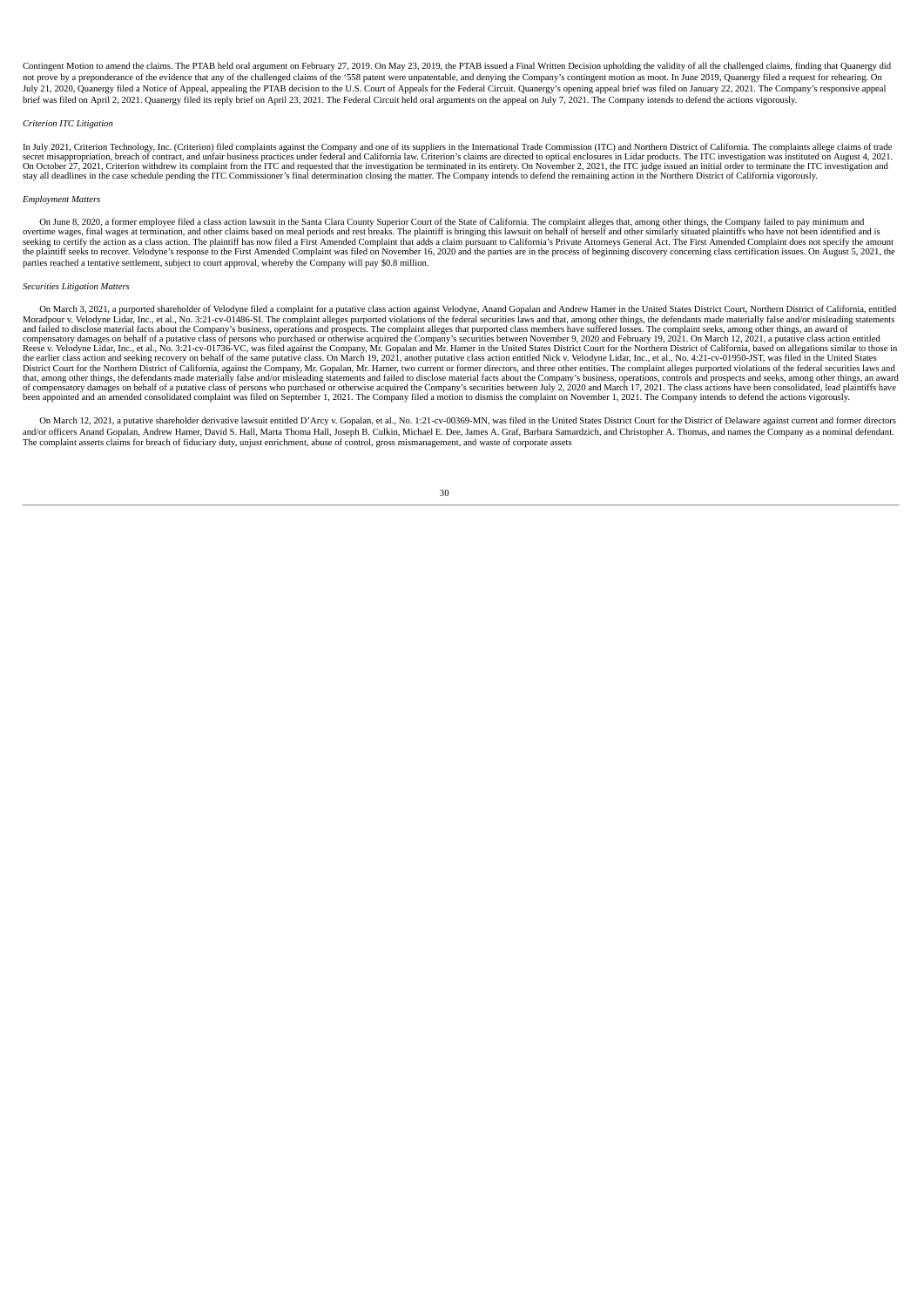Contingent Motion to amend the claims. The PTAB held oral argument on February 27, 2019. On May 23, 2019, the PTAB issued a Final Written Decision upholding the validity of all the challenged claims, finding that Quanergy not prove by a preponderance of the evidence that any of the challenged claims of the '558 patent were unpatentable, and denying the Company's contingent motion as moot. In June 2019, Quanergy filed a request for rehearing

## *Criterion ITC Litigation*

In July 2021, Criterion Technology, Inc. (Criterion) filed complaints against the Company and one of its suppliers in the International Trade Commission (ITC) and Northern District of California. The complaints allege clai

#### *Employment Matters*

On June 8, 2020, a former employee filed a class action lawsuit in the Santa Clara County Superior Court of the State of California. The complaint alleges that, among other things, the Company failed to pay minimum and ove parties reached a tentative settlement, subject to court approval, whereby the Company will pay \$0.8 million.

### *Securities Litigation Matters*

On March 3, 2021, a purported shareholder of Velodyne filed a complaint for a putative class action against Velodyne, Anand Gopalan and Andrew Hame in the United States District of California, entiled<br>Morachy diverse Distr

On March 12, 2021, a putative shareholder derivative lawsuit entitled D'Arcy v. Gonalan, et al., No. 1:21-cy-00369-MN, was filed in the United States District Court for the District of Delaware against current and former d and/or officers Anand Gopalan, Andrew Hamer, David S. Hall, Marta Thoma Hall, Joseph B. Culkin, Michael E. Dee, James A. Graf, Barbara Samardzich, and Christopher A. Thomas, and names the Company as a nominal defendant. The complaint asserts claims for breach of fiduciary duty, unjust enrichment, abuse of control, gross mismanagement, and waste of corporate assets

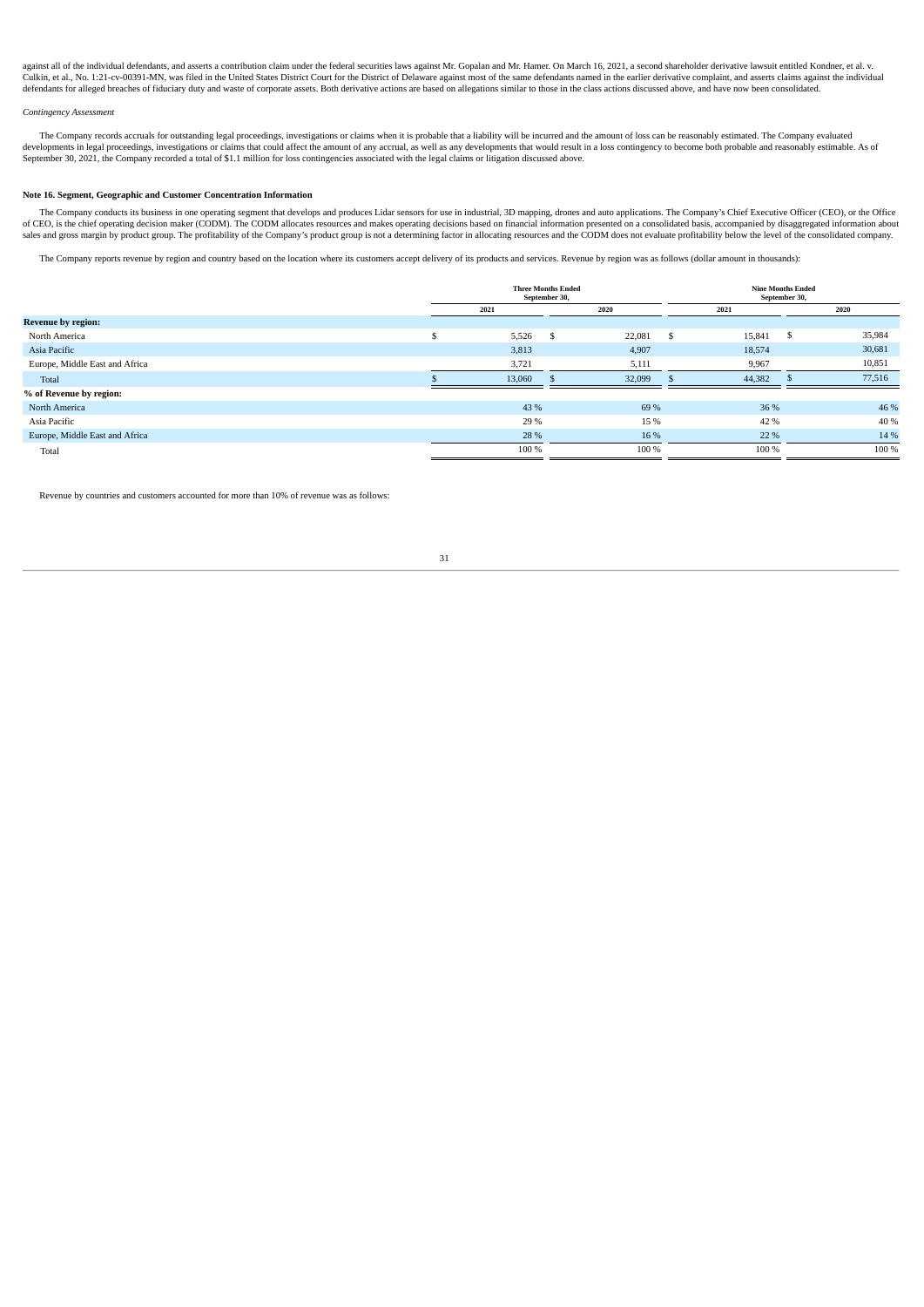against all of the individual defendants, and asserts a contribution claim under the federal securities laws against Mr. Gopalan and Mr. Hamer. On March 16, 2021, a second shareholder derivative lawsuit entitled Kondner, e

## *Contingency Assessment*

The Company records accruals for outstanding legal proceedings, investigations or claims when it is probable that a liability will be incurred and the amount of loss can be reasonably estimated. The Company evaluated<br>devel

# **Note 16. Segment, Geographic and Customer Concentration Information**

The Company conducts its business in one operating segment that develops and produces Lidar sensors for use in industrial, 3D mapping, drones and auto applications. The Company's Chief Executive Officer (CEO), or the Offic

The Company reports revenue by region and country based on the location where its customers accept delivery of its products and services. Revenue by region was as follows (dollar amount in thousands):

|                                |        | <b>Three Months Ended</b><br>September 30, | <b>Nine Months Ended</b><br>September 30, |        |  |  |
|--------------------------------|--------|--------------------------------------------|-------------------------------------------|--------|--|--|
|                                | 2021   | 2020                                       | 2021                                      | 2020   |  |  |
| <b>Revenue by region:</b>      |        |                                            |                                           |        |  |  |
| North America                  | 5,526  | 22,081<br>-S                               | 15,841<br>-S                              | 35,984 |  |  |
| Asia Pacific                   | 3,813  | 4,907                                      | 18,574                                    | 30,681 |  |  |
| Europe, Middle East and Africa | 3,721  | 5,111                                      | 9,967                                     | 10,851 |  |  |
| Total                          | 13,060 | 32,099                                     | 44,382                                    | 77,516 |  |  |
| % of Revenue by region:        |        |                                            |                                           |        |  |  |
| North America                  | 43 %   | 69 %                                       | 36 %                                      | 46 %   |  |  |
| Asia Pacific                   | 29 %   | 15 %                                       | 42 %                                      | 40 %   |  |  |
| Europe, Middle East and Africa | 28 %   | 16 %                                       | 22 %                                      | 14 %   |  |  |
| Total                          | 100 %  | 100 %                                      | 100 %                                     | 100 %  |  |  |
|                                |        |                                            |                                           |        |  |  |

Revenue by countries and customers accounted for more than 10% of revenue was as follows: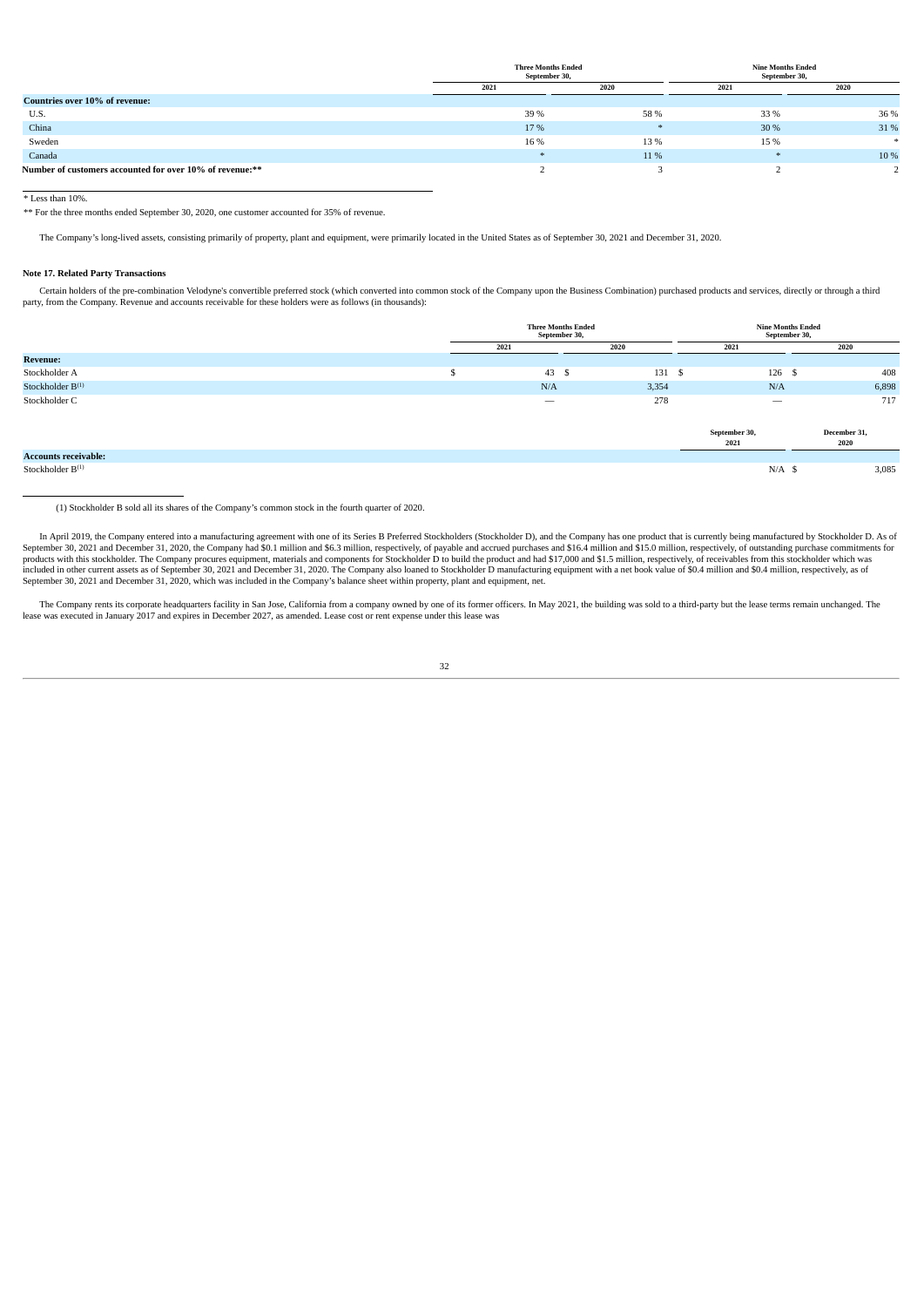|                                                          | <b>Three Months Ended</b><br>September 30, |      | <b>Nine Months Ended</b><br>September 30, |      |  |  |
|----------------------------------------------------------|--------------------------------------------|------|-------------------------------------------|------|--|--|
|                                                          | 2021                                       | 2020 | 2021                                      | 2020 |  |  |
| Countries over 10% of revenue:                           |                                            |      |                                           |      |  |  |
| U.S.                                                     | 39 %                                       | 58 % | 33 %                                      | 36 % |  |  |
| China                                                    | 17 %                                       |      | 30 %                                      | 31 % |  |  |
| Sweden                                                   | 16 %                                       | 13 % | 15 %                                      |      |  |  |
| Canada                                                   |                                            | 11 % |                                           | 10 % |  |  |
| Number of customers accounted for over 10% of revenue:** |                                            |      |                                           |      |  |  |

\* Less than 10%.

\*\* For the three months ended September 30, 2020, one customer accounted for 35% of revenue.

The Company's long-lived assets, consisting primarily of property, plant and equipment, were primarily located in the United States as of September 30, 2021 and December 31, 2020.

#### **Note 17. Related Party Transactions**

Certain holders of the pre-combination Velodyne's convertible preferred stock (which converted into common stock of the Company upon the Business Combination) purchased products and services, directly or through a third<br>pa

|                              | <b>Three Months Ended</b><br>September 30, |                          |  | <b>Nine Months Ended</b><br>September 30, |               |                                 |              |
|------------------------------|--------------------------------------------|--------------------------|--|-------------------------------------------|---------------|---------------------------------|--------------|
|                              |                                            | 2021                     |  | 2020                                      | 2021          |                                 | 2020         |
| <b>Revenue:</b>              |                                            |                          |  |                                           |               |                                 |              |
| Stockholder A                |                                            | 43S                      |  | 131S                                      |               | 126S                            | 408          |
| Stockholder B <sup>(1)</sup> |                                            | N/A                      |  | 3,354                                     |               | N/A                             | 6,898        |
| Stockholder C                |                                            | $\overline{\phantom{a}}$ |  | 278                                       |               | $\hspace{0.1mm}-\hspace{0.1mm}$ | 717          |
|                              |                                            |                          |  |                                           |               |                                 |              |
|                              |                                            |                          |  |                                           | September 30, |                                 | December 31, |
|                              |                                            |                          |  |                                           | 2021          |                                 | 2020         |
| <b>Accounts receivable:</b>  |                                            |                          |  |                                           |               |                                 |              |
| Stockholder $B^{(1)}$        |                                            |                          |  |                                           |               | $N/A$ \$                        | 3,085        |

(1) Stockholder B sold all its shares of the Company's common stock in the fourth quarter of 2020.

In April 2019, the Company entered into a manufacturing agreement with one of its Series B Preferred Stockholders (Stockholder D), and the Company has one product that is currently being manufactured by Stockholder D. As o included in other current assets as of September 30, 2021 and December 31, 2020. The Company also loaned to Stockholder D manufacturing equipment with a net book value of \$0.4 million and \$0.4 million, respectively, as of<br>

The Company rents its corporate headquarters facility in San Jose, California from a company owned by one of its former officers. In May 2021, the building was sold to a third-party but the lease terms remain unchanged. Th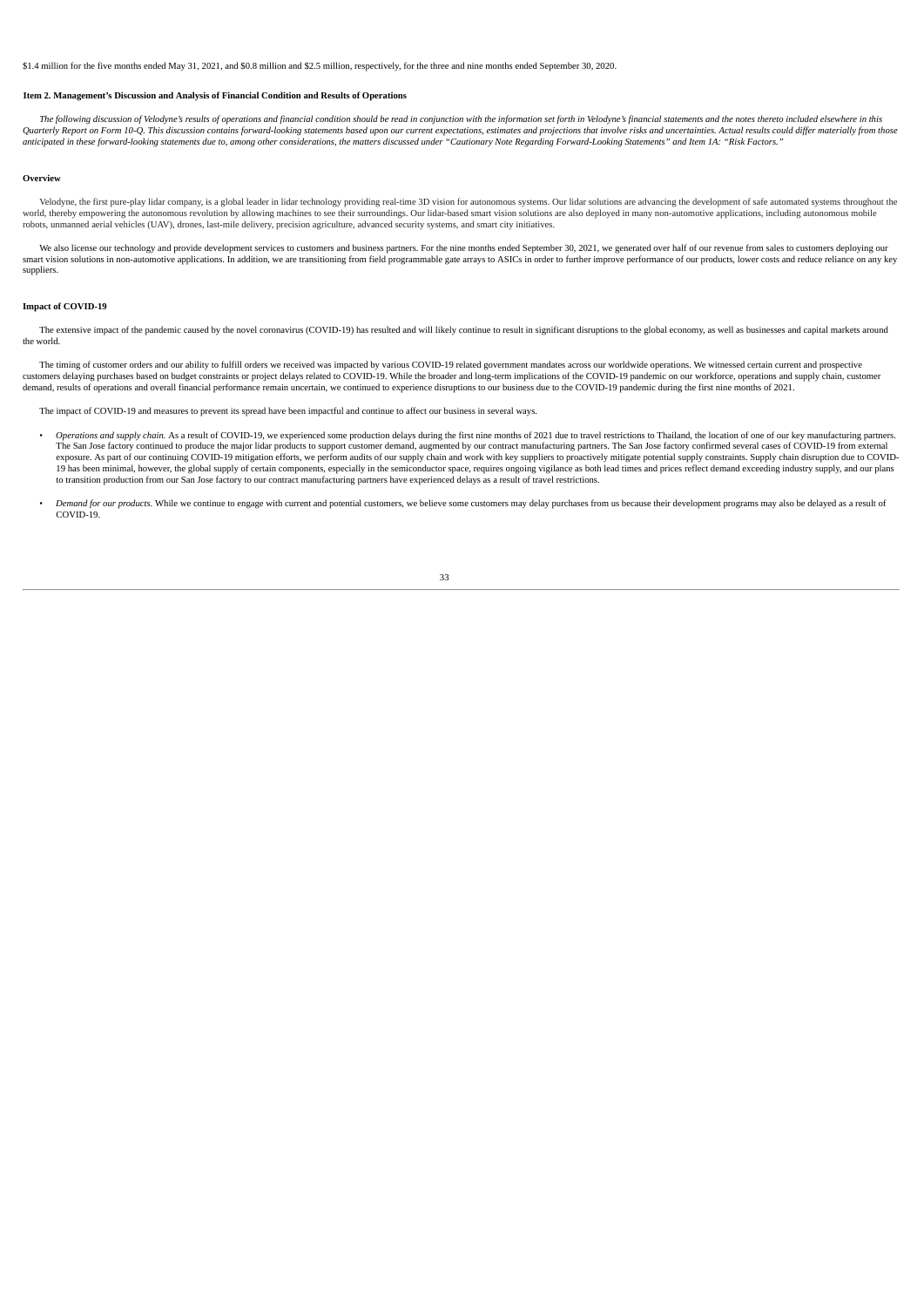\$1.4 million for the five months ended May 31, 2021, and \$0.8 million and \$2.5 million, respectively, for the three and nine months ended September 30, 2020.

## <span id="page-33-0"></span>**Item 2. Management's Discussion and Analysis of Financial Condition and Results of Operations**

The following discussion of Velodyne's results of onerations and financial condition should be read in conjunction with the information set forth in Velodyne's financial statements and the notes thereto included elsewhere and the proposal of the control of the control of the control of the control of the control of the control of the control of the control of the control of the control of the control of the control of the control of the con anticipated in these forward-looking statements due to, among other considerations, the matters discussed under "Cautionary Note Regarding Forward-Looking Statements" and Item 1A: "Risk Factors."

## **Overview**

Velodyne, the first pure-play lidar company, is a global leader in lidar technology providing real-time 3D vision for autonomous systems. Our lidar solutions are advancing the development of safe automated systems througho world, thereby empowering the autonomous revolution by allowing machines to see their surroundings. Our lidar-based smart vision solutions are also deployed in many non-automotive applications, including autonomous mobile robots, unmanned aerial vehicles (UAV), drones, last-mile delivery, precision agriculture, advanced security systems, and smart city initiatives.

We also license our technology and provide development services to customers and business partners. For the nine months ended September 30, 2021, we generated over half of our revenue from sales to customers deploying our smart vision solutions in non-automotive applications. In addition, we are transitioning from field programmable gate arrays to ASICs in order to further improve performance of our products, lower costs and reduce reliance suppliers.

#### **Impact of COVID-19**

The extensive impact of the pandemic caused by the novel coronavirus (COVID-19) has resulted and will likely continue to result in significant disruptions to the global economy, as well as businesses and capital markets ar the world.

The timing of customer orders and our ability to fulfill orders we received was impacted by various COVID-19 related government mandates across our worldwide operations. We witnessed certain current and prospective custome

The impact of COVID-19 and measures to prevent its spread have been impactful and continue to affect our business in several ways.

- Operations and supply chain. As a result of COVID-19, we experienced some production delays during the first nine months of 2021 due to travel restrictions to Thailand, the location of one of our key manufacturing partners The San Jose factory continued to produce the major lidar products to support customer demand, augmented by our contract manufacturing partners. The San Jose factory confirmed several cases of COVID-19 from external<br>exposu 19 has been minimal, however, the global supply of certain components, especially in the semiconductor space, requires ongoing vigilance as both lead times and prices reflect demand exceeding industry supply, and our plans to transition production from our San Jose factory to our contract manufacturing partners have experienced delays as a result of travel restrictions.
- Demand for our products. While we continue to engage with current and potential customers, we believe some customers may delay purchases from us because their development programs may also be delayed as a result of COVID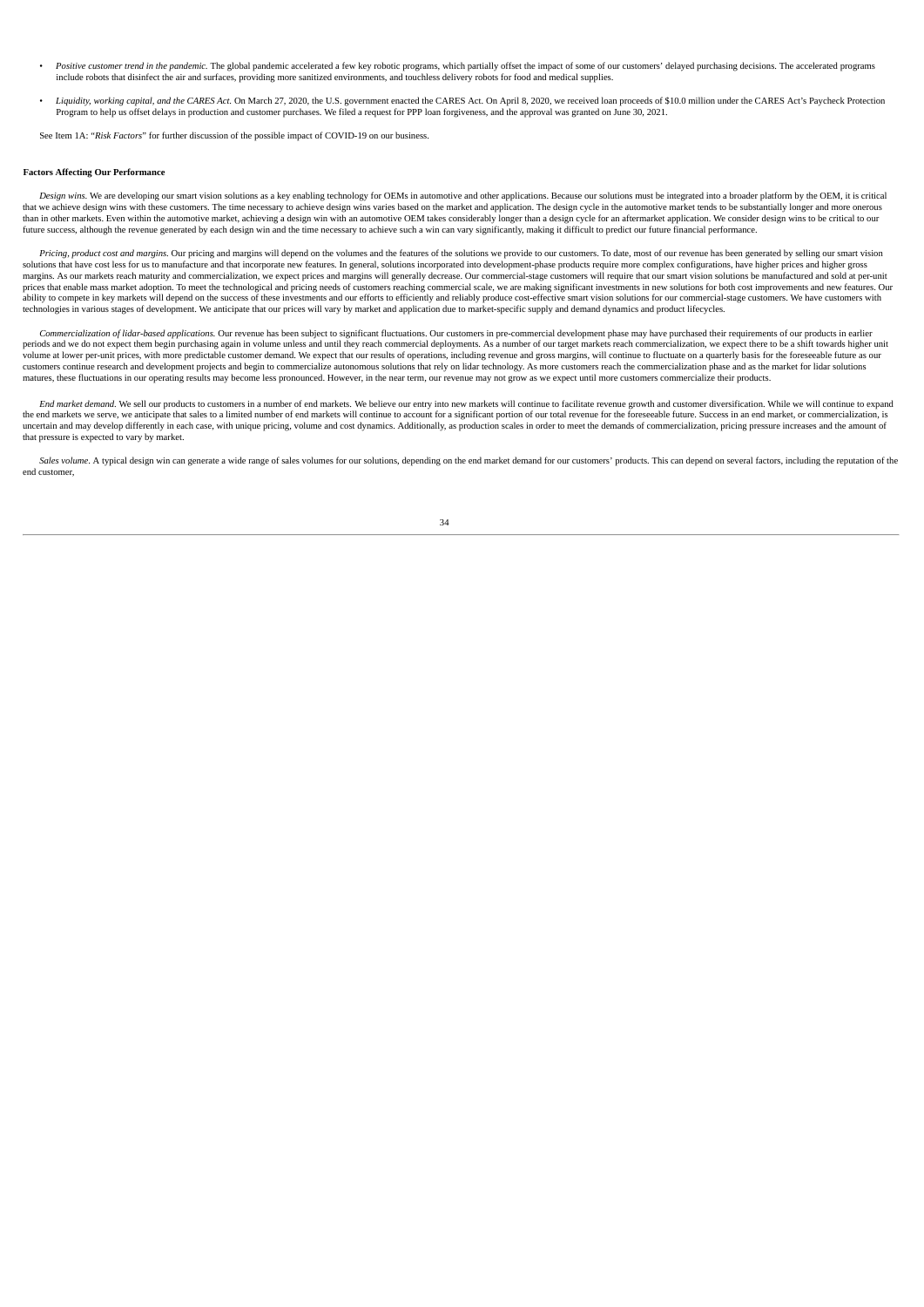- Positive customer trend in the nandemic. The global pandemic accelerated a few key robotic programs, which partially offset the impact of some of our customers' delayed purchasing decisions. The accelerated programs include robots that disinfect the air and surfaces, providing more sanitized environments, and touchless delivery robots for food and medical supplies.
- Liquidity, working capital, and the CARES Act. On March 27, 2020, the U.S. government enacted the CARES Act. On April 8, 2020, we received loan proceeds of \$10.0 million under the CARES Act's Paycheck Protection Program

See Item 1A: "*Risk Factors*" for further discussion of the possible impact of COVID-19 on our business.

#### **Factors Affecting Our Performance**

Design wins. We are developing our smart vision solutions as a key enabling technology for OEMs in automotive and other applications. Because our solutions must be integrated into a broader platform by the OEM, it is criti that we achieve design wins with these customers. The time necessary to achieve design wins varies based on the market and application. The design cycle in the automotive market tends to be substantially longer and more on than in other markets. Even within the automotive market, achieving a design win with an automotive OEM takes considerably longer than a design cycle for an aftermarket application. We consider design wins to be critical t future success, although the revenue generated by each design win and the time necessary to achieve such a win can vary significantly, making it difficult to predict our future financial performance.

Pricing, product cost and margins. Our pricing and margins will depend on the volumes and the features of the solutions we provide to our customers. To date, most of our revenue has been generated by selling our smart visi solutions that have cost less for us to manufacture and that incorporate new features. In general, solutions incorporated into development-phase products require more complex configurations, have higher prices and higher g margins. As our markets reach maturity and commercialization, we expect prices and margins will generally decrease. Our commercial-stage customers will require that our smart vision solutions be manufactured and sold at pe prices that enable mass market adoption. To meet the technological and pricing needs of customers reaching commercial scale, we are making significant investments in new solutions for both cost improvements and new feat ability to compete in key markets will depend on the success of these investments and our efforts to efficiently and reliably produce cost-effective smart vision solutions for our commercial-stage customers. We have custom

Commercialization of lidar-based applications. Our revenue has been subject to significant fluctuations. Our customers in pre-commercial development phase may have purchased their requirements of our products in earlier periods and we do not expect them begin purchasing again in volume unless and until they reach commercial deployments. As a number of our target markets reach commercialization, we expect there to be a shift towards higher matures, these fluctuations in our operating results may become less pronounced. However, in the near term, our revenue may not grow as we expect until more customers commercialize their products.

End market demand. We sell our products to customers in a number of end markets. We believe our entry into new markets will continue to facilitate revenue growth and customer diversification. While we will continue to expa uncertain and may develop differently in each case, with unique pricing, volume and cost dynamics. Additionally, as production scales in order to meet the demands of commercialization, pricing pressure increases and the am that pressure is expected to vary by market.

Sales volume. A typical design win can generate a wide range of sales volumes for our solutions, depending on the end market demand for our customers' products. This can depend on several factors, including the reputation end customer,

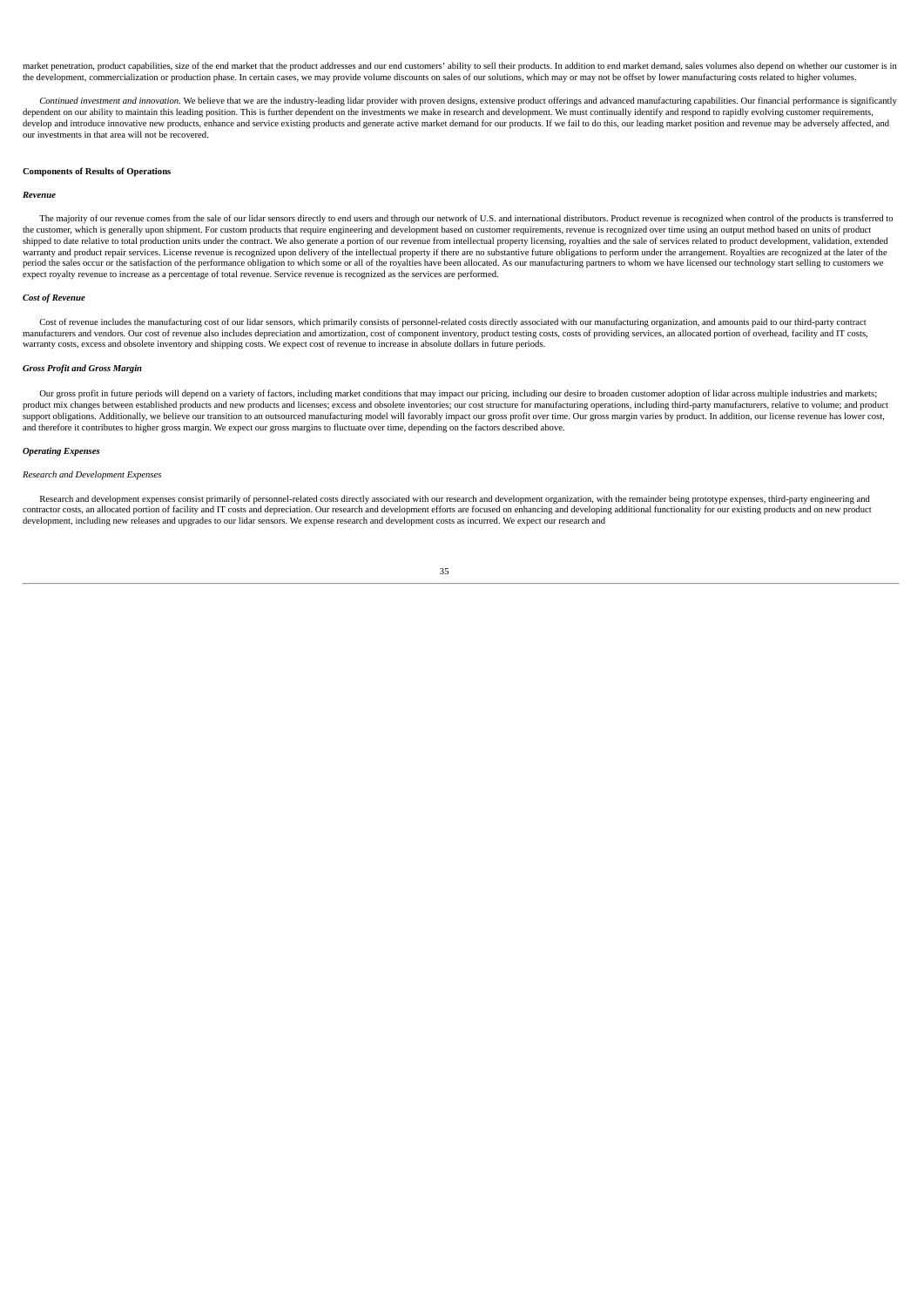market penetration, product capabilities, size of the end market that the product addresses and our end customers' ability to sell their products. In addition to end market demand, sales volumes also depend on whether our the development, commercialization or production phase. In certain cases, we may provide volume discounts on sales of our solutions, which may or may not be offset by lower manufacturing costs related to higher volumes.

Continued investment and innovation. We believe that we are the industry-leading lidar provider with proven designs, extensive product offerings and advanced manufacturing capabilities. Our financial performance is signifi dependent on our ability to maintain this leading position. This is further dependent on the investments we make in research and development. We must continually identify and respond to rapidly evolving customer requiremen our investments in that area will not be recovered.

### **Components of Results of Operations**

#### *Revenue*

The majority of our revenue comes from the sale of our lidar sensors directly to end users and through our network of U.S. and international distributors. Product revenue is recognized when control of the products is trans the customer, which is generally upon shipment. For custom products that require engineering and development based on customer requirements, revenue is recognized over time using an output method based on units of product shipped to date relative to total production units under the contract. We also generate a portion of our revenue from intellectual property licensing, royalties and the sale of services related to product development, vali expect royalty revenue to increase as a percentage of total revenue. Service revenue is recognized as the services are performed.

#### *Cost of Revenue*

Cost of revenue includes the manufacturing cost of our lidar sensors, which primarily consists of personnel-related costs directly associated with our manufacturing organization, and amounts paid to our third-party contrac manufacturers and vendors. Our cost of revenue also includes depreciation and amortization, cost of component inventory, product testing costs, costs of providing services, an allocated portion of overhead, facility and IT warranty costs, excess and obsolete inventory and shipping costs. We expect cost of revenue to increase in absolute dollars in future periods.

#### *Gross Profit and Gross Margin*

Our gross profit in future periods will depend on a variety of factors, including market conditions that may impact our pricing, including our desire to broaden customer adoption of lidar across multiple industries and mar our section of the contract of the contract of the contract of the contract of the contract of the contract of the contract of the contract of the contract of the contract of the contract of the contract of the contract of support obligations. Additionally, we believe our transition to an outsourced manufacturing model will favorably impact our gross profit over time. Our gross margin varies by product. In addition, our license revenue has l and therefore it contributes to higher gross margin. We expect our gross margins to fluctuate over time, depending on the factors described above.

#### *Operating Expenses*

## *Research and Development Expenses*

Research and development expenses consist primarily of personnel-related costs directly associated with our research and development organization, with the remainder being prototype expenses, third-party engineering and an Account on the control of facility and IT costs and depreciation. Our research and development efforts are focused on enhancing and developing additional functionality for our existing products and on new yroduct contracto development, including new releases and upgrades to our lidar sensors. We expense research and development costs as incurred. We expect our research and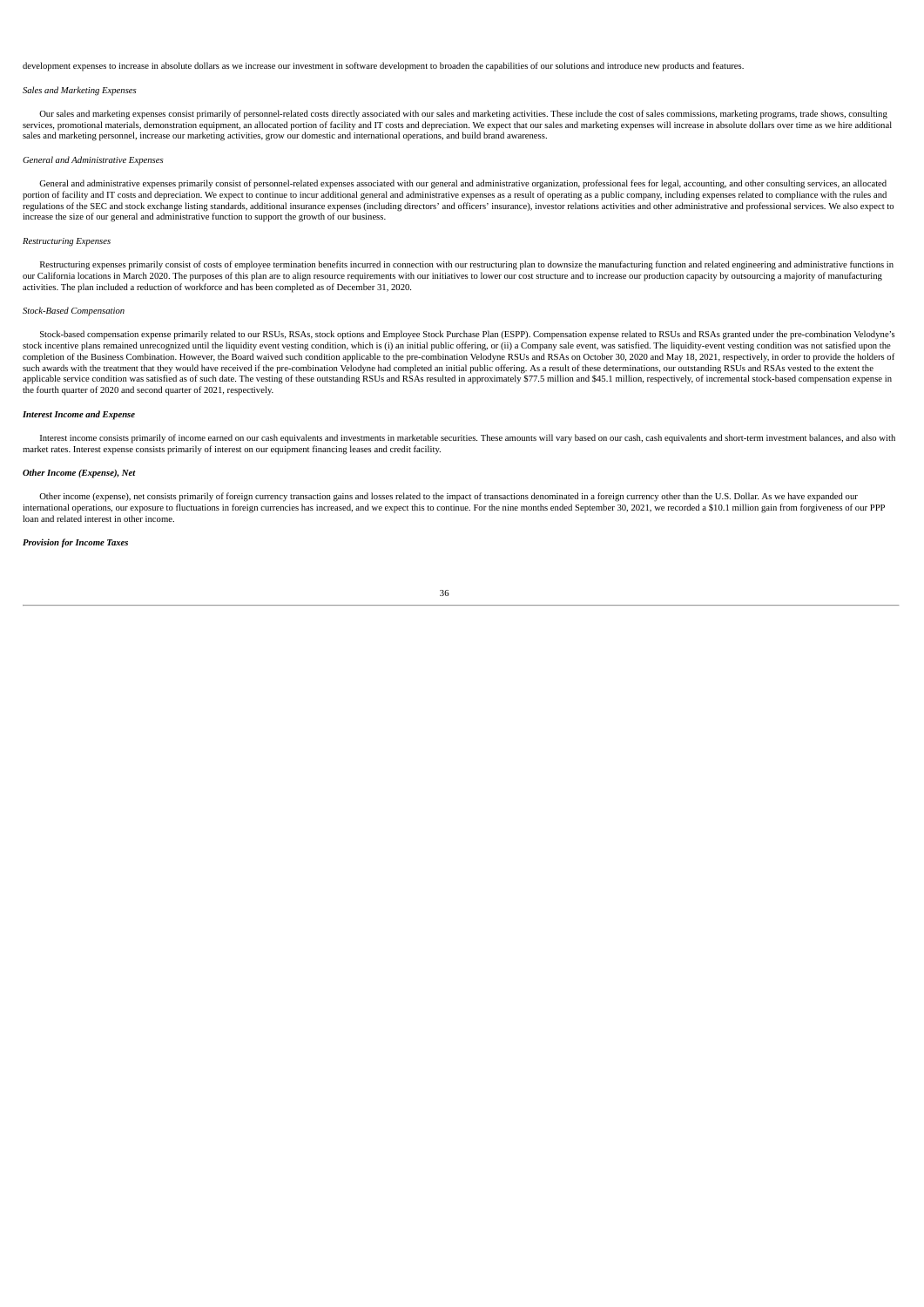development expenses to increase in absolute dollars as we increase our investment in software development to broaden the capabilities of our solutions and introduce new products and features.

## *Sales and Marketing Expenses*

Our sales and marketing expenses consist primarily of personnel-related costs directly associated with our sales and marketing activities. These include the cost of sales commissions, marketing programs, trade shows, consu services, promotional materials, demonstration equipment, an allocated portion of facility and IT costs and depreciation. We expect that our sales and marketing expenses will increase in absolute dollars over time as we hi sales and marketing personnel, increase our marketing activities, grow our domestic and international operations, and build brand awareness.

#### *General and Administrative Expenses*

General and administrative expenses primarily consist of personnel-related expenses associated with our general and administrative organization, professional fees for legal, accounting, and other consulting services, an al portion of facility and IT costs and depreciation. We expect to continue to incur additional general and administrative expenses as a result of operating as a public company, including expenses related to compliance with t regulations of the SEC and stock exchange listing standards, additional insurance expenses (including directors' and officers' insurance), investor relations activities and other administrative and professional services. W increase the size of our general and administrative function to support the growth of our business.

#### *Restructuring Expenses*

Restructuring expenses primarily consist of costs of employee termination benefits incurred in connection with our restructuring plan to downsize the manufacturing function and related engineering and administrative functi our California locations in March 2020. The purposes of this plan are to align resource requirements with our initiatives to lower our cost structure and to increase our production capacity by outsourcing a majority of man

#### *Stock-Based Compensation*

Stock-based compensation expense primarily related to our RSUs, RSAs, stock options and Employee Stock Purchase Plan (ESPP). Compensation expense related to RSUs and RSAs granted under the pre-combination Velodyne's stock incentive plans remained unrecognized until the liquidity event vesting condition, which is (i) an initial public offering, or (ii) a Company sale event, was satisfied. The liquidity-event vesting condition was not s such awards with the treatment that they would have received if the pre-combination Velodyne had completed an initial public offering. As a result of these determinations, our outstanding RSUs and RSAs vested to the extent the fourth quarter of 2020 and second quarter of 2021, respectively.

#### *Interest Income and Expense*

Interest income consists primarily of income earned on our cash equivalents and investments in marketable securities. These amounts will vary based on our cash, cash equivalents and short-term investment balances, and also market rates. Interest expense consists primarily of interest on our equipment financing leases and credit facility.

#### *Other Income (Expense), Net*

Other income (expense), net consists primarily of foreign currency transaction gains and losses related to the impact of transactions denominated in a foreign currency other than the U.S. Dollar. As we have expanded our international operations, our exposure to fluctuations in foreign currencies has increased, and we expect this to continue. For the nine months ended September 30, 2021, we recorded a \$10.1 million gain from forgiveness of loan and related interest in other income.

#### *Provision for Income Taxes*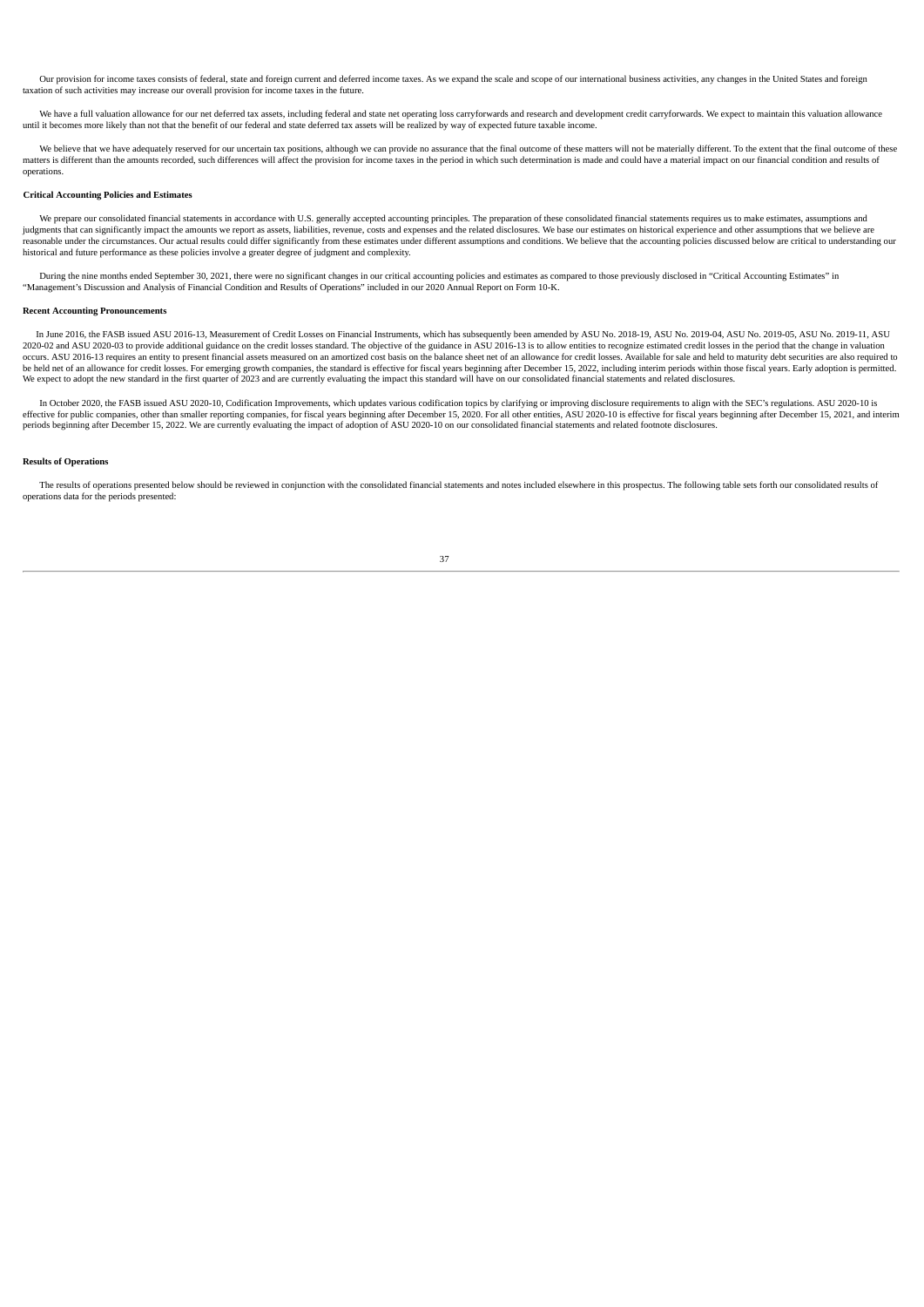Our provision for income taxes consists of federal, state and foreign current and deferred income taxes. As we expand the scale and scope of our international business activities, any changes in the United States and forei taxation of such activities may increase our overall provision for income taxes in the future.

We have a full valuation allowance for our net deferred tax assets, including federal and state net operating loss carryforwards and research and development credit carryforwards. We expect to maintain this valuation allow until it becomes more likely than not that the benefit of our federal and state deferred tax assets will be realized by way of expected future taxable income.

We believe that we have adequately reserved for our uncertain tax positions, although we can provide no assurance that the final outcome of these matters will not be materially different. To the extent that the final outco matters is different than the amounts recorded, such differences will affect the provision for income taxes in the period in which such determination is made and could have a material impact on our financial condition and operations.

## **Critical Accounting Policies and Estimates**

We prepare our consolidated financial statements in accordance with U.S. generally accepted accounting principles. The preparation of these consolidated financial statements requires us to make estimates, assumptions and judgments that can significantly impact the amounts we report as assets, liabilities, revenue, costs and expenses and the related disclosures. We base our estimates on historical experience and other assumptions that we be historical and future performance as these policies involve a greater degree of judgment and complexity.

During the nine months ended September 30, 2021, there were no significant changes in our critical accounting policies and estimates as compared to those previously disclosed in "Critical Accounting Estimates" in magement' "Management's Discussion and Analysis of Financial Condition and Results of Operations" included in our 2020 Annual Report on Form 10-K.

## **Recent Accounting Pronouncements**

In June 2016, the FASB issued ASU 2016-13, Measurement of Credit Losses on Financial Instruments, which has subsequently been amended by ASU No. 2018-19, ASU No. 2019-04, ASU No. 2019-05, ASU No. 2019-11, ASU 2020-02 and ASU 2020-03 to provide additional guidance on the credit losses standard. The objective of the guidance in ASU 2016-13 is to allow entities to recognize estimated credit losses in the period that the change in

In October 2020, the FASB issued ASU 2020-10, Codification Improvements, which updates various codification topics by clarifying or improving disclosure requirements to align with the SEC's regulations. ASU 2020-10 is effective for public companies, oner than smaller reporting companies, for fiscal years beginning after December 15, 2020. For all other entities, ASU 2020-10 is effective for fiscal years beginning after December 15, 2021 periods beginning after December 15, 2022. We are currently evaluating the impact of adoption of ASU 2020-10 on our consolidated financial statements and related footnote disclosures.

## **Results of Operations**

The results of operations presented below should be reviewed in conjunction with the consolidated financial statements and notes included elsewhere in this prospectus. The following table sets forth our consolidated result operations data for the periods presented: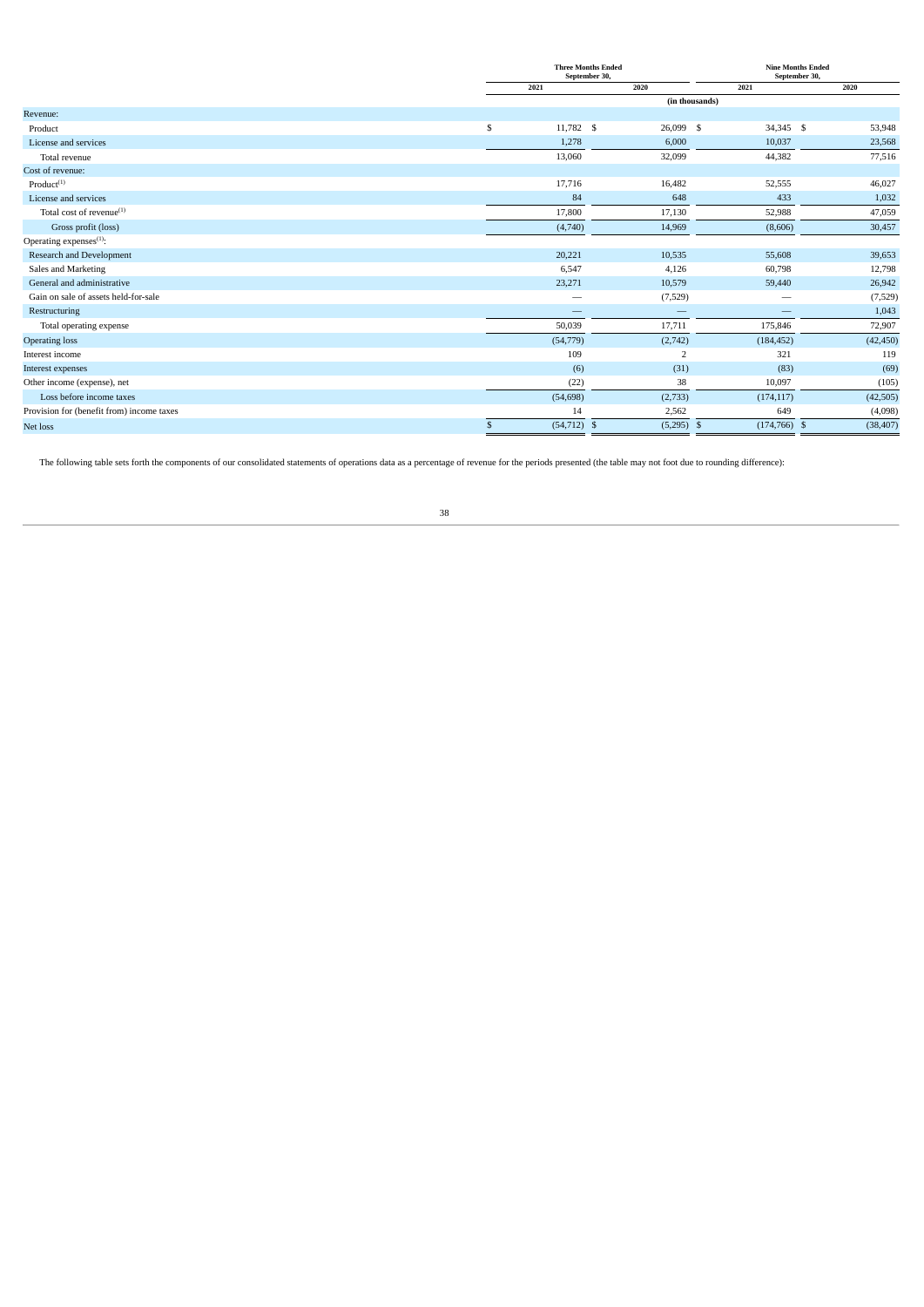|                                           |                 | <b>Three Months Ended</b><br>September 30, | <b>Nine Months Ended</b><br>September 30, |           |
|-------------------------------------------|-----------------|--------------------------------------------|-------------------------------------------|-----------|
|                                           | 2021            | 2020                                       | 2021                                      | 2020      |
|                                           |                 |                                            | (in thousands)                            |           |
| Revenue:                                  |                 |                                            |                                           |           |
| Product                                   | \$<br>11,782 \$ | 26,099 \$                                  | 34,345 \$                                 | 53,948    |
| License and services                      | 1,278           | 6,000                                      | 10,037                                    | 23,568    |
| Total revenue                             | 13,060          | 32,099                                     | 44,382                                    | 77,516    |
| Cost of revenue:                          |                 |                                            |                                           |           |
| Product <sup>(1)</sup>                    | 17,716          | 16,482                                     | 52,555                                    | 46,027    |
| License and services                      | 84              | 648                                        | 433                                       | 1,032     |
| Total cost of revenue $(1)$               | 17,800          | 17,130                                     | 52,988                                    | 47,059    |
| Gross profit (loss)                       | (4,740)         | 14,969                                     | (8,606)                                   | 30,457    |
| Operating expenses $(1)$ :                |                 |                                            |                                           |           |
| <b>Research and Development</b>           | 20,221          | 10,535                                     | 55,608                                    | 39,653    |
| Sales and Marketing                       | 6,547           | 4,126                                      | 60,798                                    | 12,798    |
| General and administrative                | 23,271          | 10,579                                     | 59,440                                    | 26,942    |
| Gain on sale of assets held-for-sale      |                 | (7,529)                                    |                                           | (7,529)   |
| Restructuring                             |                 |                                            |                                           | 1,043     |
| Total operating expense                   | 50,039          | 17,711                                     | 175,846                                   | 72,907    |
| <b>Operating loss</b>                     | (54, 779)       | (2,742)                                    | (184, 452)                                | (42, 450) |
| Interest income                           | 109             | 2                                          | 321                                       | 119       |
| Interest expenses                         | (6)             | (31)                                       | (83)                                      | (69)      |
| Other income (expense), net               | (22)            | 38                                         | 10,097                                    | (105)     |
| Loss before income taxes                  | (54, 698)       | (2,733)                                    | (174, 117)                                | (42, 505) |
| Provision for (benefit from) income taxes | 14              | 2,562                                      | 649                                       | (4,098)   |
| Net loss                                  | $(54,712)$ \$   | $(5,295)$ \$                               | $(174,766)$ \$                            | (38, 407) |

The following table sets forth the components of our consolidated statements of operations data as a percentage of revenue for the periods presented (the table may not foot due to rounding difference):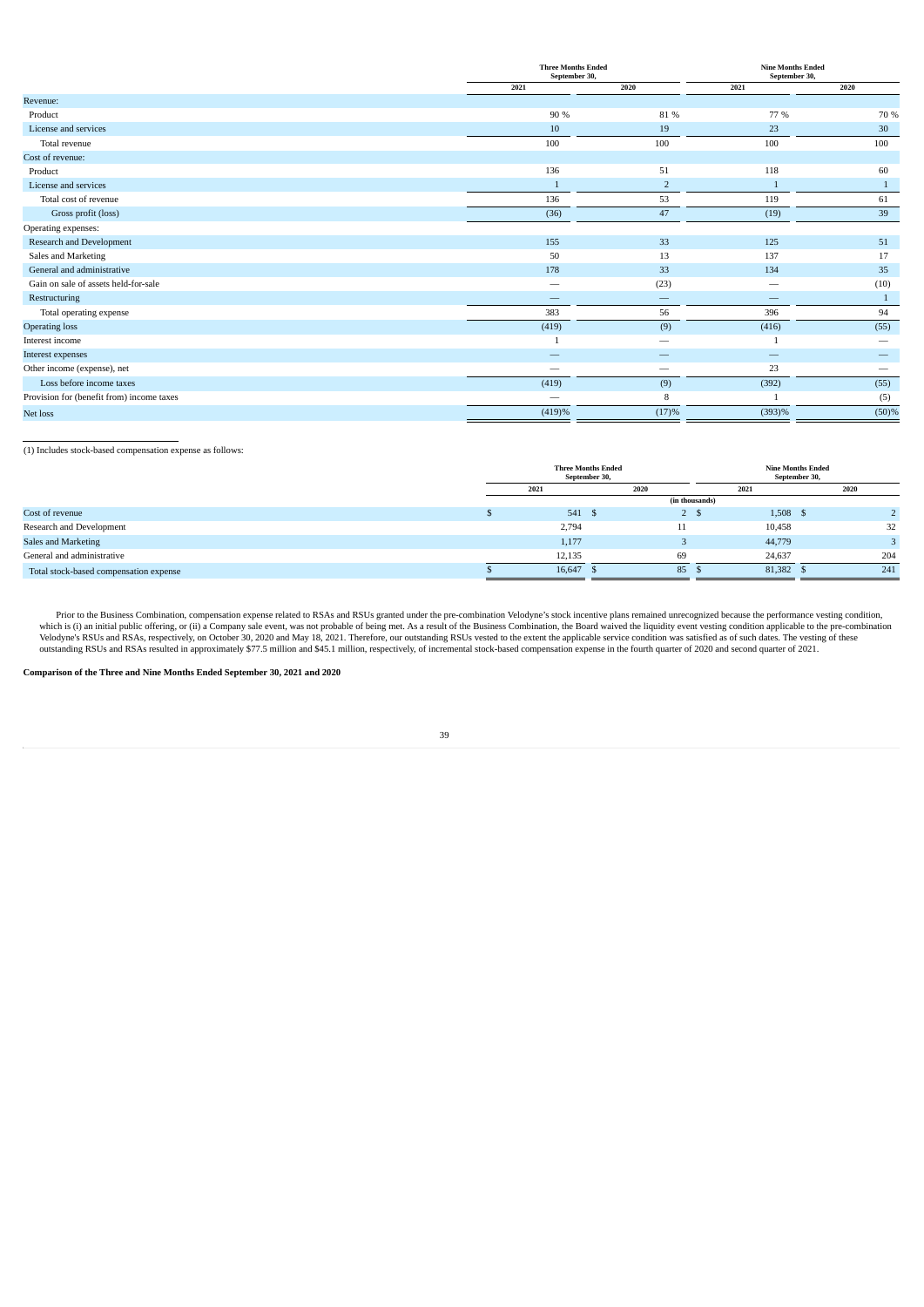|                                           |                          | <b>Three Months Ended</b><br>September 30, |                          | <b>Nine Months Ended</b><br>September 30, |  |
|-------------------------------------------|--------------------------|--------------------------------------------|--------------------------|-------------------------------------------|--|
|                                           | 2021                     | 2020                                       | 2021                     | 2020                                      |  |
| Revenue:                                  |                          |                                            |                          |                                           |  |
| Product                                   | 90 %                     | 81 %                                       | 77 %                     | 70 %                                      |  |
| License and services                      | 10                       | 19                                         | 23                       | 30 <sup>°</sup>                           |  |
| Total revenue                             | 100                      | 100                                        | 100                      | 100                                       |  |
| Cost of revenue:                          |                          |                                            |                          |                                           |  |
| Product                                   | 136                      | 51                                         | 118                      | 60                                        |  |
| License and services                      | $\mathbf{1}$             | $\overline{2}$                             | $\overline{1}$           |                                           |  |
| Total cost of revenue                     | 136                      | 53                                         | 119                      | 61                                        |  |
| Gross profit (loss)                       | (36)                     | 47                                         | (19)                     | 39                                        |  |
| Operating expenses:                       |                          |                                            |                          |                                           |  |
| Research and Development                  | 155                      | 33                                         | 125                      | 51                                        |  |
| Sales and Marketing                       | 50                       | 13                                         | 137                      | 17                                        |  |
| General and administrative                | 178                      | 33                                         | 134                      | 35                                        |  |
| Gain on sale of assets held-for-sale      |                          | (23)                                       | $\overline{\phantom{a}}$ | (10)                                      |  |
| Restructuring                             |                          | $\hspace{0.1mm}-\hspace{0.1mm}$            | _                        |                                           |  |
| Total operating expense                   | 383                      | 56                                         | 396                      | 94                                        |  |
| <b>Operating loss</b>                     | (419)                    | (9)                                        | (416)                    | (55)                                      |  |
| Interest income                           |                          | $\overline{\phantom{a}}$                   |                          |                                           |  |
| Interest expenses                         |                          | _                                          | _                        |                                           |  |
| Other income (expense), net               |                          | $\qquad \qquad$                            | 23                       |                                           |  |
| Loss before income taxes                  | (419)                    | (9)                                        | (392)                    | (55)                                      |  |
| Provision for (benefit from) income taxes | $\overline{\phantom{a}}$ | 8                                          |                          | (5)                                       |  |
| Net loss                                  | (419)%                   | (17)%                                      | $(393)$ %                | (50)%                                     |  |

(1) Includes stock-based compensation expense as follows:

|                                        | <b>Three Months Ended</b><br>September 30, |        |      | <b>Nine Months Ended</b><br>September 30, |                |        |     |      |
|----------------------------------------|--------------------------------------------|--------|------|-------------------------------------------|----------------|--------|-----|------|
|                                        |                                            | 2021   | 2020 |                                           |                | 2021   |     | 2020 |
|                                        |                                            |        |      |                                           | (in thousands) |        |     |      |
| Cost of revenue                        |                                            | 541S   |      | 2S                                        |                | 1,508  | . S |      |
| Research and Development               |                                            | 2,794  |      | $11\,$                                    |                | 10,458 |     | 32   |
| Sales and Marketing                    |                                            | 1,177  |      | د                                         |                | 44,779 |     |      |
| General and administrative             |                                            | 12,135 |      | 69                                        |                | 24,637 |     | 204  |
| Total stock-based compensation expense |                                            | 16,647 |      | 85                                        |                | 81,382 |     | 241  |

Prior to the Business Combination, compensation expense related to RSAs and RSUs granted under the pre-combination Velodyne's stock incentive plans remained unrecognized because the performance vesting condition, which is

**Comparison of the Three and Nine Months Ended September 30, 2021 and 2020**

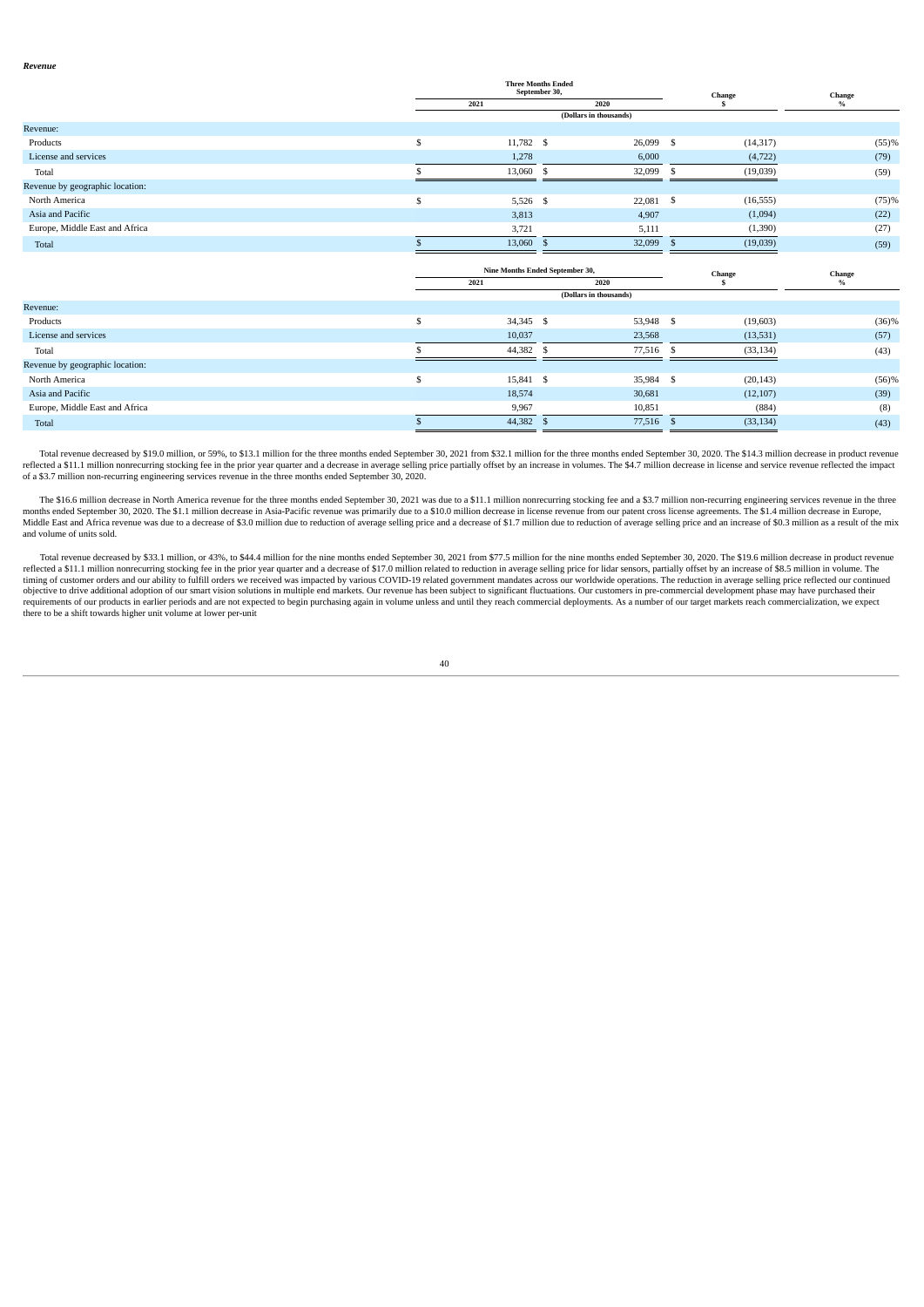*Revenue*

|                                 |   | <b>Three Months Ended</b><br>September 30, |    |                                | Change       |           | Change        |
|---------------------------------|---|--------------------------------------------|----|--------------------------------|--------------|-----------|---------------|
|                                 |   | 2021                                       |    | 2020                           | ¢            |           | $\frac{0}{2}$ |
|                                 |   |                                            |    | (Dollars in thousands)         |              |           |               |
| Revenue:                        |   |                                            |    |                                |              |           |               |
| Products                        | S | 11,782 \$                                  |    | 26,099 \$                      |              | (14, 317) | (55)%         |
| License and services            |   | 1,278                                      |    | 6,000                          |              | (4, 722)  | (79)          |
| Total                           |   | 13,060                                     | -S | 32,099                         | -S           | (19,039)  | (59)          |
| Revenue by geographic location: |   |                                            |    |                                |              |           |               |
| North America                   | S | 5,526 \$                                   |    | $22,081$ \$                    |              | (16, 555) | (75)%         |
| Asia and Pacific                |   | 3,813                                      |    | 4,907                          |              | (1,094)   | (22)          |
| Europe, Middle East and Africa  |   | 3,721                                      |    | 5,111                          |              | (1, 390)  | (27)          |
| Total                           |   | 13,060                                     | -S | 32,099                         | $\mathbf{s}$ | (19,039)  | (59)          |
|                                 |   |                                            |    |                                |              |           |               |
|                                 |   | Nine Months Ended September 30,            |    |                                |              | Change    | Change        |
|                                 |   | 2021                                       |    | 2020<br>(Dollars in thousands) |              | s.        | %             |
| Revenue:                        |   |                                            |    |                                |              |           |               |
| Products                        | S | 34,345 \$                                  |    | 53,948 \$                      |              | (19,603)  | $(36)\%$      |
| License and services            |   | 10,037                                     |    | 23,568                         |              | (13, 531) | (57)          |
| Total                           |   | 44,382 \$                                  |    | 77,516 \$                      |              | (33, 134) | (43)          |
| Revenue by geographic location: |   |                                            |    |                                |              |           |               |
| North America                   | S | 15,841 \$                                  |    | 35,984 \$                      |              | (20, 143) | (56)%         |
| Asia and Pacific                |   | 18,574                                     |    | 30,681                         |              | (12, 107) | (39)          |
| Europe, Middle East and Africa  |   | 9,967                                      |    | 10,851                         |              | (884)     | (8)           |
| Total                           |   |                                            |    |                                |              |           |               |
|                                 |   | 44,382 \$                                  |    | 77,516                         | $\sim$ S     | (33, 134) | (43)          |

Total revenue decreased by \$19.0 million, or 59%, to \$13.1 million for the three months ended September 30, 2021 from \$32.1 million for the three months ended September 30, 2020. The \$14.3 million decrease in product revenue reflected a \$11.1 million nonrecurring stocking fee in the prior year quarter and a decrease in average selling price partially offset by an increase in volumes. The \$4.7 million decrease in license and service revenue ref

The \$16.6 million decrease in North America revenue for the three months ended September 30, 2021 was due to a \$11.1 million nonrecurring stocking fee and a \$3.7 million non-recurring engineering services revenue in the th Middle East and Africa revenue was due to a decrease of \$3.0 million due to reduction of average selling price and a decrease of \$1.7 million due to reduction of average selling price and an increase of \$0.3 million as a r and volume of units sold.

Total revenue decreased by \$33.1 million, or 43%, to \$44.4 million for the nine months ended September 30, 2021 from \$77.5 million for the nine months ended September 30, 2020. The \$19.6 million decrease in product revenue reflected a \$11.1 million nonrecurring stocking fee in the prior year quarter and a decrease of \$17.0 million related to reduction in average selling price for lidar sensors, partially offset by an increase of \$8.5 million objective to drive additional adoption of our smart vision solutions in multiple end markets. Our revenue has been subject to significant fluctuations. Our customers in pre-commercial development phase may have purchased t there to be a shift towards higher unit volume at lower per-unit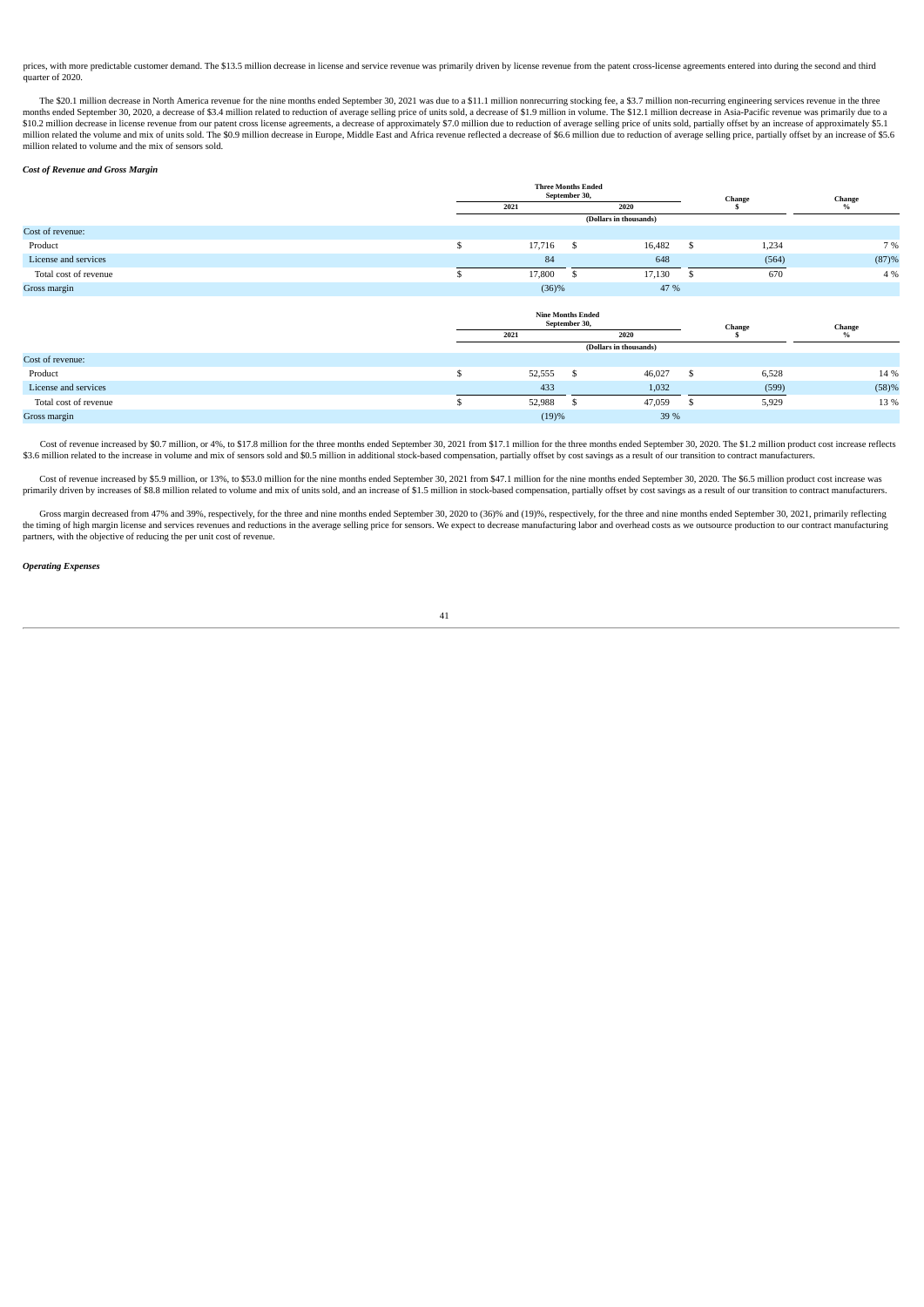prices, with more predictable customer demand. The \$13.5 million decrease in license and service revenue was primarily driven by license revenue from the patent cross-license agreements entered into during the second and t quarter of 2020.

The \$20.1 million decrease in North America revenue for the nine months ended September 30, 2021 was due to a \$11.1 million nonrecurring stocking fee, a \$3.7 million non-recurring engineering services revenue in the three months ended September 30, 2020, a decrease of \$3.4 million related to reduction of average selling price of units sold, a decrease of \$1.9 million in volume. The \$12.1 million decrease in Asia-Pacific revenue was primaril million related to volume and the mix of sensors sold.

## *Cost of Revenue and Gross Margin*

|                       | <b>Three Months Ended</b><br>September 30, |     |                        |  | Change | Change |
|-----------------------|--------------------------------------------|-----|------------------------|--|--------|--------|
|                       | 2021                                       |     | 2020                   |  |        |        |
|                       |                                            |     | (Dollars in thousands) |  |        |        |
| Cost of revenue:      |                                            |     |                        |  |        |        |
| Product               | 17,716                                     | - 5 | 16,482                 |  | 1,234  | 7 %    |
| License and services  | 84                                         |     | 648                    |  | (564)  | (87)%  |
| Total cost of revenue | 17,800                                     |     | 17,130                 |  | 670    | 4 %    |
| Gross margin          | (36)%                                      |     | 47 %                   |  |        |        |

|                       | <b>Nine Months Ended</b><br>September 30, |        |  |                        | Change |       | Change |
|-----------------------|-------------------------------------------|--------|--|------------------------|--------|-------|--------|
|                       | 2021                                      |        |  | 2020                   |        |       | %      |
|                       |                                           |        |  | (Dollars in thousands) |        |       |        |
| Cost of revenue:      |                                           |        |  |                        |        |       |        |
| Product               |                                           | 52,555 |  | 46,027                 |        | 6,528 | 14 %   |
| License and services  |                                           | 433    |  | 1,032                  |        | (599) | (58)%  |
| Total cost of revenue |                                           | 52,988 |  | 47,059                 |        | 5,929 | 13 %   |
| Gross margin          |                                           | (19)%  |  | 39 %                   |        |       |        |

Cost of revenue increased by \$0.7 million, or 4%, to \$17.8 million for the three months ended September 30, 2021 from \$17.1 million for the three months ended September 30, 2020. The \$1.2 million product cost increase refl \$3.6 million related to the increase in volume and mix of sensors sold and \$0.5 million in additional stock-based compensation, partially offset by cost savings as a result of our transition to contract manufacturers.

Cost of revenue increased by \$5.9 million, or 13%, to \$53.0 million for the nine months ended September 30, 2021 from \$47.1 million for the nine months ended September 30, 2020. The \$6.5 million product cost increase was primarily driven by increases of \$8.8 million related to volume and mix of units sold, and an increase of \$1.5 million in stock-based compensation, partially offset by cost savings as a result of our transition to contract

Gross margin decreased from 47% and 39%, respectively, for the three and nine months ended September 30, 2020 to (36)% and (19)%, respectively, for the three and nine months ended September 30, 2021, primarily reflecting the timing of high margin license and services revenues and reductions in the average selling price for sensors. We expect to decrease manufacturing labor and overhead costs as we outsource production to our contract manuf partners, with the objective of reducing the per unit cost of revenue.

*Operating Expenses*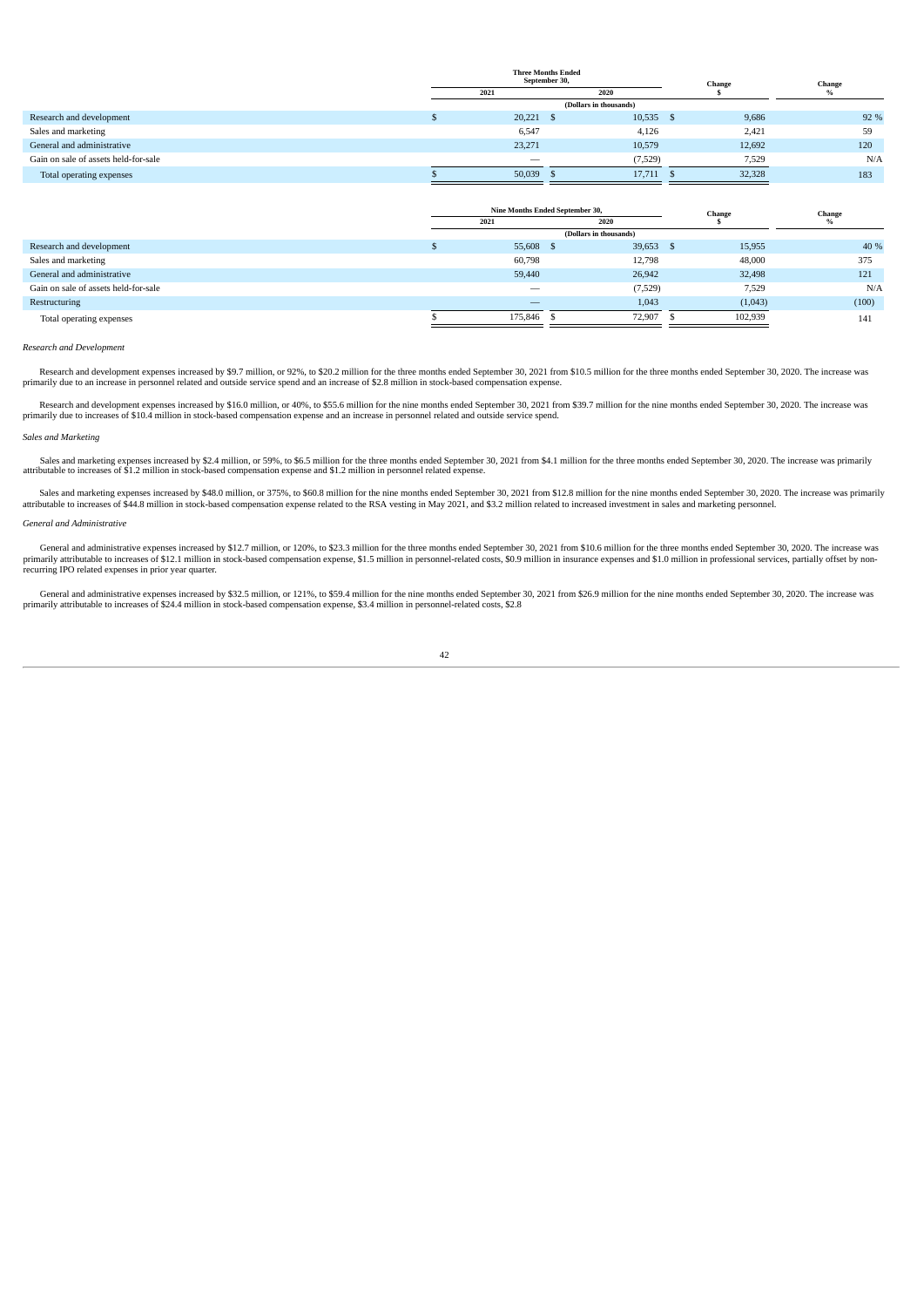|                                      |             | <b>Three Months Ended</b><br>September 30, | Change | Change        |  |
|--------------------------------------|-------------|--------------------------------------------|--------|---------------|--|
|                                      | 2021        | 2020                                       |        | $\frac{0}{0}$ |  |
|                                      |             | (Dollars in thousands)                     |        |               |  |
| Research and development             | $20,221$ \$ | $10,535$ \$                                | 9,686  | 92 %          |  |
| Sales and marketing                  | 6,547       | 4,126                                      | 2,421  | 59            |  |
| General and administrative           | 23,271      | 10,579                                     | 12,692 | 120           |  |
| Gain on sale of assets held-for-sale | $-$         | (7,529)                                    | 7,529  | N/A           |  |
| Total operating expenses             | $50,039$ \$ | 17,711                                     | 32,328 | 183           |  |

|                                      |                  | Nine Months Ended September 30, | Change  | Change        |
|--------------------------------------|------------------|---------------------------------|---------|---------------|
|                                      | 2021             | 2020                            |         | $\frac{9}{6}$ |
|                                      |                  | (Dollars in thousands)          |         |               |
| Research and development             | 55,608 \$        | $39,653$ \$                     | 15,955  | 40 %          |
| Sales and marketing                  | 60,798           | 12,798                          | 48,000  | 375           |
| General and administrative           | 59,440           | 26,942                          | 32,498  | 121           |
| Gain on sale of assets held-for-sale | $\hspace{0.5cm}$ | (7,529)                         | 7,529   | N/A           |
| Restructuring                        | $-$              | 1,043                           | (1,043) | (100)         |
| Total operating expenses             | 175,846 \$       | 72,907                          | 102,939 | 141           |

# *Research and Development*

Research and development expenses increased by \$9.7 million, or 92%, to \$20.2 million for the three months ended September 30, 2021 from \$10.5 million for the three months ended September 30, 2020. The increase was primarily due to an increase in personnel related and outside service spend and an increase of \$2.8 million in stock-based compensation expense.

Research and development expenses increased by \$16.0 million, or 40%, to \$55.6 million for the nine months ended September 30, 2021 from \$39.7 million for the nine months ended September 30, 2020. The increase was primaril

## *Sales and Marketing*

Sales and marketing expenses increased by \$2.4 million, or 59%, to \$6.5 million for the three months ended September 30, 2021 from \$4.1 million for the three months ended September 30, 2020. The increase was primarily attr

Sales and marketing expenses increased by \$48.0 million, or 375%, to \$60.8 million for the nine months ended September 30, 2021 from \$12.8 million for the nine months ended September 30, 2020. The increases of \$44.8 millio

## *General and Administrative*

General and administrative expenses increased by \$12.7 million, or 120%, to \$23.3 million for the three months ended September 30, 2021 from \$10.6 million for the three months ended September 30, 2021 from \$10.6 million fo recurring IPO related expenses in prior year quarter.

General and administrative expenses increased by \$32.5 million, or 121%, to \$59.4 million for the nine months ended September 30, 2021 from \$26.9 million for the nine months ended September 30, 2020. The increase was primarily attributable to increases of \$24.4 million in stock-based compensation expense, \$3.4 million in personnel-related costs, \$2.8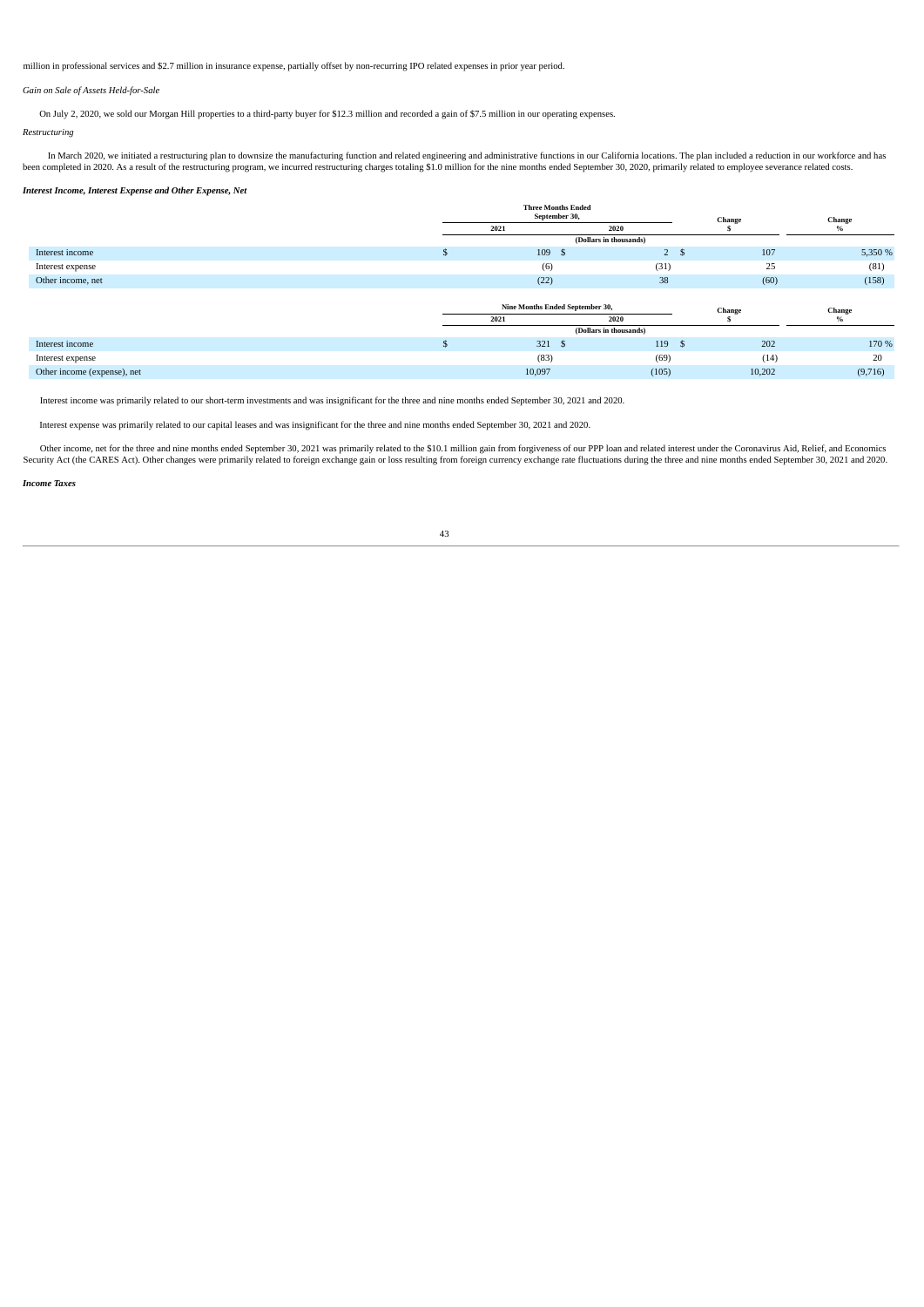million in professional services and \$2.7 million in insurance expense, partially offset by non-recurring IPO related expenses in prior year period.

## *Gain on Sale of Assets Held-for-Sale*

On July 2, 2020, we sold our Morgan Hill properties to a third-party buyer for \$12.3 million and recorded a gain of \$7.5 million in our operating expenses.

#### *Restructuring*

In March 2020, we initiated a restructuring plan to downsize the manufacturing function and related engineering and administrative functions in our California locations. The plan included a reduction in our workforce and h

# *Interest Income, Interest Expense and Other Expense, Net*

|                             | <b>Three Months Ended</b><br>September 30, |                                 |                        |                |  | Change | Change  |  |
|-----------------------------|--------------------------------------------|---------------------------------|------------------------|----------------|--|--------|---------|--|
|                             | 2021                                       |                                 |                        | 2020           |  |        | %       |  |
|                             |                                            |                                 | (Dollars in thousands) |                |  |        |         |  |
| Interest income             | - 79                                       | 109 \$                          |                        | 2 <sup>5</sup> |  | 107    | 5,350 % |  |
| Interest expense            |                                            | (6)                             |                        | (31)           |  | 25     | (81)    |  |
| Other income, net           |                                            | (22)                            |                        | 38             |  | (60)   | (158)   |  |
|                             |                                            |                                 |                        |                |  |        |         |  |
|                             |                                            | Nine Months Ended September 30, |                        |                |  | Change | Change  |  |
|                             | 2021                                       |                                 |                        | 2020           |  |        | $\%$    |  |
|                             |                                            |                                 | (Dollars in thousands) |                |  |        |         |  |
| Interest income             | $\mathcal{D}$                              | 321 \$                          |                        | 119 \$         |  | 202    | 170 %   |  |
| Interest expense            |                                            | (83)                            |                        | (69)           |  | (14)   | 20      |  |
| Other income (expense), net |                                            | 10,097                          |                        | (105)          |  | 10,202 | (9,716) |  |

Interest income was primarily related to our short-term investments and was insignificant for the three and nine months ended September 30, 2021 and 2020.

Interest expense was primarily related to our capital leases and was insignificant for the three and nine months ended September 30, 2021 and 2020.

Other income, net for the three and nine months ended September 30, 2021 was primarily related to the \$10.1 million gain from forgiveness of our PPP loan and related interest under the Coronavirus Aid, Relief, and Economics Security Act (the CARES Act). Other changes were primarily related to foreign exchange gain or loss resulting from foreign currency exchange rate fluctuations during the three and nine months ended September 30, 2021 and 2

*Income Taxes*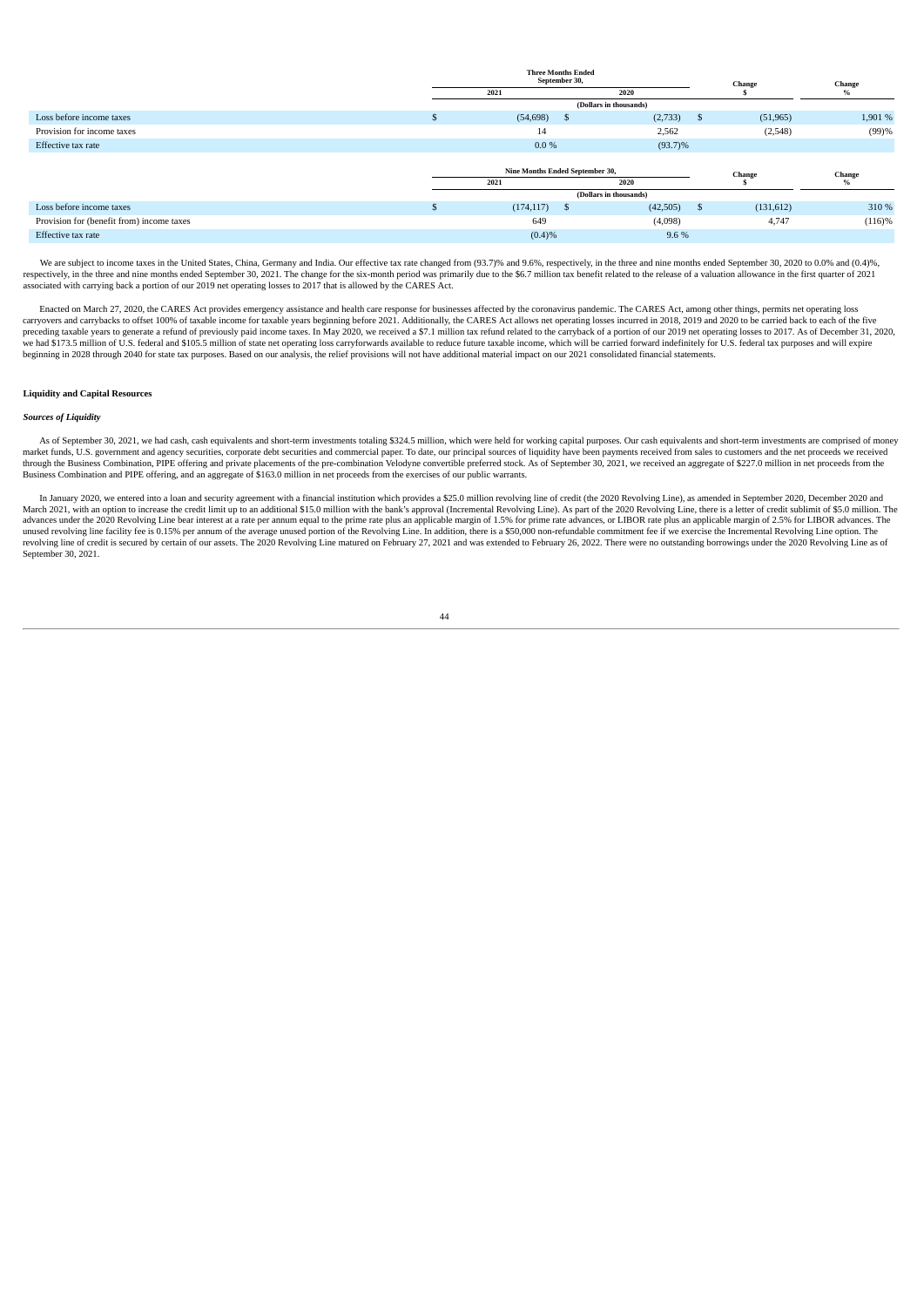|                                           | <b>Three Months Ended</b><br>September 30, |                                 |    |                        | Change     |    | Change     |               |
|-------------------------------------------|--------------------------------------------|---------------------------------|----|------------------------|------------|----|------------|---------------|
|                                           | 2021                                       |                                 |    | 2020                   |            |    |            | $\frac{9}{6}$ |
|                                           |                                            |                                 |    | (Dollars in thousands) |            |    |            |               |
| Loss before income taxes                  |                                            | (54, 698)                       | \$ |                        | (2,733)    | \$ | (51, 965)  | 1,901 %       |
| Provision for income taxes                |                                            | 14                              |    |                        | 2,562      |    | (2,548)    | (99)%         |
| Effective tax rate                        |                                            | $0.0\%$                         |    |                        | $(93.7)\%$ |    |            |               |
|                                           |                                            |                                 |    |                        |            |    |            |               |
|                                           |                                            | Nine Months Ended September 30, |    |                        |            |    | Change     | Change        |
|                                           | 2021                                       |                                 |    | 2020                   |            |    |            | $\frac{0}{6}$ |
|                                           |                                            |                                 |    | (Dollars in thousands) |            |    |            |               |
| Loss before income taxes                  | $\mathcal{L}$                              | (174, 117)                      | \$ |                        | (42,505)   | \$ | (131, 612) | 310 %         |
| Provision for (benefit from) income taxes |                                            | 649                             |    |                        | (4,098)    |    | 4,747      | (116)%        |
| Effective tax rate                        |                                            | (0.4)%                          |    |                        | 9.6 %      |    |            |               |

We are subject to income taxes in the United States, China, Germany and India. Our effective tax rate changed from (93.7)% and 9.6%, respectively, in the three and nine months ended September 30, 2020 to 0.0% and (0.4)%, respectively, in the three and nine months ended September 30, 2021. The change for the six-month period was primarily due to the \$6.7 million tax benefit related to the release of a valuation allowance in the first quarte

Enacted on March 27, 2020, the CARES Act provides emergency assistance and health care response for businesses affected by the coronavirus pandemic. The CARES Act, among other things, permits net operating loss<br>carryovers we had \$173.5 million of U.S. federal and \$105.5 million of state net operating loss carryforwards available to reduce future taxable income, which will be carried forward indefinitely for U.S. federal tax purposes and wil

#### **Liquidity and Capital Resources**

# *Sources of Liquidity*

As of September 30, 2021, we had cash, cash equivalents and short-term investments totaling \$324.5 million, which were held for working capital purposes. Our cash equivalents and short-term investments are comprised of money market funds, U.S. government and agency securities, corporate debt securities and commercial paper. To date, our principal sources of liquidity have been payments received from sales to customers and the net proceeds we r through the Business Combination, PIPE offering and private placements of the pre-combination Velodyne convertible preferred stock. As of September 30, 2021, we received an aggregate of \$227.0 million in net proceeds from Business Combination and PIPE offering, and an aggregate of \$163.0 million in net proceeds from the exercises of our public warrants.

In January 2020, we entered into a loan and security agreement with a financial institution which provides a \$25.0 million revolving line of credit (the 2020 Revolving Line), as amended in September 2020, December 2020 and advances under the 2020 Revolving Line bear interest at a rate per amum equal to the prime rate plus an applicable margin of 1.5% for prime rate advances, or LIBOR rate plus an applicable margin of 2.5% for LIBOR advances. September 30, 2021.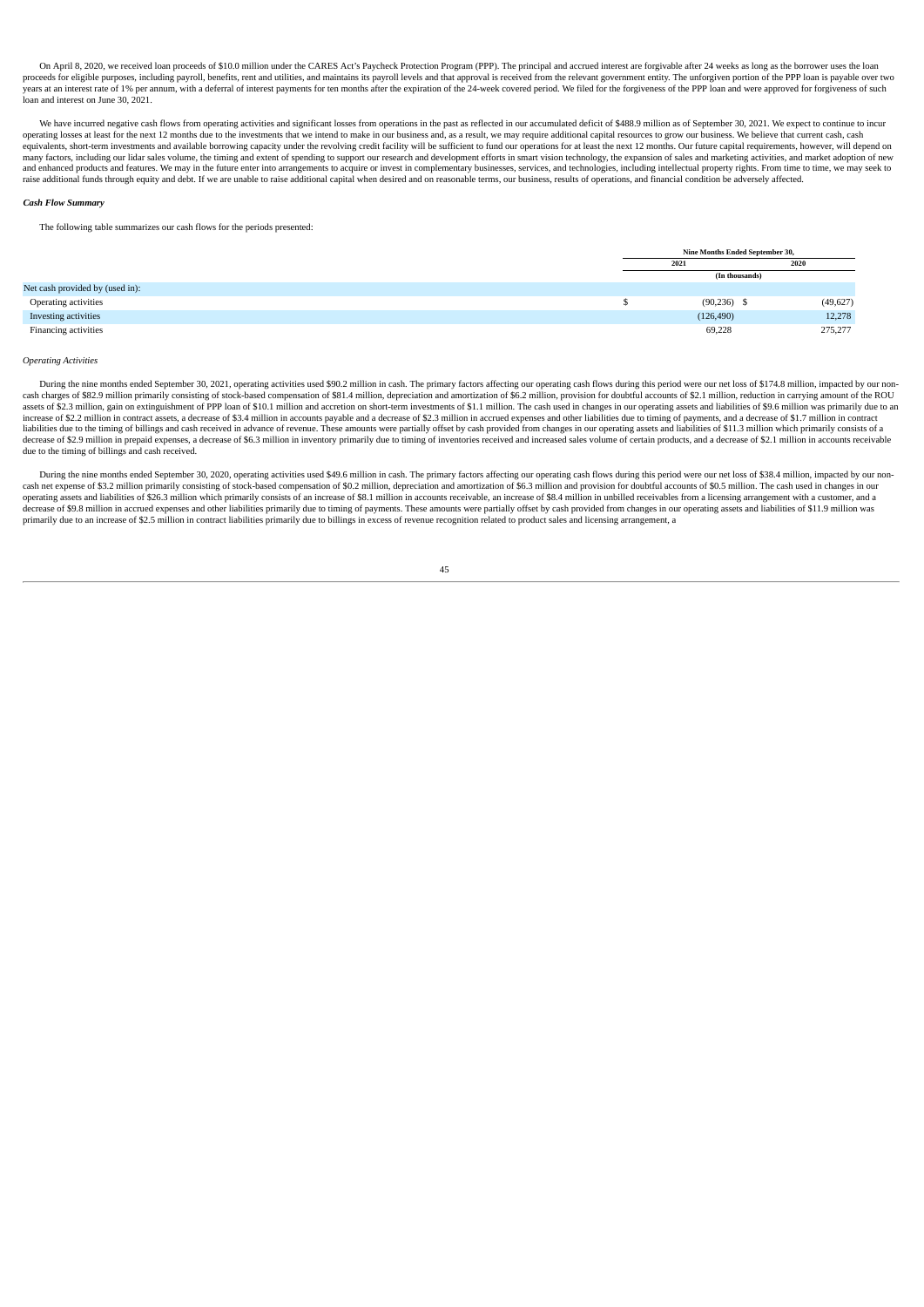On April 8, 2020, we received loan proceeds of \$10.0 million under the CARES Act's Paycheck Protection Program (PPP). The principal and accrued interest are forgivable after 24 weeks as long as the borrower uses the loan proceeds for eligible purposes, including payroll, benefits, rent and utilities, and maintains its payroll levels and that approval is received from the relevant government entity. The unforgiven portion of the PPP loan is loan and interest on June 30, 2021.

We have incurred negative cash flows from operating activities and significant losses from operations in the past as reflected in our accumulated deficit of \$488.9 million as of September 30, 2021. We expect to continue to operating losses at least for the next 12 months due to the investments that we intend to make in our business and, as a result, we may require additional capital resources to grow our business. We believe that current cas equivalents, short-term investments and available borrowing capacity under the revolving credit facility will be sufficient to fund our operations for at least the next 12 months. Our future capital requirements, however, and enhanced products and features. We may in the future enter into arrangements to acquire or invest in complementary businesses, services, and technologies, including intellectual property rights. From time to time, we m

#### *Cash Flow Summary*

The following table summarizes our cash flows for the periods presented:

|                                 | Nine Months Ended September 30, |                |           |
|---------------------------------|---------------------------------|----------------|-----------|
|                                 | 2021                            |                | 2020      |
|                                 |                                 | (In thousands) |           |
| Net cash provided by (used in): |                                 |                |           |
| Operating activities            |                                 | $(90,236)$ \$  | (49, 627) |
| Investing activities            |                                 | (126, 490)     | 12,278    |
| Financing activities            |                                 | 69,228         | 275,277   |

#### *Operating Activities*

During the nine months ended September 30, 2021, operating activities used \$90.2 million in cash. The primary factors affecting our operating cash flows during this period were our net loss of \$174.8 million, impacted by o cash charges of \$82.9 million primarily consisting of stock-based compensation of \$81.4 million, depreciation and amortization of \$6.2 million, provision for doubtful accounts of \$2.1 million, neduction in carrying amount increase of \$2.2 million in contract assets, a decrease of \$3.4 million in accounts payable and a decrease of \$2.3 million in accrued expenses and other liabilities due to timing of payments, and a decrease of \$1.7 million liabilities due to the timing of billings and cash received in advance of revenue. These amounts were partially offset by cash provided from changes in our operating assets and liabilities of \$11.3 million which primarily decrease of \$2.9 million in prepaid expenses, a decrease of \$6.3 million in inventory primarily due to timing of inventories received and increased sales volume of certain products, and a decrease of \$2.1 million in accoun due to the timing of billings and cash received.

During the nine months ended September 30, 2020, operating activities used \$49.6 million in cash. The primary factors affecting our operating cash flows during this period were our net loss of \$38.4 million, impacted by ou contract to solution in a member of 88.1 million in accounts receivable, an increase of \$8.4 million in unbilled receivables from a licensing arrangement with a customer, and a construction in accounts receivable, an incre decrease of \$9.8 million in accrued expenses and other liabilities primarily due to timing of payments. These amounts were partially offset by cash provided from changes in our operating assets and liabilities of \$11.9 mil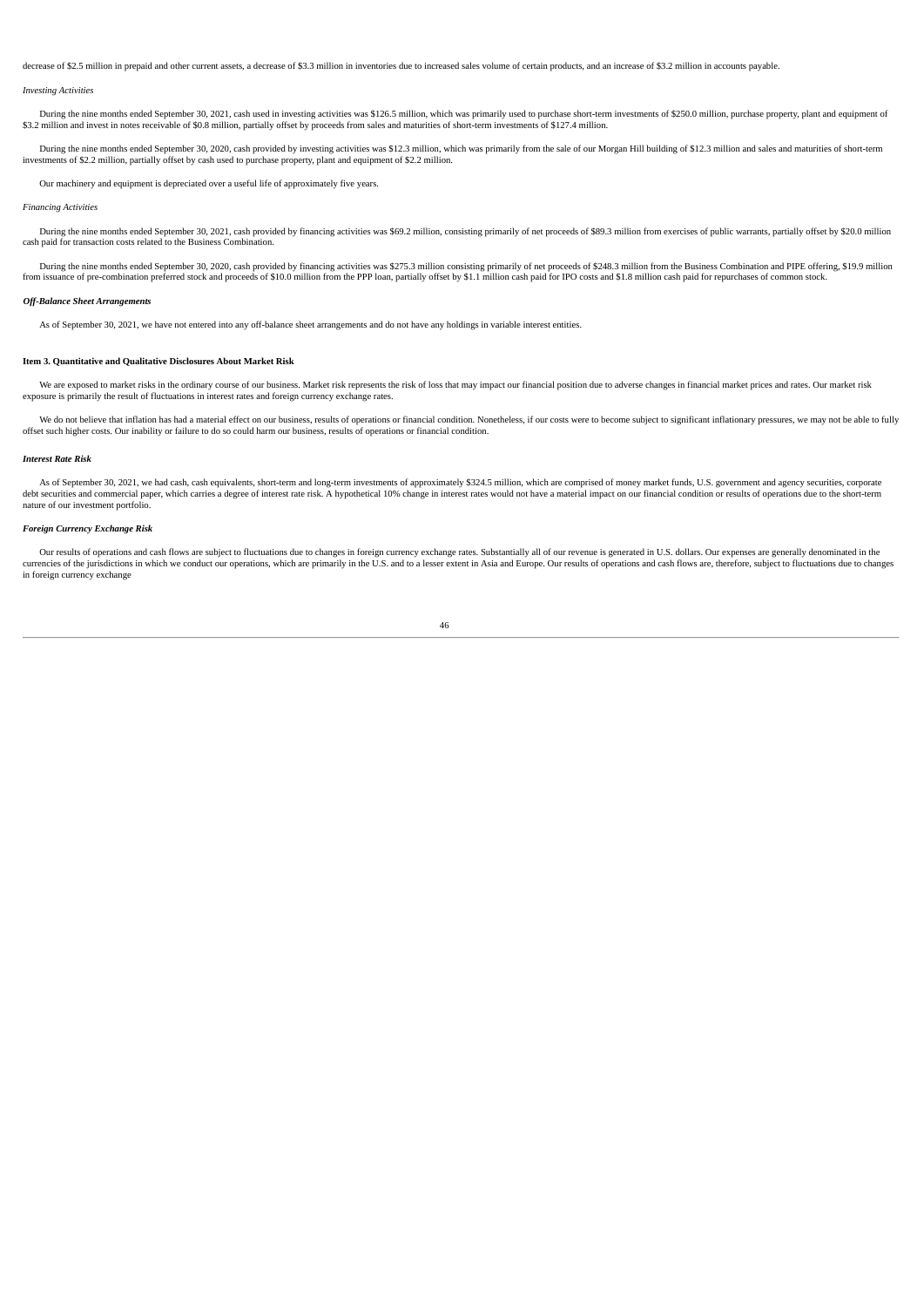decrease of \$2.5 million in prepaid and other current assets, a decrease of \$3.3 million in inventories due to increased sales volume of certain products, and an increase of \$3.2 million in accounts payable.

#### *Investing Activities*

During the nine months ended September 30, 2021, cash used in investing activities was \$126.5 million, which was primarily used to purchase short-term investments of \$250.0 million, purchase property, plant and equipment o \$3.2 million and invest in notes receivable of \$0.8 million, partially offset by proceeds from sales and maturities of short-term investments of \$127.4 million.

During the nine months ended September 30, 2020, cash provided by investing activities was \$12.3 million, which was primarily from the sale of our Morgan Hill building of \$12.3 million and sales and maturities of short-term investments of \$2.2 million, partially offset by cash used to purchase property, plant and equipment of \$2.2 million.

Our machinery and equipment is depreciated over a useful life of approximately five years.

#### *Financing Activities*

During the nine months ended September 30, 2021, cash provided by financing activities was \$69.2 million, consisting primarily of net proceeds of \$89.3 million from exercises of public warrants, partially offset by \$20.0 m cash paid for transaction costs related to the Business Combination.

During the nine months ended September 30, 2020, cash provided by financing activities was \$275.3 million consisting primarily of net proceeds of \$248.3 million from the Business Combination and PIPE offering, \$19.9 million from issuance of pre-combination preferred stock and proceeds of \$10.0 million from the PPP loan, partially offset by \$1.1 million cash paid for IPO costs and \$1.8 million cash paid for repurchases of common stock.

#### *Off-Balance Sheet Arrangements*

As of September 30, 2021, we have not entered into any off-balance sheet arrangements and do not have any holdings in variable interest entities.

## **Item 3. Quantitative and Qualitative Disclosures About Market Risk**

We are exposed to market risks in the ordinary course of our business. Market risk represents the risk of loss that may impact our financial position due to adverse changes in financial market prices and rates. Our market exposure is primarily the result of fluctuations in interest rates and foreign currency exchange rates.

We do not believe that inflation has had a material effect on our business, results of operations or financial condition. Nonetheless, if our costs were to become subject to significant inflationary pressures, we may not b offset such higher costs. Our inability or failure to do so could harm our business, results of operations or financial condition.

#### *Interest Rate Risk*

As of September 30, 2021, we had cash, cash equivalents, short-term and long-term investments of approximately \$324.5 million, which are comprised of money market funds, U.S. government and agency securities, corporate debt securities and commercial paper, which carries a degree of interest rate risk. A hypothetical 10% change in interest rates would not have a material impact on our financial condition or results of operations due to th nature of our investment portfolio.

## *Foreign Currency Exchange Risk*

Our results of operations and cash flows are subject to fluctuations due to changes in foreign currency exchange rates. Substantially all of our revenue is generated in U.S. dollars. Our expenses are generally denominated in foreign currency exchange

$$
^{46}
$$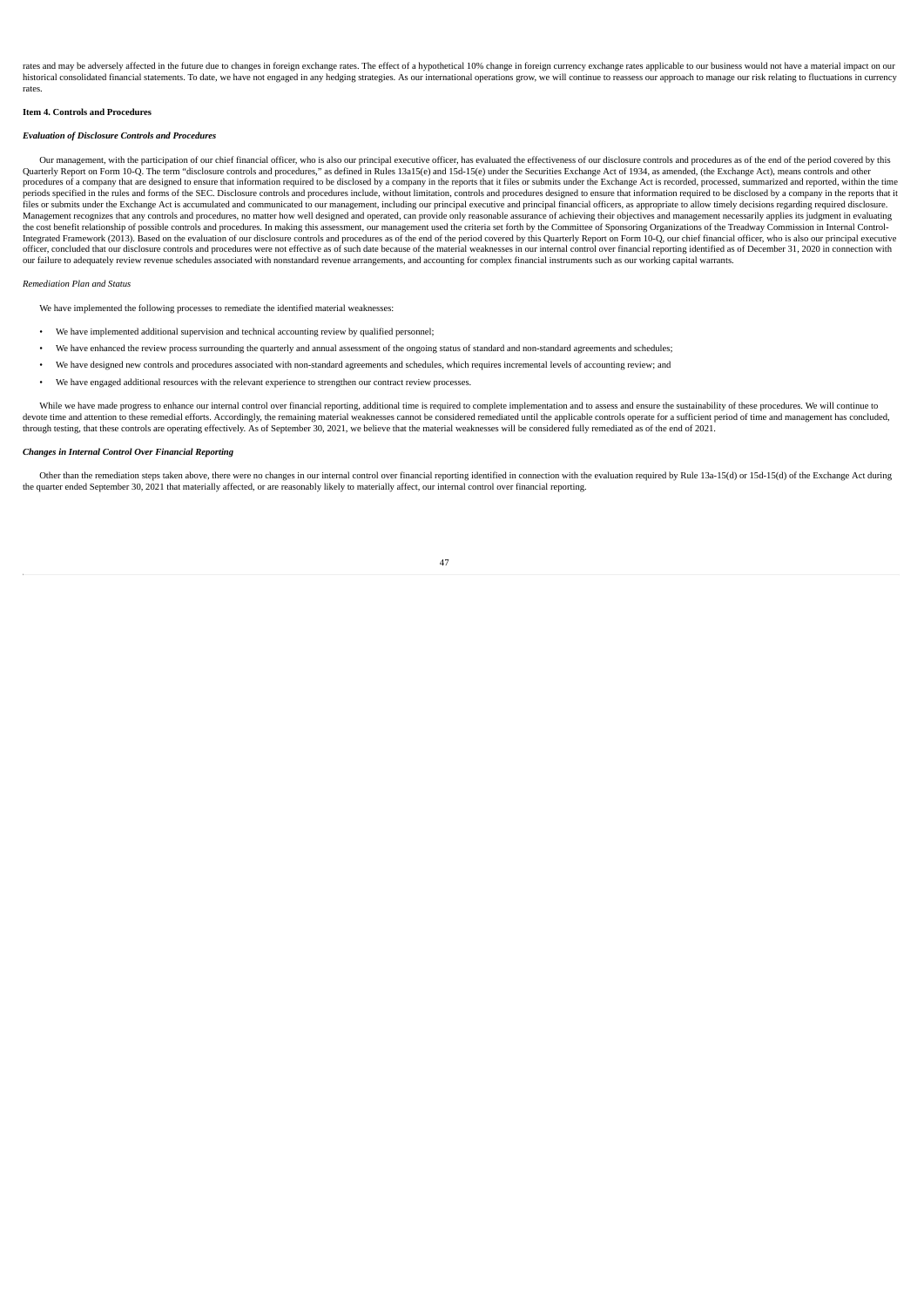rates and may be adversely affected in the future due to changes in foreign exchange rates. The effect of a hypothetical 10% change in foreign currency exchange rates applicable to our business would not have a material im historical consolidated financial statements. To date, we have not engaged in any hedging strategies. As our international operations grow, we will continue to reassess our approach to manage our risk relating to fluctuati rates.

## **Item 4. Controls and Procedures**

#### *Evaluation of Disclosure Controls and Procedures*

Our management, with the participation of our chief financial officer, who is also our principal executive officer, has evaluated the effectiveness of our disclosure controls and procedures as of the end of the period cove Quarterly Report on Form 10-Q. The term "disclosure controls and procedures," as defined in Rules 13a15(e) and 15d-15(e) under the Securities Exchange Act of 1934, as amended, (the Exchange Act), means controls and other procedures of a company that are designed to ensure that information required to be disclosed by a company in the reports that it files or submits under the Exchange Act is recorded, processed, summarized and reported, wit periods specified in the rules and forms of the SEC. Disclosure controls and procedures include, without limitation, controls and procedures designed to ensure that information required to be disclosed by a company in the Files or submits under the Exchange Act is accumulated and communicated to our management, including our principal executive and principal financial officers, as appropriate to allow timely decisions regarding required dis Management recognizes that any controls and procedures, no matter how well designed and operated, can provide only reasonable assurance of achieving their objectives and management necessarily applies its judgment in evalu the cost benefit relationship of possible controls and procedures. In making this assessment, our management used the criteria set forth by the Committee of Sponsoring Organizations of the Treadway Commission in Internal C Integrated Framework (2013). Based on the evaluation of our disclosure controls and procedures as of the end of the period covered by this Quarterly Report on Form 10-Q, our chief financial officer, who is also our princip our failure to adequately review revenue schedules associated with nonstandard revenue arrangements, and accounting for complex financial instruments such as our working capital warrants.

# *Remediation Plan and Status*

We have implemented the following processes to remediate the identified material weaknesses:

- We have implemented additional supervision and technical accounting review by qualified personnel;
- We have enhanced the review process surrounding the quarterly and annual assessment of the ongoing status of standard and non-standard agreements and schedules;
- We have designed new controls and procedures associated with non-standard agreements and schedules, which requires incremental levels of accounting review; and
- We have engaged additional resources with the relevant experience to strengthen our contract review processes.

While we have made progress to enhance our internal control over financial reporting, additional time is required to complete implementation and to assess and ensure the sustainability of these procedures. We will continue devote time and attention to these remedial efforts. Accordingly, the remaining material weaknesses cannot be considered remediated until the applicable controls operate for a sufficient period of time and management has c through testing, that these controls are operating effectively. As of September 30, 2021, we believe that the material weaknesses will be considered fully remediated as of the end of 2021.

#### *Changes in Internal Control Over Financial Reporting*

Other than the remediation steps taken above, there were no changes in our internal control over financial reporting identified in connection with the evaluation required by Rule 13a-15(d) or 15d-15(d) of the Exchange Act the quarter ended September 30, 2021 that materially affected, or are reasonably likely to materially affect, our internal control over financial reporting.

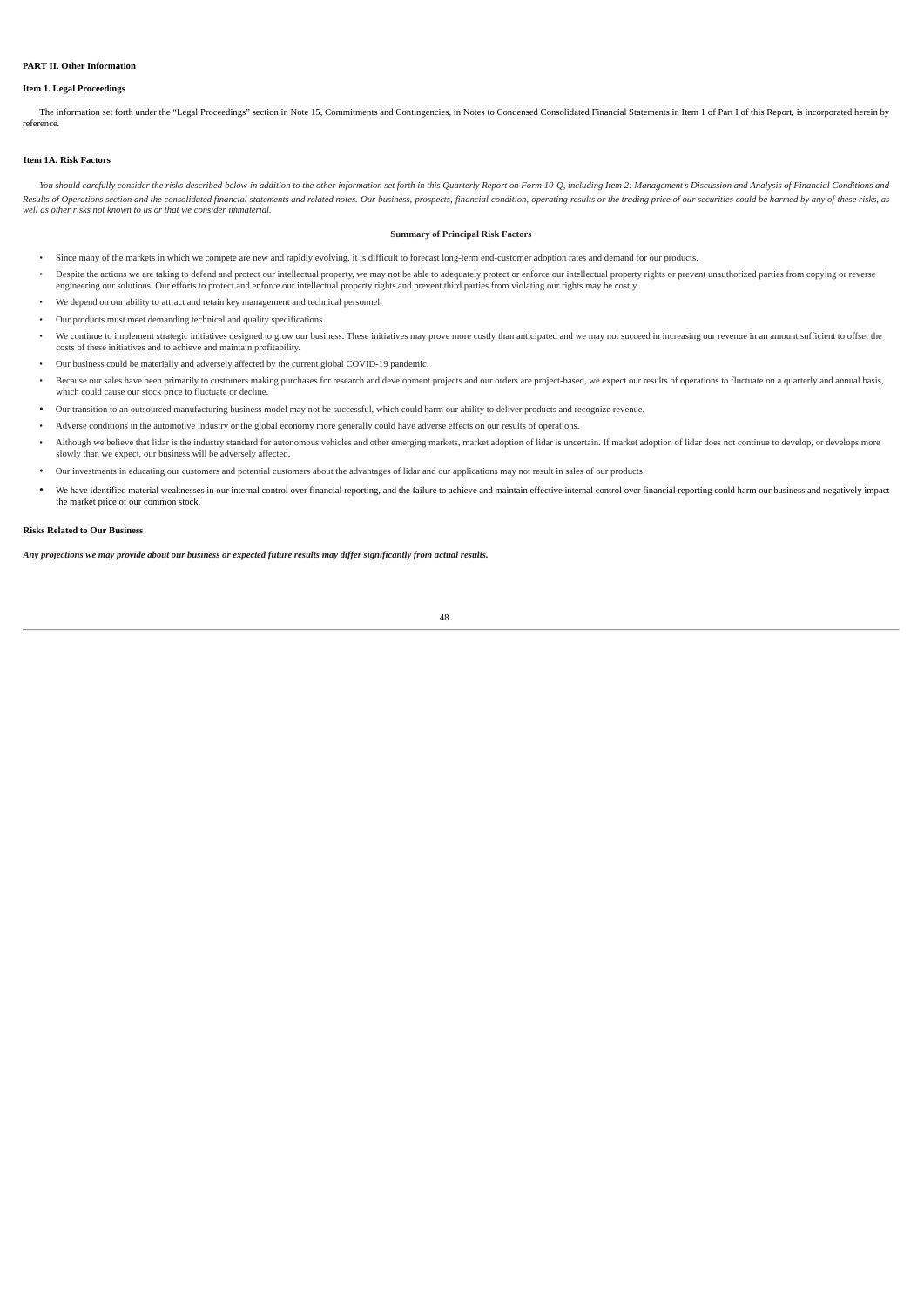# **PART II. Other Information**

#### **Item 1. Legal Proceedings**

The information set forth under the "Legal Proceedings" section in Note 15, Commitments and Contingencies, in Notes to Condensed Consolidated Financial Statements in Item 1 of Part I of this Report, is incorporated herein reference.

## **Item 1A. Risk Factors**

You should carefully consider the risks described below in addition to the other information set forth in this Quarterly Report on Form 10-O including Item 2: Management's Discussion and Anglysis of Financial Conditions an Results of Operations section and the consolidated financial statements and related notes. Our business, prospects, financial condition, operating results or the trading price of our securities could be harmed by any of th *well as other risks not known to us or that we consider immaterial.*

## **Summary of Principal Risk Factors**

- Since many of the markets in which we compete are new and rapidly evolving, it is difficult to forecast long-term end-customer adoption rates and demand for our products.
- Despite the actions we are taking to defend and protect our intellectual property, we may not be able to adequately protect or enforce our intellectual property rights or prevent unauthorized parties from copying or reve
- We depend on our ability to attract and retain key management and technical personnel.
- Our products must meet demanding technical and quality specifications.
- We continue to implement strategic initiatives designed to grow our business. These initiatives may prove more costly than anticipated and we may not succeed in increasing our revenue in an amount sufficient to offset the costs of these initiatives and to achieve and maintain profitability.
- Our business could be materially and adversely affected by the current global COVID-19 pandemic.
- Because our sales have been primarily to customers making purchases for research and development projects and our orders are project-based, we expect our results of operations to fluctuate on a quarterly and annual basis, which could cause our stock price to fluctuate or decline.
- *•* Our transition to an outsourced manufacturing business model may not be successful, which could harm our ability to deliver products and recognize revenue.
- Adverse conditions in the automotive industry or the global economy more generally could have adverse effects on our results of operations.
- Although we believe that lidar is the industry standard for autonomous vehicles and other emerging markets, market adoption of lidar is uncertain. If market adoption of lidar does not continue to develop, or develops more slowly than we expect, our business will be adversely affected.
- *•* Our investments in educating our customers and potential customers about the advantages of lidar and our applications may not result in sales of our products.
- We have identified material weaknesses in our internal control over financial reporting, and the failure to achieve and maintain effective internal control over financial reporting could harm our business and negatively im the market price of our common stock.

## **Risks Related to Our Business**

Any projections we may provide about our business or expected future results may differ significantly from actual results.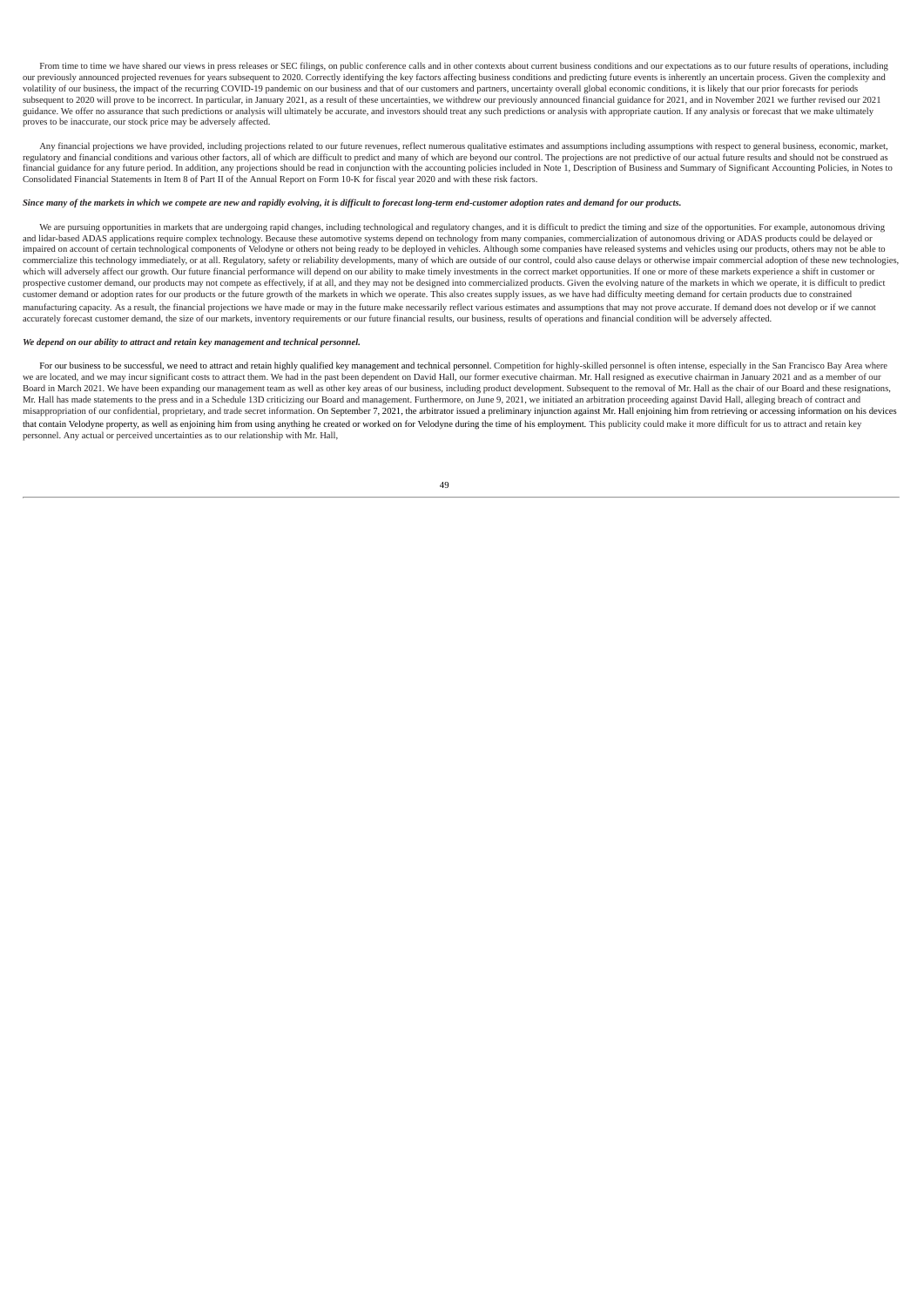From time to time we have shared our views in press releases or SEC filings, on public conference calls and in other contexts about current business conditions and our expectations as to our future results of operations, i our previously announced projected revenues for years subsequent to 2020. Correctly identifying the key factors affecting business conditions and predicting future events is inherently an uncertain process. Given the compl subsequent to 2020 will prove to be incorrect. In particular, in January 2021, as a result of these uncertainties, we withdrew our previously announced financial guidance for 2021, and in November 2021 we further revised o proves to be inaccurate, our stock price may be adversely affected.

Any financial projections we have provided, including projections related to our future revenues, reflect numerous qualitative estimates and assumptions including assumptions with respect to general business, economic, mar regulatory and financial conditions and various other factors, all of which are difficult to predict and many of which are beyond our control. The projections are not predictive of our actual future results and should not financial guidance for any future period. In addition, any projections should be read in conjunction with the accounting policies included in Note 1, Description of Business and Summary of Significant Accounting Policies,

#### Since many of the markets in which we compete are new and rapidly evolvina, it is difficult to forecast long-term end-customer adoption rates and demand for our products.

We are pursuing opportunities in markets that are undergoing rapid changes, including technological and regulatory changes, and it is difficult to predict the timing and size of the opportunities. For example, autonomous d and lidar-based ADAS applications require complex technology. Because these automotive systems depend on technology from many companies, commercialization of autonomous driving or ADAS products could be delayed or<br>impaired commercialize this technology immediately, or at all. Regulatory, safety or reliability developments, many of which are outside of our control, could also cause delays or otherwise impair commercial adoption of these new t prospective customer demand, our products may not compete as effectively, if at all, and they may not be designed into commercialized products. Given the evolving nature of the markets in which we operate, it is difficult manufacturing capacity. As a result, the financial projections we have made or may in the future make necessarily reflect various estimates and assumptions that may not prove accurate. If demand does not develop or if we c

#### *We depend on our ability to attract and retain key management and technical personnel.*

For our business to be successful, we need to attract and retain highly qualified key management and technical personnel. Competition for highly-skilled personnel is often intense, especially in the San Francisco Bay Area we are located, and we may incur significant costs to attract them. We had in the past been dependent on David Hall, our former executive chairman. Mr. Hall resigned as executive chairman in January 2021 and as a member of Mr. Hall has made statements to the press and in a Schedule 13D criticizing our Board and management. Furthermore, on June 9, 2021, we initiated an arbitration proceeding against David Hall, alleging breach of contract and misappropriation of our confidential, proprietary, and trade secret information. On September 7, 2021, the arbitrator issued a preliminary injunction against Mr. Hall enjoining him from retrieving or accessing information that contain Velodyne property, as well as enjoining him from using anything he created or worked on for Velodyne during the time of his employment. This publicity could make it more difficult for us to attract and retain personnel. Any actual or perceived uncertainties as to our relationship with Mr. Hall,

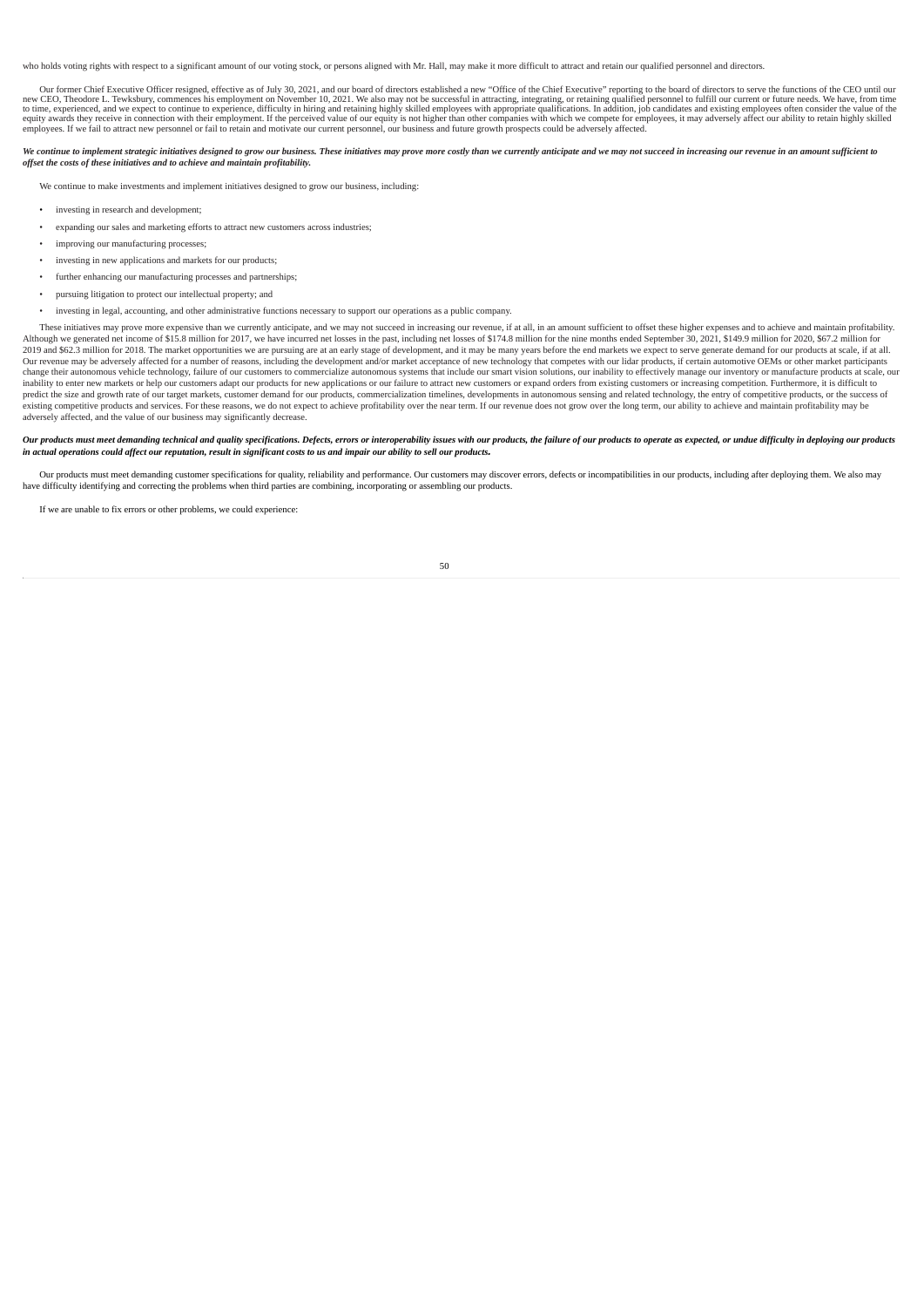who holds voting rights with respect to a significant amount of our voting stock, or persons aligned with Mr. Hall, may make it more difficult to attract and retain our qualified personnel and directors.

Our former Chief Executive Officer resigned, effective as of July 30, 2021, and our board of directors established a new "Office of the Chief Executive" reporting to the board of directors to serve the functions of the CEO equity awards they receive in connection with their employment. If the perceived value of our equity is not higher than other companies with which we compete for employees, it may adversely affect our ability to retain hig

#### We continue to implement strategic initiatives designed to grow our business. These initiatives may prove more costly than we currently anticipate and we may not succeed in increasing our revenue in an amount sufficient to *offset the costs of these initiatives and to achieve and maintain profitability.*

We continue to make investments and implement initiatives designed to grow our business, including:

- investing in research and development;
- expanding our sales and marketing efforts to attract new customers across industries;
- improving our manufacturing processes;
- investing in new applications and markets for our products;
- further enhancing our manufacturing processes and partnerships;
- pursuing litigation to protect our intellectual property; and
- investing in legal, accounting, and other administrative functions necessary to support our operations as a public company.

These initiatives may prove more expensive than we currently anticipate, and we may not succeed in increasing our revenue, if at all, in an amount sufficient to offset these higher expenses and to achieve and maintain prof Although we generated net income of \$15.8 million for 2017, we have incurred net losses in the past, including net losses of \$174.8 million for the nine months ended September 30, 2021, \$149.9 million for 2020, \$67.2 milli Our revenue may be adversely affected for a number of reasons, including the development and/or market acceptance of new technology that competes with our lidar products, if certain automotive OEMs or other market particip change their autonomous vehicle technology, failure of our customers to commercialize autonomous systems that include our smart vision solutions, our inability to effectively manage our inventory or manufacture products at predict the size and growth rate of our target markets, customer demand for our products, commercialization timelines, developments in autonomous sensing and related technology, the entry of competitive products, or the su adversely affected, and the value of our business may significantly decrease.

# Our products must meet demanding technical and quality specifications. Defects, errors or interoperability issues with our products, the failure of our products to operate as expected, or undue difficulty in deploying our

Our products must meet demanding customer specifications for quality, reliability and performance. Our customers may discover errors, defects or incompatibilities in our products, including after deploying them. We also ma have difficulty identifying and correcting the problems when third parties are combining, incorporating or assembling our products.

If we are unable to fix errors or other problems, we could experience: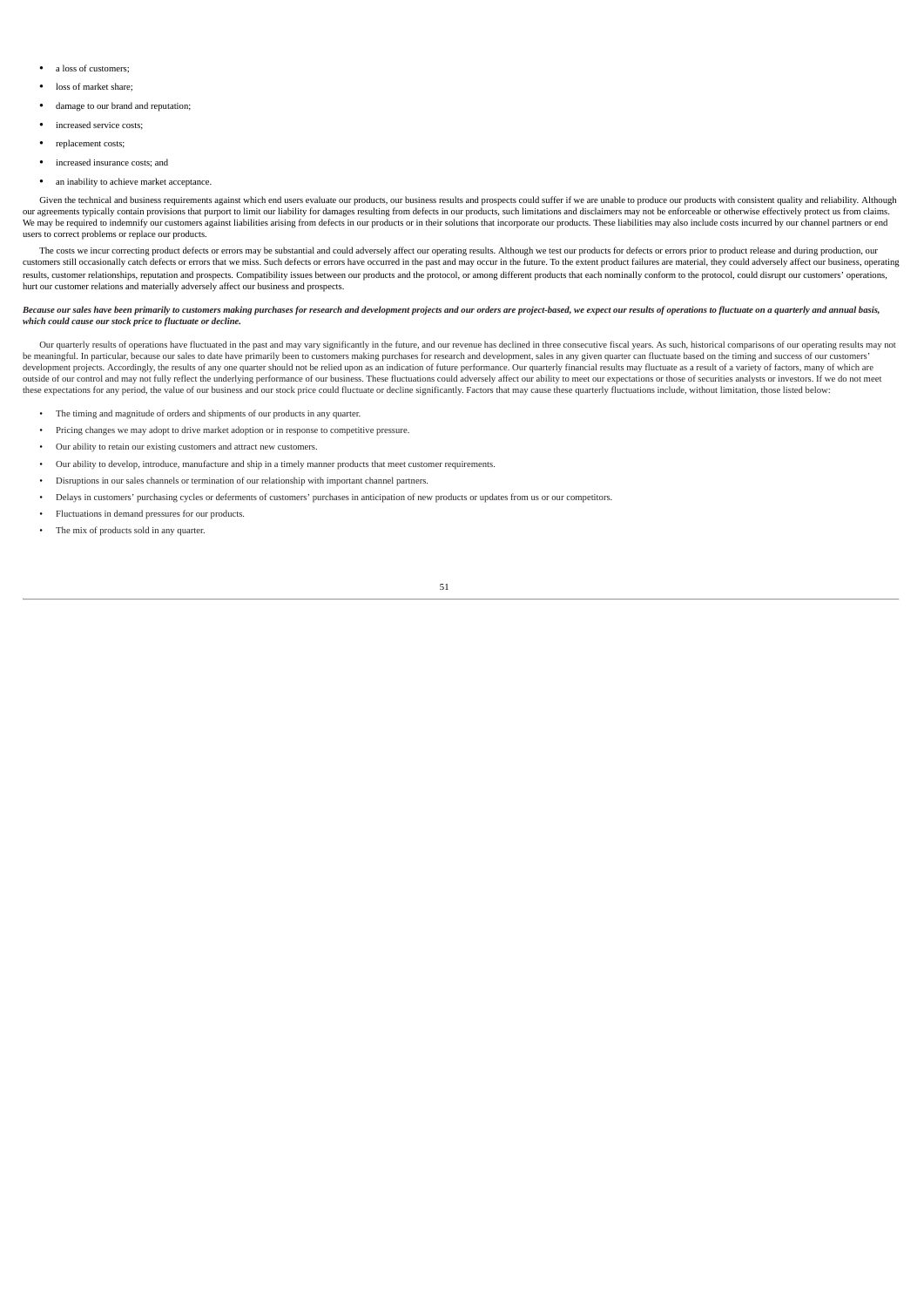- a loss of customers;
- loss of market share
- damage to our brand and reputation;
- increased service costs:
- replacement costs;
- increased insurance costs; and
- an inability to achieve market acceptance.

Given the technical and business requirements against which end users evaluate our products, our business results and prospects could suffer if we are unable to produce our products with consistent quality and reliability. our agreements typically contain provisions that purport to limit our liability for damages resulting from defects in our products, such limitations and disclaimers may not be enforceable or otherwise effectively protect u users to correct problems or replace our products.

The costs we incur correcting product defects or errors may be substantial and could adversely affect our operating results. Although we test our products for defects or errors prior to product release and during productio results, customer relationships, reputation and prospects. Compatibility issues between our products and the protocol, or among different products that each nominally conform to the protocol, could disrupt our customers' o hurt our customer relations and materially adversely affect our business and prospects.

#### Because our sales have been primarily to customers making purchases for research and development projects and our orders are project-based, we expect our results of operations to fluctuate on a quarterly and annual basis, *which could cause our stock price to fluctuate or decline.*

Our quarterly results of operations have fluctuated in the past and may vary significantly in the future, and our revenue has declined in three consecutive fiscal years. As such, historical comparisons of our operating res be meaningful. In particular, because our sales to date have primarily been to customers making purchases for research and development, sales in any given quarter can fluctuate based on the timing and success of our custom outside of our control and may not fully reflect the underlying performance of our business. These fluctuations could adversely affect our ability to meet our expectations or those of securities analysts or investors. If w these expectations for any period, the value of our business and our stock price could fluctuate or decline significantly. Factors that may cause these quarterly fluctuations include, without limitation, those listed below:

- The timing and magnitude of orders and shipments of our products in any quarter.
- Pricing changes we may adopt to drive market adoption or in response to competitive pressure.
- Our ability to retain our existing customers and attract new customers.
- Our ability to develop, introduce, manufacture and ship in a timely manner products that meet customer requirements.
- Disruptions in our sales channels or termination of our relationship with important channel partners.
- Delays in customers' purchasing cycles or deferments of customers' purchases in anticipation of new products or updates from us or our competitors.
- Fluctuations in demand pressures for our products.
- The mix of products sold in any quarter.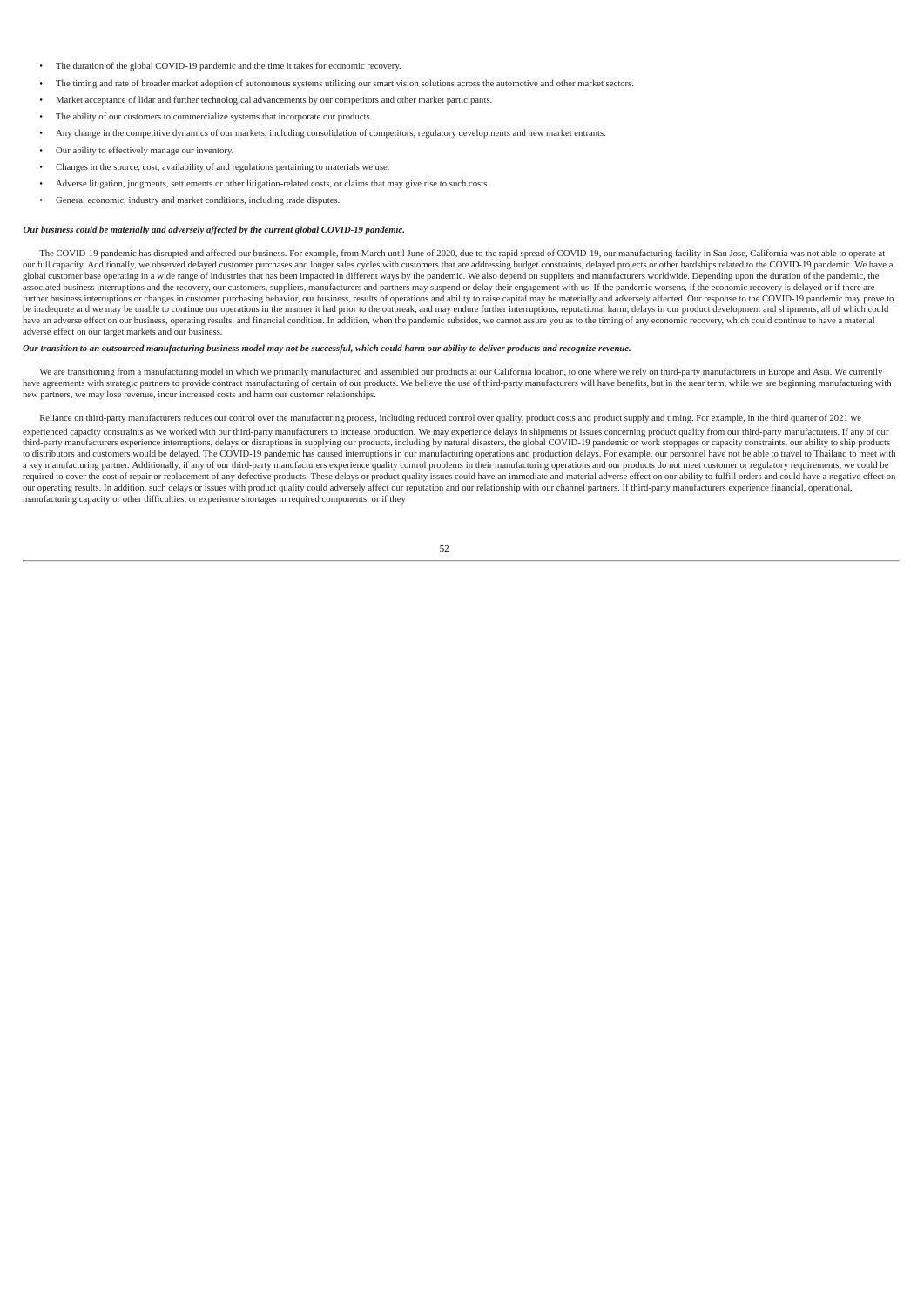- The duration of the global COVID-19 pandemic and the time it takes for economic recovery.
- The timing and rate of broader market adoption of autonomous systems utilizing our smart vision solutions across the automotive and other market sectors.
- Market acceptance of lidar and further technological advancements by our competitors and other market participants.
- The ability of our customers to commercialize systems that incorporate our products.
- Any change in the competitive dynamics of our markets, including consolidation of competitors, regulatory developments and new market entrants.
- Our ability to effectively manage our inventory.
- Changes in the source, cost, availability of and regulations pertaining to materials we use.
- Adverse litigation, judgments, settlements or other litigation-related costs, or claims that may give rise to such costs.
- General economic, industry and market conditions, including trade disputes.

# *Our business could be materially and adversely affected by the current global COVID-19 pandemic.*

The COVID-19 pandemic has disrupted and affected our business. For example, from March until June of 2020, due to the rapid spread of COVID-19, our manufacturing facility in San Jose, California was not able to operate at our full capacity. Additionally, we observed delayed customer purchases and longer sales cycles with customers that are addressing budget constraints, delayed projects or other hardships related to the COVID-19 pandemic. W associated business interruptions and the recovery, our customers, suppliers, manufacturers and partners may suspend or delay their engagement with us. If the pandemic worsens, if the economic recovery is delayed or if the be inadequate and we may be unable to continue our operations in the manner it had prior to the outbreak, and may endure further interruptions, reputational harm, delays in our product development and shipments, all of whi have an adverse effect on our business, operating results, and financial condition. In addition, when the pandemic subsides, we cannot assure you as to the timing of any economic recovery, which could continue to have a ma adverse effect on our target markets and our business.

# Our transition to an outsourced manufacturing business model may not be successful, which could harm our ability to deliver products and recognize revenue.

We are transitioning from a manufacturing model in which we primarily manufactured and assembled our products at our California location, to one where we rely on third-party manufacturers in Europe and Asia. We currently<br>h new partners, we may lose revenue, incur increased costs and harm our customer relationships.

Reliance on third-party manufacturers reduces our control over the manufacturing process, including reduced control over quality, product costs and product supply and timing. For example, in the third quarter of 2021 we experienced capacity constraints as we worked with our third-party manufacturers to increase production. We may experience delays in shipments or issues concerning product quality from our third-party manufacturers. If any third-party manufacturers experience interruptions, delays or disruptions in supplying our products, including by natural disasters, the global COVID-19 pandemic or work stoppages or capacity constraints, our ability to sh a key manufacturing partner. Additionally, if any of our third-party manufacturiers experience quality control problems in their manufacturing operations and our products do not meet customer or regulatory requirements, we required to cover the cost of repair or replacement of any defective products. These delays or product quality issues could have an immediate and material adverse effect on our ability to fulfill orders and could have a ne our operating results. In addition, such delays or issues with product quality could adversely affect our reputation and our relationship with our channel partners. If third-party manufacturers experience financial, operat manufacturing capacity or other difficulties, or experience shortages in required components, or if they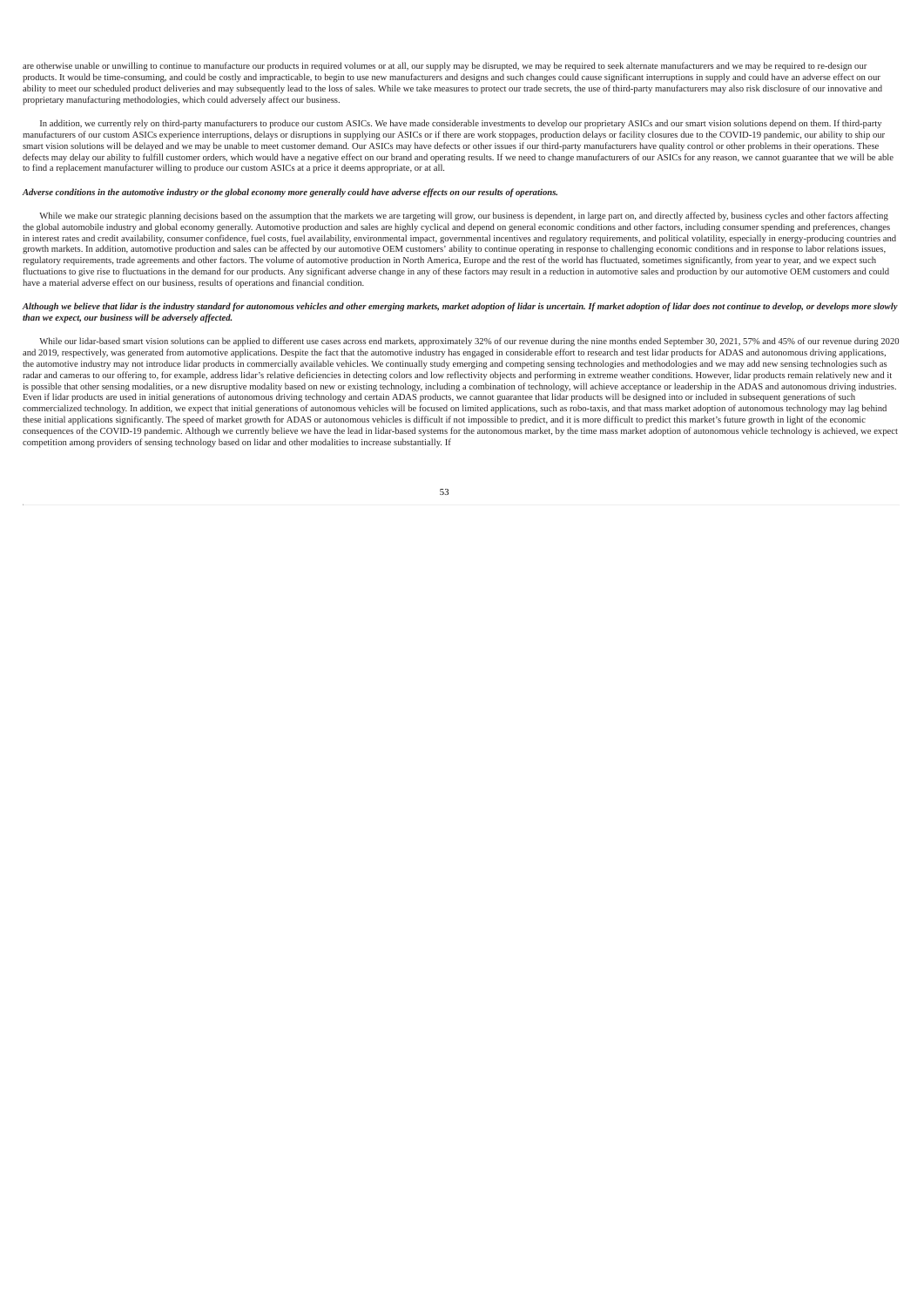are otherwise unable or unwilling to continue to manufacture our products in required volumes or at all, our supply may be disrupted, we may be required to seek alternate manufacturers and we may be required to re-design o ming, and could be costly and impracticable, to begin to use new manufacturers and designs and such changes could cause significant interruptions in supply and could have an adverse effect on our ability to meet our scheduled product deliveries and may subsequently lead to the loss of sales. While we take measures to protect our trade secrets, the use of third-party manufacturers may also risk disclosure of our inn proprietary manufacturing methodologies, which could adversely affect our business.

In addition, we currently rely on third-party manufacturers to produce our custom ASICs. We have made considerable investments to develop our proprietary ASICs and our smart vision solutions depend on them. If third-party manufacturers of our custom ASICs experience interruptions, delays or disruptions in supplying our ASICs or if there are work stoppages, production delays or facility closures due to the COVID-19 pandemic, our ability to s defects may delay our ability to fulfill customer orders, which would have a negative effect on our brand and operating results. If we need to change manufacturers of our ASICs for any reason, we cannot guarantee that we w to find a replacement manufacturer willing to produce our custom ASICs at a price it deems appropriate, or at all.

## Adverse conditions in the automotive industry or the global economy more generally could have adverse effects on our results of operations.

While we make our strategic planning decisions based on the assumption that the markets we are targeting will grow, our business is dependent, in large part on, and directly affected by, business cycles and other factors a the global automobile industry and global economy generally. Automotive production and sales are highly cyclical and depend on general economic conditions and other factors, including consumer spending and preferences, cha in interest rates and credit availability, consumer confidence, fuel costs, fuel availability, environmental impact, governmental incentives and regulatory requirements, and political volatility, especially in energy-produ regulatory requirements, trade agreements and other factors. The volume of automotive production in North America, Europe and the rest of the world has fluctuated, sometimes significantly, from year to year, and we expect have a material adverse effect on our business, results of operations and financial condition.

## Although we believe that lidar is the industry standard for autonomous vehicles and other emerging markets, market adoption of lidar is uncertain. If market adoption of lidar does not continue to develop, or develops more *than we expect, our business will be adversely affected.*

While our lidar-based smart vision solutions can be applied to different use cases across end markets, approximately 32% of our revenue during the nine months ended September 30, 2021, 57% and 45% of our revenue during 2020 and 2019, respectively, was generated from automotive applications. Despite the fact that the automotive industry has engaged in considerable effort to research and test lidar products for ADAS and autonomous driving appli the automotive industry may not introduce lidar products in commercially available vehicles. We continually study emerging and competing sensing technologies and methodologies and we may add new sensing technologies such a radar and cameras to our offering to, for example, address lidar's relative deficiencies in detecting colors and low reflectivity objects and performing in extreme weather conditions. However, lidar products remain relativ is possible that other sensing modalities, or a new disruptive modality based on new or existing technology, including a combination of technology, will achieve acceptance or leadership in the ADAS and autonomous driving i commercialized technology. In addition, we expect that initial generations of autonomous vehicles will be focused on limited applications, such as robo-taxis, and that mass market adoption of autonomous technology may lag consequences of the COVID-19 pandemic. Although we currently believe we have the lead in lidar-based systems for the autonomous market, by the time mass market adoption of autonomous vehicle technology is achieved, we expect competition among providers of sensing technology based on lidar and other modalities to increase substantially. If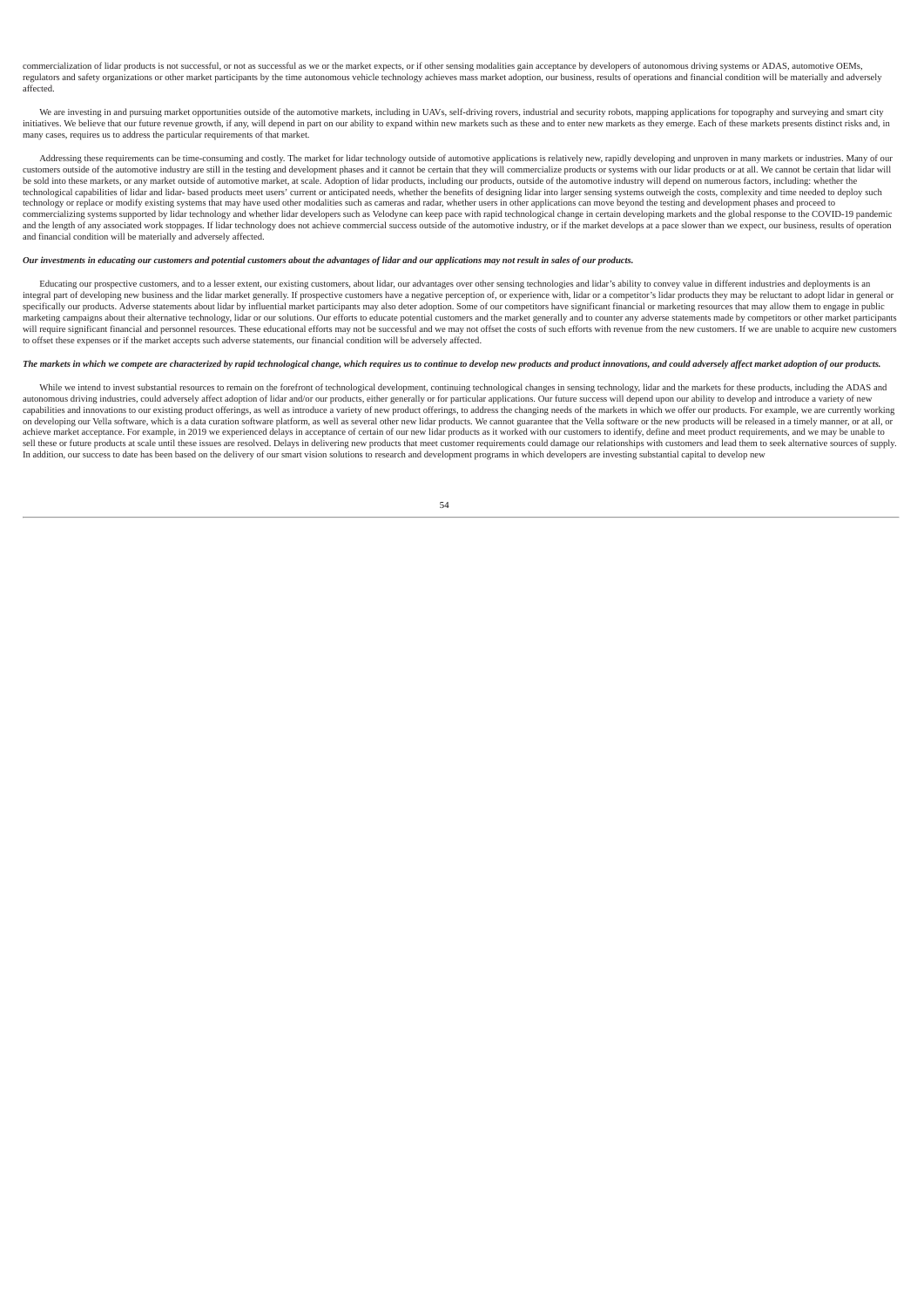commercialization of lidar products is not successful, or not as successful as we or the market expects, or if other sensing modalities gain acceptance by developers of autonomous driving systems or ADAS, automotive OEMs, regulators and safety organizations or other market participants by the time autonomous vehicle technology achieves mass market adoption, our business, results of operations and financial condition will be materially and a affected.

We are investing in and pursuing market opportunities outside of the automotive markets, including in UAVs, self-driving rovers, industrial and security robots, mapping applications for topography and surveying and smart c initiatives. We believe that our future revenue growth, if any, will depend in part on our ability to expand within new markets such as these and to enter new markets as they energe. Each of these markets presents distinct many cases, requires us to address the particular requirements of that market.

Addressing these requirements can be time-consuming and costly. The market for lidar technology outside of automotive applications is relatively new, rapidly developing and unproven in many markets or industries. Many of our customers outside of the automotive industry are still in the testing and development phases and it cannot be certain that hey will commercialize products or systems with our lidar products or at all. We cannot be certain technological capabilities of lidar and lidar- based products meet users' current or anticipated needs, whether the benefits of designing lidar into larger sensing systems outweigh the costs, complexity and time needed to technology or replace or modify existing systems that may have used other modalities such as cameras and radar, whether users in other applications can move beyond the testing and development phases and proceed to<br>commerci and the length of any associated work stoppages. If lidar technology does not achieve commercial success outside of the automotive industry, or if the market develops at a pace slower than we expect, our business, results and financial condition will be materially and adversely affected.

# Our investments in educating our customers and potential customers about the advantages of lidar and our applications may not result in sales of our products.

Educating our prospective customers, and to a lesser extent, our existing customers, about lidar, our advantages over other sensing technologies and lidar's ability to convey value in different industries and deployments i integral part of developing new business and the lidar market generally. If prospective customers have a negative perception of, or experience with, lidar or a competitor's lidar products they may be reluctant to adopt lid specifically our products. Adverse statements about lidar by influential market participants may also deter adoption. Some of our competitors have significant financial or marketing resources that may allow them to engage marketing campaigns about their alternative technology, lidar or our solutions. Our efforts to educate potential customers and the market generally and to counter any adverse statements made by competitors or other market will require significant financial and personnel resources. These educational efforts may not be successful and we may not offset the costs of such efforts with revenue from the new customers. If we are unable to acquire n to offset these expenses or if the market accepts such adverse statements, our financial condition will be adversely affected.

# The markets in which we compete are characterized by ranid technological change, which requires us to continue to develop new products and product innovations, and could adversely affect market adoption of our products

While we intend to invest substantial resources to remain on the forefront of technological development, continuing technological changes in sensing technology, lidar and the markets for these products, including the ADAS autonomous driving industries, could adversely affect adoption of lidar and/or our products, either generally or for particular applications. Our future success will depend upon our ability to develop and introduce a varie capabilities and innovations to our existing product offerings, as well as introduce a variety of new product offerings, to address the changing needs of the markets in which we offer our products. For example, we are curr on developing our Vella software, which is a data curation software platform, as well as several other new lidar products. We cannot guarantee that the Vella software or the new products will be released in a timely manner sell these or future products at scale until these issues are resolved. Delays in delivering new products that meet customer requirements could damage our relationships with customers and lead them to seek alternative sour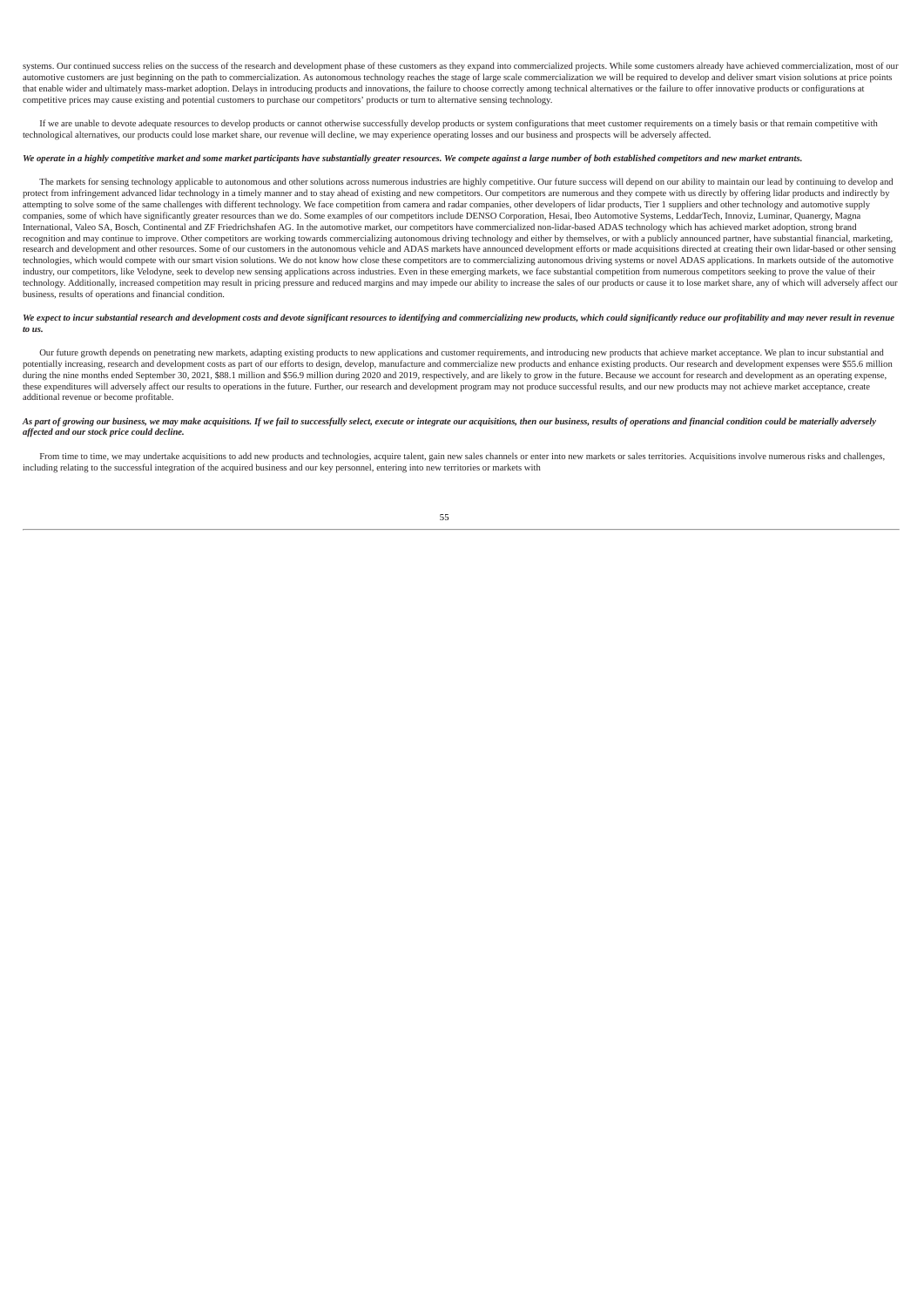systems. Our continued success relies on the success of the research and development phase of these customers as they expand into commercialized projects. While some customers already have achieved commercialization, most automotive customers are just beginning on the path to commercialization. As autonomous technology reaches the stage of large scale commercialization we will be required to develop and deliver smart vision solutions at pri competitive prices may cause existing and potential customers to purchase our competitors' products or turn to alternative sensing technology.

If we are unable to devote adequate resources to develop products or cannot otherwise successfully develop products or system configurations that meet customer requirements on a timely basis or that remain competitive with technological alternatives, our products could lose market share, our revenue will decline, we may experience operating losses and our business and prospects will be adversely affected.

# We operate in a hiahly competitive market and some market participants have substantially greater resources. We compete against a large number of both established competitors and new market entrants.

The markets for sensing technology applicable to autonomous and other solutions across numerous industries are highly competitive. Our future success will depend on our ability to maintain our lead by continuing to develop protect from infringement advanced lidar technology in a timely manner and to stay ahead of existing and new competitors. Our competitors are numerous and they compete with us directly by offering lidar products and indire International, Valeo SA, Bosch, Continental and ZF Friedrichshafen AG. In the automotive market, our competitors have commercialized non-lidar-based ADAS technology which has achieved market adoption, strong brand recognition and may continue to improve. Other competitors are working towards commercializing autonomous driving technology and either by themselves, or with a publicly announced partner, have substantial financial, marke technologies, which would compete with our smart vision solutions. We do not know how close these competitors are to commercializing autonomous driving systems or novel ADAS applications. In markets outside of the automoti technology. Additionally, increased competition may result in pricing pressure and reduced margins and may impede our ability to increase the sales of our products or cause it to lose market share, any of which will advers business, results of operations and financial condition.

#### We expect to incur substantial research and development costs and devote significant resources to identifying and commercializing new products, which could significantly reduce our profitability and may never result in rev *to us.*

Our future growth depends on penetrating new markets, adapting existing products to new applications and customer requirements, and introducing new products that achieve market acceptance. We plan to incur substantial and potentially increasing, research and development costs as part of our efforts to design, develop, manufacture and commercialize new products and enhance existing products. Our research and development expenses were \$55.6 m during the months ended September 30, 2021, \$88.1 million and \$56.9 million during 2020 and 2019, respectively, and are likely to grow in the future. Because we account for research and development as an operating expense, these expenditures will adversely affect our results to operations in the future. Further, our research and development program may not produce successful results, and our new products may not achieve market acceptance, cr

# As part of growing our business, we may make acquisitions. If we fail to successfully select, execute or integrate our acquisitions, then our business, results of operations and financial condition could be materially adve

From time to time, we may undertake acquisitions to add new products and technologies, acquire talent, gain new sales channels or enter into new markets or sales territories. Acquisitions involve numerous risks and challen

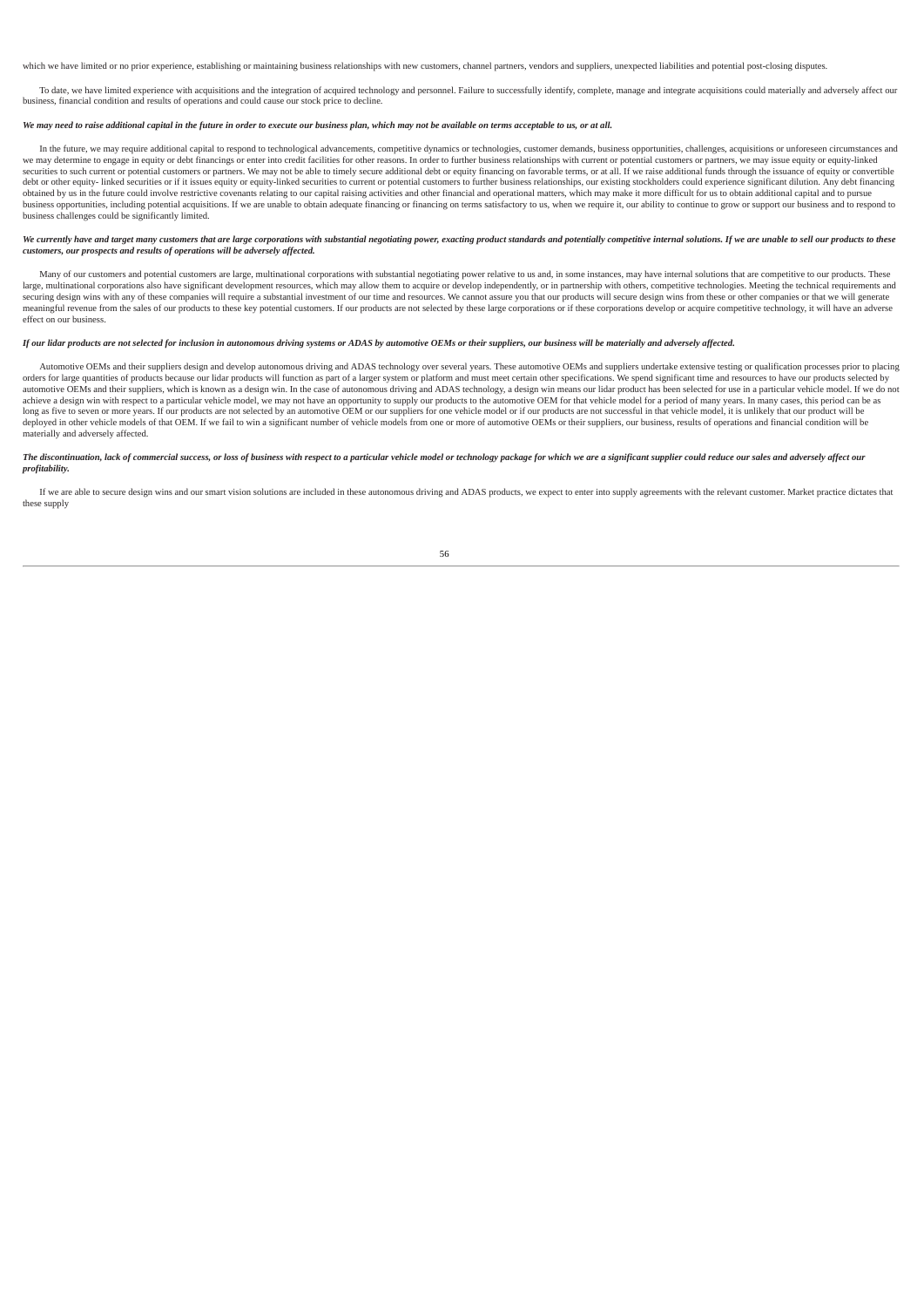which we have limited or no prior experience, establishing or maintaining business relationships with new customers, channel partners, vendors and suppliers, unexpected liabilities and potential post-closing disputes.

To date, we have limited experience with acquisitions and the integration of acquired technology and personnel. Failure to successfully identify, complete, manage and integrate acquisitions could materially and adversely a business, financial condition and results of operations and could cause our stock price to decline.

## We may need to raise additional capital in the future in order to execute our business plan, which may not be available on terms acceptable to us, or at all.

In the future, we may require additional capital to respond to technological advancements, competitive dynamics or technologies, customer demands, business opportunities, challenges, acquisitions or unforeseen circumstance we may determine to engage in equity or debt financings or enter into credit facilities for other reasons. In order to further business relationships with current or potential customers or partners, we may issue equity or obtained by us in the future could involve restrictive covenants relating to our capital raising activities and other financial and operational matters, which may make it more difficult for us to obtain additional capital business opportunities, including potential acquisitions. If we are unable to obtain adequate financing or financing or terms satisfactory to us, when we require it, our ability to continue to grow or support our business business challenges could be significantly limited.

#### We currently have and target many customers that are large corporations with substantial negotiating power, exacting product standards and potentially competitive internal solutions. If we are unable to sell our products t *customers, our prospects and results of operations will be adversely affected.*

Many of our customers and potential customers are large, multinational corporations with substantial negotiating power relative to us and, in some instances, may have internal solutions that are competitive to our products large, multinational corporations also have significant development resources, which may allow them to acquire or develop independently, or in partnership with others, competitive technologies. Meeting the technical requir meaningful revenue from the sales of our products to these key potential customers. If our products are not selected by these large corporations or if these corporations develop or acquire competitive technology, it will h effect on our business.

#### If our lidar products are not selected for inclusion in autonomous driving systems or ADAS by automotive OEMs or their suppliers, our business will be materially and adversely affected.

Automotive OEMs and their suppliers design and develop autonomous driving and ADAS technology over several years. These automotive OEMs and suppliers undertake extensive testing or qualification processes prior to placing orders for large quantities of products because our lidar products will function as part of a larger system or platform and must meet certain other specifications. We spend significant time and resources to have our produc achieve a design win with respect to a particular vehicle model, we may not have an opportunity to supply our products to the automotive OEM for that vehicle model for a period of many years. In many cases, this period can long as five to seven or more vears. If our products are not selected by an automotive OEM or our suppliers for one vehicle model or if our products are not successful in that vehicle model, it is unlikely that our product deployed in other vehicle models of that OEM. If we fail to win a significant number of vehicle models from one or more of automotive OEMs or their suppliers, our business, results of operations and financial condition wil materially and adversely affected.

#### The discontinuation, lack of commercial success, or loss of business with respect to a particular vehicle model or technology package for which we are a significant supplier could reduce our sales and adversely affect our *profitability.*

If we are able to secure design wins and our smart vision solutions are included in these autonomous driving and ADAS products, we expect to enter into supply agreements with the relevant customer. Market practice dictates these supply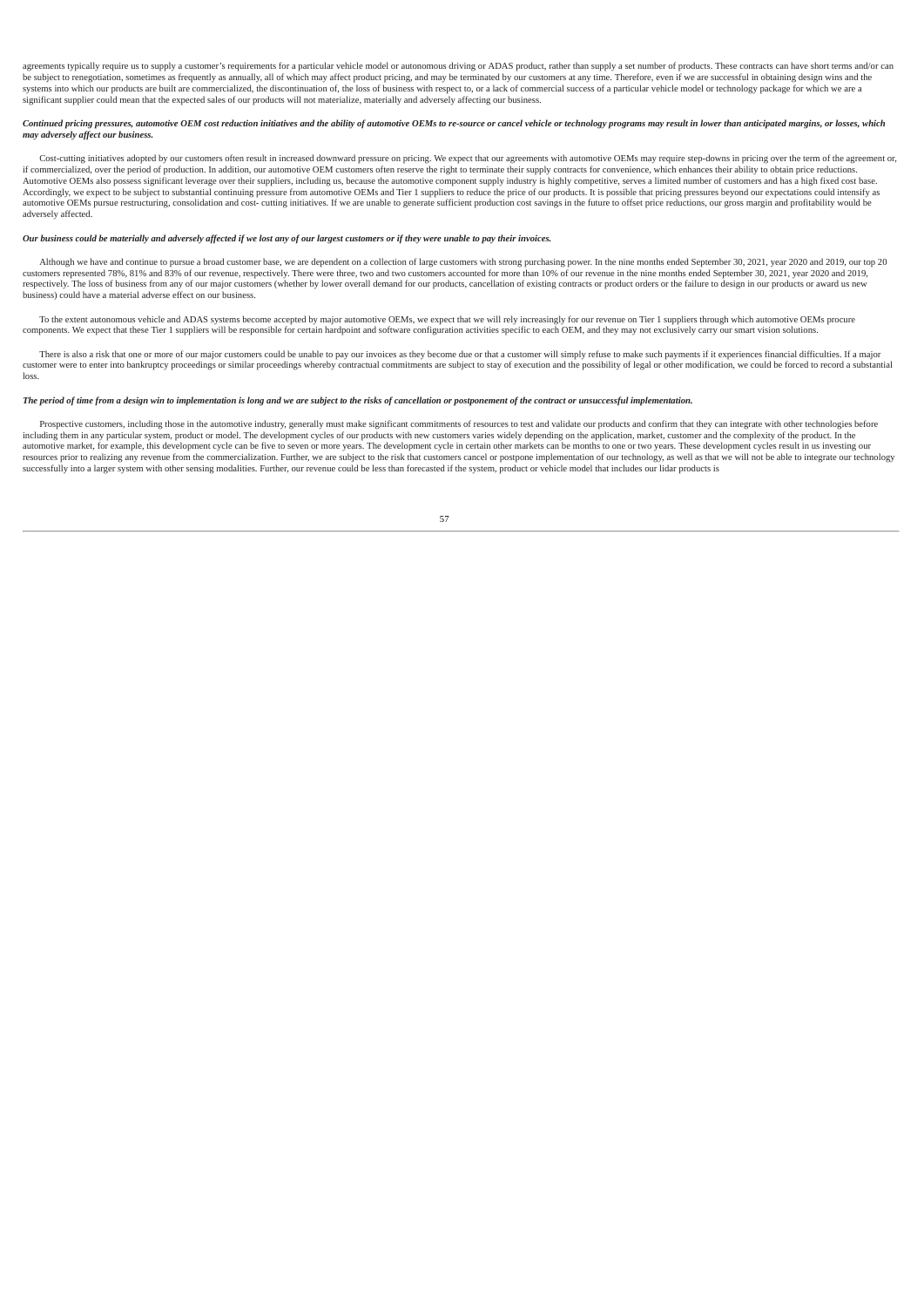agreements typically require us to supply a customer's requirements for a particular vehicle model or autonomous driving or ADAS product, rather than supply a set number of products. These contracts can have short terms an be subject to renegotiation, sometimes as frequently as annually, all of which may affect product pricing, and may be terminated by our customers at any time. Therefore, even if we are successful in obtaining design wins a significant supplier could mean that the expected sales of our products will not materialize, materially and adversely affecting our business.

#### Continued pricina pressures, automotive OEM cost reduction initiatives and the ability of automotive OEMs to re-source or cancel vehicle or technology programs may result in lower than anticipated marains, or losses, which *may adversely affect our business.*

Cost-cutting initiatives adopted by our customers often result in increased downward pressure on pricing. We expect that our agreements with automotive OEMs may require step-downs in pricing over the term of the agreement if commercialized, over the period of production. In addition, our automotive OEM customers often reserve the right to terminate their supply contracts for convenience, which enhances their ability to obtain price reductio Automotive OEMs also possess significant leverage over their suppliers, including us, because the automotive component supply industry is highly competitive, serves a limited number of customers and has a high fixed cost b automotive OEMs pursue restructuring, consolidation and cost- cutting initiatives. If we are unable to generate sufficient production cost savings in the future to offset price reductions, our gross margin and profitabilit adversely affected.

#### Our business could be materially and adversely affected if we lost any of our largest customers or if they were unable to pay their invoices.

Although we have and continue to pursue a broad customer base, we are dependent on a collection of large customers with strong purchasing power. In the nine months ended September 30, 2021, year 2020 and 2019, our top 20 customers represented 78%, 81% and 83% of our revenue, respectively. There were three, two and two customers accounted for more than 10% of our revenue in the nine months ended September 30, 2021, year 2020 and 2019,<br>respe business) could have a material adverse effect on our business.

To the extent autonomous vehicle and ADAS systems become accepted by major automotive OEMs, we expect that we will rely increasingly for our revenue on Tier 1 suppliers through which automotive OEMs procure components. We expect that these Tier 1 suppliers will be responsible for certain hardpoint and software configuration activities specific to each OEM, and they may not exclusively carry our smart vision solutions.

There is also a risk that one or more of our major customers could be unable to pay our invoices as they become due or that a customer will simply refuse to make such payments if it experiences financial difficulties. If a Customer were to enter into bankruptcy proceedings or similar proceedings whereby contractual commitments are subject to stay of execution and the possibility of legal or other modification, we could be forced to record a loss.

## The period of time from a design win to implementation is long and we are subject to the risks of cancellation or postponement of the contract or unsuccessful implemen

Prospective customers, including those in the automotive industry, generally must make significant commitments of resources to test and validate our products and confirm that they can integrate with other technologies before including them in any particular system, product or model. The development cycles of our products with new customers varies widely depending on the application, market, customer and the complexity of the product. In the automotive market, for example, this development cycle can be five to seven or more years. The development cycle in certain other markets can be months to one or two years. These development cycles result in us investing o resources prior to realizing any revenue from the commercialization. Further, we are subject to the risk that customers cancel or postpone implementation of our technology, as well as that we will not be able to integrate successfully into a larger system with other sensing modalities. Further, our revenue could be less than forecasted if the system, product or vehicle model that includes our lidar products is

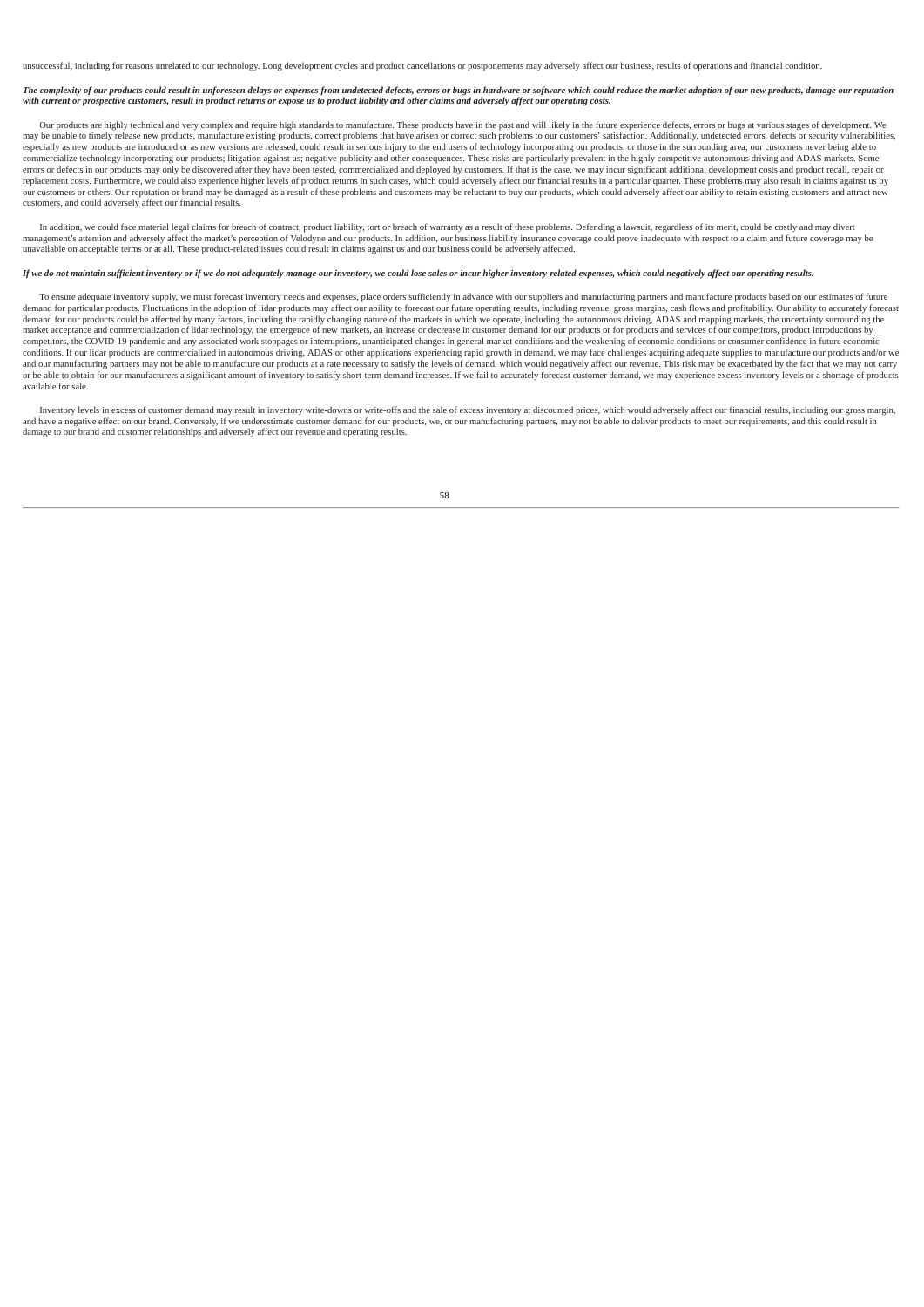unsuccessful, including for reasons unrelated to our technology. Long development cycles and product cancellations or postponements may adversely affect our business, results of operations and financial condition.

# The complexity of our products could result in unforeseen delays or expenses from undetected defects, errors or bugs in hardware or software which could reduce the market adoption of our new products, damage our reputation

Our products are highly technical and very complex and require high standards to manufacture. These products have in the past and will likely in the future experience defects, errors or bugs at various stages of developmen may be unable to timely release new products, manufacture existing products, correct problems that have arisen or correct such problems to our customers' satisfaction. Additionally, undetected errors, defects or security v especially as new products are introduced or as new versions are released, could result in serious injury to the end users of technology incorporating our products, or those in the surrounding area; our customers never bei commercialize technology incorporating our products; litigation against us; negative publicity and other consequences. These risks are particularly prevalent in the highly competitive autonomous driving and ADAS markets. S replacement costs. Furthermore, we could also experience higher levels of product returns in such cases, which could adversely affect our financial results in a particular quarter. These problems may also result in claims our customers or others. Our reputation or brand may be damaged as a result of these problems and customers may be reluctant to buy our products, which could adversely affect our ability to retain existing customers and at customers, and could adversely affect our financial results.

In addition, we could face material legal claims for breach of contract, product liability, tort or breach of warranty as a result of these problems. Defending a lawsuit, regardless of its merit, could be costly and may di management's attention and adversely affect the market's perception of Velodyne and our products. In addition, our business liability insurance coverage could prove inadequate with respect to a claim and future coverage ma

#### If we do not maintain sufficient inventory or if we do not adeauately manage our inventory, we could lose sales or incur higher inventory-related expenses, which could negatively affect our operating results.

To ensure adequate inventory supply, we must forecast inventory needs and expenses, place orders sufficiently in advance with our suppliers and manufacturing partners and manufacture products based on our estimates of futu demand for particular products. Fluctuations in the adoption of lidar products may affect our ability to forecast our future operating results, including revenue, gross margins, cash flows and profitability. Our ability to market acceptance and commercialization of lidar technology, the emergence of new markets, an increase or decrease in customer demand for our products or for products or for products and services of our competitors, produc competitors, the COVID-19 pandemic and any associated work stoppages or interruptions, unanticipated changes in general market conditions and the weakening of economic conditions or consumer confidence in future economic<br>c and our manufacturing partners may not be able to manufacture our products at a rate necessary to satisfy the levels of demand, which would negatively affect our revenue. This risk may be exacerbated by the fact that we ma or be able to obtain for our manufacturers a significant amount of inventory to satisfy short-term demand increases. If we fail to accurately forecast customer demand, we may experience excess inventory levels or a shortag available for sale.

Inventory levels in excess of customer demand may result in inventory write-downs or write-offs and the sale of excess inventory at discounted prices, which would adversely affect our financial results, including our gross and have a negative effect on our brand. Conversely, if we underestimate customer demand for our products, we, or our manufacturing partners, may not be able to deliver products to meet our requirements, and this could res

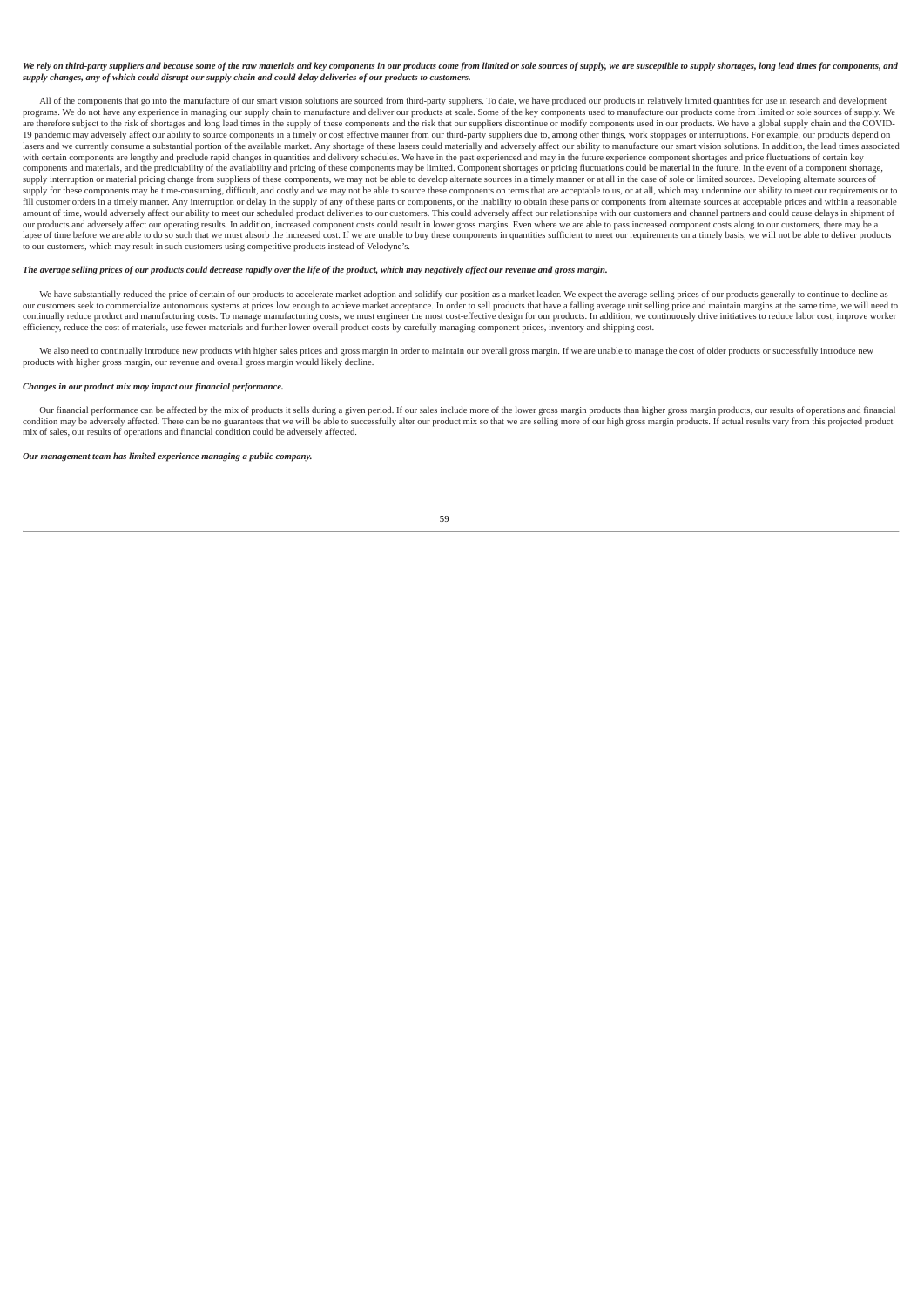#### We rely on third-party sunpliers and because some of the raw materials and key components in our products come from limited or sole sources of supply, we are susceptible to supply shortages. Iona lead times for components, supply changes, any of which could disrupt our supply chain and could delay deliveries of our products to customers

All of the components that go into the manufacture of our smart vision solutions are sourced from third-party suppliers. To date, we have produced our products in relatively limited quantities for use in research and devel programs. We do not have any experience in managing our supply chain to manufacture and deliver our products at scale. Some of the key components used to manufacture our products come from limited or sole sources of supply response to the risk of shortages and long lead times in the supply of these components and the risk that our suppliers discontinue or modify components used in our products. We have a global supply chain and the COVID-<br>ar 19 pandemic may adversely affect our ability to source components in a timely or cost effective manner from our third-party suppliers due to, among other things, work stoppages or interruptions. For example, our products d lasers and we currently consume a substantial portion of the available market. Any shortage of these lasers could materially and adversely affect our ability to manufacture our smart vision solutions. In addition, the lead with certain components are lengthy and preclude rapid changes in quantities and delivery schedules. We have in the past experienced and may in the future experience component shortages and price fluctuations of certain ke components and materials, and the predictability of the availability and pricing of these components may be limited. Component shortages or pricing fluctuations could be material in the future. In the event of a component supply for these components may be time-consuming, difficult, and costly and we may not be able to source these components on terms that are acceptable to us, or at all, which may undermine our ability to meet our requirem fill customer orders in a timely manner. Any interruption or delay in the supply of any of these parts or components, or the inability to obtain these parts or components from alternate sources at acceptable prices and wit amount of time, would adversely affect our ability to meet our scheduled product deliveries to our customers. This could adversely affect our relationships with our customers and channel partners and could cause delays in our products and adversely affect our operating results. In addition, increased component costs could result in lower gross margins. Even where we are able to pass increased component costs along to our customers, there ma lapse of time before we are able to do so such that we must absorb the increased cost. If we are unable to buy these components in quantities sufficient to meet our requirements on a timely basis, we will not be able to de to our customers, which may result in such customers using competitive products instead of Velodyne's.

## The average selling prices of our products could decrease rapidly over the life of the product, which may negatively affect our revenue and gross margin.

We have substantially reduced the price of certain of our products to accelerate market adoption and solidify our position as a market leader. We expect the average selling prices of our products generally to continue to d of the continent and the continent of the continent and the continent and the continent and the continent and the continent and the continent and the continent and the continent and the continent and the continent and the continually reduce product and manufacturing costs. To manage manufacturing costs, we must engineer the most cost-effective design for our products. In addition, we continuously drive initiatives to reduce labor cost, impr

We also need to continually introduce new products with higher sales prices and gross margin in order to maintain our overall gross margin. If we are unable to manage the cost of older products or successfully introduce ne

## *Changes in our product mix may impact our financial performance.*

Our financial performance can be affected by the mix of products it sells during a given period. If our sales include more of the lower gross margin products than higher gross margin products, our results of operations and condition may be adversely affected. There can be no guarantees that we will be able to successfully alter our product mix so that we are selling more of our high gross margin products. If actual results vary from this pro

*Our management team has limited experience managing a public company.*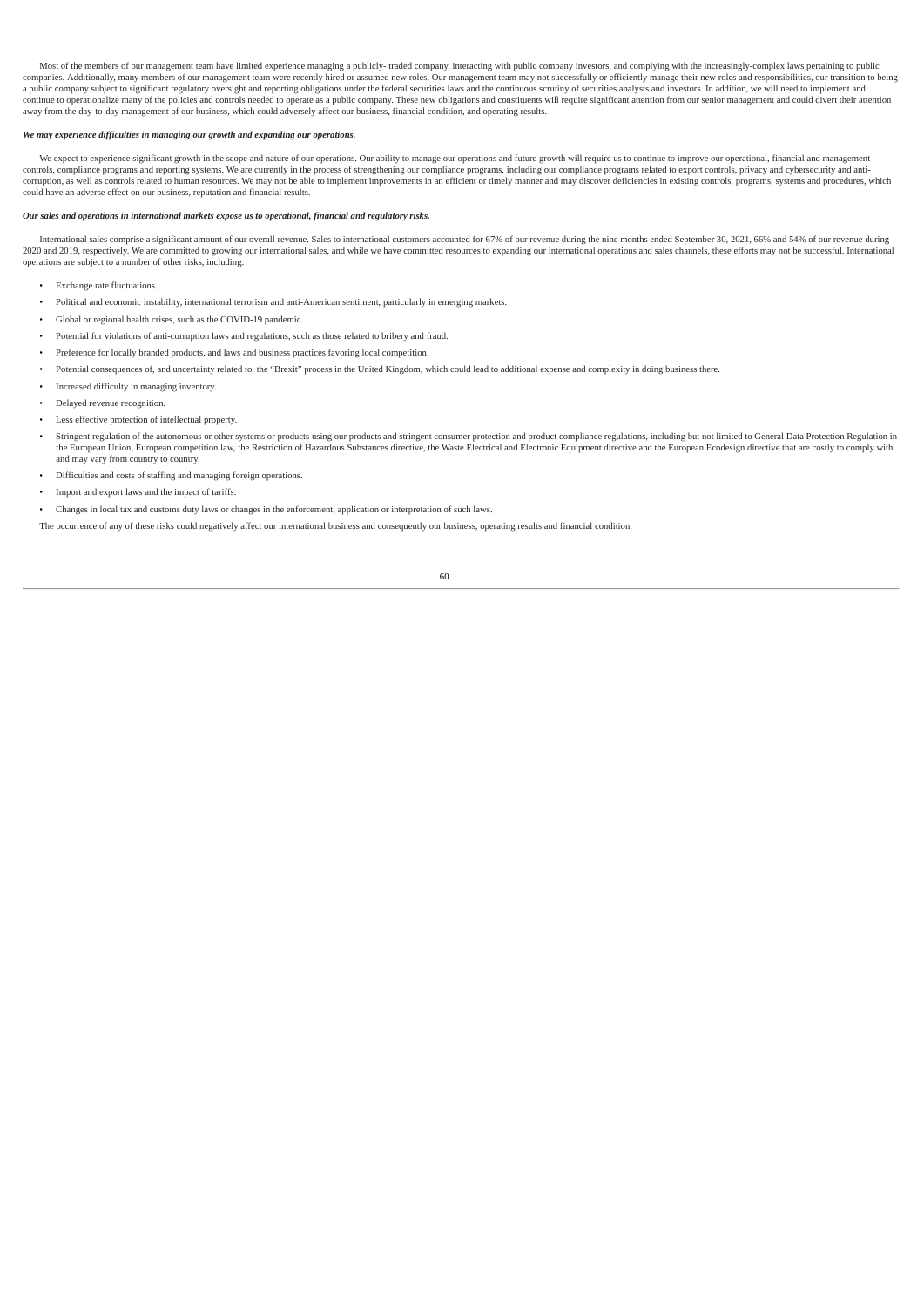Most of the members of our management team have limited experience managing a publicly- traded company, interacting with public company investors, and complying with the increasingly-complex laws pertaining to public companies. Additionally, many members of our management team were recently hired or assumed new roles. Our management team may not successfully or efficiently manage their new roles and responsibilities, our transition to continue to operationalize many of the policies and controls needed to operate as a public company. These new obligations and constituents will require significant attention from our senior management and could divert thei away from the day-to-day management of our business, which could adversely affect our business, financial condition, and operating results.

# *We may experience difficulties in managing our growth and expanding our operations.*

We expect to experience significant growth in the scope and nature of our operations. Our ability to manage our operations and future growth will require us to continue to improve our operational, financial and management controls, compliance programs and reporting systems. We are currently in the process of strengthening our compliance programs, including our compliance programs related to export controls, privacy and cybersecurity and ant could have an adverse effect on our business, reputation and financial results.

#### *Our sales and operations in international markets expose us to operational, financial and regulatory risks.*

International sales comprise a significant amount of our overall revenue. Sales to international customers accounted for 67% of our revenue during the nine months ended September 30, 2021, 66% and 54% of our revenue during 2020 and 2019, respectively. We are committed to growing our international sales, and while we have committed resources to expanding our international operations and sales channels, these efforts may not be successful. Int operations are subject to a number of other risks, including:

- Exchange rate fluctuations.
- Political and economic instability, international terrorism and anti-American sentiment, particularly in emerging markets.
- Global or regional health crises, such as the COVID-19 pandemic.
- Potential for violations of anti-corruption laws and regulations, such as those related to bribery and fraud.
- Preference for locally branded products, and laws and business practices favoring local competition.
- Potential consequences of, and uncertainty related to, the "Brexit" process in the United Kingdom, which could lead to additional expense and complexity in doing business there.
- Increased difficulty in managing inventory.
- Delayed revenue recognition.
- Less effective protection of intellectual property.
- Stringent regulation of the autonomous or other systems or products using our products and stringent consumer protection and product compliance regulations, including but not limited to General Data Protection Regulation i the European Union, European competition law, the Restriction of Hazardous Substances directive, the Waste Electrical and Electronic Equipment directive and the European Ecodesign directive that are costly to comply with t and may vary from country to country.
- Difficulties and costs of staffing and managing foreign operations.
- Import and export laws and the impact of tariffs.
- Changes in local tax and customs duty laws or changes in the enforcement, application or interpretation of such laws.

The occurrence of any of these risks could negatively affect our international business and consequently our business, operating results and financial condition.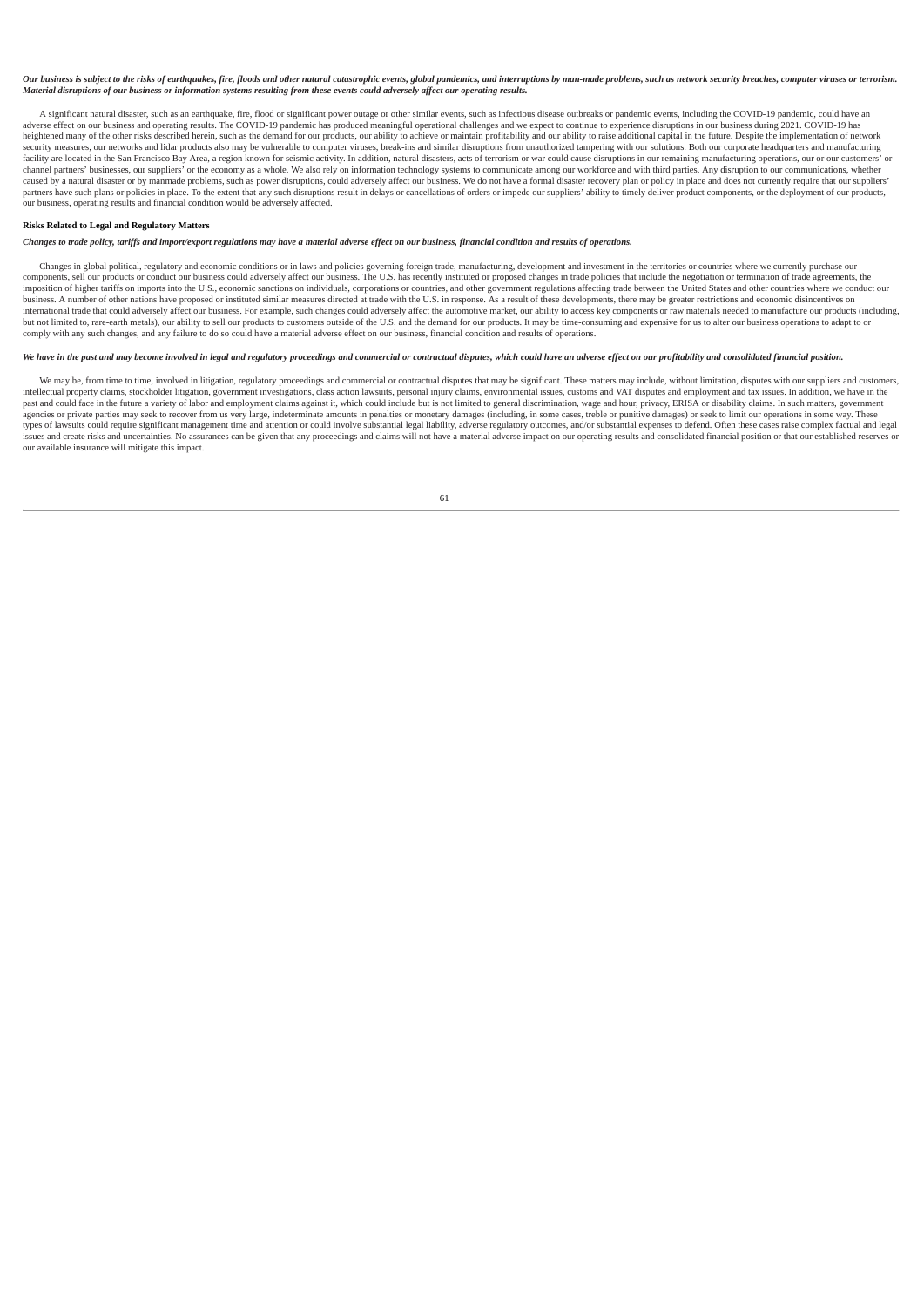Our business is subject to the risks of earthquakes, fire, floods and other natural catastrophic events, global pandemics, and interruptions by man-made problems, such as network security breaches, computer viruses or terr Material disruptions of our business or information systems resulting from these events could adversely affect our operating results.

A significant natural disaster, such as an earthquake, fire, flood or significant power outage or other similar events, such as infectious disease outbreaks or pandemic events, including the COVID-19 pandemic, could have a adverse effect on our business and operating results. The COVID-19 pandemic has produced meaningful operational challenges and we expect to continue to experience disruptions in our business during 2021. COVID-19 has heightened many of the other risks described herein, such as the demand for our products, our ability to achieve or maintain profitability and our ability to raise additional capital in the future. Despite the implementati security measures, our networks and lidar products also may be vulnerable to computer viruses, break-ins and similar disruptions from unauthorized tampering with our solutions. Both our corporate headquarters and manufactu channel partners' businesses, our suppliers' or the economy as a whole. We also rely on information technology systems to communicate among our workforce and with third parties. Any disruption to our communications, whether caused by a natural disaster or by manmade problems, such as power disruptions, could adversely affect our business. We do not have a formal disaster recovery plan or policy in place and does not currently require that our partners have such plans or policies in place. To the extent that any such disruptions result in delays or cancellations of orders or impede our suppliers' ability to timely deliver product components, or the deployment of our business, operating results and financial condition would be adversely affected.

# **Risks Related to Legal and Regulatory Matters**

Changes to trade policy, tariffs and import/export requlations may have a material adverse effect on our business, financial condition and results of operations.

Changes in global political, regulatory and economic conditions or in laws and policies governing foreign trade, manufacturing, development and investment in the territories or countries where we currently purchase our components, sell our products or conduct our business could adversely affect our business. The U.S. has recently instituted or proposed changes in trade policies that include the negotiation or termination of trade agreeme imposition of higher tariffs on imports into the U.S., economic sanctions on individuals, corporations or countries, and other government regulations affecting trade between the United States and other countries where we c international trade that could adversely affect our business. For example, such changes could adversely affect the automotive market, our ability to access key components or raw materials needed to manufacture our products but not limited to, rare-earth metals), our ability to sell our products to customers outside of the U.S. and the demand for our products. It may be time-consuming and expensive for us to alter our business operations to a comply with any such changes, and any failure to do so could have a material adverse effect on our business, financial condition and results of operations.

# We have in the past and may become involved in legal and regulatory proceedings and commercial or contractual disputes, which could have an adverse effect on our profitability and consolidated financial position.

We may be, from time to time, involved in litigation, regulatory proceedings and commercial or contractual disputes that may be significant. These matters may include, without limitation, disputes with our suppliers and cu past and could face in the future a variety of labor and employment claims against it, which could include but is not limited to general discrimination, wage and hour, privacy, ERISA or disability claims. In such matters, agencies or private parties may seek to recover from us very large, indeterminate amounts in penalties or monetary damages (including, in some cases, reble or punitive damages) or seek to limit our operations in some way. types of lawsuits could require significant management time and attention or could involve substantial legal liability, adverse regulatory outcomes, and/or substantial expenses to defend. Often these cases raise complex fa our available insurance will mitigate this impact.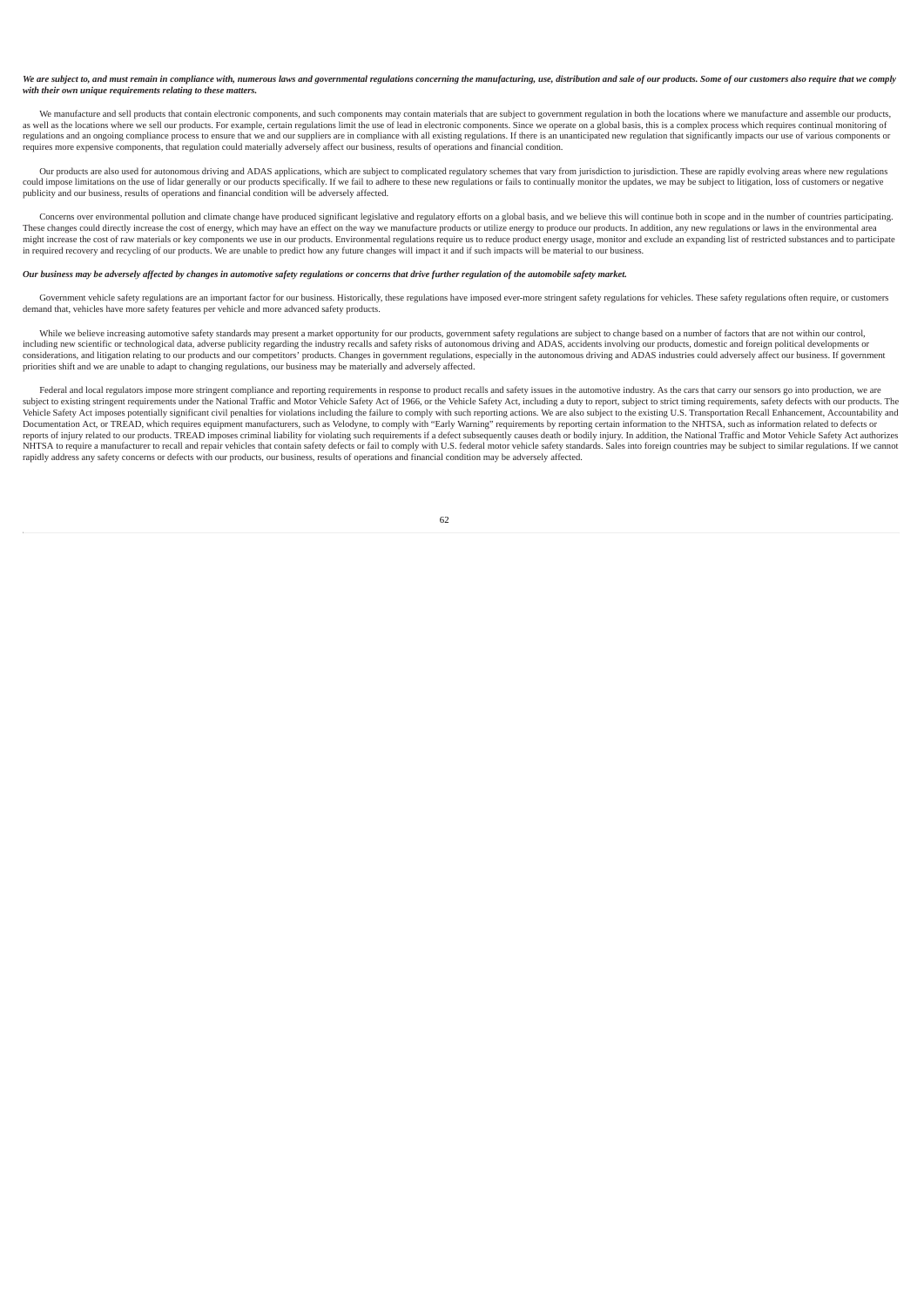We are subject to, and must remain in compliance with, numerous laws and governmental regulations concerning the manufacturing, use, distribution and sale of our products. Some of our customers also require that we comply *with their own unique requirements relating to these matters.*

We manufacture and sell products that contain electronic components, and such components may contain materials that are subject to government regulation in both the locations where we manufacture and assemble our products, as well as the locations where we sell our products. For example, certain regulations limit the use of lead in electronic components. Since we operate on a global basis, this is a complex process which requires continual m regulations and an ongoing compliance process to ensure that we and our suppliers are in compliance with all existing regulations. If there is an unanticipated new regulation that significantly impacts our use of various c requires more expensive components, that regulation could materially adversely affect our business, results of operations and financial condition.

Our products are also used for autonomous driving and ADAS applications, which are subject to complicated regulatory schemes that vary from jurisdiction to jurisdiction. These are rapidly evolving areas where new regulatio could impose limitations on the use of lidar generally or our products specifically. If we fail to adhere to these new regulations or fails to continually monitor the updates, we may be subject to litigation, loss of custo publicity and our business, results of operations and financial condition will be adversely affected.

Concerns over environmental pollution and climate change have produced significant legislative and regulatory efforts on a global basis, and we believe this will continue both in scope and in the number of countries partic These changes could directly increase the cost of energy, which may have an effect on the way we manufacture products or utilize energy to produce our products. In addition, any new regulations or laws in the environmental might increase the cost of raw materials or key components we use in our products. Environmental regulations require us to reduce product energy usage, monitor and exclude an expanding list of restricted substances and to in required recovery and recycling of our products. We are unable to predict how any future changes will impact it and if such impacts will be material to our business.

## Our business may be adversely affected by changes in automotive safety regulations or concerns that drive further regulation of the automobile safety market.

Government vehicle safety regulations are an important factor for our business. Historically, these regulations have imposed ever-more stringent safety regulations for vehicles. These safety regulations often require, or c demand that, vehicles have more safety features per vehicle and more advanced safety products.

While we believe increasing automotive safety standards may present a market opportunity for our products, government safety regulations are subject to change based on a number of factors that are not within our control, including new scientific or technological data, adverse publicity regarding the industry recalls and safety risks of autonomous driving and ADAS, accidents involving our products, domestic and foreign political development priorities shift and we are unable to adapt to changing regulations, our business may be materially and adversely affected.

Federal and local regulators impose more stringent compliance and reporting requirements in response to product recalls and safety issues in the automotive industry. As the cars that carry our sensors go into production, w received to existing stringent requirements under the National Traffic and Motor Vehicle Safety Act of 1966, or the Vehicle Safety Act, including a duty to report, subject to strict timing requirements, safety defects with Vehicle Safety Act imposes potentially significant civil penalties for violations including the failure to comply with "Early Warning actions. We are also subject to the existing U.S. Transportation Recall Enhancement, Acc reports of injury related to our products. TREAD imposes criminal liability for violating such requirements if a defect subsequently causes death or bodily injury. In addition, the National Traffic and Motor Vehicle Safety NHTSA to require a manufacturer to recall and repair vehicles that contain safety defects or fail to comply with U.S. federal motor vehicle safety standards. Sales into foreign countries may be subject to similar regulatio rapidly address any safety concerns or defects with our products, our business, results of operations and financial condition may be adversely affected.

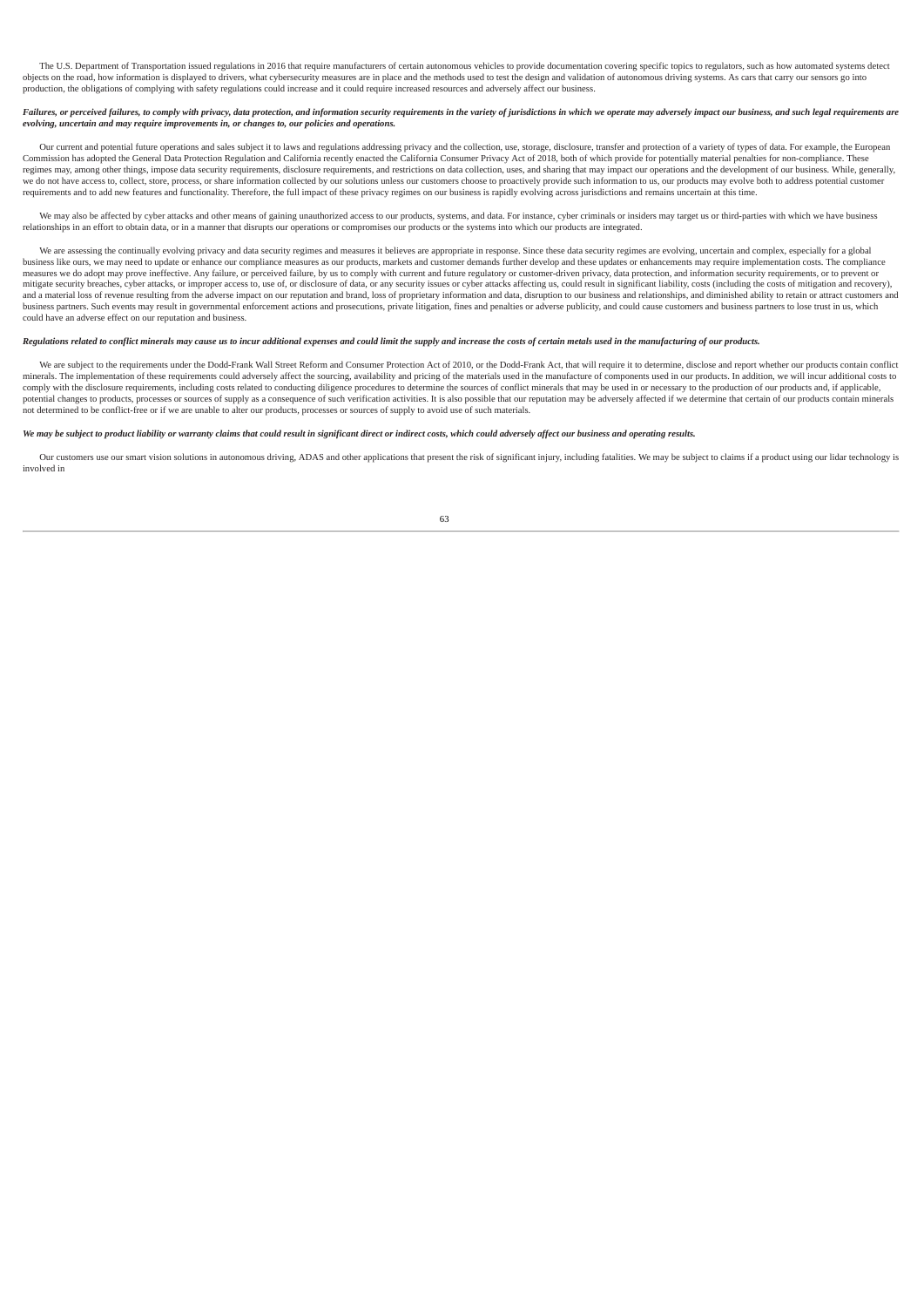The U.S. Department of Transportation issued regulations in 2016 that require manufacturers of certain autonomous vehicles to provide documentation covering specific topics to regulators, such as how automated systems detect objects on the road, how information is displayed to drivers, what cybersecurity measures are in place and the methods used to test the design and validation of autonomous driving systems. As cars that carry our sensors go production, the obligations of complying with safety regulations could increase and it could require increased resources and adversely affect our business.

#### Failures, or perceived failures, to comply with privacy, data protection, and information security requirements in the variety of jurisdictions in which we operate may adversely impact our business, and such legal requirem *evolving, uncertain and may require improvements in, or changes to, our policies and operations.*

Our current and potential future operations and sales subject it to laws and regulations addressing privacy and the collection, use, storage, disclosure, transfer and protection of a variety of types of data. For example, Commission has adopted the General Data Protection Regulation and California recently enacted the California Consumer Privacy Act of 2018, both of which provide for potentially material penalties for non-compliance. These regimes may, among other things, impose data security requirements, disclosure requirements, and restrictions on data collection, uses, and sharing that may impact our operations and the development of our business. While, we do not have access to, collect, store, process, or share information collected by our solutions unless our customers choose to proactively provide such information to us, our products may evolve both to address potentia requirements and to add new features and functionality. Therefore, the full impact of these privacy regimes on our business is rapidly evolving across jurisdictions and remains uncertain at this time.

We may also be affected by cyber attacks and other means of gaining unauthorized access to our products, systems, and data. For instance, cyber criminals or insiders may target us or third-parties with which we have busine relationships in an effort to obtain data, or in a manner that disrupts our operations or compromises our products or the systems into which our products are integrated.

We are assessing the continually evolving privacy and data security regimes and measures it believes are appropriate in response. Since these data security regimes are evolving, uncertain and complex, especially for a glob business like ours, we may need to update or enhance our compliance measures as our products, markets and customer demands further develop and these updates or enhancements may require implementation costs. The compliance measures we do adopt may prove ineffective. Any failure, or perceived failure, by us to comply with current and future regulatory or customer-driven privacy, data protection, and information security requirements, or to pr and a material loss of revenue resulting from the adverse impact on our reputation and brand, loss of proprietary information and data, disruption to our business and relationships, and diminished ability to retain or attr could have an adverse effect on our reputation and business.

# Regulations related to conflict minerals may cause us to incur additional expenses and could limit the supply and increase the costs of certain metals used in the manufacturing of our products.

We are subject to the requirements under the Dodd-Frank Wall Street Reform and Consumer Protection Act of 2010, or the Dodd-Frank Act, that will require it to determine, disclose and report whether our products contain con minerals. The implementation of these requirements could adversely affect the sourcing, availability and pricing of the materials used in the manufacture of components used in our products. In addition, we will incur addit potential changes to products, processes or sources of supply as a consequence of such verification activities. It is also possible that our reputation may be adversely affected if we determine that certain of our products not determined to be conflict-free or if we are unable to alter our products, processes or sources of supply to avoid use of such materials.

We may be subject to product lighility or warranty claims that could result in significant direct or indirect costs, which could adversely affect our business and operating results

Our customers use our smart vision solutions in autonomous driving, ADAS and other applications that present the risk of significant injury, including fatalities. We may be subject to claims if a product using our lidar te involved in

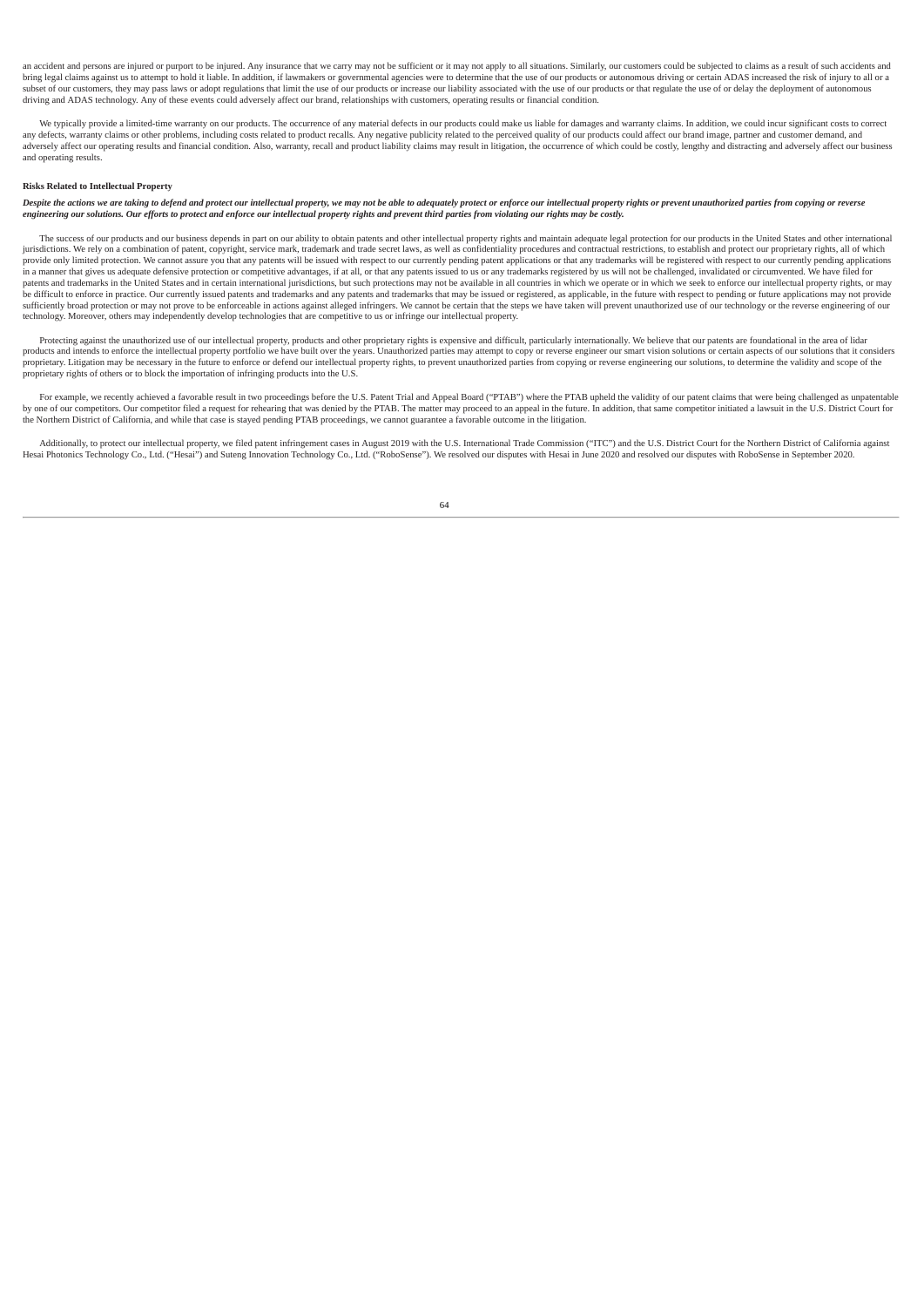an accident and persons are injured or purport to be injured. Any insurance that we carry may not be sufficient or it may not apply to all situations. Similarly, our customers could be subjected to claims as a result of su bring legal claims against us to attempt to hold it liable. In addition, if lawmakers or governmental agencies were to determine that the use of our products or autonomous driving or certain ADAS increased the risk of inju driving and ADAS technology. Any of these events could adversely affect our brand, relationships with customers, operating results or financial condition.

We typically provide a limited-time warranty on our products. The occurrence of any material defects in our products could make us liable for damages and warranty claims. In addition, we could incur significant costs to co any defects, warranty claims or other problems, including costs related to product recalls. Any negative publicity related to the perceived quality of our products could affect our brand image, partner and customer demand, adversely affect our operating results and financial condition. Also, warranty, recall and product liability claims may result in litigation, the occurrence of which could be costly, lengthy and distracting and adversely a and operating results.

## **Risks Related to Intellectual Property**

Despite the actions we are taking to defend and protect our intellectual property, we may not be able to adequately protect or enforce our intellectual property rights or prevent unauthorized parties from copying or revers

The success of our products and our business depends in part on our ability to obtain patents and other intellectual property rights and maintain adequate legal protection for our products in the United States and other in re success of our power on a community conduct on the substantial explanation of patent, copyright, service mark, trademark and trade secret laws, as well as confidentiality procedures and contractual restrictions, to esta provide only limited protection. We cannot assure you that any patents will be issued with respect to our currently pending patent applications or that any trademarks will be registered with respect to our currently pendin in a manner that gives us adequate defensive protection or connective advantages, if at all, or that any patents issued to us or any trademarks registered by us will not be challenged, invalidated or circumvented. We have patents and trademarks in the United States and in certain international jurisdictions, but such protections may not be available in all countries in which we operate or in which we seek to enforce our intellectual propert be difficult to enforce in practice. Our currently issued patents and trademarks and any patents and trademarks that may be issued or registered, as applicable, in the future with respect to pending or future applications se annot be a contracted to the contract of the contraction of the contraction of the contraction of the contraction of the contraction of the contraction of the entergy we have taken will prevent unauthorized use of our t technology. Moreover, others may independently develop technologies that are competitive to us or infringe our intellectual property.

Protecting against the unauthorized use of our intellectual property, products and other proprietary rights is expensive and difficult, particularly internationally. We believe that our patents are foundational in the area products and intends to enforce the intellectual property portfolio we have built over the years. Unauthorized parties may attempt to copy or reverse engineer our smart vision solutions or certain aspects of our solutions proprietary rights of others or to block the importation of infringing products into the U.S.

For example, we recently achieved a favorable result in two proceedings before the U.S. Patent Trial and Appeal Board ("PTAB") where the PTAB upheld the validity of our patent claims that were being challenged as unpatenta by one of our competitors. Our competitor filed a request for rehearing that was denied by the PTAB. The matter may proceed to an appeal in the future. In addition, that same competitor initiated a lawsuit in the U.S. Dist

Additionally, to protect our intellectual property, we filed patent infringement cases in August 2019 with the U.S. International Trade Commission ("ITC") and the U.S. District Court for the Northern District of California

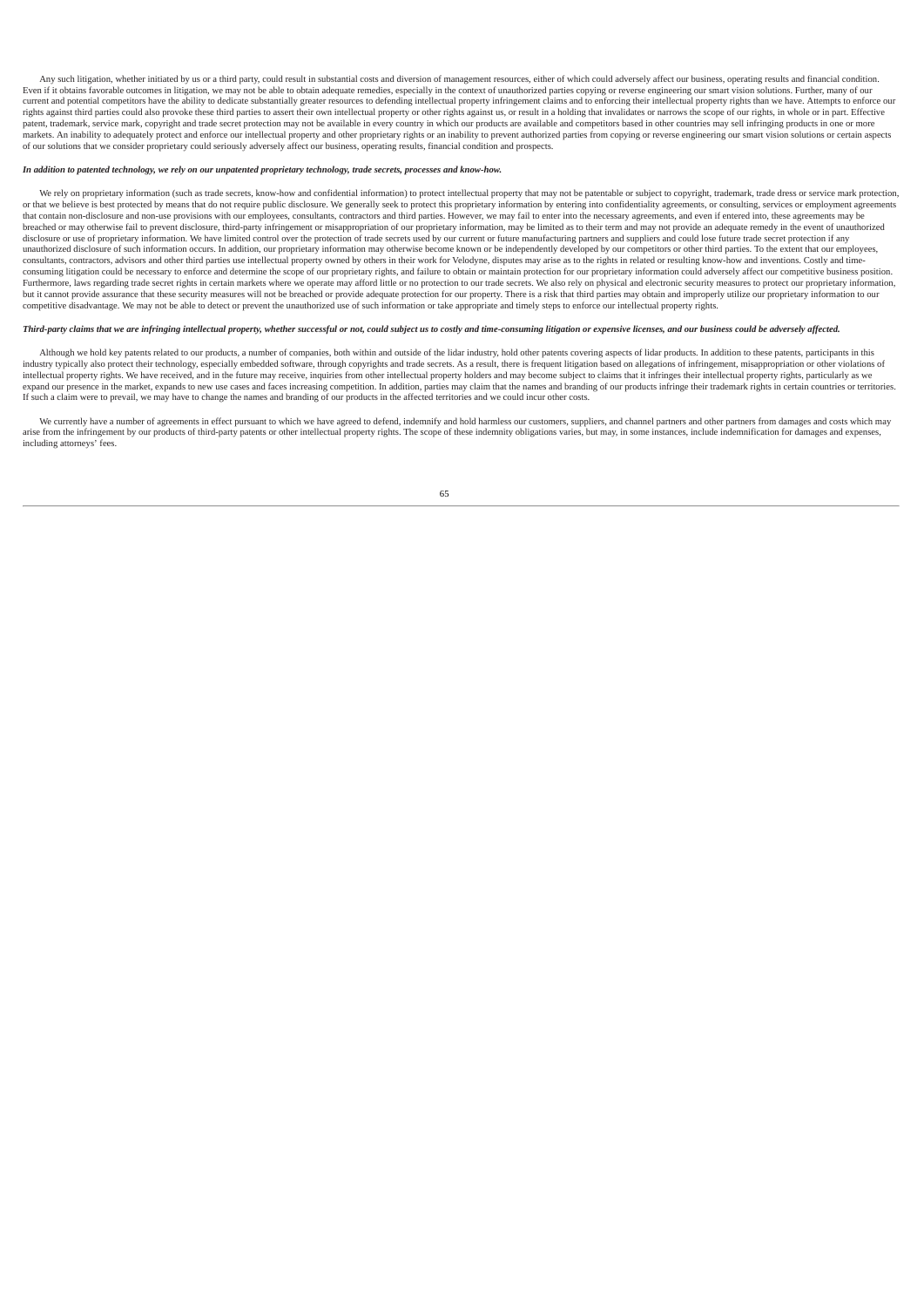Any such litigation, whether initiated by us or a third party, could result in substantial costs and diversion of management resources, either of which could adversely affect our business, operating results and financial c Even if it obtains favorable outcomes in litigation, we may not be able to obtain adequate remedies, especially in the context of unauthorized parties copying or reverse engineering our smart vision solutions. Further, man rights against third parties could also provoke these third parties to assert their own intellectual property or other rights against us, or result in a holding that invalidates or narrows the scope of our rights, in whole patent, trademark, service mark, copyright and trade secret protection may not be available in every country in which our products are available and competitors based in other countries may sell infringing products in one markets. An inability to adequately protect and enforce our intellectual property and other proprietary rights or an inability to prevent authorized parties from copying or reverse engineering our smart vision solutions or of our solutions that we consider proprietary could seriously adversely affect our business, operating results, financial condition and prospects.

## In addition to patented technology, we rely on our unpatented proprietary technology, trade secrets, processes and know-how.

We rely on proprietary information (such as trade secrets, know-how and confidential information) to protect intellectual property that may not be patentable or subiect to copyright, trademark, trade dress or service mark or that we believe is best protected by means that do not require public disclosure. We generally seek to protect this proprietary information by entering into confidentiality agreements, or consulting, services or employm that contain non-disclosure and non-use provisions with our employees, consultants, contractors and third parties. However, we may fail to enter into the necessary agreements, and even if entered into, these agreements may breached or may otherwise fail to prevent disclosure, third-party infringement or misappropriation of our proprietary information, may be limited as to their term and may not provide an adequate remedy in the event of unau disclosure or use of proprietary information. We have limited control over the protection of trade secrets used by our current or future manufacturing partners and suppliers and could lose future trade secret protection if consultants, contractors, advisors and other third parties use intellectual property owned by others in their work for Velodyne, disputes may arise as to the rights in related or resulting know-how and inventions. Costly a consuming litigation could be necessary to enforce and determine the scope of our proprietary rights, and failure to obtain or maintain protection for our proprietary information could adversely affect our connetitive busi Furthermore, laws regarding trade secret rights in certain markets where we operate may afford little or no protection to our trade secrets. We also rely on physical and electronic security measures to protect our propriet but it cannot provide assurance that these security measures will not be breached or provide adequate protection for our property. There is a risk that third parties may obtain and improperly utilize our proprietary inform competitive disadvantage. We may not be able to detect or prevent the unauthorized use of such information or take appropriate and timely steps to enforce our intellectual property rights.

#### Third-party claims that we are infrinaina intellectual property, whether successful or not, could subject us to costly and time-consumina litigation or expensive licenses, and our business could be adversely affected.

Although we hold key patents related to our products, a number of companies, both within and outside of the lidar industry, hold other patents covering aspects of lidar products. In addition to these patents, participants industry typically also protect their technology, especially embedded software, through copyrights and trade secrets. As a result, there is frequent litigation based on allegations of infringement, misappropriation or othe national property rights. We have received, and in the future may receive, inquiries from other intellectual property bilders and may become subject to claims that it infringes their intellectual property rights, Darticula expand our presence in the market, expands to new use cases and faces increasing competition. In addition, parties may claim that the names and branding of our products infringe their trademark rights in certain countries

We currently have a number of agreements in effect pursuant to which we have agreed to defend, indemnify and hold harmless our customers, suppliers, and channel partners and other partners from damages and costs which may including attorneys' fees.

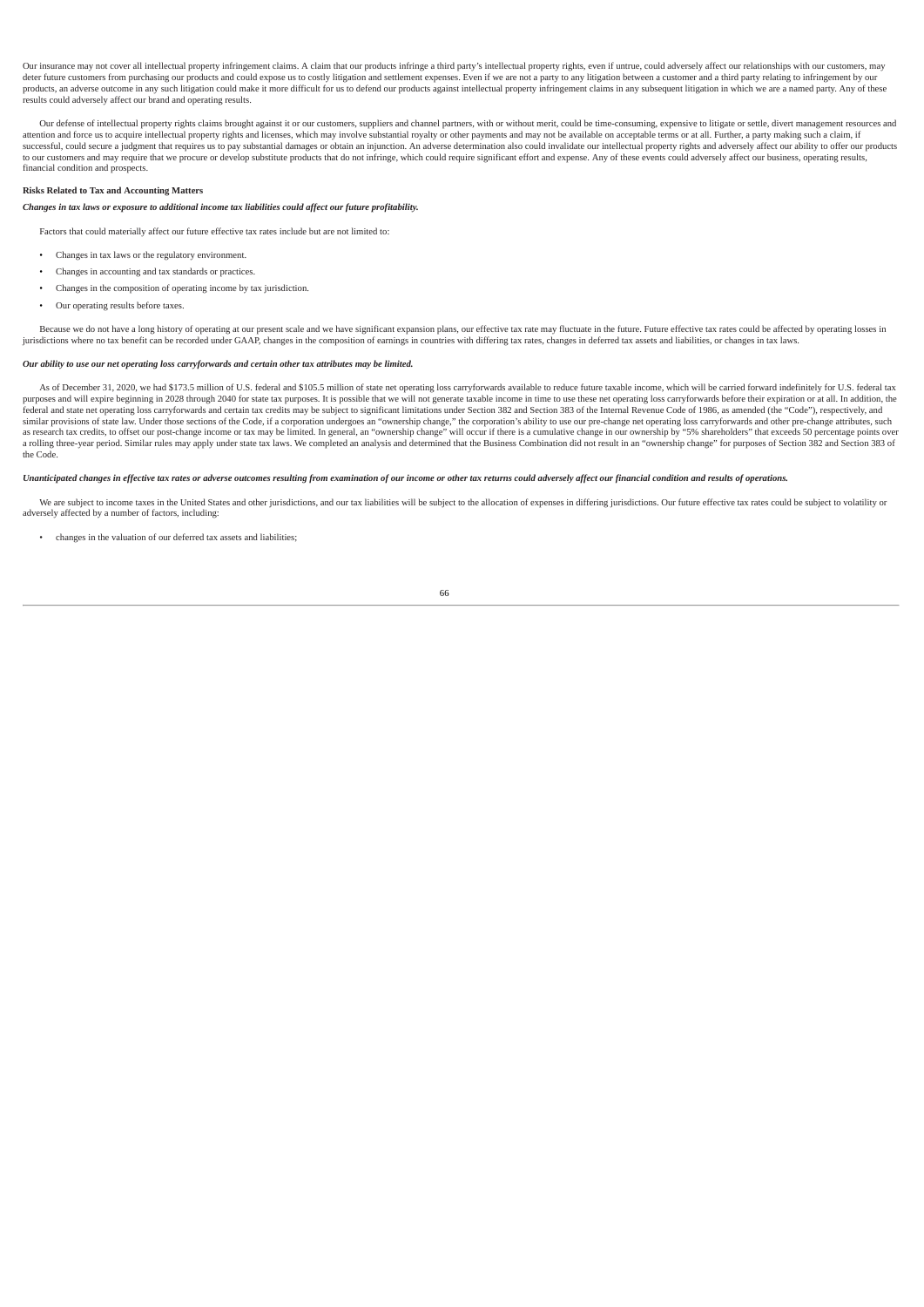Our insurance may not cover all intellectual property infringement claims. A claim that our products infringe a third party's intellectual property rights, even if untrue, could adversely affect our relationships with our deter future customers from purchasing our products and could expose us to costly litigation and settlement expenses. Even if we are not a party to any litigation between a customer and a third party relating to infringeme results could adversely affect our brand and operating results.

Our defense of intellectual property rights claims brought against it or our customers, suppliers and channel partners, with or without merit, could be time-consuming, expensive to litigate or settle, divert management res attention and force us to acquire intellectual property rights and licenses, which may involve substantial royalty or other payments and may not be available on acceptable terms or at all. Further, a party making such a cl to our customers and may require that we procure or develop substitute products that do not infringe, which could require significant effort and expense. Any of these events could adversely affect our business, operating r financial condition and prospects.

## **Risks Related to Tax and Accounting Matters**

#### *Changes in tax laws or exposure to additional income tax liabilities could affect our future profitability.*

Factors that could materially affect our future effective tax rates include but are not limited to:

- Changes in tax laws or the regulatory environment.
- Changes in accounting and tax standards or practices.
- Changes in the composition of operating income by tax jurisdiction.
- Our operating results before taxes.

Because we do not have a long bistory of onerating at our present scale and we have significant expansion plans, our effective tax rate may fluctuate in the future, Future effective tax rates could be affected by operating jurisdictions where no tax benefit can be recorded under GAAP, changes in the composition of earnings in countries with differing tax rates, changes in deferred tax assets and liabilities, or changes in tax laws.

## *Our ability to use our net operating loss carryforwards and certain other tax attributes may be limited.*

As of December 31, 2020, we had \$173.5 million of U.S. federal and \$105.5 million of state net operating loss carryforwards available to reduce future taxable income, which will be carried forward indefinitely for U.S. fed response to the Internal Revenue Code of 1986, as amended (the "Code"), respectively, and the internal Revenue Code of 1986, as amended (the "Code"), respectively, and the code of 1986, as amended (the "Code"), respectivel similar provisions of state law. Under those sections of the Code, if a corporation undergoes an "ownership change," the corporation's ability to use our pre-change net operating loss carryforwards and other pre-change att a rolling three-year period. Similar rules may apply under state tax laws. We completed an analysis and determined that the Business Combination did not result in an "ownership change" for purposes of Section 382 and Secti the Code.

## Unanticipated changes in effective tax rates or adverse outcomes resulting from examination of our income or other tax returns could adversely affect our financial condition and results of operations

We are subject to income taxes in the United States and other jurisdictions, and our tax liabilities will be subject to the allocation of expenses in differing jurisdictions. Our future effective tax rates could be subject adversely affected by a number of factors, including:

• changes in the valuation of our deferred tax assets and liabilities;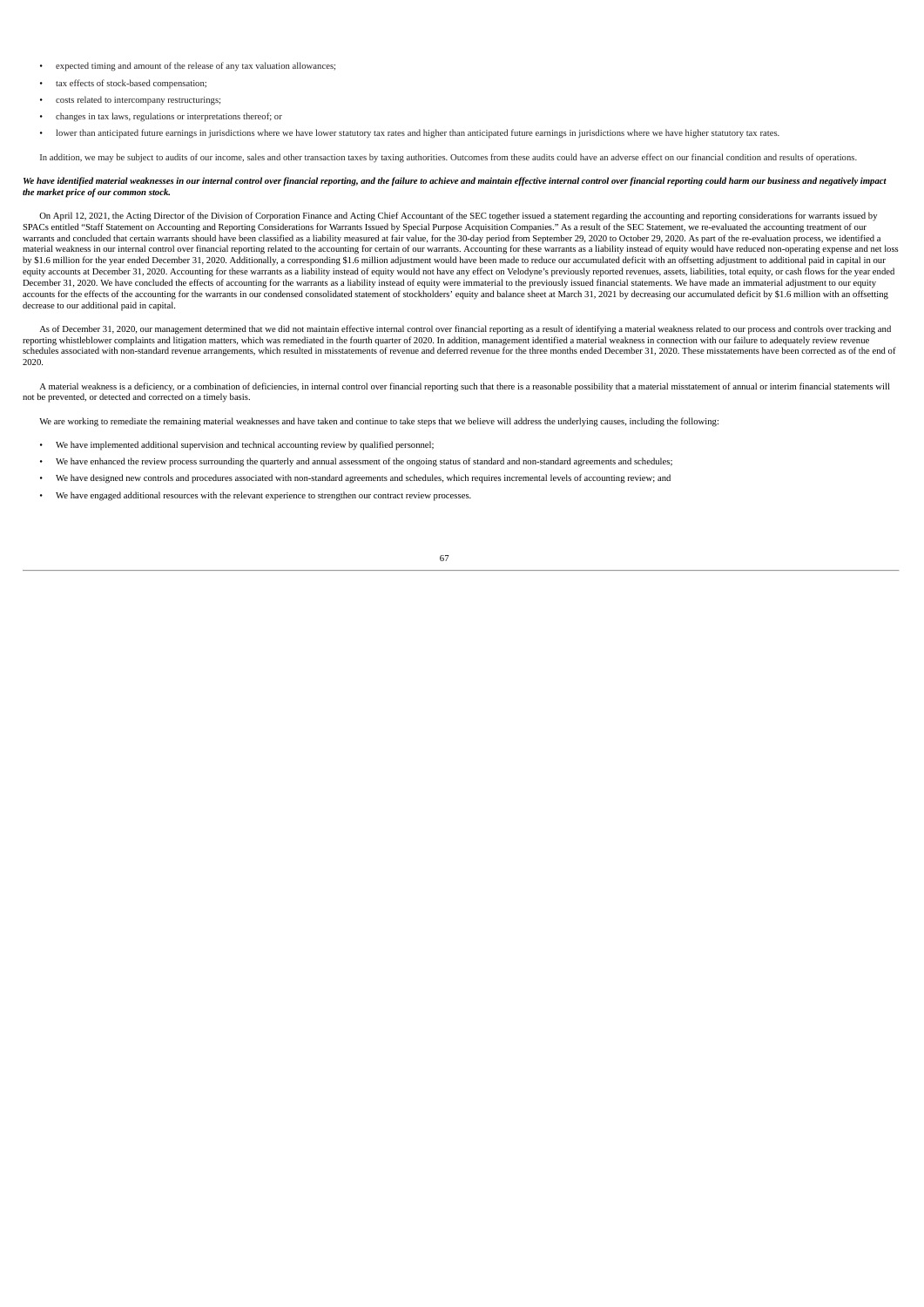- expected timing and amount of the release of any tax valuation allowances;
- tax effects of stock-based compensation;
- costs related to intercompany restructurings;
- changes in tax laws, regulations or interpretations thereof; or
- lower than anticipated future earnings in jurisdictions where we have lower statutory tax rates and higher than anticipated future earnings in jurisdictions where we have higher statutory tax rates.

In addition, we may be subject to audits of our income, sales and other transaction taxes by taxing authorities. Outcomes from these audits could have an adverse effect on our financial condition and results of operations.

#### We have identified material weaknesses in our internal control over financial reporting, and the failure to achieve and maintain effective internal control over financial reporting could harm our business and negatively im *the market price of our common stock.*

On April 12, 2021, the Acting Director of the Division of Corporation Finance and Acting Chief Accountant of the SEC together issued a statement regarding the accounting and reporting considerations for warrants issued by SPACs entitled "Staff Statement on Accounting and Reporting Considerations for Warrants Issued by Special Purpose Acquisition Companies." As a result of the SEC Statement, we re-evaluated the accounting treatment of our SP warrants and concluded that certain warrants should have been classified as a liability measured at fair value, for the 30-day period from September 29, 2020 to October 29, 2020. As part of the re-evaluation process, we id material weakness in our internal control over financial reporting related to the accounting for certain of our warrants. Accounting for these warrants as a liability instead of equity would have reduced non-operating expe by \$1.6 million for the year ended December 31, 2020. Additionally, a corresponding \$1.6 million adjustment would have been made to reduce our accumulated deficit with an offsetting adjustment to additional paid in capital December 31, 2020. We have concluded the effects of accounting for the warrants as a liability instead of equity were immaterial to the previously issued financial statements. We have made an immaterial adjustment to our e decrease to our additional paid in capital.

As of December 31, 2020, our management determined that we did not maintain effective internal control over financial reporting as a result of identifying a material weakness related to our process and controls over tracki reporting whistleblower complaints and litigation matters, which was remediated in the fourth quarter of 2020. In addition, management identified a material weakness in connection with our failure to adequately review reve schedules associated with non-standard revenue arrangements, which resulted in misstatements of revenue and deferred revenue for the three months ended December 31, 2020. These misstatements have been corrected as of the e

A material weakness is a deficiency, or a combination of deficiencies, in internal control over financial reporting such that there is a reasonable possibility that a material misstatement of annual or interim financial st

We are working to remediate the remaining material weaknesses and have taken and continue to take steps that we believe will address the underlying causes, including the following:

- We have implemented additional supervision and technical accounting review by qualified personnel;
- We have enhanced the review process surrounding the quarterly and annual assessment of the ongoing status of standard and non-standard agreements and schedules;
- We have designed new controls and procedures associated with non-standard agreements and schedules, which requires incremental levels of accounting review; and
- We have engaged additional resources with the relevant experience to strengthen our contract review processes.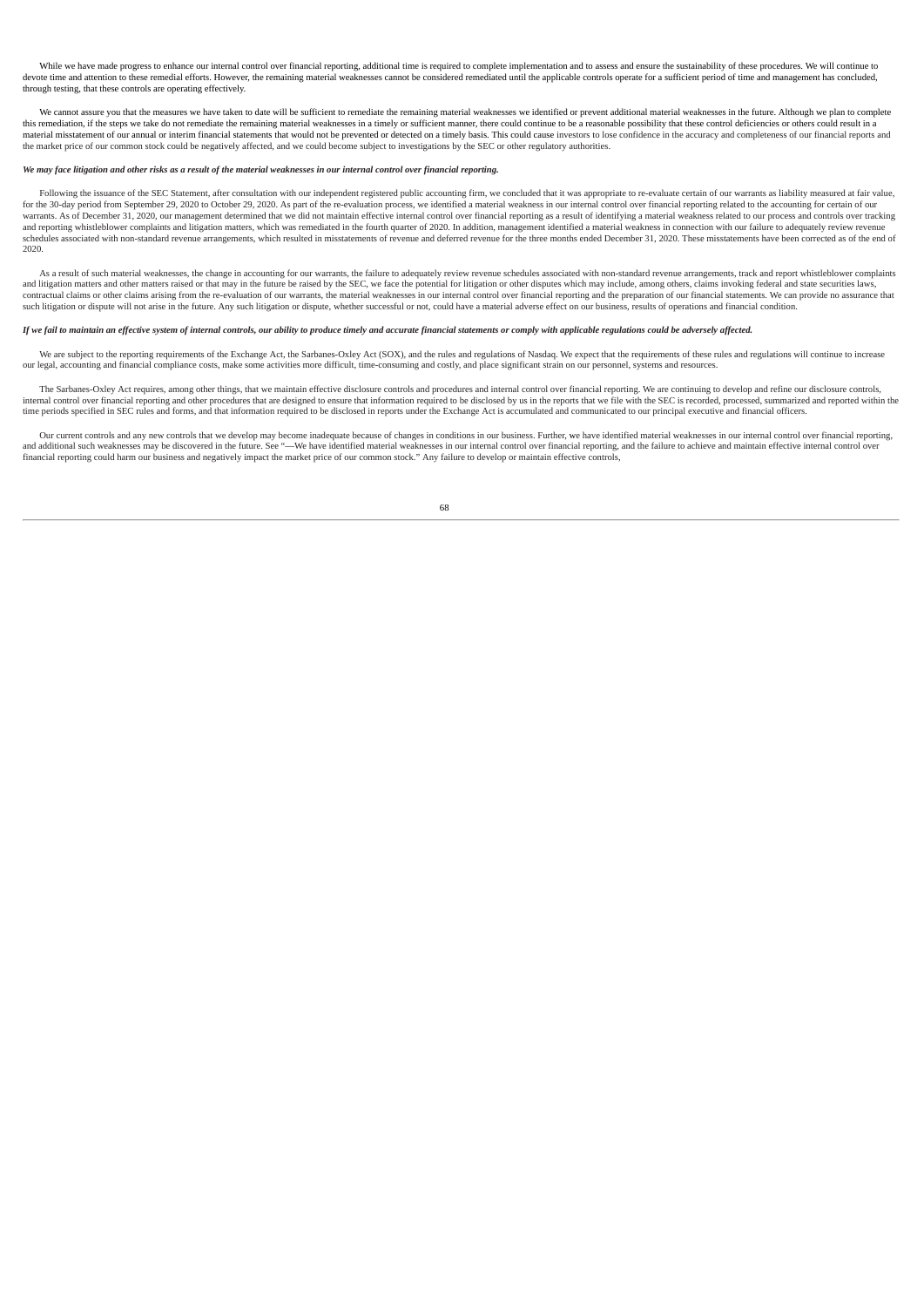While we have made progress to enhance our internal control over financial reporting, additional time is required to complete implementation and to assess and ensure the sustainability of these procedures. We will continue devote time and attention to these remedial efforts. However, the remaining material weaknesses cannot be considered remediated until the applicable controls operate for a sufficient period of time and management has concl through testing, that these controls are operating effectively.

We cannot assure you that the measures we have taken to date will be sufficient to remediate the remaining material weaknesses we identified or prevent additional material weaknesses in the future. Although we plan to comp this remediation, if the steps we take do not remediate the remaining material weaknesses in a timely or sufficient manner, there could continue to be a reasonable possibility that these control deficiencies or others coul material misstatement of our annual or interim financial statements that would not be prevented or detected on a timely basis. This could cause investors to lose confidence in the accuracy and completeness of our financial the market price of our common stock could be negatively affected, and we could become subject to investigations by the SEC or other regulatory authorities.

#### We may face litigation and other risks as a result of the material weaknesses in our internal control over financial reportina.

Following the issuance of the SEC Statement, after consultation with our independent registered public accounting firm, we concluded that it was appropriate to re-evaluate certain of our warrants as liability measured at f for the 30-day period from September 29, 2020 to October 29, 2020. As part of the re-evaluation process, we identified a material weakness in our internal control over financial reporting related to the accounting for cert warrants. As of December 31, 2020, our management determined that we did not maintain effective internal control over financial reporting as a result of identifying a material weakness related to our process and controls o and reporting whistleblower complaints and litigation matters, which was remediated in the fourth quarter of 2020. In addition, management identified a material weakness in connection with our failure to adequately review schedules associated with non-standard revenue arrangements, which resulted in misstatements of revenue and deferred revenue for the three months ended December 31, 2020. These misstatements have been corrected as of the e 2020.

As a result of such material weaknesses, the change in accounting for our warrants, the failure to adequately review revenue schedules associated with non-standard revenue arrangements, track and report whistleblower compl and the matters and other matters reased or that may in the future be raised by the SEC, we face the potential for litigation or other disputes which may include, among others, claims invoking federal and state securities contractual claims or other claims arising from the re-evaluation of our warrants, the material weaknesses in our internal control over financial reporting and the preparation of our financial statements. We can provide no such litigation or dispute will not arise in the future. Any such litigation or dispute, whether successful or not, could have a material adverse effect on our business, results of operations and financial condition.

# If we fail to maintain an effective system of internal controls, our ability to produce timely and accurate financial statements or comply with applicable regulations could be adversely affected.

We are subject to the reporting requirements of the Exchange Act, the Sarbanes-Oxley Act (SOX), and the rules and regulations of Nasdaq. We expect that the requirements of these rules and regulations will continue to incre our legal, accounting and financial compliance costs, make some activities more difficult, time-consuming and costly, and place significant strain on our personnel, systems and resources.

The Sarbanes-Oxley Act requires, among other things, that we maintain effective disclosure controls and procedures and internal control over financial reporting. We are continuing to develop and refine our disclosure contr internal control over financial reporting and other procedures that are designed to ensure that information required to be disclosed by us in the reports that we file with the SEC is recorded, processed, summarized and rep

Our current controls and any new controls that we develop may become inadequate because of changes in conditions in our business. Further, we have identified material weaknesses in our internal control over financial repor and additional such weaknesses may be discovered in the future. See "-We have identified material weaknesses in our internal control over financial reporting, and the failure to achieve and maintain effective internal cont financial reporting could harm our business and negatively impact the market price of our common stock." Any failure to develop or maintain effective controls,

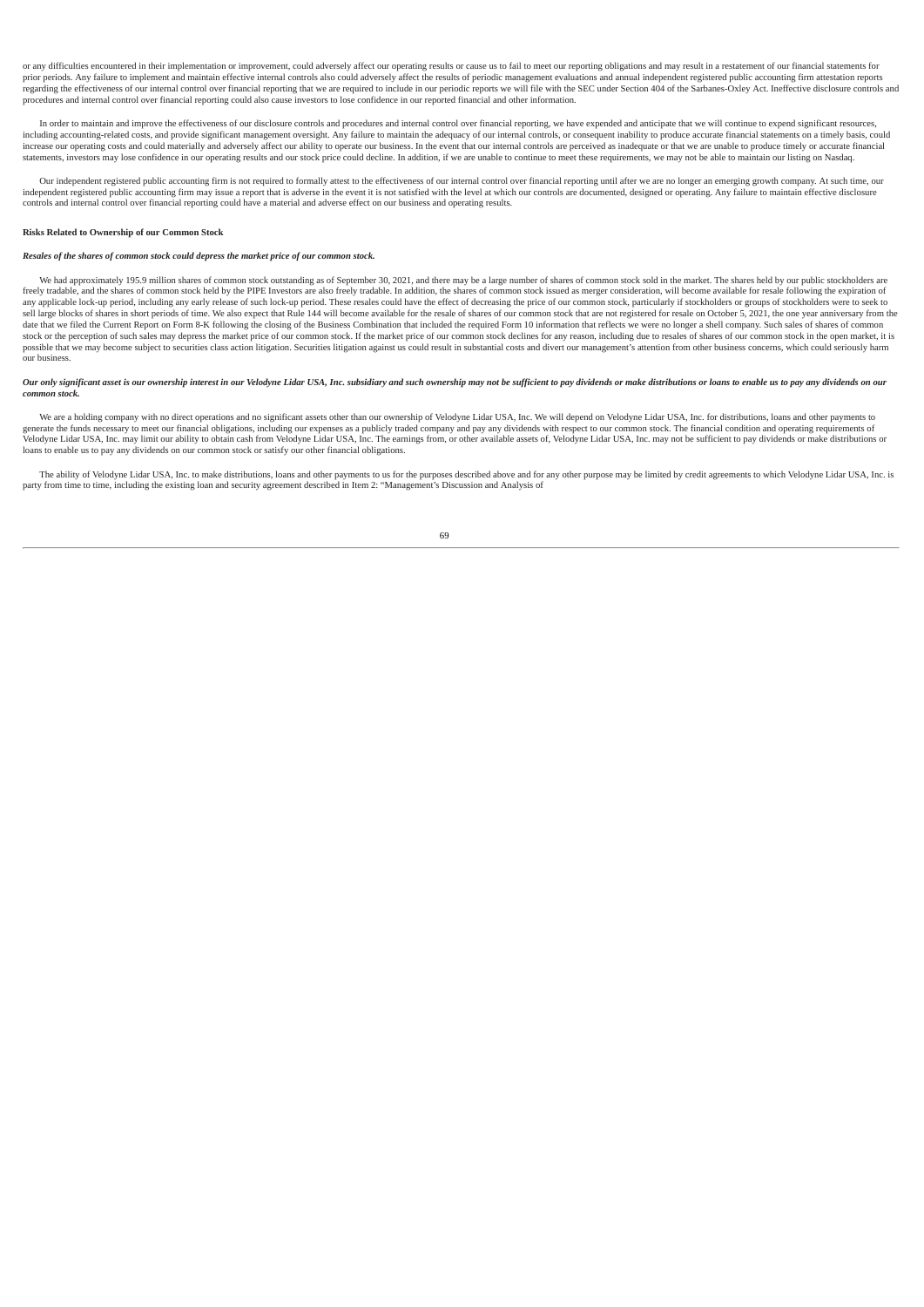or any difficulties encountered in their implementation or improvement, could adversely affect our operating results or cause us to fail to meet our reporting obligations and may result in a restatement of our financial st prior periods. Any failure to implement and maintain effective internal controls also could adversely affect the results of periodic management evaluations and annual independent registered public accounting firm attestati procedures and internal control over financial reporting could also cause investors to lose confidence in our reported financial and other information.

In order to maintain and improve the effectiveness of our disclosure controls and procedures and internal control over financial reporting, we have expended and anticipate that we will continue to expend significant resour including accounting-related costs, and provide significant management oversight. Any failure to maintain the adequacy of our internal controls, or consequent inability to produce accurate financial statements on a timely statements, investors may lose confidence in our operating results and our stock price could decline. In addition, if we are unable to continue to meet these requirements, we may not be able to maintain our listing on Nasd

Our independent registered public accounting firm is not required to formally attest to the effectiveness of our internal control over financial reporting until after we are no longer an emerging growth company. At such ti independent registered public accounting firm may issue a report that is adverse in the event it is not satisfied with the level at which our controls are documented, designed or operating. Any failure to maintain effectiv controls and internal control over financial reporting could have a material and adverse effect on our business and operating results.

#### **Risks Related to Ownership of our Common Stock**

## *Resales of the shares of common stock could depress the market price of our common stock.*

We had approximately 195.9 million shares of common stock outstanding as of September 30, 2021, and there may be a large number of shares of common stock sold in the market. The shares held by our public stockholders are freely tradable, and the shares of common stock held by the PIPE Investors are also freely tradable. In addition, the shares of common stock issued as merger consideration, will become available for resale following the ex any applicable lock-up period, including any early release of such lock-up period. These resales could have the effect of decreasing the price of our common stock, particularly if stockholders or groups of stockholders wer date that we filed the Current Report on Form 8-K following the closing of the Business Combination that included the required Form 10 information that reflects we were no longer a shell company. Such sales of shares of co possible that we may become subject to securities class action litigation. Securities litigation against us could result in substantial costs and divert our management's attention from other business concerns, which could our business.

Our only significant asset is our ownership interest in our Velodyne Lidar USA, Inc. subsidiary and such ownership may not be sufficient to pay dividends or make distributions or loans to enable us to pay any dividends on *common stock.*

We are a holding company with no direct operations and no significant assets other than our ownership of Velodyne Lidar USA, Inc. We will depend on Velodyne Lidar USA, Inc. for distributions, loans and other payments to generate the funds necessary to meet our financial obligations, including our expenses as a publicly traded company and pay any dividends with respect to our common stock. The financial condition and operating requirements loans to enable us to pay any dividends on our common stock or satisfy our other financial obligations.

The ability of Velodyne Lidar USA, Inc. to make distributions, loans and other payments to us for the purposes described above and for any other purpose may be limited by credit agreements to which Velodyne Lidar USA, Inc. party from time to time, including the existing loan and security agreement described in Item 2: "Management's Discussion and Analysis of

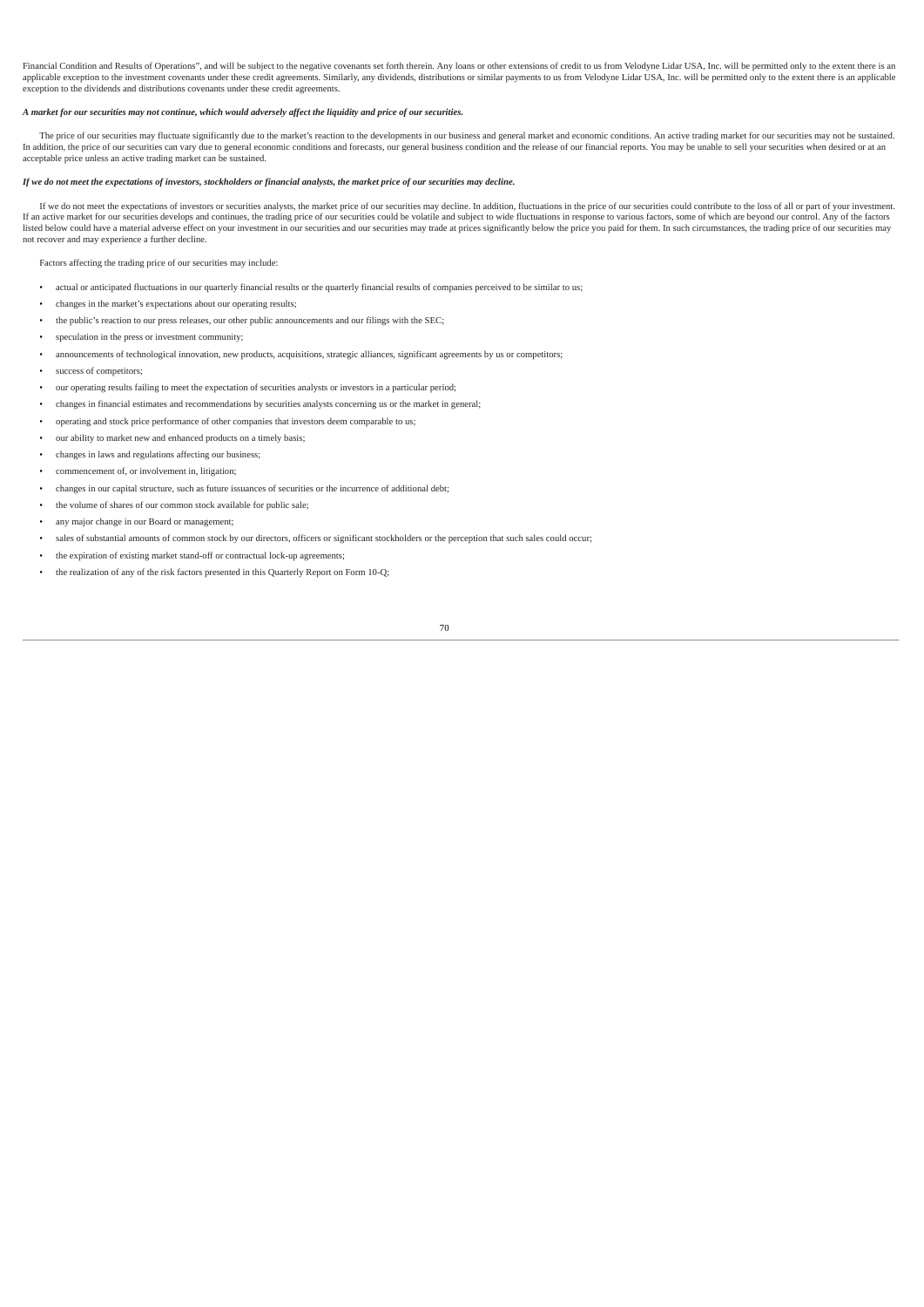Financial Condition and Results of Operations", and will be subject to the negative covenants set forth therein. Any loans or other extensions of credit to us from Velodyne Lidar USA, Inc. will be permitted only to the ext applicable exception to the investment covenants under these credit agreements. Similarly, any dividends, distributions or similar payments to us from Velodyne Lidar USA, Inc. will be permitted only to the extent there is exception to the dividends and distributions covenants under these credit agreements.

# A market for our securities may not continue, which would adversely affect the liquidity and price of our securities.

The price of our securities may fluctuate significantly due to the market's reaction to the developments in our business and general market and economic conditions. An active trading market for our securities may not be su In addition, the price of our securities can vary due to general economic conditions and forecasts, our general business condition and the release of our financial reports. You may be unable to sell your securities when de acceptable price unless an active trading market can be sustained.

# If we do not meet the expectations of investors, stockholders or financial analysts, the market price of our securities may decline.

If we do not meet the expectations of investors or securities analysts, the market price of our securities may decline. In addition, fluctuations in the price of our securities could contribute to the loss of all or part o listed below could have a material adverse effect on your investment in our securities and our securities and our securities may trade at prices significantly below the price you paid for them. In such circumstances, the t not recover and may experience a further decline.

Factors affecting the trading price of our securities may include:

- actual or anticipated fluctuations in our quarterly financial results or the quarterly financial results of companies perceived to be similar to us;
- changes in the market's expectations about our operating results;
- the public's reaction to our press releases, our other public announcements and our filings with the SEC;
- speculation in the press or investment community;
- announcements of technological innovation, new products, acquisitions, strategic alliances, significant agreements by us or competitors;
- success of competitors;
- our operating results failing to meet the expectation of securities analysts or investors in a particular period;
- changes in financial estimates and recommendations by securities analysts concerning us or the market in general;
- operating and stock price performance of other companies that investors deem comparable to us;
- our ability to market new and enhanced products on a timely basis;
- changes in laws and regulations affecting our business;
- commencement of, or involvement in, litigation;
- changes in our capital structure, such as future issuances of securities or the incurrence of additional debt;
- the volume of shares of our common stock available for public sale;
- any major change in our Board or management;
- sales of substantial amounts of common stock by our directors, officers or significant stockholders or the perception that such sales could occur;
- the expiration of existing market stand-off or contractual lock-up agreements;
- the realization of any of the risk factors presented in this Quarterly Report on Form 10-Q;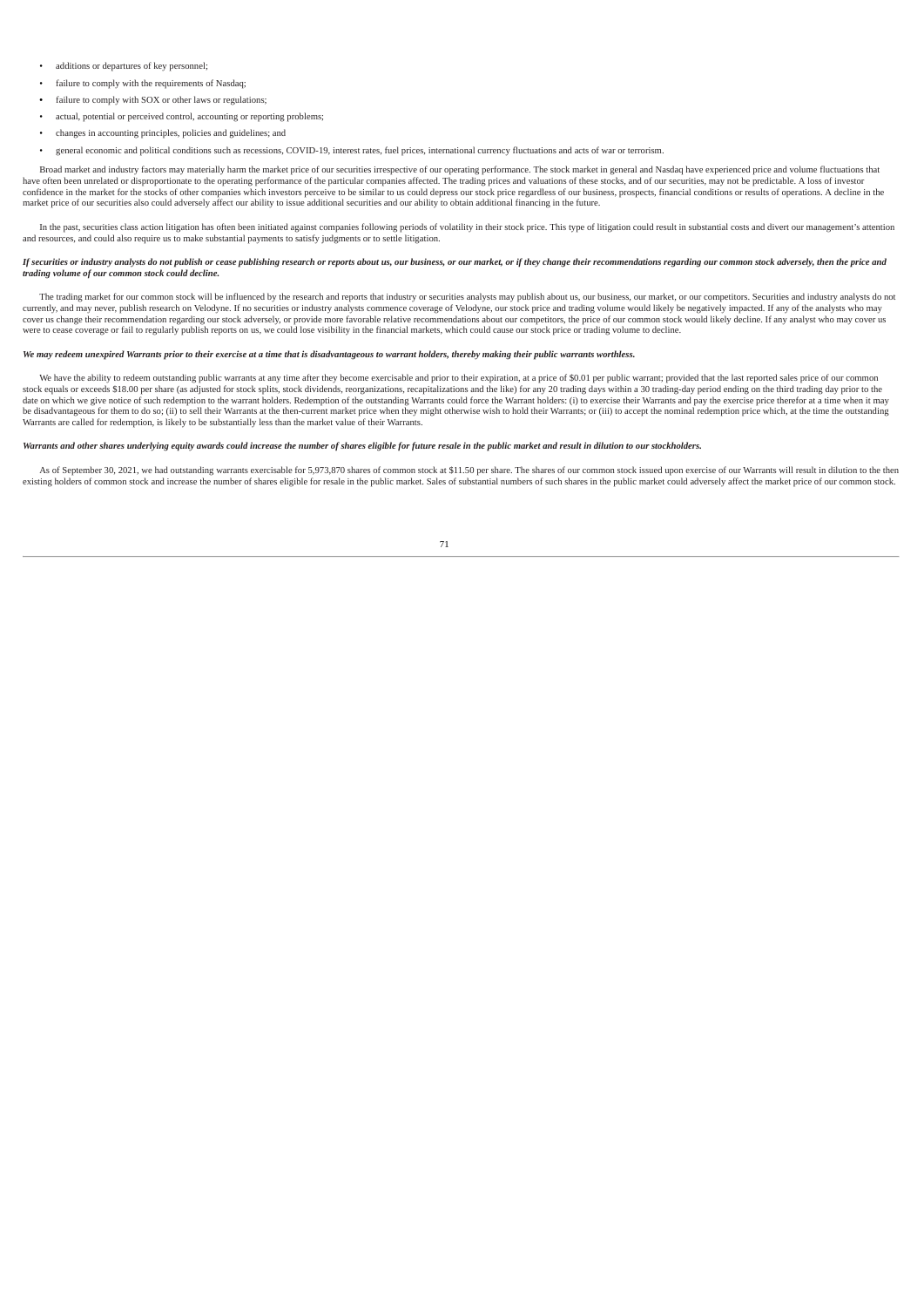- additions or departures of key personnel;
- failure to comply with the requirements of Nasdaq;
- failure to comply with SOX or other laws or regulations;
- actual, potential or perceived control, accounting or reporting problems;
- changes in accounting principles, policies and guidelines; and
- general economic and political conditions such as recessions, COVID-19, interest rates, fuel prices, international currency fluctuations and acts of war or terrorism.

Broad market and industry factors may materially harm the market price of our securities irrespective of our operating performance. The stock market in general and Nasdaq have experienced price and volume fluctuations that market price of our securities also could adversely affect our ability to issue additional securities and our ability to obtain additional financing in the future.

In the past, securities class action litigation has often been initiated against companies following periods of volatility in their stock price. This type of litigation could result in substantial costs and divert our mana and resources, and could also require us to make substantial payments to satisfy judgments or to settle litigation.

#### If securities or industry analysts do not publish or cease publishing research or reports about us, our business, or our market, or if they change their recommendations regarding our common stock adversely, then the price *trading volume of our common stock could decline.*

The trading market for our common stock will be influenced by the research and reports that industry or securities analysts may publish about us, our business, our market, or our competitors. Securities and industry analys currently, and may never, publish research on Velodyne. If no securities or industry analysts commence coverage of Velodyne, our stock price and trading volume would likely be negatively impacted. If any of the analysts wh were to cease coverage or fail to regularly publish reports on us, we could lose visibility in the financial markets, which could cause our stock price or trading volume to decline.

## We may redeem unexpired Warrants prior to their exercise at a time that is disadvantageous to warrant holders, thereby making their public warrants worthless

We have the ability to redeem outstanding public warrants at any time after they become exercisable and prior to their expiration, at a price of \$0.01 per public warrant; provided that the last reported sales price of our stock equals or exceeds \$18.00 per share (as adjusted for stock splits, stock dividends, reorganizations, recapitalizations and the like) for any 20 trading days within a 30 trading-day period ending on the third trading d date on which we give notice of such redemption to the warrant holders. Redemption of the outstanding Warrants could force the Warrant holders: (i) to exercise their Warrants and pay the exercise price therefor at a time w be disadvantageous for them to do so: (ii) to sell their Warrants at the then-current market price when they might otherwise wish to hold their Warrants: or (iii) to accept the nominal redemption price which, at the time t Warrants are called for redemption, is likely to be substantially less than the market value of their Warrants.

#### Warrants and other shares underlying equity awards could increase the number of shares eligible for future resale in the nublic market and result in dilution to our stockholders.

As of September 30, 2021, we had outstanding warrants exercisable for 5,973,870 shares of common stock at \$11.50 per share. The shares of our common stock issued upon exercise of our Warrants will result in dilution to the existing holders of common stock and increase the number of shares eligible for resale in the public market. Sales of substantial numbers of such shares in the public market could adversely affect the market price of our c

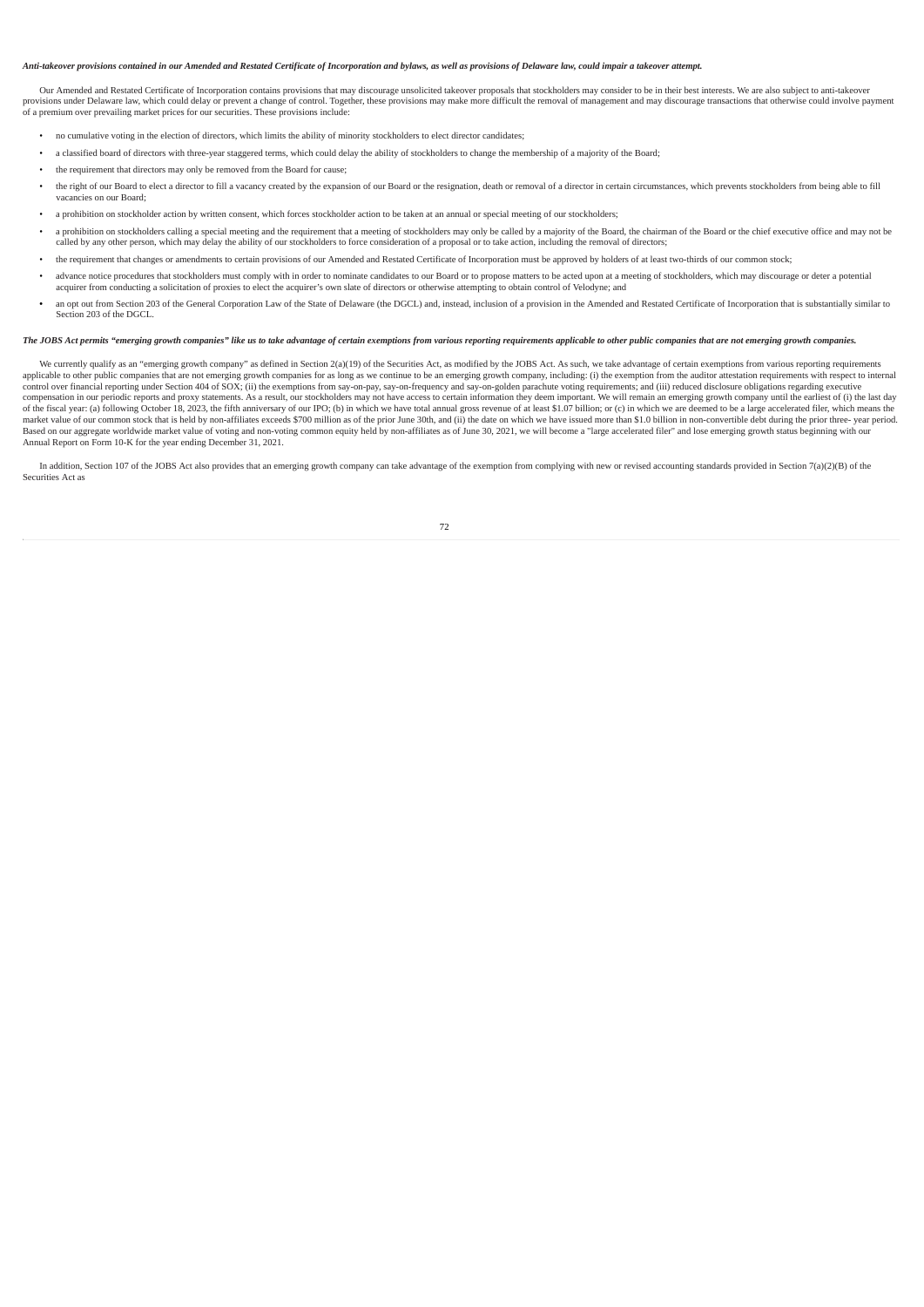#### Anti-takeover provisions contained in our Amended and Restated Certificate of Incorporation and bylaws, as well as provisions of Delaware law, could impair a takeover attempt.

Our Amended and Restated Certificate of Incorporation contains provisions that may discourage unsolicited takeover proposals that stockholders may consider to be in their best interests. We are also subject to anti-takeove of a premium over prevailing market prices for our securities. These provisions include:

- no cumulative voting in the election of directors, which limits the ability of minority stockholders to elect director candidates;
- a classified board of directors with three-year staggered terms, which could delay the ability of stockholders to change the membership of a majority of the Board;
- the requirement that directors may only be removed from the Board for cause;
- the right of our Board to elect a director to fill a vacancy created by the expansion of our Board or the resignation, death or removal of a director in certain circumstances, which prevents stockholders from being able to vacancies on our Board;
- a prohibition on stockholder action by written consent, which forces stockholder action to be taken at an annual or special meeting of our stockholders;
- a prohibition on stockholders calling a special meeting and the requirement that a meeting of stockholders may only be called by a majority of the Board, the chairman of the Board or the chief executive office and may not called by any other person, which may delay the ability of our stockholders to force consideration of a proposal or to take action, including the removal of directors;
- the requirement that changes or amendments to certain provisions of our Amended and Restated Certificate of Incorporation must be approved by holders of at least two-thirds of our common stock;
- advance notice procedures that stockholders must comply with in order to nominate candidates to our Board or to propose matters to be acted upon at a meeting of stockholders, which may discourage or deter a potential acquirer from conducting a solicitation of proxies to elect the acquirer's own slate of directors or otherwise attempting to obtain control of Velodyne; and
- an opt out from Section 203 of the General Corporation Law of the State of Delaware (the DGCL) and, instead, inclusion of a provision in the Amended and Restated Certificate of Incorporation that is substantially similar t Section 203 of the DGCL.

#### The JOBS Act permits "emerging growth companies" like us to take advantage of certain exemptions from various reporting requirements applicable to other public companies that are not emerging growth companies.

We currently qualify as an "emerging growth company" as defined in Section 2(a)(19) of the Securities Act, as modified by the JOBS Act. As such, we take advantage of certain exemptions from various reporting requirements applicable to other public companies that are not emerging growth companies for as long as we continue to be an emerging growth company, including: (i) the exemption from the auditor attestation requirements with respect t control over financial reporting under Section 404 of SOX; (ii) the exemptions from say-on-pay, say-on-frequency and say-on-golden parachute voting requirements; and (iii) reduced disclosure obligations regarding executive of the fiscal year: (a) following October 18, 2023, the fifth anniversary of our IPO; (b) in which we have total annual gross revenue of at least \$1.07 billion; or (c) in which we are deemed to be a large accelerated filer Based on our aggregate worldwide market value of voting and non-voting common equity held by non-affiliates as of June 30, 2021, we will become a "large accelerated filer" and lose emerging growth status beginning with our Annual Report on Form 10-K for the year ending December 31, 2021.

In addition, Section 107 of the JOBS Act also provides that an emerging growth company can take advantage of the exemption from complying with new or revised accounting standards provided in Section 7(a)(2)(B) of the Securities Act as

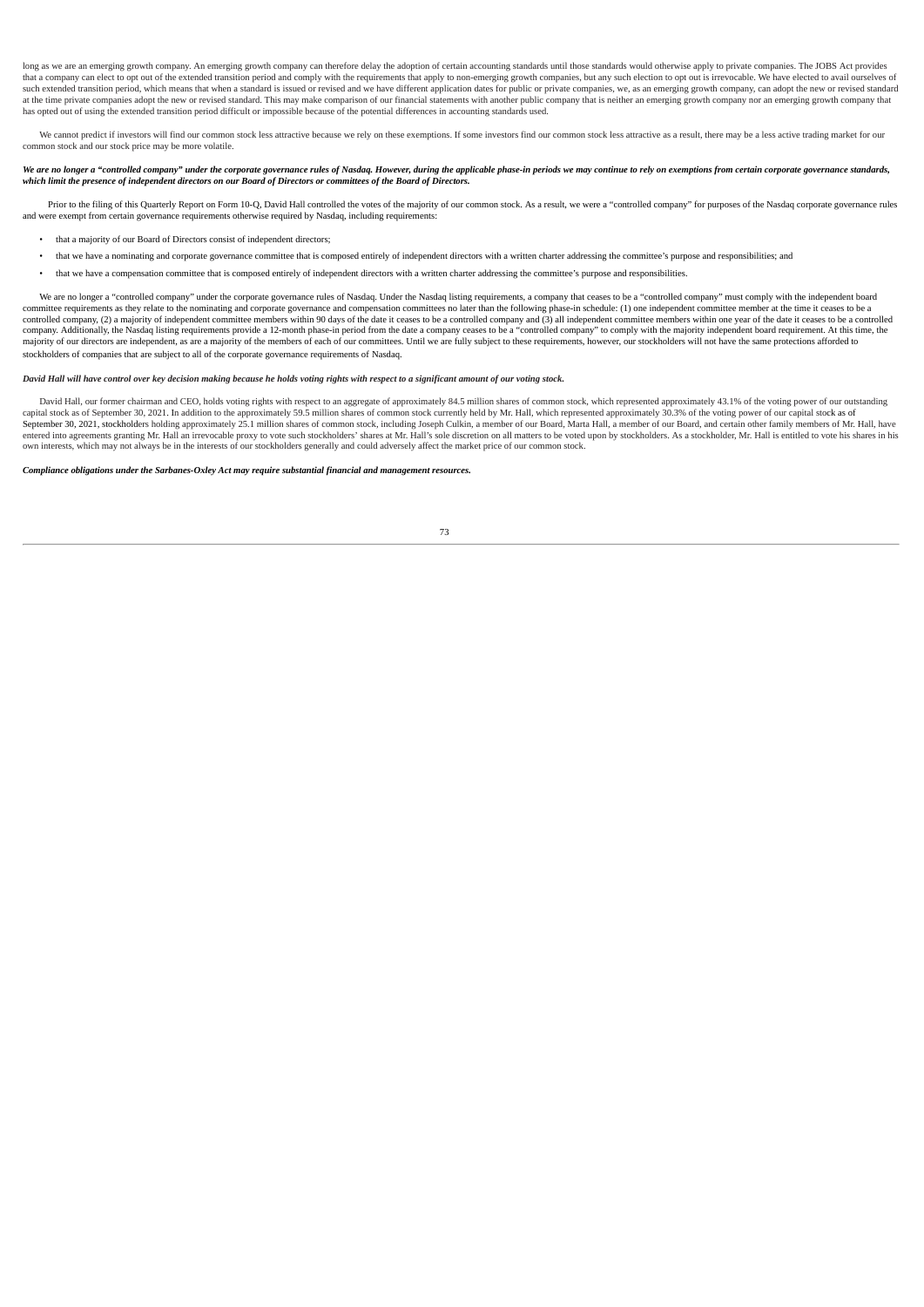long as we are an emerging growth company. An emerging growth company can therefore delay the adoption of certain accounting standards until those standards would otherwise apply to private companies. The JOBS Act provides that a company can elect to opt out of the extended transition period and comply with the requirements that apply to non-emerging growth companies, but any such election to opt out is irrevocable. We have elected to avail has opted out of using the extended transition period difficult or impossible because of the potential differences in accounting standards used.

We cannot predict if investors will find our common stock less attractive because we rely on these exemptions. If some investors find our common stock less attractive as a result, there may be a less active trading market common stock and our stock price may be more volatile.

## We are no longer a "controlled company" under the corporate governance rules of Nasdaq. However, during the applicable phase-in periods we may continue to rely on exemptions from certain corporate governance standards,<br>whi

Prior to the filing of this Quarterly Report on Form 10-Q, David Hall controlled the votes of the majority of our common stock. As a result, we were a "controlled company" for purposes of the Nasdaq corporate governance ru and were exempt from certain governance requirements otherwise required by Nasdaq, including requirements:

- that a majority of our Board of Directors consist of independent directors;
- that we have a nominating and corporate governance committee that is composed entirely of independent directors with a written charter addressing the committee's purpose and responsibilities; and
- that we have a compensation committee that is composed entirely of independent directors with a written charter addressing the committee's purpose and responsibilities.

We are no longer a "controlled company" under the corporate governance rules of Nasdaq. Under the Nasdaq listing requirements, a company that ceases to be a "controlled company" must comply with the independent board committee requirements as they relate to the nominating and corporate governance and compensation committees no later than the following phase-in schedule: (1) one independent committee member at the time it ceases to be a company. Additionally, the Nasdaq listing requirements provide a 12-month phase-in period from the date a company ceases to be a "controlled company" to comply with the majority independent board requirement. At this time, stockholders of companies that are subject to all of the corporate governance requirements of Nasdaq.

#### David Hall will have control over key decision making because he holds voting rights with respect to a significant amount of our voting stock.

David Hall, our former chairman and CEO, holds voting rights with respect to an aggregate of approximately 84.5 million shares of common stock, which represented approximately 43.1% of the voting power of our outstanding capital stock as of September 30, 2021. In addition to the approximately 59.5 million shares of common stock currently held by Mr. Hall, which represented approximately 30.3% of the voting power of our capital stock as of<br> entered into agreements granting Mr. Hall an irrevocable proxy to vote such stockholders' shares at Mr. Hall's sole discretion on all matters to be voted upon by stockholders. As a stockholder, Mr. Hall is entitled to vote own interests, which may not always be in the interests of our stockholders generally and could adversely affect the market price of our common stock.

#### *Compliance obligations under the Sarbanes-Oxley Act may require substantial financial and management resources.*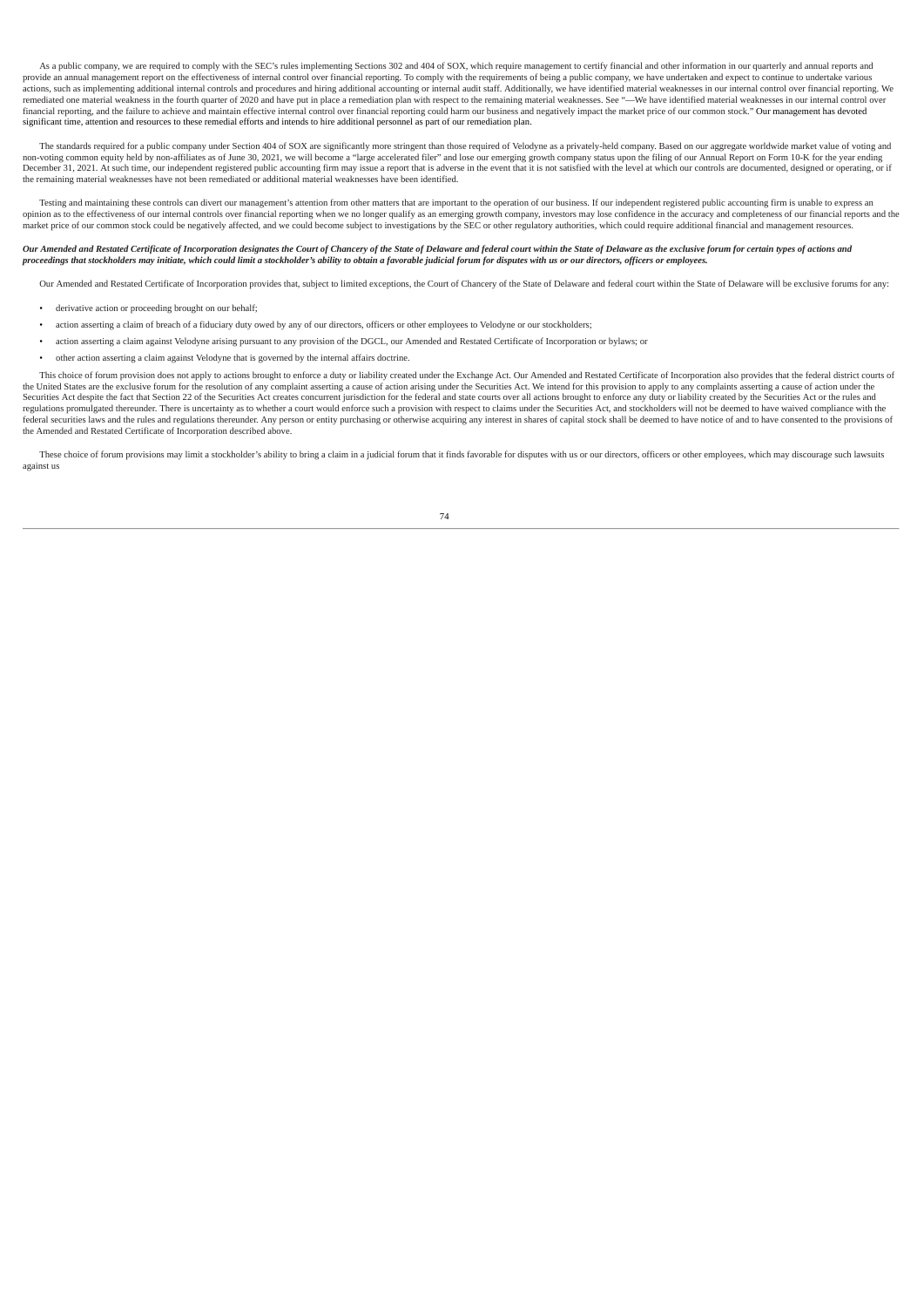As a public company, we are required to comply with the SEC's rules implementing Sections 302 and 404 of SOX, which require management to certify financial and other information in our quarterly and annual reports and provide an annual management report on the effectiveness of internal control over financial reporting. To comply with the requirements of being a public company, we have undertaken and expect to continue to undertake vario remediated one material weakness in the fourth quarter of 2020 and have put in place a remediation plan with respect to the remaining material weaknesses. See "-We have identified material weaknesses in our internal contro financial reporting, and the failure to achieve and maintain effective internal control over financial reporting could harm our business and negatively impact the market price of our common stock." Our management has devoted significant time, attention and resources to these remedial efforts and intends to hire additional personnel as part of our remediation plan.

The standards required for a public company under Section 404 of SOX are significantly more stringent than those required of Velodyne as a privately-held company. Based on our aggregate worldwide market value of voting and non-voting common equity held by non-affiliates as of June 30, 2021, we will become a "large accelerated filer" and lose our emerging growth company status upon the filing of our Annual Report on Form 10-K for the year end the remaining material weaknesses have not been remediated or additional material weaknesses have been identified.

Testing and maintaining these controls can divert our management's attention from other matters that are important to the operation of our business. If our independent registered public accounting firm is unable to express - coung una manufacture of the effectiveness of our intended controls over financial reporting when we not longer qualify as an emerging growth company, investors may lose confidence in the accuracy and completeness of our market price of our common stock could be negatively affected, and we could become subject to investigations by the SEC or other regulatory authorities, which could require additional financial and management resources.

Our Amended and Restated Certificate of Incorporation designates the Court of Chancery of the State of Delaware and federal court within the State of Delaware as the exclusive forum for certain types of actions and proceedings that stockholders may initiate, which could limit a stockholder's ability to obtain a favorable judicial forum for disputes with us or our directors, officers or employees.

Our Amended and Restated Certificate of Incorporation provides that, subject to limited exceptions, the Court of Chancery of the State of Delaware and federal court within the State of Delaware will be exclusive forums for

- derivative action or proceeding brought on our behalf;
- action asserting a claim of breach of a fiduciary duty owed by any of our directors, officers or other employees to Velodyne or our stockholders;
- action asserting a claim against Velodyne arising pursuant to any provision of the DGCL, our Amended and Restated Certificate of Incorporation or bylaws; or
- other action asserting a claim against Velodyne that is governed by the internal affairs doctrine.

This choice of forum provision does not apply to actions brought to enforce a duty or liability created under the Exchange Act. Our Amended and Restated Certificate of Incorporation also provides that the federal district the United States are the exclusive forum for the resolution of any complaint asserting a cause of action arising under the Securities Act. We intend for this provision to apply to any complaints asserting a cause of actio regulations promulgated thereunder. There is uncertainty as to whether a court would enforce such a provision with respect to claims under the Securities Act, and stockholders will not be deemed to have waived compliance w the Amended and Restated Certificate of Incorporation described above.

These choice of forum provisions may limit a stockholder's ability to bring a claim in a judicial forum that it finds favorable for disputes with us or our directors, officers or other employees, which may discourage such against us

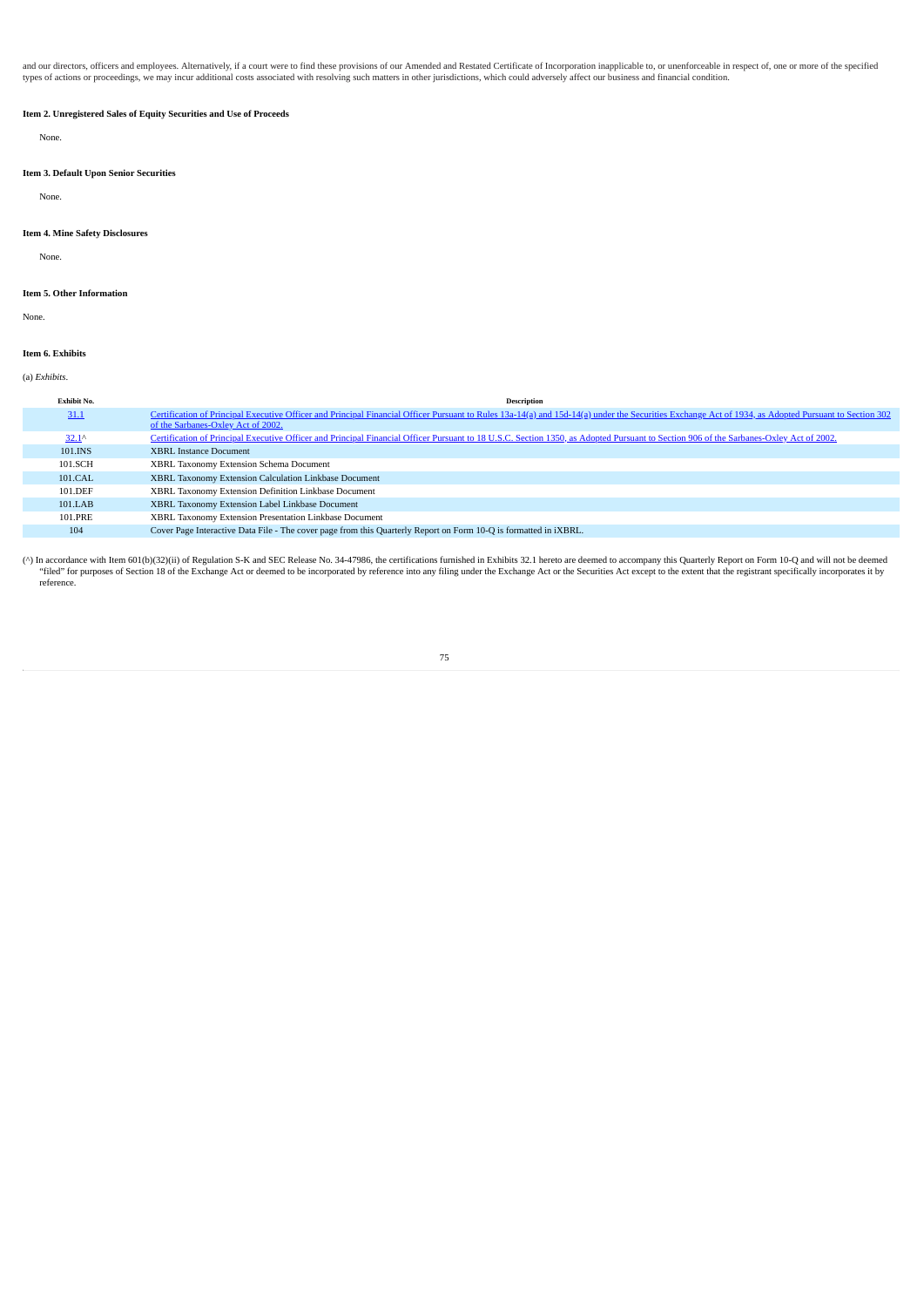and our directors, officers and employees. Alternatively, if a court were to find these provisions of our Amended and Restated Certificate of Incorporation inapplicable to, or unenforceable in respect of, one or more of th

#### **Item 2. Unregistered Sales of Equity Securities and Use of Proceeds**

None.

#### **Item 3. Default Upon Senior Securities**

None.

### **Item 4. Mine Safety Disclosures**

None.

#### **Item 5. Other Information**

None.

#### **Item 6. Exhibits**

(a) *Exhibits*.

| Exhibit No.    | <b>Description</b>                                                                                                                                                                                   |
|----------------|------------------------------------------------------------------------------------------------------------------------------------------------------------------------------------------------------|
| 31.1           | Certification of Principal Executive Officer and Principal Financial Officer Pursuant to Rules 13a-14(a) and 15d-14(a) under the Securities Exchange Act of 1934, as Adopted Pursuant to Section 302 |
|                | of the Sarbanes-Oxley Act of 2002.                                                                                                                                                                   |
| $32.1^{\circ}$ | Certification of Principal Executive Officer and Principal Financial Officer Pursuant to 18 U.S.C. Section 1350, as Adopted Pursuant to Section 906 of the Sarbanes-Oxley Act of 2002.               |
| 101.INS        | <b>XBRL Instance Document</b>                                                                                                                                                                        |
| 101.SCH        | XBRL Taxonomy Extension Schema Document                                                                                                                                                              |
| 101.CAL        | XBRL Taxonomy Extension Calculation Linkbase Document                                                                                                                                                |
| 101.DEF        | XBRL Taxonomy Extension Definition Linkbase Document                                                                                                                                                 |
| 101.LAB        | XBRL Taxonomy Extension Label Linkbase Document                                                                                                                                                      |
| 101.PRE        | XBRL Taxonomy Extension Presentation Linkbase Document                                                                                                                                               |
| 104            | Cover Page Interactive Data File - The cover page from this Quarterly Report on Form 10-Q is formatted in iXBRL.                                                                                     |

) In accordance with Item 601(b)(32)(ii) of Regulation S-K and SEC Release No. 34-47986, the certifications furnished in Exhibits 32.1 hereto are deemed to accompany this Quarterly Report on Form 10-Q and will not be deeme reference.

75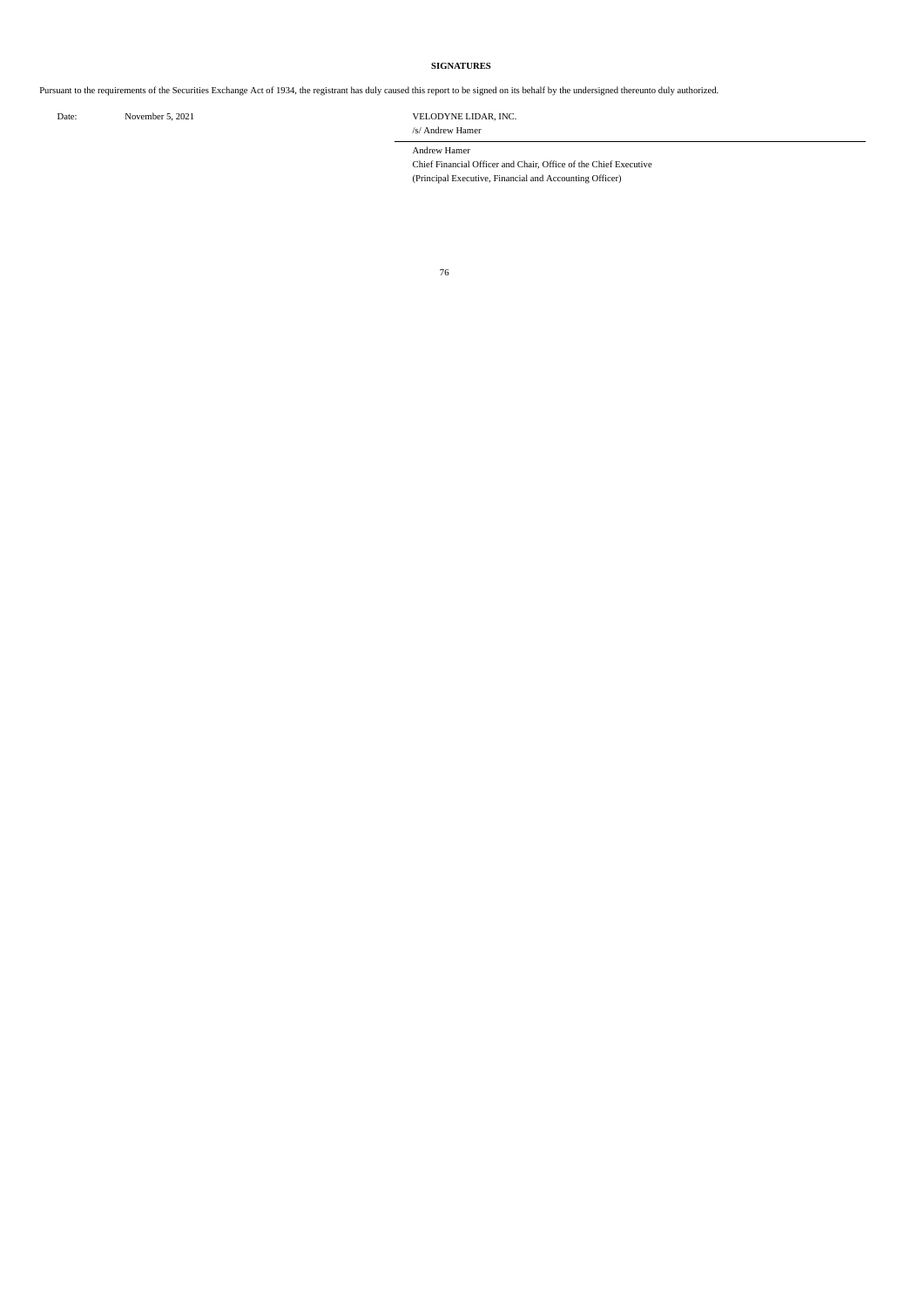#### **SIGNATURES**

Pursuant to the requirements of the Securities Exchange Act of 1934, the registrant has duly caused this report to be signed on its behalf by the undersigned thereunto duly authorized.

Date: November 5, 2021 VELODYNE LIDAR, INC. /s/ Andrew Hamer

Andrew Hamer

Chief Financial Officer and Chair, Office of the Chief Executive (Principal Executive, Financial and Accounting Officer)

76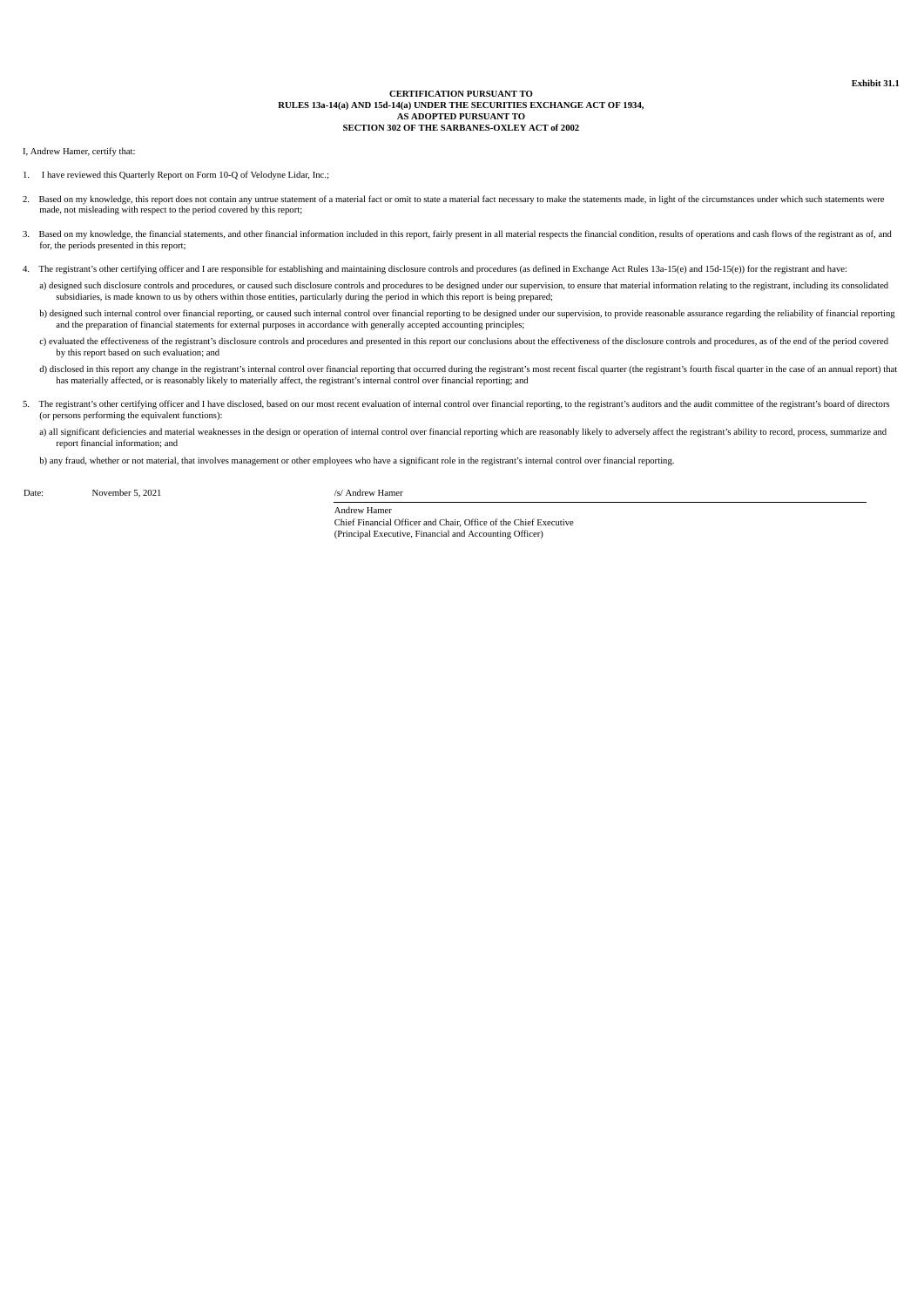#### **CERTIFICATION PURSUANT TO RULES 13a-14(a) AND 15d-14(a) UNDER THE SECURITIES EXCHANGE ACT OF 1934, AS ADOPTED PURSUANT TO SECTION 302 OF THE SARBANES-OXLEY ACT of 2002**

<span id="page-77-0"></span>I, Andrew Hamer, certify that:

1. I have reviewed this Quarterly Report on Form 10-Q of Velodyne Lidar, Inc.;

- 2. Based on my knowledge, this report does not contain any untrue statement of a material fact or omit to state a material fact necessary to make the statements made, in light of the circumstances under which such statemen
- 3. Based on my knowledge, the financial statements, and other financial information included in this report, fairly present in all material respects the financial condition, results of operations and cash flows of the regi for, the periods presented in this report;
- 4. The registrant's other certifying officer and I are responsible for establishing and maintaining disclosure controls and procedures (as defined in Exchange Act Rules 13a-15(e) and 15d-15(e)) for the registrant and have:
	- a) designed such disclosure controls and procedures, or caused such disclosure controls and procedures to be designed under our supervision, to ensure that material information relating to the registrant, including its con subsidiaries, is made known to us by others within those entities, particularly during the period in which this report is being prepared;
	- b) designed such internal control over financial reporting, or caused such internal control over financial reporting to be designed under our supervision, to provide reasonable assurance regarding the reliability of financ and the preparation of financial statements for external purposes in accordance with generally accepted accounting principles;
	- c) evaluated the effectiveness of the registrant's disclosure controls and procedures and presented in this report our conclusions about the effectiveness of the disclosure controls and procedures. as of the end of the per by this report based on such evaluation; and
	- d) disclosed in this report any change in the registrant's internal control over financial reporting that occurred during the registrant's most recent fiscal quarter (the registrant's fourth fiscal quarter in the case of a has materially affected, or is reasonably likely to materially affect, the registrant's internal control over financial reporting; and
- 5. The registrant's other certifying officer and I have disclosed, based on our most recent evaluation of internal control over financial reporting, to the registrant's auditors and the audit committee of the registrant's (or persons performing the equivalent functions):
	- a) all significant deficiencies and material weaknesses in the design or operation of internal control over financial reporting which are reasonably likely to adversely affect the registrant's ability to record, process, s report financial information; and

b) any fraud, whether or not material, that involves management or other employees who have a significant role in the registrant's internal control over financial reporting.

Date: November 5, 2021 /s/ Andrew Hamer

Andrew Hamer Chief Financial Officer and Chair, Office of the Chief Executive (Principal Executive, Financial and Accounting Officer)